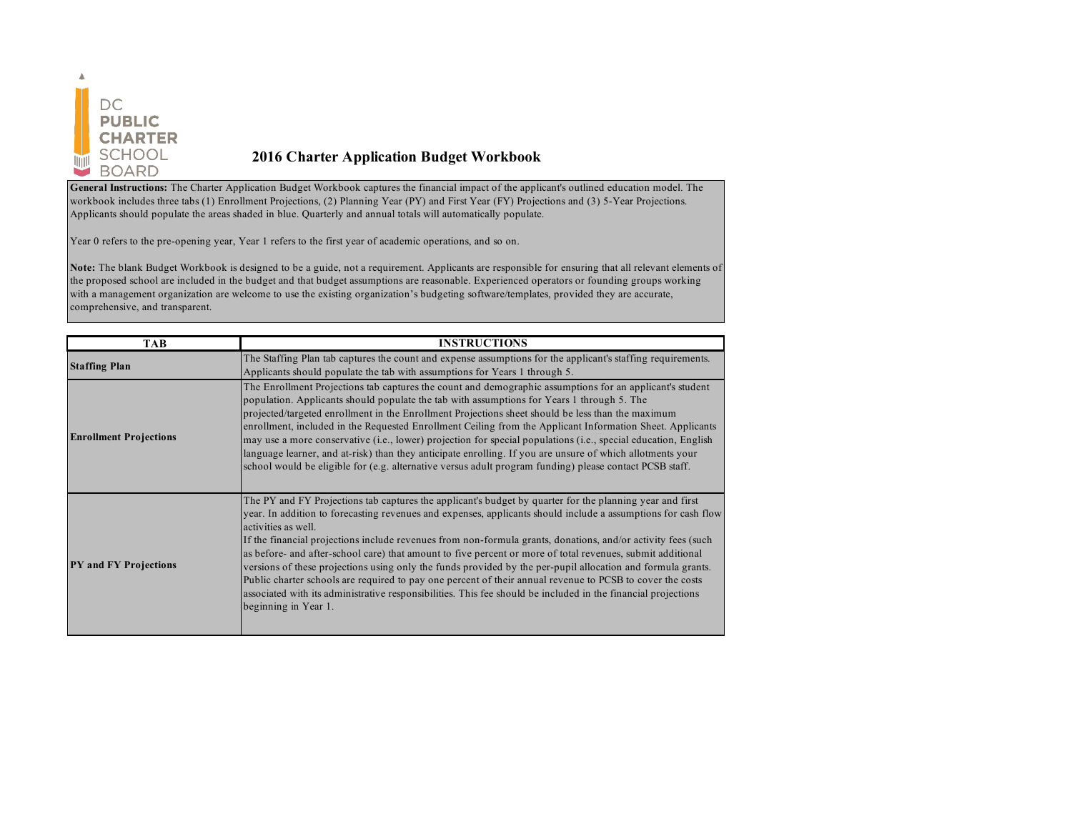

## **2016 Charter Application Budget Workbook**

**General Instructions:** The Charter Application Budget Workbook captures the financial impact of the applicant's outlined education model. The workbook includes three tabs (1) Enrollment Projections, (2) Planning Year (PY) and First Year (FY) Projections and (3) 5-Year Projections. Applicants should populate the areas shaded in blue. Quarterly and annual totals will automatically populate.

Year 0 refers to the pre-opening year, Year 1 refers to the first year of academic operations, and so on.

**Note:** The blank Budget Workbook is designed to be a guide, not a requirement. Applicants are responsible for ensuring that all relevant elements of the proposed school are included in the budget and that budget assumptions are reasonable. Experienced operators or founding groups working with a management organization are welcome to use the existing organization's budgeting software/templates, provided they are accurate, comprehensive, and transparent.

| <b>TAB</b>                    | <b>INSTRUCTIONS</b>                                                                                                                                                                                                                                                                                                                                                                                                                                                                                                                                                                                                                                                                                                                                                                                                                                 |
|-------------------------------|-----------------------------------------------------------------------------------------------------------------------------------------------------------------------------------------------------------------------------------------------------------------------------------------------------------------------------------------------------------------------------------------------------------------------------------------------------------------------------------------------------------------------------------------------------------------------------------------------------------------------------------------------------------------------------------------------------------------------------------------------------------------------------------------------------------------------------------------------------|
| <b>Staffing Plan</b>          | The Staffing Plan tab captures the count and expense assumptions for the applicant's staffing requirements.<br>Applicants should populate the tab with assumptions for Years 1 through 5.                                                                                                                                                                                                                                                                                                                                                                                                                                                                                                                                                                                                                                                           |
| <b>Enrollment Projections</b> | The Enrollment Projections tab captures the count and demographic assumptions for an applicant's student<br>population. Applicants should populate the tab with assumptions for Years 1 through 5. The<br>projected/targeted enrollment in the Enrollment Projections sheet should be less than the maximum<br>enrollment, included in the Requested Enrollment Ceiling from the Applicant Information Sheet. Applicants<br>may use a more conservative (i.e., lower) projection for special populations (i.e., special education, English<br>language learner, and at-risk) than they anticipate enrolling. If you are unsure of which allotments your<br>school would be eligible for (e.g. alternative versus adult program funding) please contact PCSB staff.                                                                                  |
| <b>PY</b> and FY Projections  | The PY and FY Projections tab captures the applicant's budget by quarter for the planning year and first<br>year. In addition to forecasting revenues and expenses, applicants should include a assumptions for cash flow<br>activities as well.<br>If the financial projections include revenues from non-formula grants, donations, and/or activity fees (such<br>as before- and after-school care) that amount to five percent or more of total revenues, submit additional<br>versions of these projections using only the funds provided by the per-pupil allocation and formula grants.<br>Public charter schools are required to pay one percent of their annual revenue to PCSB to cover the costs<br>associated with its administrative responsibilities. This fee should be included in the financial projections<br>beginning in Year 1. |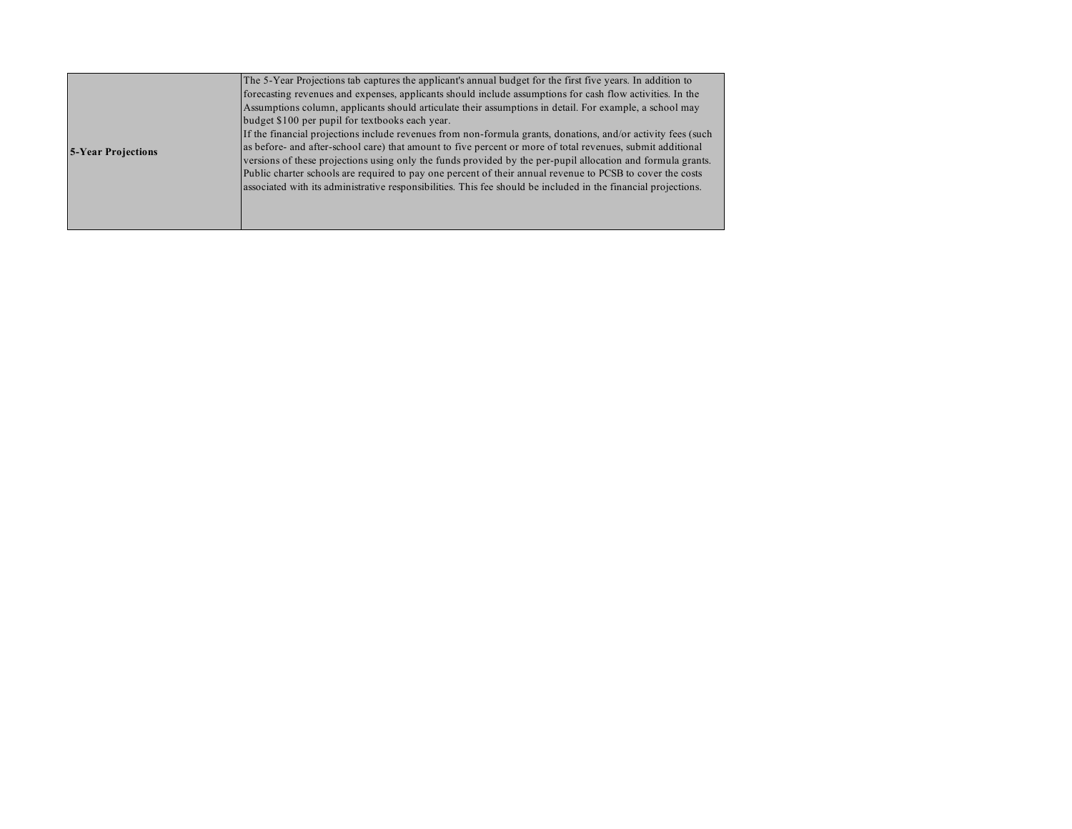|                           | The 5-Year Projections tab captures the applicant's annual budget for the first five years. In addition to     |
|---------------------------|----------------------------------------------------------------------------------------------------------------|
|                           | forecasting revenues and expenses, applicants should include assumptions for cash flow activities. In the      |
|                           | Assumptions column, applicants should articulate their assumptions in detail. For example, a school may        |
|                           | budget \$100 per pupil for textbooks each year.                                                                |
|                           | If the financial projections include revenues from non-formula grants, donations, and/or activity fees (such   |
| <b>5-Year Projections</b> | as before- and after-school care) that amount to five percent or more of total revenues, submit additional     |
|                           | versions of these projections using only the funds provided by the per-pupil allocation and formula grants.    |
|                           | Public charter schools are required to pay one percent of their annual revenue to PCSB to cover the costs      |
|                           | associated with its administrative responsibilities. This fee should be included in the financial projections. |
|                           |                                                                                                                |
|                           |                                                                                                                |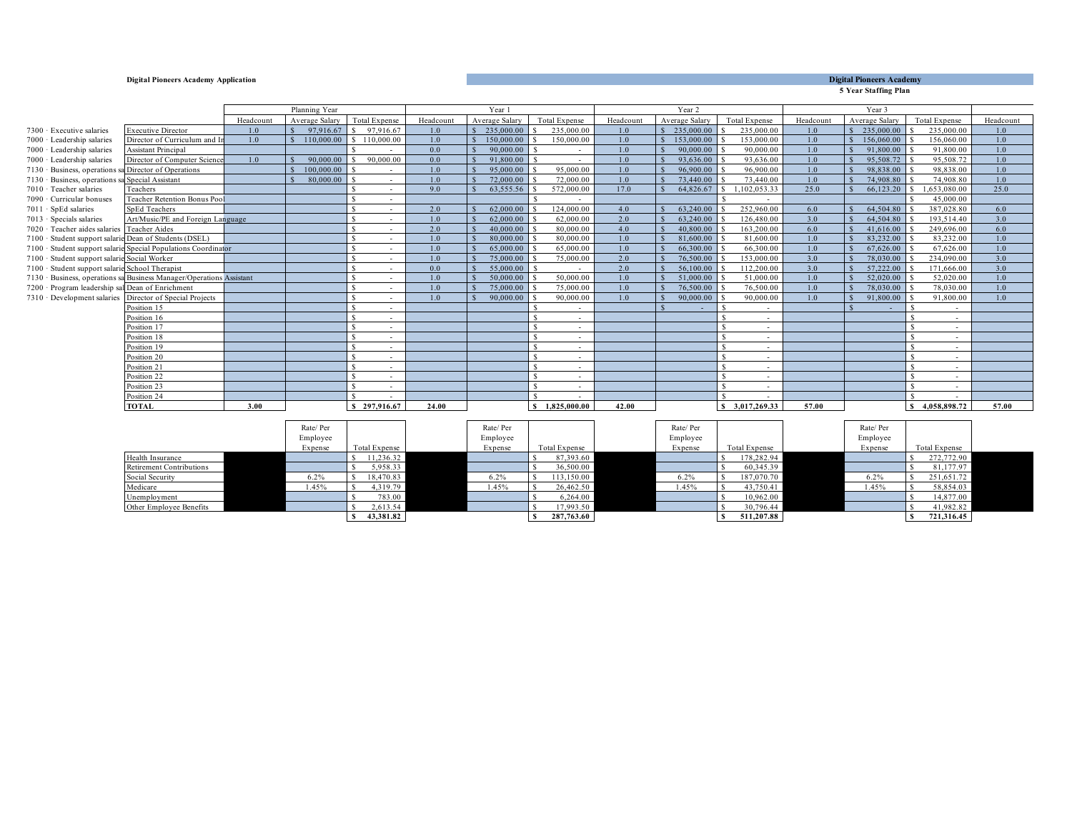#### **Digital Pioneers Academy**

**5 Year Staffing Plan**

|                                                          |                                                                      |           | Planning Year  |                          |                  | Year 1         |                          |           | Year 2         |                   |           | Year 3         |                          |           |
|----------------------------------------------------------|----------------------------------------------------------------------|-----------|----------------|--------------------------|------------------|----------------|--------------------------|-----------|----------------|-------------------|-----------|----------------|--------------------------|-----------|
|                                                          |                                                                      | Headcount | Average Salary | <b>Total Expense</b>     | Headcount        | Average Salary | <b>Total Expense</b>     | Headcount | Average Salary | Total Expense     | Headcount | Average Salary | <b>Total Expense</b>     | Headcount |
| $7300 \cdot$ Executive salaries                          | <b>Executive Director</b>                                            | 1.0       | 97,916.67      | 97.916.67<br>-S          | 1.0 <sub>1</sub> | 235,000.00     | 235,000.00               | 1.0       | 235,000.00     | 235,000.00        | 1.0       | 235,000.00     | 235,000.00               | 1.0       |
| 7000 · Leadership salaries                               | Director of Curriculum and I                                         | 1.0       | 110,000.00     | \$110,000.00             | 1.0              | 150,000,00     | 150,000.00               | 1.0       | 153,000.00     | 153,000.00        | 1.0       | 156,060.00     | 156,060.00               | 1.0       |
| 7000 · Leadership salaries                               | <b>Assistant Principal</b>                                           |           |                |                          | 0.0              | 90.000.00      | $\sim$                   | 1.0       | 90.000.00      | 90,000.00         | 1.0       | 91,800.00      | 91.800.00                | 1.0       |
| 7000 · Leadership salaries                               | Director of Computer Science                                         | 1.0       | 90.000.0       | 90.000.00                | 0.0              | 91,800.00      | $\sim$                   | 1.0       | 93,636.00      | 93,636.00         | 1.0       | 95,508.72      | 95,508.72                | 1.0       |
| 7130 · Business, operations sa Director of Operations    |                                                                      |           | 100,000.00     |                          | 1.0 <sub>1</sub> | 95,000.00      | 95,000.00                | 1.0       | 96,900.00      | 96,900.00         | 1.0       | 98.838.00      | 98,838.00                | 1.0       |
| 7130 · Business, operations sa Special Assistant         |                                                                      |           | 80,000.00      | $\overline{\phantom{a}}$ | 1.0              | 72,000.00      | 72,000.00                | 1.0       | 73,440.00      | 73,440.00         | 1.0       | 74,908.80      | 74,908.80                | 1.0       |
| 7010 · Teacher salaries                                  | Teachers                                                             |           |                |                          | 9.0              | 63,555.56      | 572,000.00               | 17.0      | 64,826.67      | .102.053.33<br>s. | 25.0      | 66,123.20      | .653.080.00              | 25.0      |
| 7090 · Curricular bonuses                                | Teacher Retention Bonus Pool                                         |           |                | $\overline{\phantom{a}}$ |                  |                | $\sim$                   |           |                |                   |           |                | 45,000.00                |           |
| 7011 · SpEd salaries                                     | <b>SpEd Teachers</b>                                                 |           |                | $\overline{\phantom{a}}$ | 2.0              | 62,000.00      | 124,000.00               | 4.0       | 63,240.00      | 252,960.00        | 6.0       | 64,504.80      | 387,028.80               | 6.0       |
| 7013 · Specials salaries                                 | Art/Music/PE and Foreign Language                                    |           |                |                          | 1.0              | 62.000.00      | 62,000.00                | 2.0       | 63,240.00      | 126,480.00        | 3.0       | 64.504.80      | 193.514.40               | 3.0       |
| 7020 · Teacher aides salaries Teacher Aides              |                                                                      |           |                | $\sim$                   | 2.0              | $40,000,00$ S  | 80,000.00                | 4.0       | 40,800.00      | 163,200.00        | 6.0       | 41,616.00      | 249,696.00               | 6.0       |
| 7100 · Student support salarie Dean of Students (DSEL)   |                                                                      |           |                |                          | 1.0              | 80,000.00      | 80.000.00                | 1.0       | 81,600.00      | 81,600.00         | 1.0       | 83,232.00      | 83.232.00                | 1.0       |
|                                                          | 7100 · Student support salarie Special Populations Coordinator       |           |                | $\overline{\phantom{a}}$ | 1.0              | 65,000.00      | 65,000.00                | 1.0       | 66,300.00      | 66,300.00         | 1.0       | 67,626.00      | 67,626.00                | 1.0       |
| 7100 · Student support salarie Social Worker             |                                                                      |           |                | $\overline{\phantom{a}}$ | 1.0              | 75,000.00      | 75,000.00                | 2.0       | 76,500.00      | 153,000.00        | 3.0       | 78,030.00      | 234,090.00               | 3.0       |
| 7100 · Student support salarie School Therapist          |                                                                      |           |                |                          | 0.0              | 55,000.00      |                          | 2.0       | 56,100.00      | 112.200.00        | 3.0       | 57.222.00      | 171.666.00               | 3.0       |
|                                                          | 7130 · Business, operations sa Business Manager/Operations Assistant |           |                |                          | 1.0              | 50,000.00      | 50,000.00                | 1.0       | 51,000.00      | 51,000.00         | 1.0       | 52,020.00      | 52,020.00                | 1.0       |
| 7200 · Program leadership sal Dean of Enrichment         |                                                                      |           |                |                          | 1.0              | 75,000.00      | 75,000.00                | 1.0       | 76,500.00      | 76,500.00         | 1.0       | 78,030.00      | 78,030.00                | 1.0       |
| 7310 · Development salaries Director of Special Projects |                                                                      |           |                | $\overline{\phantom{a}}$ | 1.0              | 90,000.00      | 90,000.00                | 1.0       | 90,000.00      | 90,000,00         | 1.0       | 91,800.00      | 91,800.00                | 1.0       |
|                                                          | Position 15                                                          |           |                | $\overline{\phantom{a}}$ |                  |                | $\sim$                   |           |                |                   |           |                | $\sim$                   |           |
|                                                          | Position 16                                                          |           |                | $\overline{\phantom{a}}$ |                  |                | $\overline{\phantom{a}}$ |           |                |                   |           |                | $\overline{\phantom{a}}$ |           |
|                                                          | Position 17                                                          |           |                | $\overline{\phantom{a}}$ |                  |                | $\sim$                   |           |                |                   |           |                | $\overline{\phantom{a}}$ |           |
|                                                          | Position 18                                                          |           |                | $\overline{\phantom{a}}$ |                  |                | $\sim$                   |           |                |                   |           |                | $\overline{\phantom{a}}$ |           |
|                                                          | Position 19                                                          |           |                | $\overline{\phantom{a}}$ |                  |                | $\sim$                   |           |                |                   |           |                | $\sim$                   |           |
|                                                          | Position 20                                                          |           |                | $\overline{\phantom{a}}$ |                  |                | $\sim$                   |           |                |                   |           |                | $\overline{\phantom{a}}$ |           |
|                                                          | Position 21                                                          |           |                |                          |                  |                | $\overline{\phantom{a}}$ |           |                |                   |           |                | $\overline{\phantom{a}}$ |           |
|                                                          | Position 22                                                          |           |                | $\overline{\phantom{a}}$ |                  |                | $\sim$                   |           |                |                   |           |                | $\overline{\phantom{a}}$ |           |
|                                                          | Position 23                                                          |           |                | $\overline{\phantom{a}}$ |                  |                | $\sim$                   |           |                |                   |           |                | $\sim$                   |           |
|                                                          | Position 24                                                          |           |                |                          |                  |                | $\overline{\phantom{a}}$ |           |                |                   |           |                |                          |           |
|                                                          | <b>TOTAL</b>                                                         | 3.00      |                | \$297,916.67             | 24.00            |                | 1.825,000.00             | 42.00     |                | \$3.017.269.33    | 57.00     |                | \$4.058,898.72           | 57.00     |

|                                 | Rate/Per<br>Employee<br>Expense | Total Expense | Rate/Per<br>Employee<br>Expense | Total Expense | Rate/Per<br>Employee<br>Expense | Total Expense | Rate/Per<br>Employee<br>Expense | Total Expense |  |
|---------------------------------|---------------------------------|---------------|---------------------------------|---------------|---------------------------------|---------------|---------------------------------|---------------|--|
| Health Insurance                |                                 | 11,236.32     |                                 | 87,393.60     |                                 | 178,282.94    |                                 | 272,772.90    |  |
| <b>Retirement Contributions</b> |                                 | 5,958.33      |                                 | 36,500.00     |                                 | 60,345.39     |                                 | 81,177.97     |  |
| Social Security                 | 6.2%                            | 18,470.83     | 6.2%                            | 113,150.00    | 6.2%                            | 187,070.70    | 6.2%                            | 251,651.72    |  |
| Medicare                        | 1.45%                           | 4,319.79      | 1.45%                           | 26,462.50     | 1.45%                           | 43,750.41     | 1.45%                           | 58,854.03     |  |
| Unemployment                    |                                 | 783.00        |                                 | 6,264.00      |                                 | 10.962.00     |                                 | 14,877.00     |  |
| Other Employee Benefits         |                                 | 2,613.54      |                                 | 17,993.50     |                                 | 30,796.44     |                                 | 41,982.82     |  |
|                                 |                                 | 43,381.82     |                                 | 287,763.60    |                                 | 511,207.88    |                                 | 721,316.45    |  |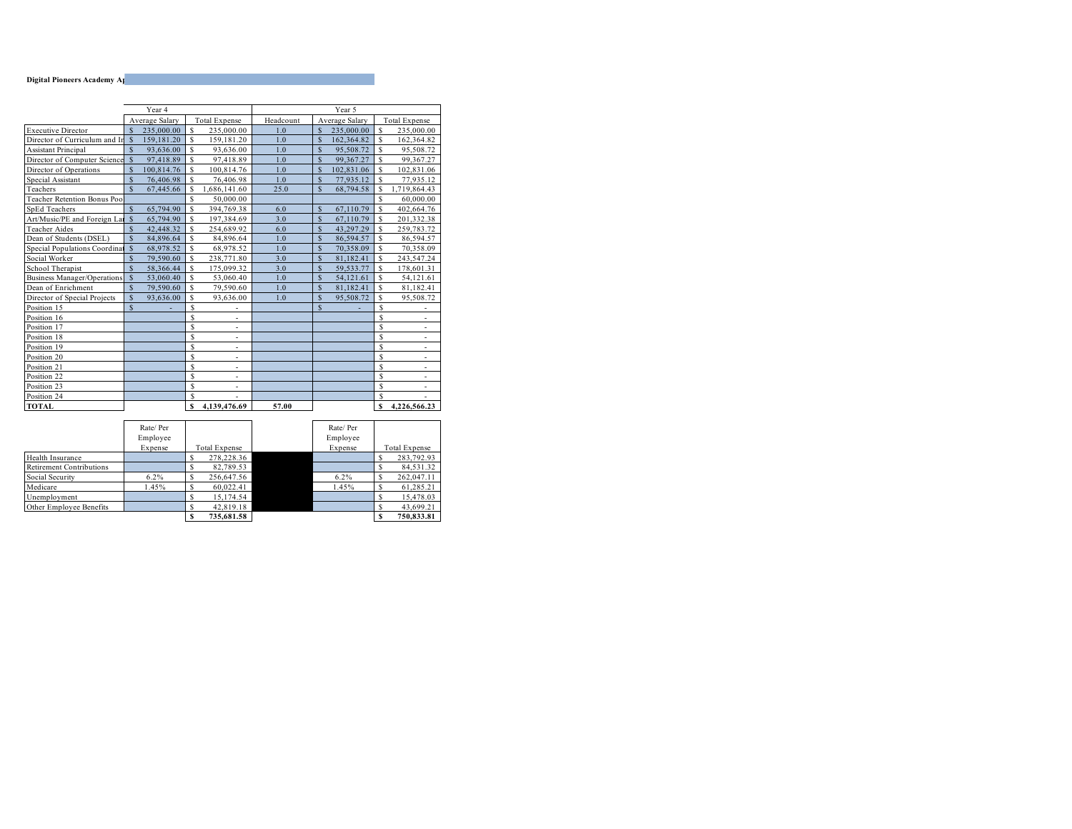|                                    | Year 5             |                |    |                          |           |                    |                |   |                          |
|------------------------------------|--------------------|----------------|----|--------------------------|-----------|--------------------|----------------|---|--------------------------|
|                                    |                    | Average Salary |    | <b>Total Expense</b>     | Headcount |                    | Average Salary |   | <b>Total Expense</b>     |
| <b>Executive Director</b>          | $\mathbf{\hat{s}}$ | 235,000.00     | S  | 235,000.00               | 1.0       | <sup>\$</sup>      | 235,000.00     | S | 235,000.00               |
| Director of Curriculum and In      | $\mathcal{S}$      | 159,181.20     | S  | 159,181.20               | 1.0       | <sup>\$</sup>      | 162,364.82     | S | 162,364.82               |
| <b>Assistant Principal</b>         | \$                 | 93,636.00      | Ś  | 93.636.00                | 1.0       | <sup>\$</sup>      | 95,508.72      | Ŝ | 95,508.72                |
| Director of Computer Science       | $\mathbf{s}$       | 97,418.89      | S  | 97,418.89                | 1.0       | <sup>\$</sup>      | 99,367.27      | S | 99,367.27                |
| Director of Operations             | \$                 | 100,814.76     | S  | 100,814.76               | 1.0       | <sup>\$</sup>      | 102,831.06     | Ŝ | 102,831.06               |
| Special Assistant                  | \$                 | 76,406.98      | S  | 76,406.98                | 1.0       | <sup>\$</sup>      | 77,935.12      | S | 77,935.12                |
| Teachers                           | $\mathbf{\hat{S}}$ | 67,445.66      | S  | 1,686,141.60             | 25.0      | $\mathbf S$        | 68,794.58      | S | 1,719,864.43             |
| Teacher Retention Bonus Poo        |                    |                | Ś  | 50,000.00                |           |                    |                | Ŝ | 60,000.00                |
| <b>SpEd Teachers</b>               | $\mathbf{\hat{s}}$ | 65,794.90      | S  | 394,769.38               | 6.0       | <sup>\$</sup>      | 67,110.79      | S | 402,664.76               |
| Art/Music/PE and Foreign Lar       | $\mathbf{\hat{S}}$ | 65,794.90      | S  | 197,384.69               | 3.0       | <sup>\$</sup>      | 67,110.79      | Ŝ | 201,332.38               |
| Teacher Aides                      | $\mathbf{\hat{S}}$ | 42,448.32      | S  | 254,689.92               | 6.0       | <sup>\$</sup>      | 43,297.29      | S | 259,783.72               |
| Dean of Students (DSEL)            | \$                 | 84,896.64      | S  | 84,896.64                | 1.0       | <sup>\$</sup>      | 86,594.57      | Ŝ | 86,594.57                |
| Special Populations Coordinat      | <sub>S</sub>       | 68,978.52      | Ś  | 68,978.52                | 1.0       | $\mathbf{\hat{S}}$ | 70,358.09      | Ŝ | 70,358.09                |
| Social Worker                      | \$                 | 79,590.60      | S  | 238,771.80               | 3.0       | <sup>\$</sup>      | 81,182.41      | Ŝ | 243,547.24               |
| School Therapist                   | $\mathbf{\hat{S}}$ | 58,366.44      | S  | 175,099.32               | 3.0       | <sup>\$</sup>      | 59,533.77      | S | 178,601.31               |
| <b>Business Manager/Operations</b> | \$                 | 53,060.40      | S  | 53,060.40                | 1.0       | <sup>\$</sup>      | 54,121.61      | Ŝ | 54,121.61                |
| Dean of Enrichment                 | \$                 | 79,590.60      | S  | 79,590.60                | 1.0       | <sup>\$</sup>      | 81,182.41      | S | 81,182.41                |
| Director of Special Projects       | \$                 | 93.636.00      | Ś  | 93.636.00                | 1.0       | $\mathbf{\hat{S}}$ | 95.508.72      | Ŝ | 95,508.72                |
| Position 15                        | $\mathbf S$        |                | S  |                          |           | \$                 |                | s |                          |
| Position 16                        |                    |                | S  | $\overline{\phantom{m}}$ |           |                    |                | Ś |                          |
| Position 17                        |                    |                | \$ | ٠                        |           |                    |                | Ś | ٠                        |
| Position 18                        |                    |                | S  |                          |           |                    |                | Ś |                          |
| Position 19                        |                    |                | \$ | ÷,                       |           |                    |                | Ś | $\overline{\phantom{a}}$ |
| Position 20                        |                    |                | S  |                          |           |                    |                | S |                          |
| Position 21                        |                    |                | S  | $\overline{\phantom{m}}$ |           |                    |                | Ś | $\overline{a}$           |
| Position 22                        |                    |                | S  | ٠                        |           |                    |                | Ś | ٠                        |
| Position 23                        |                    |                | S  |                          |           |                    |                | Ś |                          |
| Position 24                        |                    |                | \$ |                          |           |                    |                | S |                          |
| <b>TOTAL</b>                       |                    |                | S  | 4.139.476.69             | 57.00     |                    |                | S | 4.226.566.23             |

|                                 | Rate/Per<br>Employee |               | Rate/Per<br>Employee |                      |
|---------------------------------|----------------------|---------------|----------------------|----------------------|
|                                 | Expense              | Total Expense | Expense              | <b>Total Expense</b> |
| Health Insurance                |                      | 278,228.36    |                      | 283,792.93           |
| <b>Retirement Contributions</b> |                      | 82,789.53     |                      | 84,531.32            |
| Social Security                 | $6.2\%$              | 256,647.56    | 6.2%                 | 262,047.11           |
| Medicare                        | 1.45%                | 60.022.41     | 1.45%                | 61.285.21            |
| Unemployment                    |                      | 15,174.54     |                      | 15.478.03            |
| Other Employee Benefits         |                      | 42.819.18     |                      | 43.699.21            |
|                                 |                      | 735.681.58    |                      | 750.833.81           |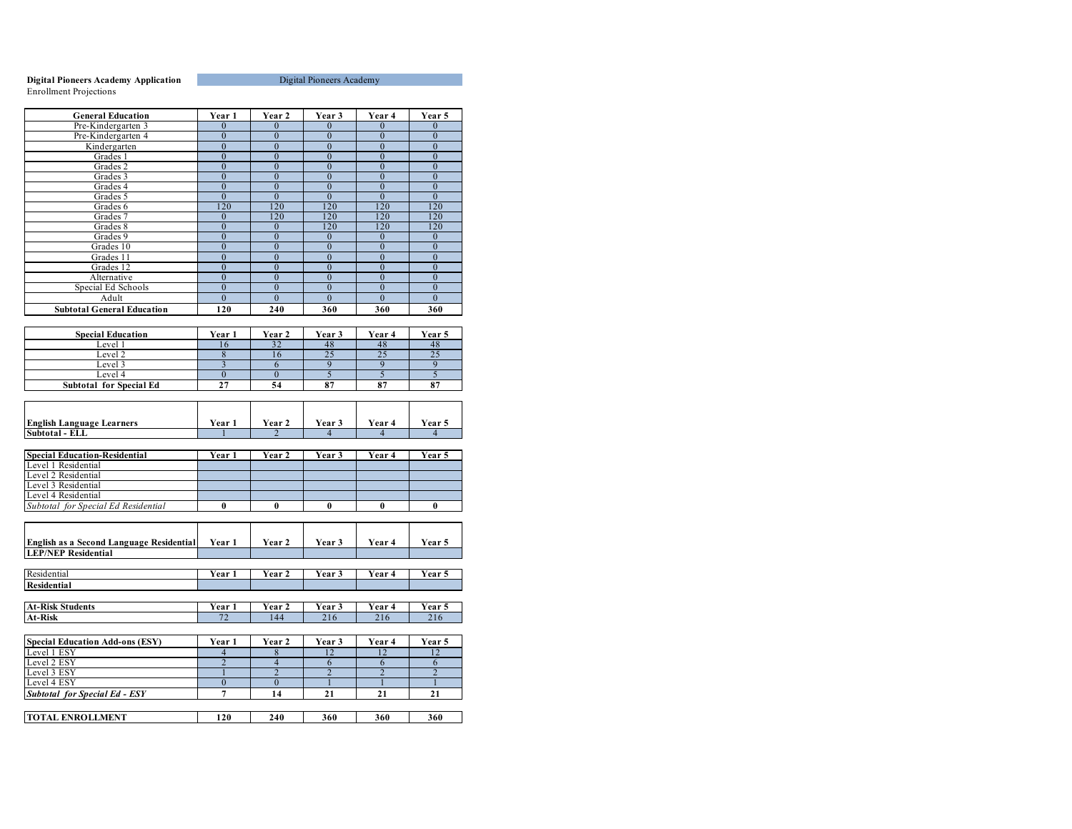#### **Digital Pioneers Academy Application** Enrollment Projections

| <b>General Education</b>                              | Year 1                   | Year 2          | Year 3         | Year 4         | Year 5           |
|-------------------------------------------------------|--------------------------|-----------------|----------------|----------------|------------------|
| Pre-Kindergarten 3                                    | $\overline{0}$           | $\theta$        | $\overline{0}$ | $\overline{0}$ | $\theta$         |
| Pre-Kindergarten 4                                    | $\overline{0}$           | $\overline{0}$  | $\overline{0}$ | $\overline{0}$ | $\overline{0}$   |
| Kindergarten                                          | $\overline{0}$           | $\overline{0}$  | $\overline{0}$ | $\overline{0}$ | $\overline{0}$   |
| Grades 1                                              | $\mathbf{0}$             | $\mathbf{0}$    | $\overline{0}$ | $\mathbf{0}$   | $\mathbf{0}$     |
| Grades 2                                              | $\overline{0}$           | $\overline{0}$  | $\overline{0}$ | $\overline{0}$ | $\mathbf{0}$     |
| Grades 3                                              | $\mathbf{0}$             | $\mathbf{0}$    | $\overline{0}$ | $\mathbf{0}$   | $\overline{0}$   |
| Grades 4                                              | $\overline{0}$           | $\theta$        | $\overline{0}$ | $\overline{0}$ | $\overline{0}$   |
| Grades 5                                              | $\mathbf{0}$             | $\mathbf{0}$    | $\mathbf{0}$   | $\Omega$       | $\mathbf{0}$     |
| Grades 6                                              | 120                      | 120             | 120            | 120            | 120              |
| Grades 7                                              | $\mathbf{0}$             | 120             | 120            | 120            | 120              |
| Grades 8                                              | $\overline{0}$           | $\Omega$        | 120            | 120            | 120              |
| Grades 9                                              | $\overline{0}$           | $\mathbf{0}$    | $\bf{0}$       | $\bf{0}$       | $\boldsymbol{0}$ |
| Grades 10                                             | $\mathbf{0}$             | $\mathbf{0}$    | $\overline{0}$ | $\mathbf{0}$   | $\mathbf{0}$     |
| Grades 11                                             | $\overline{0}$           | $\overline{0}$  | $\overline{0}$ | $\overline{0}$ | $\overline{0}$   |
| Grades 12                                             | $\mathbf{0}$             | $\theta$        | $\Omega$       | $\Omega$       | $\Omega$         |
| Alternative                                           | $\overline{0}$           | $\overline{0}$  | $\overline{0}$ | $\overline{0}$ | $\overline{0}$   |
| Special Ed Schools                                    | $\mathbf{0}$             | $\mathbf{0}$    | $\mathbf{0}$   | $\mathbf{0}$   | $\mathbf{0}$     |
| Adult                                                 | $\theta$                 | $\theta$        | $\overline{0}$ | $\theta$       | $\overline{0}$   |
| <b>Subtotal General Education</b>                     | 120                      | 240             | 360            | 360            | 360              |
|                                                       |                          |                 |                |                |                  |
| <b>Special Education</b>                              | Year 1                   | Year 2          | Year 3         | Year 4         | Year 5           |
| Level 1                                               | 16                       | $3\overline{2}$ | 48             | 48             | 48               |
| Level 2                                               | 8                        | 16              | 25             | 25             | 25               |
| Level 3                                               | $\overline{3}$           | 6               | 9              | 9              | 9                |
| Level 4                                               | $\mathbf{0}$             | $\mathbf{0}$    | $\overline{5}$ | $\overline{5}$ | 5                |
| <b>Subtotal for Special Ed</b>                        | 27                       | 54              | 87             | 87             | 87               |
|                                                       |                          |                 |                |                |                  |
|                                                       |                          |                 |                |                |                  |
|                                                       |                          |                 |                |                |                  |
| <b>English Language Learners</b>                      | Year 1                   | Year 2          | Year 3         | Year 4         | Year 5           |
| Subtotal - ELL                                        |                          | $\mathfrak{D}$  | $\overline{4}$ | $\overline{4}$ | 4                |
|                                                       |                          |                 |                |                |                  |
| <b>Special Education-Residential</b>                  | Year 1                   | Year 2          | Year 3         | Year 4         | Year 5           |
| Level 1 Residential                                   |                          |                 |                |                |                  |
| Level 2 Residential                                   |                          |                 |                |                |                  |
| Level 3 Residential                                   |                          |                 |                |                |                  |
| Level 4 Residential                                   |                          |                 |                |                |                  |
| Subtotal for Special Ed Residential                   | $\bf{0}$                 | $\bf{0}$        | $\bf{0}$       | $\bf{0}$       | $\bf{0}$         |
|                                                       |                          |                 |                |                |                  |
|                                                       |                          |                 |                |                |                  |
| <b>English as a Second Language Residential</b>       | Year 1                   | Year 2          | Year 3         | Year 4         | Year 5           |
| <b>LEP/NEP Residential</b>                            |                          |                 |                |                |                  |
|                                                       |                          |                 |                |                |                  |
| Residential                                           | Year 1                   | Year 2          | Year 3         | Year 4         | Year 5           |
| <b>Residential</b>                                    |                          |                 |                |                |                  |
|                                                       |                          |                 |                |                |                  |
| <b>At-Risk Students</b>                               | Year 1                   | Year 2          | Year 3         | Year 4         | Year 5           |
| At-Risk                                               | 72                       | 144             | 216            | 216            | 216              |
|                                                       |                          |                 |                |                |                  |
|                                                       |                          |                 |                |                |                  |
| <b>Special Education Add-ons (ESY)</b><br>Level 1 ESY | Year 1<br>$\overline{4}$ | Year 2<br>8     | Year 3<br>12   | Year 4<br>12   | Year 5<br>12     |
| Level 2 ESY                                           | $\overline{2}$           | $\overline{4}$  | 6              | 6              | 6                |
| Level 3 ESY                                           | $\mathbf{1}$             | $\overline{2}$  | $\overline{2}$ | $\overline{2}$ | $\overline{2}$   |
| Level 4 ESY                                           |                          |                 |                |                |                  |
|                                                       |                          |                 |                |                |                  |
|                                                       | $\boldsymbol{0}$         | $\theta$        | $\mathbf{1}$   | $\mathbf{1}$   | $\mathbf{1}$     |
| <b>Subtotal for Special Ed - ESY</b>                  | 7                        | 14              | 21             | 21             | 21               |
| <b>TOTAL ENROLLMENT</b>                               | 120                      | 240             | 360            | 360            | 360              |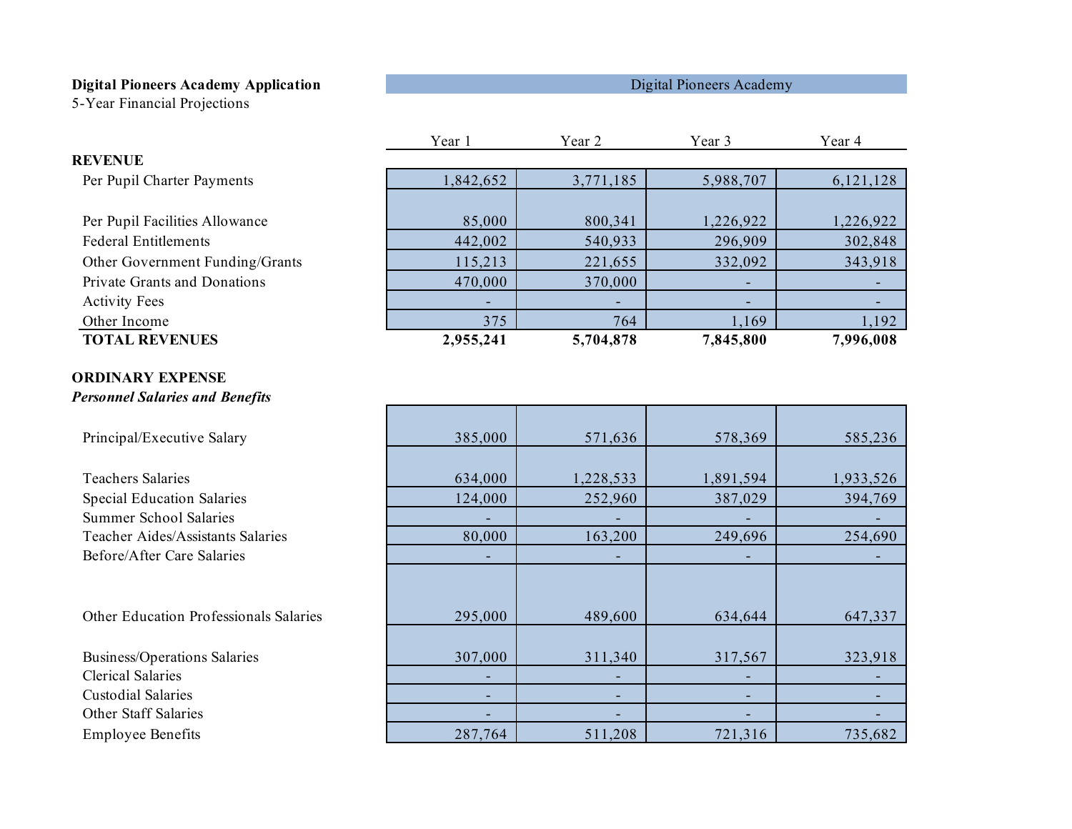5-Year Financial Projections

|  | Digital Pioneers Academy |  |
|--|--------------------------|--|
|  |                          |  |

|                                        | Year 1    | Year 2    | Year 3    | Year 4    |
|----------------------------------------|-----------|-----------|-----------|-----------|
| <b>REVENUE</b>                         |           |           |           |           |
| Per Pupil Charter Payments             | 1,842,652 | 3,771,185 | 5,988,707 | 6,121,128 |
|                                        |           |           |           |           |
| Per Pupil Facilities Allowance         | 85,000    | 800,341   | 1,226,922 | 1,226,922 |
| <b>Federal Entitlements</b>            | 442,002   | 540,933   | 296,909   | 302,848   |
| Other Government Funding/Grants        | 115,213   | 221,655   | 332,092   | 343,918   |
| Private Grants and Donations           | 470,000   | 370,000   |           |           |
| <b>Activity Fees</b>                   |           |           |           |           |
| Other Income                           | 375       | 764       | 1,169     | 1,192     |
| <b>TOTAL REVENUES</b>                  | 2,955,241 | 5,704,878 | 7,845,800 | 7,996,008 |
|                                        |           |           |           |           |
| <b>ORDINARY EXPENSE</b>                |           |           |           |           |
| <b>Personnel Salaries and Benefits</b> |           |           |           |           |
|                                        |           |           |           |           |
| Principal/Executive Salary             | 385,000   | 571,636   | 578,369   | 585,236   |
| <b>Teachers Salaries</b>               | 634,000   | 1,228,533 | 1,891,594 | 1,933,526 |
| <b>Special Education Salaries</b>      | 124,000   | 252,960   | 387,029   | 394,769   |
| <b>Summer School Salaries</b>          |           |           |           |           |
| Teacher Aides/Assistants Salaries      | 80,000    | 163,200   | 249,696   | 254,690   |
| Before/After Care Salaries             |           |           |           |           |
|                                        |           |           |           |           |
|                                        |           |           |           |           |
| Other Education Professionals Salaries | 295,000   | 489,600   | 634,644   | 647,337   |
|                                        |           |           |           |           |
| <b>Business/Operations Salaries</b>    | 307,000   | 311,340   | 317,567   | 323,918   |
| <b>Clerical Salaries</b>               |           |           |           |           |
| <b>Custodial Salaries</b>              | ۰         | ٠         |           |           |
| Other Staff Salaries                   |           |           |           |           |
| <b>Employee Benefits</b>               | 287,764   | 511,208   | 721,316   | 735,682   |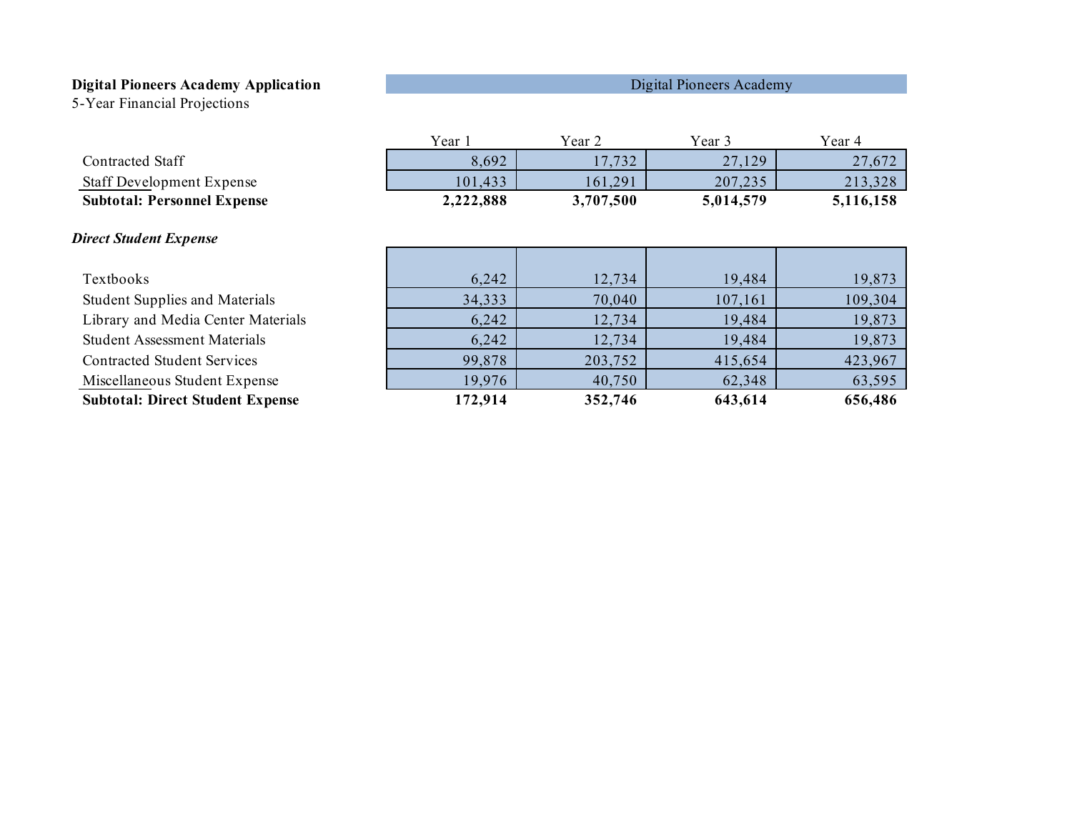5-Year Financial Projections

|                                         | Year 1    | Year 2    | Year 3    | Year 4    |
|-----------------------------------------|-----------|-----------|-----------|-----------|
| <b>Contracted Staff</b>                 | 8,692     | 17,732    | 27,129    | 27,672    |
| <b>Staff Development Expense</b>        | 101,433   | 161,291   | 207,235   | 213,328   |
| <b>Subtotal: Personnel Expense</b>      | 2,222,888 | 3,707,500 | 5,014,579 | 5,116,158 |
|                                         |           |           |           |           |
| <b>Direct Student Expense</b>           |           |           |           |           |
|                                         |           |           |           |           |
| Textbooks                               | 6,242     | 12,734    | 19,484    | 19,873    |
| <b>Student Supplies and Materials</b>   | 34,333    | 70,040    | 107,161   | 109,304   |
| Library and Media Center Materials      | 6,242     | 12,734    | 19,484    | 19,873    |
| <b>Student Assessment Materials</b>     | 6,242     | 12,734    | 19,484    | 19,873    |
| <b>Contracted Student Services</b>      | 99,878    | 203,752   | 415,654   | 423,967   |
| Miscellaneous Student Expense           | 19,976    | 40,750    | 62,348    | 63,595    |
| <b>Subtotal: Direct Student Expense</b> | 172,914   | 352,746   | 643,614   | 656,486   |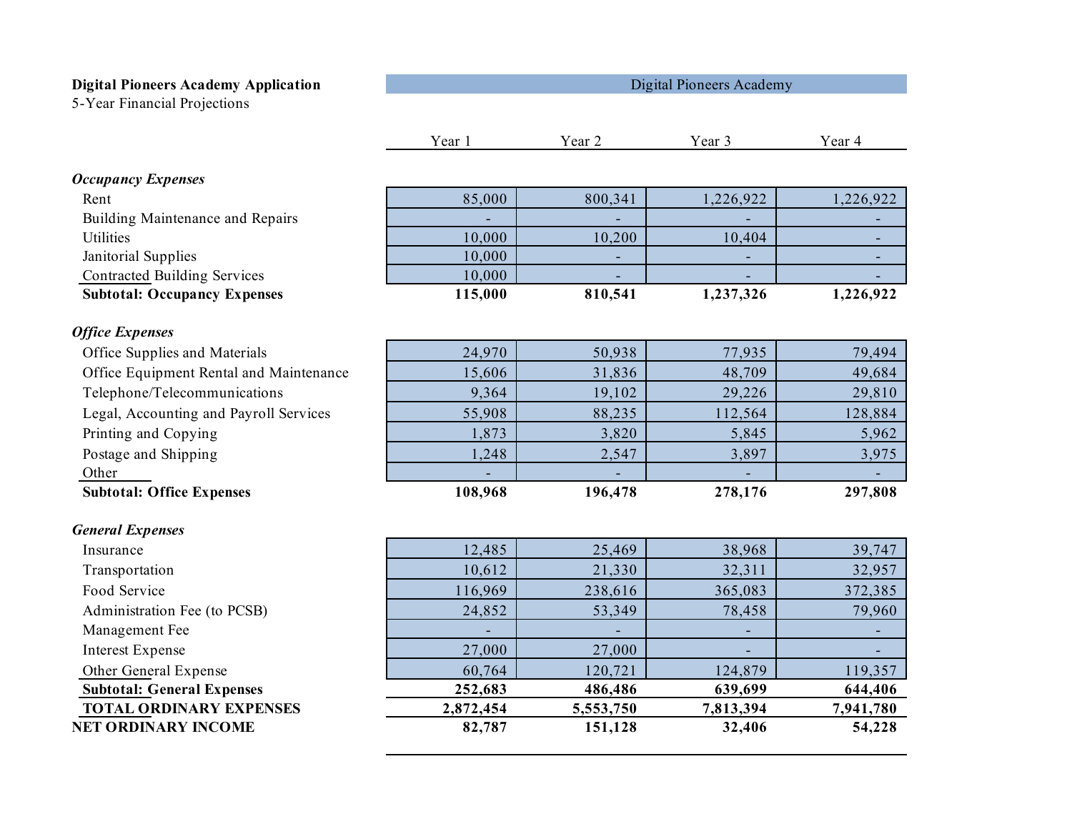5-Year Financial Projections

|                                         | Year 1    | Year 2    | Year 3    | Year 4    |
|-----------------------------------------|-----------|-----------|-----------|-----------|
| <b>Occupancy Expenses</b>               |           |           |           |           |
| Rent                                    | 85,000    | 800,341   | 1,226,922 | 1,226,922 |
| Building Maintenance and Repairs        |           |           |           |           |
| <b>Utilities</b>                        | 10,000    | 10,200    | 10,404    |           |
| Janitorial Supplies                     | 10,000    |           |           |           |
| <b>Contracted Building Services</b>     | 10,000    |           |           |           |
| <b>Subtotal: Occupancy Expenses</b>     | 115,000   | 810,541   | 1,237,326 | 1,226,922 |
| <b>Office Expenses</b>                  |           |           |           |           |
| Office Supplies and Materials           | 24,970    | 50,938    | 77,935    | 79,494    |
| Office Equipment Rental and Maintenance | 15,606    | 31,836    | 48,709    | 49,684    |
| Telephone/Telecommunications            | 9,364     | 19,102    | 29,226    | 29,810    |
| Legal, Accounting and Payroll Services  | 55,908    | 88,235    | 112,564   | 128,884   |
| Printing and Copying                    | 1,873     | 3,820     | 5,845     | 5,962     |
| Postage and Shipping                    | 1,248     | 2,547     | 3,897     | 3,975     |
| Other                                   |           |           |           |           |
| <b>Subtotal: Office Expenses</b>        | 108,968   | 196,478   | 278,176   | 297,808   |
| <b>General Expenses</b>                 |           |           |           |           |
| Insurance                               | 12,485    | 25,469    | 38,968    | 39,747    |
| Transportation                          | 10,612    | 21,330    | 32,311    | 32,957    |
| Food Service                            | 116,969   | 238,616   | 365,083   | 372,385   |
| Administration Fee (to PCSB)            | 24,852    | 53,349    | 78,458    | 79,960    |
| Management Fee                          |           |           |           |           |
| <b>Interest Expense</b>                 | 27,000    | 27,000    |           | ٠         |
| Other General Expense                   | 60,764    | 120,721   | 124,879   | 119,357   |
| <b>Subtotal: General Expenses</b>       | 252,683   | 486,486   | 639,699   | 644,406   |
| <b>TOTAL ORDINARY EXPENSES</b>          | 2,872,454 | 5,553,750 | 7,813,394 | 7,941,780 |
| <b>NET ORDINARY INCOME</b>              | 82,787    | 151,128   | 32,406    | 54,228    |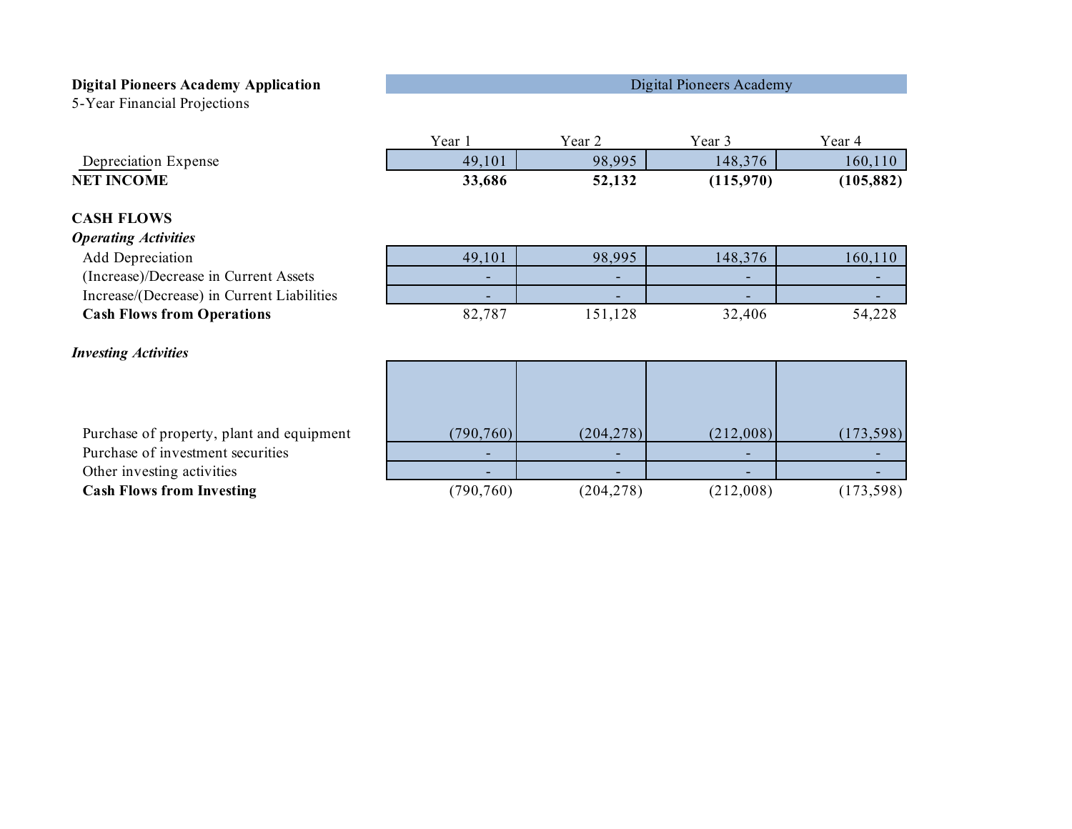5-Year Financial Projections

|                                            | Year 1     | Year 2     | Year 3    | Year 4     |
|--------------------------------------------|------------|------------|-----------|------------|
| Depreciation Expense                       | 49,101     | 98,995     | 148,376   | 160,110    |
| <b>NET INCOME</b>                          | 33,686     | 52,132     | (115,970) | (105, 882) |
| <b>CASH FLOWS</b>                          |            |            |           |            |
| <b>Operating Activities</b>                |            |            |           |            |
| Add Depreciation                           | 49,101     | 98,995     | 148,376   | 160,110    |
| (Increase)/Decrease in Current Assets      |            |            |           |            |
| Increase/(Decrease) in Current Liabilities |            |            |           |            |
| <b>Cash Flows from Operations</b>          | 82,787     | 151,128    | 32,406    | 54,228     |
| <b>Investing Activities</b>                |            |            |           |            |
|                                            |            |            |           |            |
|                                            |            |            |           |            |
| Purchase of property, plant and equipment  | (790, 760) | (204, 278) | (212,008) | (173, 598) |
| Purchase of investment securities          |            |            |           |            |
| Other investing activities                 |            |            |           |            |
| <b>Cash Flows from Investing</b>           | (790, 760) | (204, 278) | (212,008) | (173, 598) |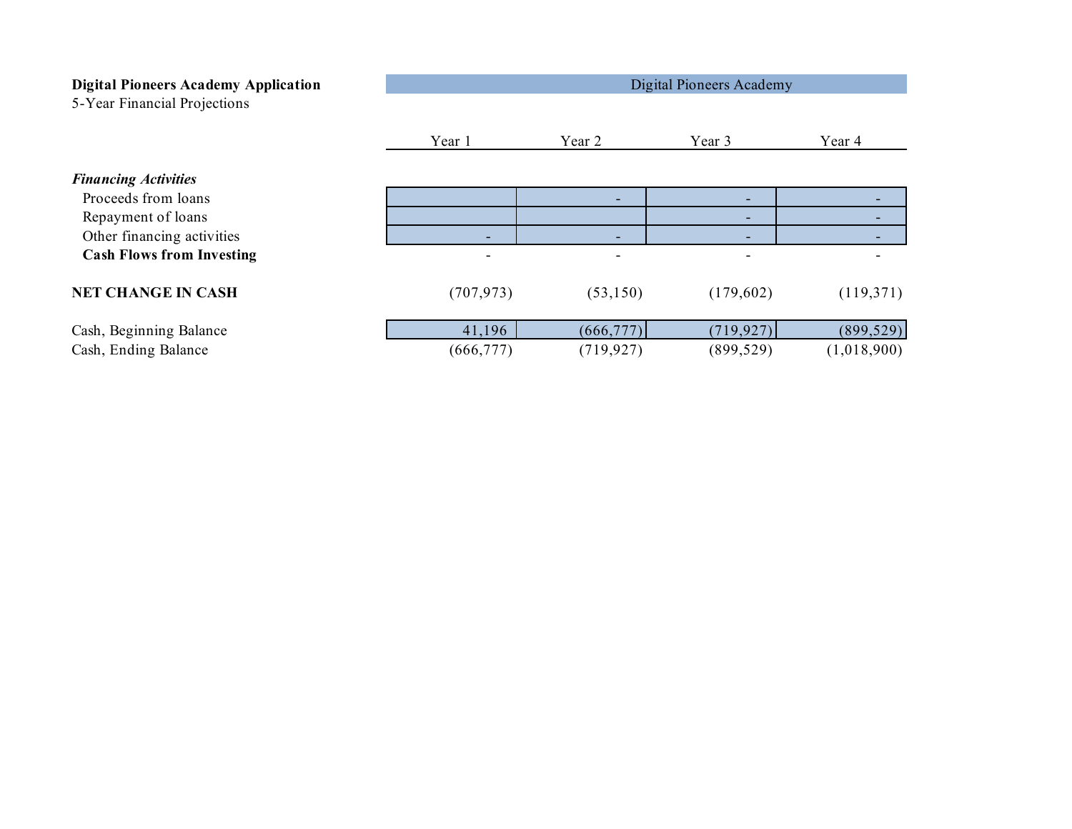| <b>Digital Pioneers Academy Application</b><br>5-Year Financial Projections | Digital Pioneers Academy |                          |            |                          |
|-----------------------------------------------------------------------------|--------------------------|--------------------------|------------|--------------------------|
|                                                                             | Year 1                   | Year 2                   | Year 3     | Year 4                   |
| <b>Financing Activities</b>                                                 |                          |                          |            |                          |
| Proceeds from loans                                                         |                          |                          |            |                          |
| Repayment of loans                                                          |                          |                          |            | $\overline{\phantom{0}}$ |
| Other financing activities                                                  | ۰                        | ۰                        |            |                          |
| <b>Cash Flows from Investing</b>                                            | -                        | $\overline{\phantom{0}}$ |            |                          |
| <b>NET CHANGE IN CASH</b>                                                   | (707, 973)               | (53,150)                 | (179,602)  | (119,371)                |
| Cash, Beginning Balance                                                     | 41,196                   | (666, 777)               | (719, 927) | (899, 529)               |
| Cash, Ending Balance                                                        | (666, 777)               | (719, 927)               | (899, 529) | (1,018,900)              |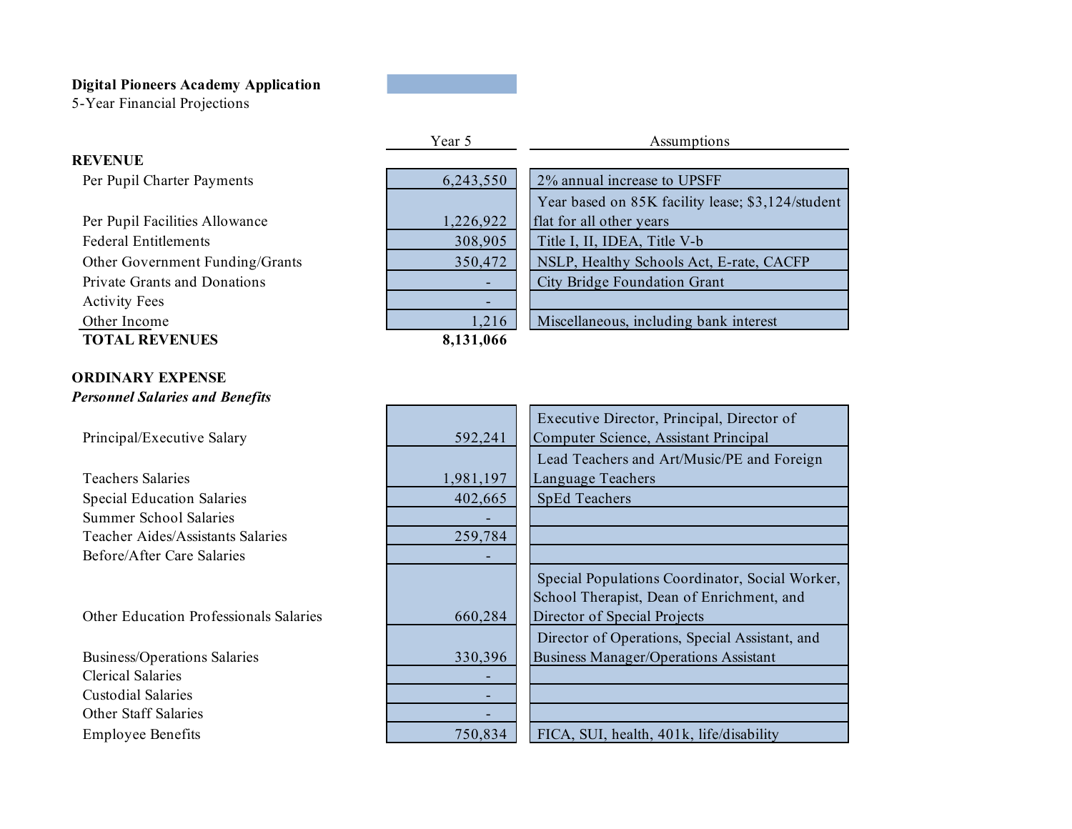5-Year Financial Projections

**REVENUE**

|                                 | Year 5    | Assumptions                                       |
|---------------------------------|-----------|---------------------------------------------------|
| <b>EVENUE</b>                   |           |                                                   |
| Per Pupil Charter Payments      | 6,243,550 | 2% annual increase to UPSFF                       |
|                                 |           | Year based on 85K facility lease; \$3,124/student |
| Per Pupil Facilities Allowance  | 1,226,922 | flat for all other years                          |
| <b>Federal Entitlements</b>     | 308,905   | Title I, II, IDEA, Title V-b                      |
| Other Government Funding/Grants | 350,472   | NSLP, Healthy Schools Act, E-rate, CACFP          |
| Private Grants and Donations    |           | City Bridge Foundation Grant                      |
| <b>Activity Fees</b>            |           |                                                   |
| Other Income                    | 1,216     | Miscellaneous, including bank interest            |
| <b>TOTAL REVENUES</b>           | 8,131,066 |                                                   |

## **ORDINARY EXPENSE** *Personnel Salaries and Benefits*

Principal/Executive Salary

Teachers Salaries Special Education Salaries Summer School Salaries Teacher Aides/Assistants Salaries Before/After Care Salaries

Other Education Professionals Salaries

Business/Operations Salaries Clerical Salaries Custodial Salaries Other Staff Salaries Employee Benefits

|           | Executive Director, Principal, Director of      |
|-----------|-------------------------------------------------|
| 592,241   | Computer Science, Assistant Principal           |
|           | Lead Teachers and Art/Music/PE and Foreign      |
| 1,981,197 | Language Teachers                               |
| 402,665   | <b>SpEd Teachers</b>                            |
|           |                                                 |
| 259,784   |                                                 |
|           |                                                 |
|           | Special Populations Coordinator, Social Worker, |
|           | School Therapist, Dean of Enrichment, and       |
| 660,284   | Director of Special Projects                    |
|           | Director of Operations, Special Assistant, and  |
| 330,396   | <b>Business Manager/Operations Assistant</b>    |
|           |                                                 |
|           |                                                 |
|           |                                                 |
| 750,834   | FICA, SUI, health, 401k, life/disability        |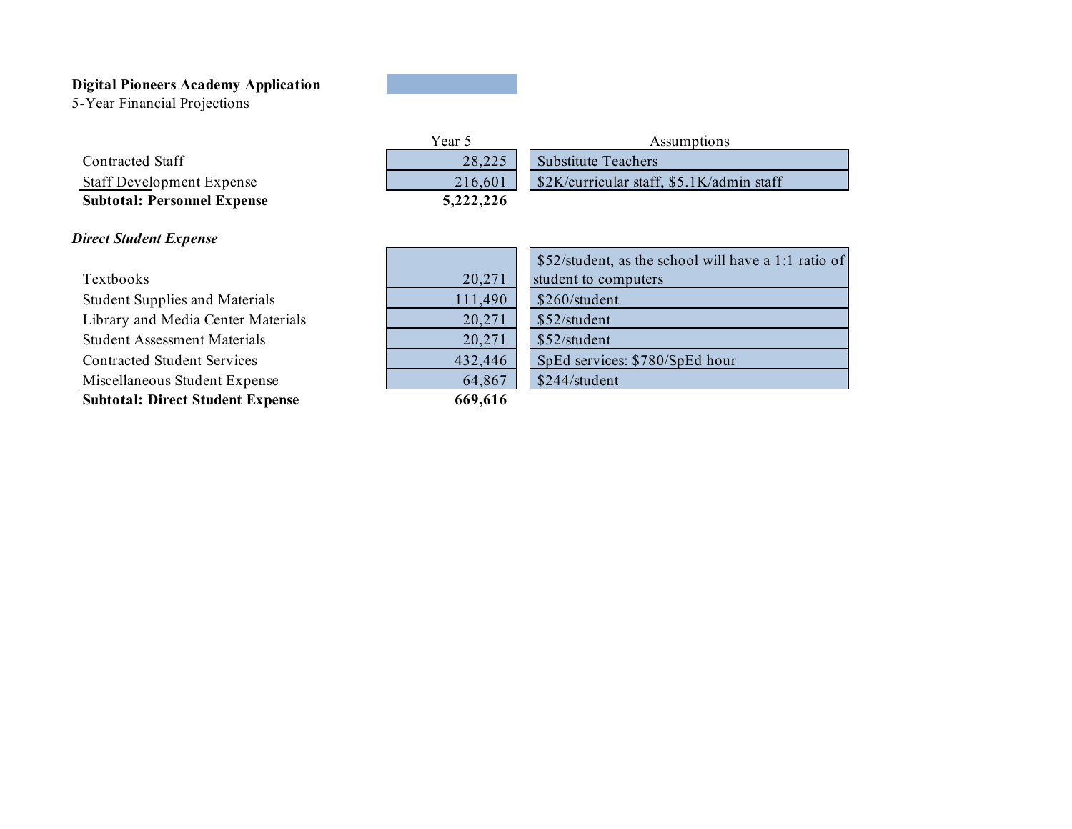5-Year Financial Projections

| <b>Subtotal: Personnel Expense</b> |
|------------------------------------|
| <b>Staff Development Expense</b>   |
| <b>Contracted Staff</b>            |

## *Direct Student Expense*

Textbooks Student Supplies and Materials Library and Media Center Materials Student Assessment Materials Contracted Student Services Miscellaneous Student Expense **Subtotal: Direct Student Expense**

| 28,225    |
|-----------|
| 216,601   |
| 5,222,226 |
|           |

| Year 5    | Assumptions                               |  |
|-----------|-------------------------------------------|--|
| 28.225    | <b>Substitute Teachers</b>                |  |
| 216.601   | \$2K/curricular staff, \$5.1K/admin staff |  |
| 5,222,226 |                                           |  |

|         | \$52/student, a |
|---------|-----------------|
| 20,271  | student to com  |
| 111,490 | \$260/student   |
| 20,271  | \$52/student    |
| 20,271  | \$52/student    |
| 432,446 | SpEd services   |
| 64,867  | \$244/student   |
| 660 616 |                 |

|         | \$52/student, as the school will have a 1:1 ratio of |
|---------|------------------------------------------------------|
| 20,271  | student to computers                                 |
| 111,490 | \$260/student                                        |
| 20,271  | \$52/student                                         |
| 20,271  | \$52/student                                         |
| 432,446 | SpEd services: \$780/SpEd hour                       |
| 64,867  | \$244/student                                        |

 **669,616**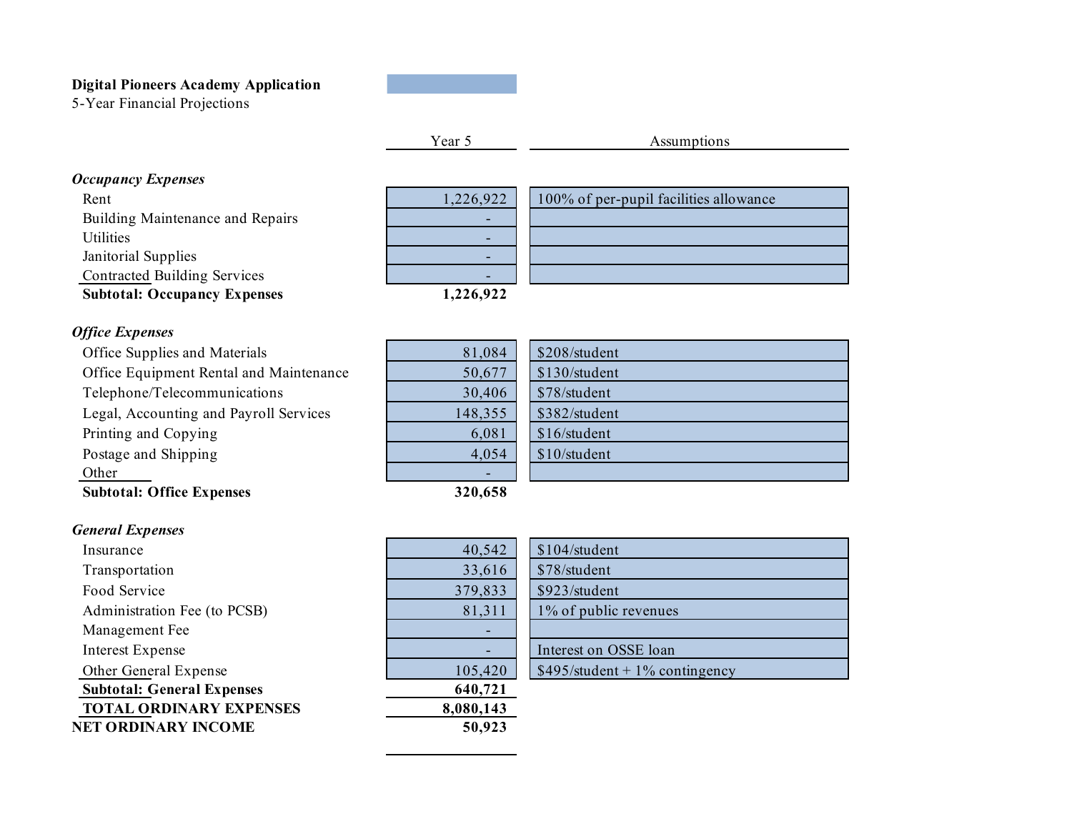5-Year Financial Projections

Year 5 Assumptions

# *Occupancy Expenses*

Rent Building Maintenance and Repairs **Utilities** Janitorial Supplies Contracted Building Services **Subtotal: Occupancy Expenses**

| 1,226,922 | 100% of per-pupil facilities allowance |
|-----------|----------------------------------------|
|           |                                        |
|           |                                        |
|           |                                        |
|           |                                        |
| 1,226,922 |                                        |

*Office Expenses*

Office Supplies and Materials Office Equipment Rental and Maintenance Telephone/Telecommunications Legal, Accounting and Payroll Services Printing and Copying Postage and Shipping Other **Subtotal: Office Expenses**

| 81,084  | \$208/student |
|---------|---------------|
| 50,677  | \$130/student |
| 30,406  | \$78/student  |
| 148,355 | \$382/student |
| 6,081   | \$16/student  |
| 4,054   | \$10/student  |
|         |               |
| 320,658 |               |

| $\overline{4}$ | \$208/student |
|----------------|---------------|
| $\overline{7}$ | \$130/student |
| $\overline{6}$ | \$78/student  |
| $\overline{5}$ | \$382/student |
| $\overline{1}$ | \$16/student  |
| $\overline{4}$ | \$10/student  |
|                |               |
| O              |               |

## *General Expenses*

Insurance Transportation Food Service Administration Fee (to PCSB) Management Fee Interest Expense Other General Expense **Subtotal: General Expenses TOTAL ORDINARY EXPENSES NET ORDINARY INCOME**

| 40,542    | \$104/student   |
|-----------|-----------------|
| 33,616    | \$78/student    |
| 379,833   | \$923/student   |
| 81,311    | $1\%$ of public |
|           |                 |
|           | Interest on OS  |
| 105,420   | \$495/student   |
| 640,721   |                 |
| 8,080,143 |                 |
| 50,923    |                 |
|           |                 |

| 40,542  | \$104/student                   |
|---------|---------------------------------|
| 33,616  | \$78/student                    |
| 379,833 | \$923/student                   |
| 81,311  | 1% of public revenues           |
|         |                                 |
|         | Interest on OSSE loan           |
| 105,420 | $$495/student + 1% contingency$ |
|         |                                 |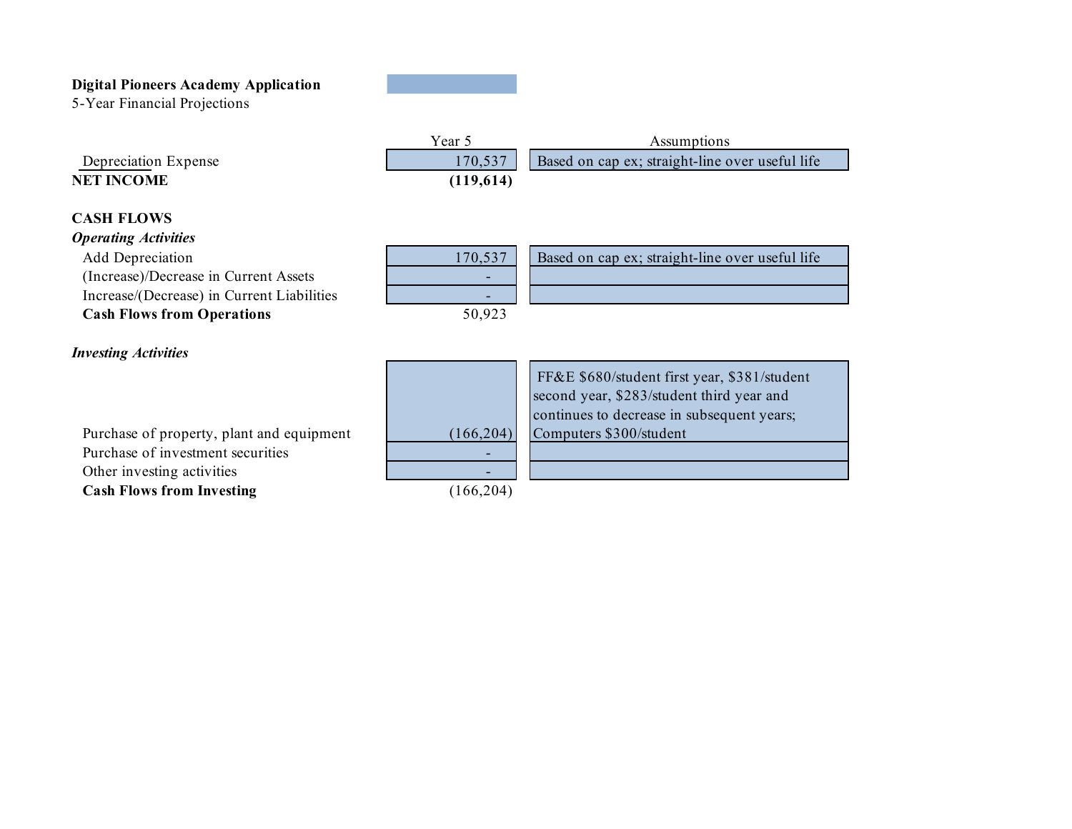5-Year Financial Projections

Depreciation Expense

| Year 5    | Assumptions                                               |
|-----------|-----------------------------------------------------------|
|           | 170,537   Based on cap ex; straight-line over useful life |
| (119,614) |                                                           |

## **CASH FLOWS**

**NET INCOME**

## *Operating Activities*

Add Depreciation (Increase)/Decrease in Current Assets Increase/(Decrease) in Current Liabilities **Cash Flows from Operations**

| 170,537 | Based on cap ex; straight-line over useful life |
|---------|-------------------------------------------------|
|         |                                                 |
|         |                                                 |
|         |                                                 |

## *Investing Activities*

Purchase of property, plant and equipment Purchase of investment securities Other investing activities **Cash Flows from Investing**



 FF&E \$680/student first year, \$381/student second year, \$283/student third year and continues to decrease in subsequent years; Computers \$300/student

(166,204)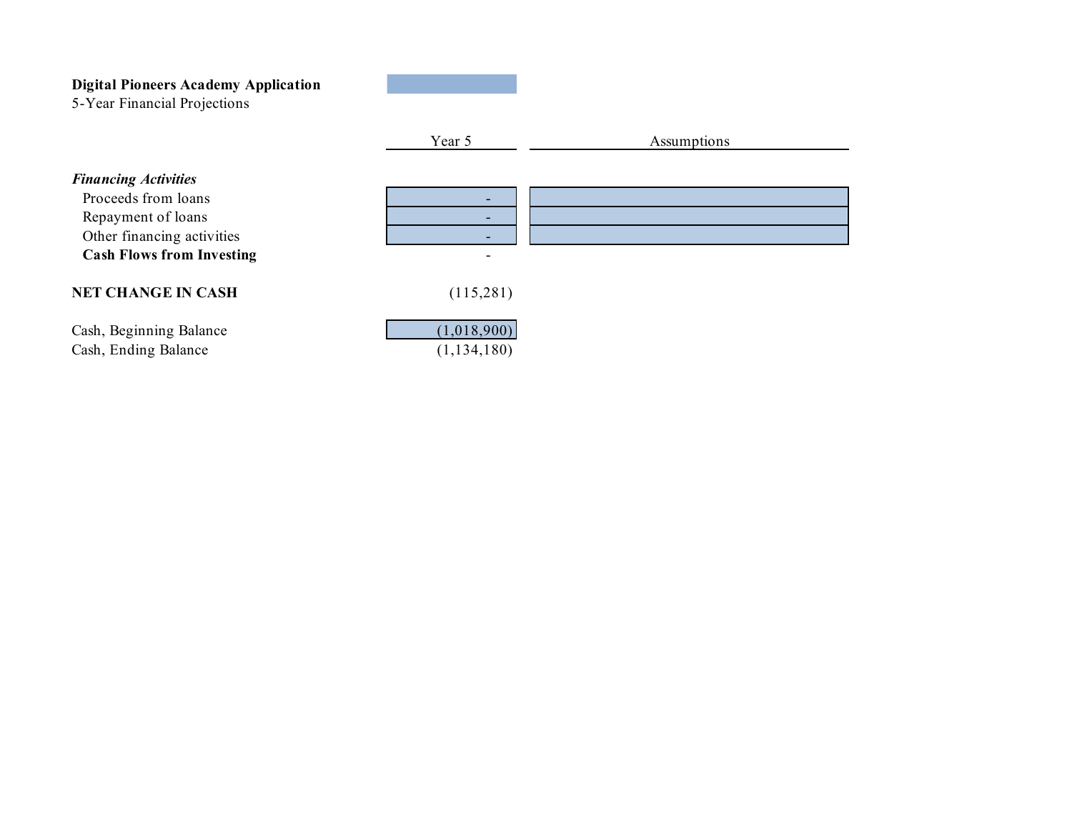5-Year Financial Projections

|                                                                                                        | Year 5                       | Assumptions |
|--------------------------------------------------------------------------------------------------------|------------------------------|-------------|
| <b>Financing Activities</b><br>Proceeds from loans<br>Repayment of loans<br>Other financing activities |                              |             |
| <b>Cash Flows from Investing</b>                                                                       | -                            |             |
| <b>NET CHANGE IN CASH</b>                                                                              | (115,281)                    |             |
| Cash, Beginning Balance<br>Cash, Ending Balance                                                        | (1,018,900)<br>(1, 134, 180) |             |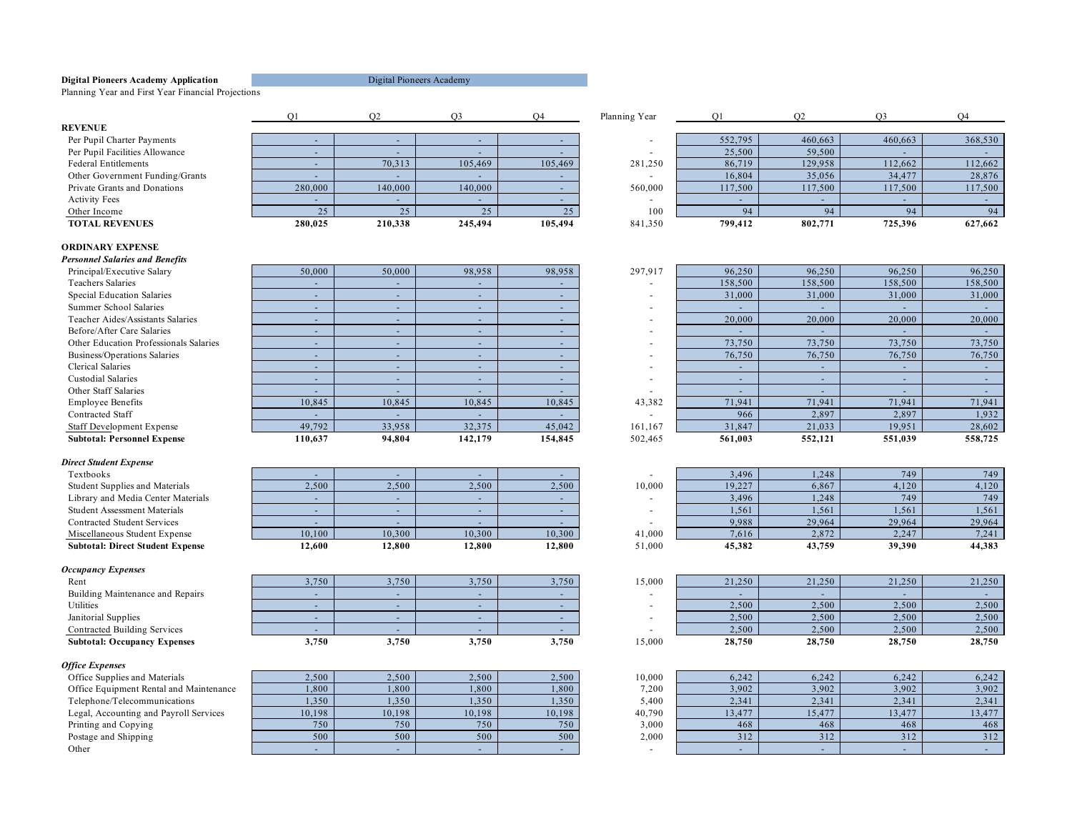Planning Year and First Year Financial Projections

#### **REVENUE**

#### **ORDINARY EXPENSE**

*Personnel Salaries and Benefits* Principal/Executive Salary Special Education Salaries Teacher Aides/Assistants Salaries<br>Before/After Care Salaries Other Education Professionals Salaries Business/Operations Salaries

#### *Direct Student Expense*

#### *Occupancy Expenses*

#### *Office Expenses*

|                                 |         |         |         |         | rianning rear |                          |         |         | U 14    |
|---------------------------------|---------|---------|---------|---------|---------------|--------------------------|---------|---------|---------|
| <b>EVENUE</b>                   |         |         |         |         |               |                          |         |         |         |
| Per Pupil Charter Payments      |         |         |         |         |               | 552,795                  | 460,663 | 460,663 | 368,530 |
| Per Pupil Facilities Allowance  |         |         |         |         |               | 25,500                   | 59,500  |         |         |
| Federal Entitlements            |         | 70,313  | 105,469 | 105,469 | 281,250       | 86,719                   | 129,958 | 112,662 | 112,662 |
| Other Government Funding/Grants |         |         |         |         |               | 16,804                   | 35,056  | 34,477  | 28,876  |
| Private Grants and Donations    | 280,000 | 140,000 | 140,000 |         | 560,000       | 117,500                  | 117,500 | 117,500 | 117,500 |
| <b>Activity Fees</b>            |         |         |         |         |               | $\overline{\phantom{0}}$ |         |         |         |
| Other Income                    | 25      |         |         | 25      | 100           |                          |         |         | 94      |
| <b>TOTAL REVENUES</b>           | 280,025 | 210.338 | 245,494 | 105,494 | 841,350       | 799.412                  | 802,771 | 725,396 | 627,662 |
|                                 |         |         |         |         |               |                          |         |         |         |

|                                 |         |                          |         |         | Planning Year |              |         |         |              |
|---------------------------------|---------|--------------------------|---------|---------|---------------|--------------|---------|---------|--------------|
| <b>EVENUE</b>                   |         |                          |         |         |               |              |         |         |              |
| Per Pupil Charter Payments      |         |                          |         |         |               | 552,795      | 460,663 | 460,663 | 368,530      |
| Per Pupil Facilities Allowance  |         |                          |         |         |               | 25,500       | 59,500  |         |              |
| Federal Entitlements            |         | 70,313                   | 105,469 | 105,469 | 281,250       | 86,719       | 129,958 | 112,662 | 112,662      |
| Other Government Funding/Grants |         |                          |         |         |               | 16.804       | 35,056  | 34,477  | 28,876       |
| Private Grants and Donations    | 280,000 | 140,000                  | 140,000 |         | 560,000       | 117,500      | 117,500 | 117,500 | 117,500      |
| <b>Activity Fees</b>            |         | $\overline{\phantom{0}}$ |         |         |               |              |         |         |              |
| Other Income                    | 25      |                          |         |         | 100           | $Q_{\Delta}$ |         |         | $Q_{\Delta}$ |
| <b>TOTAL REVENUES</b>           | 280,025 | 210.338                  | 245,494 | 105.494 | 841,350       | 799.412      | 802,771 | 725.396 | 627.662      |

| ersonnet suturtes una benefus          |         |        |         |         |                |
|----------------------------------------|---------|--------|---------|---------|----------------|
| Principal/Executive Salary             | 50,000  | 50,000 | 98,958  | 98,958  | 2 <sup>1</sup> |
| <b>Teachers Salaries</b>               |         |        |         |         |                |
| Special Education Salaries             | -       | -      | -       |         |                |
| Summer School Salaries                 |         |        | -       |         |                |
| Teacher Aides/Assistants Salaries      | -       |        | -       |         |                |
| Before/After Care Salaries             |         |        | -       |         |                |
| Other Education Professionals Salaries | -       | ۰      | -       |         |                |
| Business/Operations Salaries           |         |        | -       |         |                |
| Clerical Salaries                      | -       |        | -       |         |                |
| Custodial Salaries                     |         |        | -       |         |                |
| Other Staff Salaries                   |         |        | -       |         |                |
| <b>Employee Benefits</b>               | 10.845  | 10,845 | 10,845  | 10,845  |                |
| Contracted Staff                       |         |        |         |         |                |
| <b>Staff Development Expense</b>       | 49,792  | 33,958 | 32,375  | 45,042  |                |
| <b>Subtotal: Personnel Expense</b>     | 110.637 | 94.804 | 142,179 | 154,845 | 51             |

| -      | -      | -      | -      |
|--------|--------|--------|--------|
| 2,500  | 2,500  | 2,500  | 2,500  |
|        |        |        |        |
| -      | -      | -      | -      |
|        |        |        |        |
| 10,100 | 10,300 | 10,300 | 10,300 |
| 12,600 | 12,800 | 12,800 | 12,800 |

| Rent                                | 3,750                    | 3,750 | 3,750 | 3,750 |  |
|-------------------------------------|--------------------------|-------|-------|-------|--|
| Building Maintenance and Repairs    | -                        | -     |       |       |  |
| Utilities                           | $\overline{\phantom{a}}$ |       |       |       |  |
| Janitorial Supplies                 |                          |       |       |       |  |
| Contracted Building Services        | $\overline{\phantom{0}}$ |       |       |       |  |
| <b>Subtotal: Occupancy Expenses</b> | 3.750                    | 3.750 | 3.750 | 3.750 |  |

| .,, —.,                                 |        |        |                  |        |        |        |        |        |        |
|-----------------------------------------|--------|--------|------------------|--------|--------|--------|--------|--------|--------|
| Office Supplies and Materials           | 2,500  | 2,500  | 2.500            | 2,500  | 10,000 | 6,242  | 6,242  | 6,242  | 6,242  |
| Office Equipment Rental and Maintenance | 1,800  | 1,800  | 1,800            | 1,800  | 7,200  | 3,902  | 3,902  | 3,902  | 3,902  |
| Telephone/Telecommunications            | 1,350  | 1,350  | 1,350            | 1,350  | 5.400  | 2.341  | 2,341  | 2.341  | 2,341  |
| Legal, Accounting and Payroll Services  | 10,198 | 10.198 | 10.198           | 10.198 | 40,790 | 13,477 | 15,477 | 13,477 | 13,477 |
| Printing and Copying                    | 750    | 750    | 750 <sub>h</sub> | 750    | 3.000  | 468    | 468    | 468    | 468    |
| Postage and Shipping                    | 500    | 500    | 500 <sub>1</sub> | 500    | 2.000  | 312    | 312    | 312    | 312    |
| Other                                   |        |        |                  |        |        |        |        |        |        |

| Principal/Executive Salary             | 50,000  | 50,000                   | 98,958  | 98,958  | 297.917                  | 96,250  | 96,250                   | 96,250  | 96,250  |
|----------------------------------------|---------|--------------------------|---------|---------|--------------------------|---------|--------------------------|---------|---------|
| Teachers Salaries                      |         | $\overline{\phantom{0}}$ |         |         |                          | 158,500 | 158,500                  | 158,500 | 158,500 |
| <b>Special Education Salaries</b>      |         | $\overline{\phantom{0}}$ |         |         |                          | 31,000  | 31,000                   | 31,000  | 31,000  |
| Summer School Salaries                 |         | $\overline{\phantom{0}}$ |         |         |                          |         |                          |         |         |
| Teacher Aides/Assistants Salaries      |         | $\overline{\phantom{a}}$ |         |         |                          | 20,000  | 20,000                   | 20,000  | 20,000  |
| Before/After Care Salaries             |         | $\overline{\phantom{0}}$ |         |         |                          |         |                          |         |         |
| Other Education Professionals Salaries |         | $\overline{\phantom{a}}$ |         |         |                          | 73,750  | 73,750                   | 73,750  | 73,750  |
| Business/Operations Salaries           |         | $\overline{\phantom{0}}$ |         |         |                          | 76,750  | 76,750                   | 76,750  | 76,750  |
| <b>Clerical Salaries</b>               |         | $\overline{\phantom{0}}$ |         |         |                          |         |                          |         |         |
| Custodial Salaries                     |         | $\overline{\phantom{0}}$ |         |         | $\overline{\phantom{a}}$ |         | $\overline{\phantom{0}}$ |         |         |
| Other Staff Salaries                   |         | $\overline{\phantom{0}}$ |         |         |                          |         |                          |         |         |
| <b>Employee Benefits</b>               | 10.845  | 10.845                   | 10,845  | 10,845  | 43,382                   | 71.941  | 71.941                   | 71.941  | 71,941  |
| Contracted Staff                       |         | $\overline{\phantom{0}}$ |         |         |                          | 966     | 2.897                    | 2.897   | 1,932   |
| <b>Staff Development Expense</b>       | 49,792  | 33,958                   | 32,375  | 45,042  | 161,167                  | 31,847  | 21,033                   | 19,951  | 28,602  |
| <b>Subtotal: Personnel Expense</b>     | 110.637 | 94.804                   | 142,179 | 154,845 | 502.465                  | 561.003 | 552,121                  | 551.039 | 558,725 |

| Textbooks                               |        |        |        |        |        | 3,496  | 1.248  | 749    | 749    |
|-----------------------------------------|--------|--------|--------|--------|--------|--------|--------|--------|--------|
| <b>Student Supplies and Materials</b>   | 2,500  | 2,500  | 2,500  | 2,500  | 10,000 | 19,227 | 6,867  | 4,120  | 4,120  |
| Library and Media Center Materials      |        |        |        |        |        | 3.496  | 1.248  | 749    | 749    |
| <b>Student Assessment Materials</b>     |        |        |        |        |        | 1.561  | 1.561  | 1,561  | 1.561  |
| <b>Contracted Student Services</b>      |        |        |        |        |        | 9.988  | 29.964 | 29.964 | 29.964 |
| Miscellaneous Student Expense           | 10,100 | 10,300 | 10,300 | 10,300 | 41,000 | 7,616  | 2,872  | 2,247  | 7,241  |
| <b>Subtotal: Direct Student Expense</b> | 12.600 | 12.800 | 12.800 | 12.800 | 51,000 | 45.382 | 43,759 | 39.390 | 44,383 |

|       |       |       |       |        |        |        |        | 21,250 |
|-------|-------|-------|-------|--------|--------|--------|--------|--------|
|       |       |       |       |        |        |        |        |        |
|       |       |       |       |        |        |        |        |        |
|       |       |       |       |        | 2.500  | 2.500  | 2,500  | 2,500  |
|       |       |       |       |        | 2,500  | 2,500  | 2,500  | 2,500  |
|       |       |       |       |        | 2,500  | 2,500  | 2,500  | 2,500  |
| 3,750 | 3,750 | 3,750 | 3,750 | 15,000 | 28,750 | 28,750 | 28,750 | 28,750 |
|       | 3.750 | 3,750 | 3,750 | 3,750  | 15,000 | 21,250 | 21,250 | 21,250 |

| 0.0001                   | 6.242  | 6,242  | 6.242  | 6,242  |
|--------------------------|--------|--------|--------|--------|
| 7,200                    | 3,902  | 3,902  | 3,902  | 3,902  |
| 5,400                    | 2,341  | 2,341  | 2,341  | 2,341  |
| 10,790                   | 13,477 | 15,477 | 13,477 | 13,477 |
| 3,000                    | 468    | 468    | 468    | 468    |
| 2,000                    | 312    | 312    | 312    | 312    |
| $\overline{\phantom{a}}$ | -      | -      | -      |        |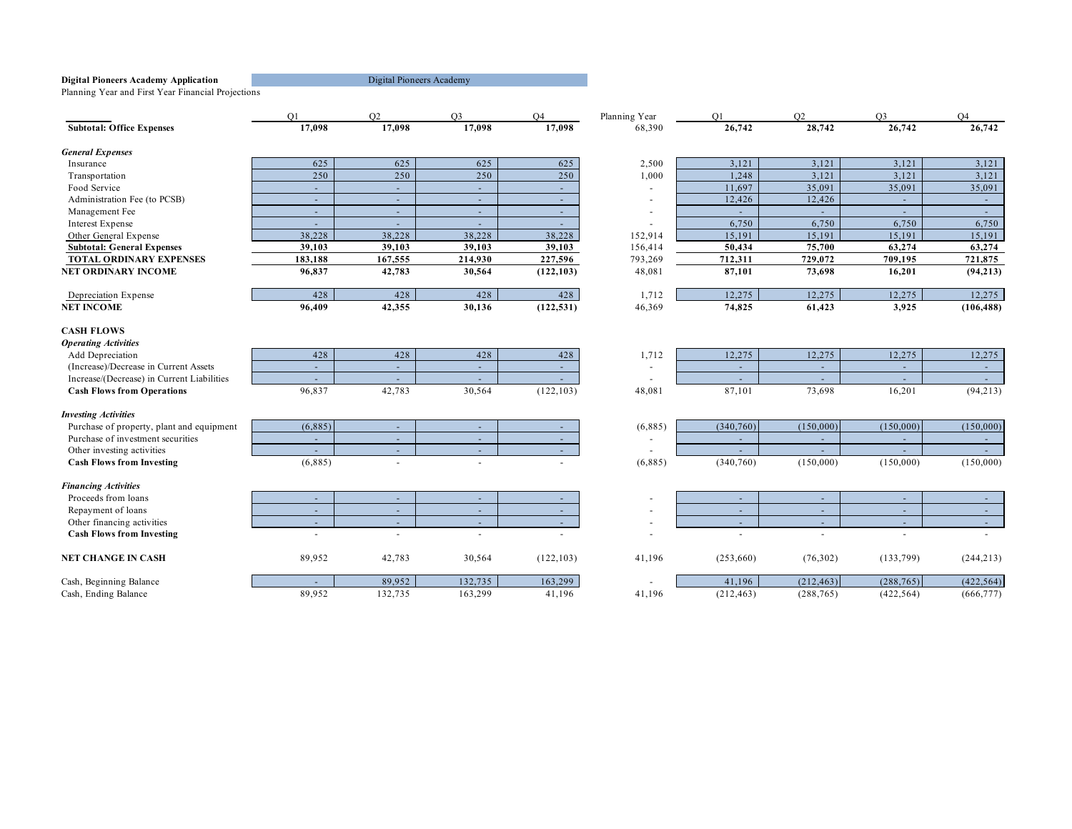Planning Year and First Year Financial Projections

|                                            | O <sub>1</sub> | O2                       | O <sub>3</sub> | O <sub>4</sub> | Planning Year | O <sub>1</sub> | O2                       | O <sub>3</sub>           | O <sub>4</sub> |
|--------------------------------------------|----------------|--------------------------|----------------|----------------|---------------|----------------|--------------------------|--------------------------|----------------|
| <b>Subtotal: Office Expenses</b>           | 17,098         | 17,098                   | 17,098         | 17,098         | 68,390        | 26,742         | 28,742                   | 26,742                   | 26,742         |
| <b>General Expenses</b>                    |                |                          |                |                |               |                |                          |                          |                |
| Insurance                                  | 625            | 625                      | 625            | 625            | 2,500         | 3,121          | 3,121                    | 3,121                    | 3,121          |
| Transportation                             | 250            | 250                      | 250            | 250            | 1,000         | 1,248          | 3,121                    | 3,121                    | 3,121          |
| Food Service                               | $\sim$         | $\sim$                   | $\sim$         | $\sim$         |               | 11,697         | 35,091                   | 35,091                   | 35,091         |
| Administration Fee (to PCSB)               | $\sim$         | $\sim$                   | $\sim$         | $\sim$         |               | 12,426         | 12,426                   | $\sim$                   | ×,             |
| Management Fee                             | $\sim$         |                          | $\sim$         | $\sim$         |               |                |                          | $\sim$                   |                |
| <b>Interest Expense</b>                    | $\sim$         | $\sim$                   | $\sim$         | $\sim$         |               | 6,750          | 6,750                    | 6,750                    | 6,750          |
| Other General Expense                      | 38,228         | 38,228                   | 38,228         | 38,228         | 152,914       | 15,191         | 15,191                   | 15,191                   | 15,191         |
| <b>Subtotal: General Expenses</b>          | 39,103         | 39,103                   | 39,103         | 39,103         | 156,414       | 50,434         | 75,700                   | 63,274                   | 63,274         |
| <b>TOTAL ORDINARY EXPENSES</b>             | 183,188        | 167,555                  | 214,930        | 227,596        | 793,269       | 712,311        | 729,072                  | 709,195                  | 721,875        |
| <b>NET ORDINARY INCOME</b>                 | 96,837         | 42,783                   | 30,564         | (122, 103)     | 48,081        | 87,101         | 73,698                   | 16,201                   | (94, 213)      |
| Depreciation Expense                       | 428            | 428                      | 428            | 428            | 1,712         | 12,275         | 12,275                   | 12,275                   | 12,275         |
| <b>NET INCOME</b>                          | 96,409         | 42,355                   | 30,136         | (122, 531)     | 46,369        | 74,825         | 61,423                   | 3,925                    | (106, 488)     |
| <b>CASH FLOWS</b>                          |                |                          |                |                |               |                |                          |                          |                |
| <b>Operating Activities</b>                |                |                          |                |                |               |                |                          |                          |                |
| Add Depreciation                           | 428            | 428                      | 428            | 428            | 1,712         | 12,275         | 12,275                   | 12,275                   | 12,275         |
| (Increase)/Decrease in Current Assets      | $\sim$         | $\sim$                   | $\sim$         | $\sim$         |               | $\sim$         | $\sim$                   | $\sim$                   | $\sim$         |
| Increase/(Decrease) in Current Liabilities | $\sim$         | $\sim$                   | $\sim$         | $\sim$         |               | ÷.             | $\overline{\phantom{a}}$ | $\sim$                   | $\sim$         |
| <b>Cash Flows from Operations</b>          | 96,837         | 42,783                   | 30,564         | (122, 103)     | 48,081        | 87,101         | 73,698                   | 16,201                   | (94, 213)      |
| <b>Investing Activities</b>                |                |                          |                |                |               |                |                          |                          |                |
| Purchase of property, plant and equipment  | (6,885)        | $\overline{\phantom{a}}$ | $\sim$         | $\sim$         | (6,885)       | (340,760)      | (150,000)                | (150,000)                | (150,000)      |
| Purchase of investment securities          | $\sim$         | $\sim$                   | $\sim$         | $\sim$         |               | ÷.             | $\overline{\phantom{a}}$ |                          | $\sim$         |
| Other investing activities                 |                |                          | $\sim$         |                |               |                |                          |                          |                |
| <b>Cash Flows from Investing</b>           | (6,885)        |                          | $\sim$         |                | (6,885)       | (340,760)      | (150,000)                | (150,000)                | (150,000)      |
| <b>Financing Activities</b>                |                |                          |                |                |               |                |                          |                          |                |
| Proceeds from loans                        | $\sim$         | $\sim$                   | $\sim$         | $\sim$         |               | $\sim$         | $\sim$                   | $\sim$                   | $\sim$         |
| Repayment of loans                         | $\sim$         | $\sim$                   | $\sim$         | $\sim$         |               | $\sim$         | $\sim$                   | $\sim$                   | $\sim$         |
| Other financing activities                 | $\sim$         | $\sim$                   | $\sim$         | $\sim$         |               | ÷              | $\sim$                   | $\overline{\phantom{a}}$ | $\sim$         |
| <b>Cash Flows from Investing</b>           | ÷.             |                          | $\sim$         |                |               | ÷.             | $\overline{\phantom{a}}$ | ÷                        |                |
| <b>NET CHANGE IN CASH</b>                  | 89,952         | 42,783                   | 30,564         | (122, 103)     | 41,196        | (253,660)      | (76, 302)                | (133,799)                | (244, 213)     |
| Cash, Beginning Balance                    |                | 89,952                   | 132,735        | 163,299        |               | 41,196         | (212, 463)               | (288, 765)               | (422, 564)     |
| Cash, Ending Balance                       | 89,952         | 132,735                  | 163,299        | 41,196         | 41,196        | (212, 463)     | (288, 765)               | (422, 564)               | (666, 777)     |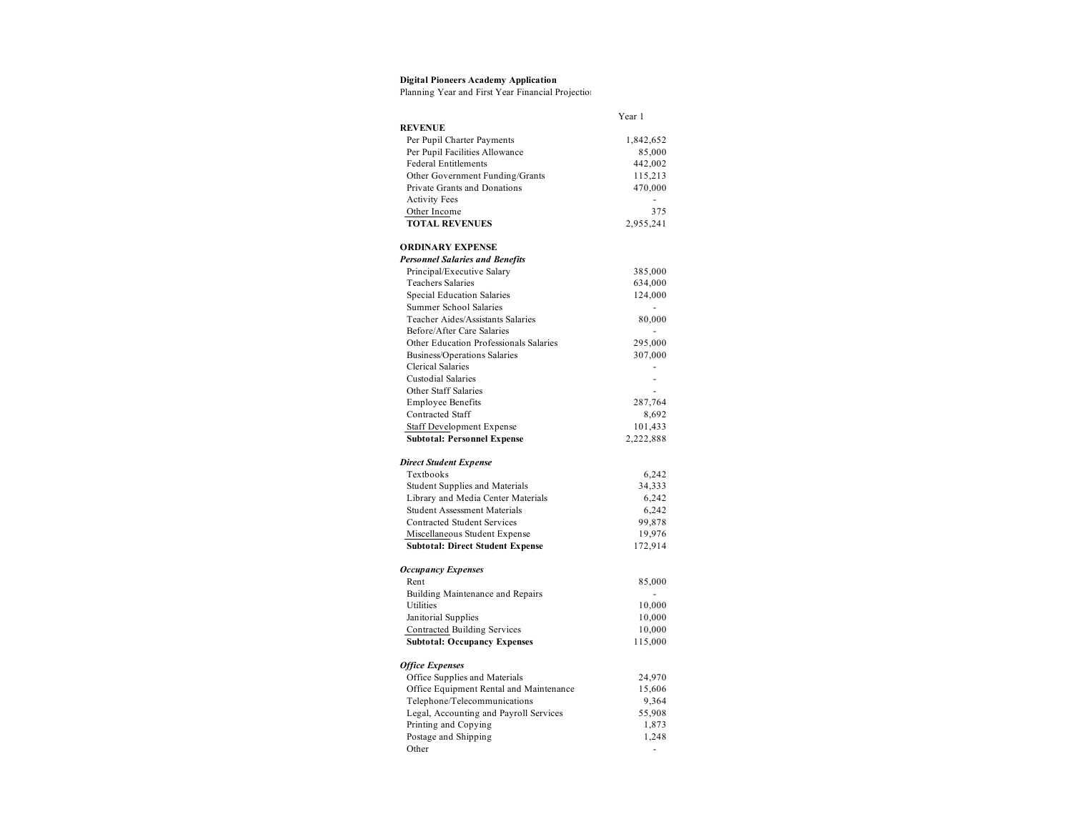Planning Year and First Year Financial Projection

|                                         | Year 1         |
|-----------------------------------------|----------------|
| <b>REVENUE</b>                          |                |
| Per Pupil Charter Payments              | 1,842,652      |
| Per Pupil Facilities Allowance          | 85,000         |
| <b>Federal Entitlements</b>             | 442,002        |
| Other Government Funding/Grants         | 115,213        |
| Private Grants and Donations            | 470,000        |
| <b>Activity Fees</b>                    | $\overline{a}$ |
| Other Income                            | 375            |
| <b>TOTAL REVENUES</b>                   | 2,955,241      |
| <b>ORDINARY EXPENSE</b>                 |                |
| <b>Personnel Salaries and Benefits</b>  |                |
| Principal/Executive Salary              | 385,000        |
| Teachers Salaries                       | 634,000        |
| Special Education Salaries              | 124,000        |
| Summer School Salaries                  | ٠              |
| Teacher Aides/Assistants Salaries       | 80,000         |
| Before/After Care Salaries              |                |
| Other Education Professionals Salaries  | 295,000        |
| Business/Operations Salaries            | 307,000        |
| <b>Clerical Salaries</b>                |                |
| <b>Custodial Salaries</b>               |                |
| Other Staff Salaries                    | L,             |
| <b>Employee Benefits</b>                | 287,764        |
| Contracted Staff                        | 8,692          |
| Staff Development Expense               | 101,433        |
| <b>Subtotal: Personnel Expense</b>      | 2,222,888      |
| <b>Direct Student Expense</b>           |                |
| Textbooks                               | 6,242          |
| Student Supplies and Materials          | 34,333         |
| Library and Media Center Materials      | 6,242          |
| <b>Student Assessment Materials</b>     | 6,242          |
| <b>Contracted Student Services</b>      | 99,878         |
| Miscellaneous Student Expense           | 19,976         |
| <b>Subtotal: Direct Student Expense</b> | 172,914        |
| <b>Occupancy Expenses</b>               |                |
| Rent                                    | 85,000         |
| Building Maintenance and Repairs        | ÷              |
| Utilities                               | 10,000         |
| Janitorial Supplies                     | 10,000         |
| Contracted Building Services            | 10,000         |
| <b>Subtotal: Occupancy Expenses</b>     | 115,000        |
| <b>Office Expenses</b>                  |                |
| Office Supplies and Materials           | 24,970         |
| Office Equipment Rental and Maintenance | 15,606         |
| Telephone/Telecommunications            | 9,364          |
| Legal, Accounting and Payroll Services  | 55,908         |
| Printing and Copying                    | 1,873          |
| Postage and Shipping                    | 1,248          |
| Other                                   | -              |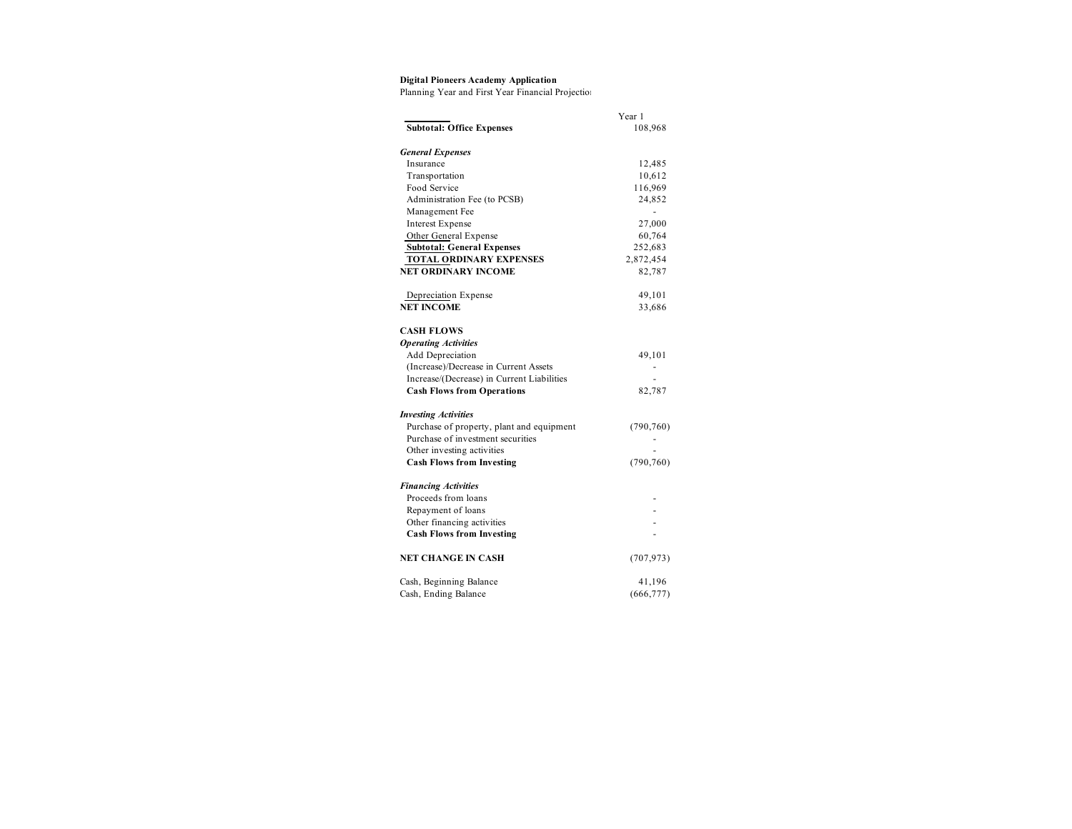Planning Year and First Year Financial Projection

|                                            | Year 1     |
|--------------------------------------------|------------|
| <b>Subtotal: Office Expenses</b>           | 108,968    |
| <b>General Expenses</b>                    |            |
| Insurance                                  | 12,485     |
| Transportation                             | 10,612     |
| Food Service                               | 116,969    |
| Administration Fee (to PCSB)               | 24,852     |
| Management Fee                             |            |
| <b>Interest Expense</b>                    | 27,000     |
| Other General Expense                      | 60,764     |
| <b>Subtotal: General Expenses</b>          | 252,683    |
| <b>TOTAL ORDINARY EXPENSES</b>             | 2,872,454  |
| <b>NET ORDINARY INCOME</b>                 | 82,787     |
| Depreciation Expense                       | 49,101     |
| <b>NET INCOME</b>                          | 33,686     |
| <b>CASH FLOWS</b>                          |            |
| <b>Operating Activities</b>                |            |
| Add Depreciation                           | 49,101     |
| (Increase)/Decrease in Current Assets      |            |
| Increase/(Decrease) in Current Liabilities |            |
| <b>Cash Flows from Operations</b>          | 82,787     |
| <b>Investing Activities</b>                |            |
| Purchase of property, plant and equipment  | (790, 760) |
| Purchase of investment securities          |            |
| Other investing activities                 |            |
| <b>Cash Flows from Investing</b>           | (790, 760) |
| <b>Financing Activities</b>                |            |
| Proceeds from loans                        |            |
| Repayment of loans                         |            |
| Other financing activities                 |            |
| <b>Cash Flows from Investing</b>           |            |
| NET CHANGE IN CASH                         | (707, 973) |
| Cash, Beginning Balance                    | 41,196     |
| Cash, Ending Balance                       | (666, 777) |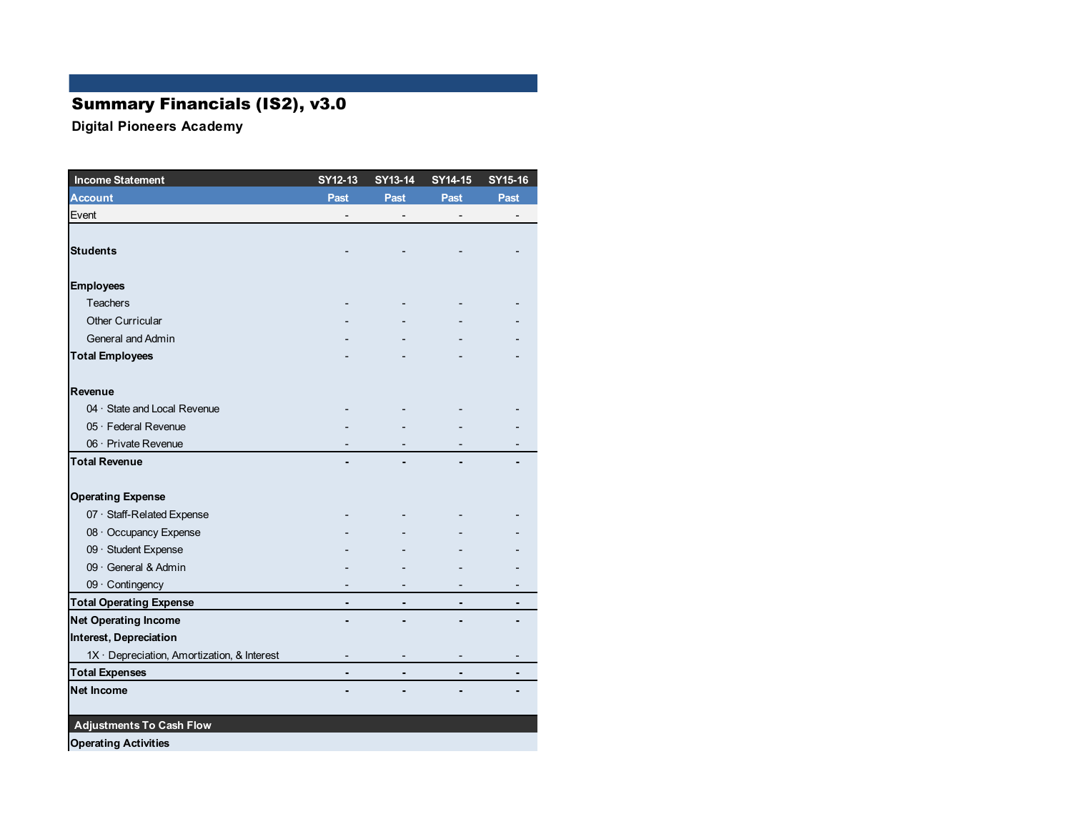# Summary Financials (IS2), v3.0

| <b>Income Statement</b>                     | SY12-13 | SY13-14 | SY14-15 | SY15-16 |
|---------------------------------------------|---------|---------|---------|---------|
| <b>Account</b>                              | Past    | Past    | Past    | Past    |
| Event                                       |         |         |         |         |
|                                             |         |         |         |         |
| <b>Students</b>                             |         |         |         |         |
| <b>Employees</b>                            |         |         |         |         |
| <b>Teachers</b>                             |         |         |         |         |
| <b>Other Curricular</b>                     |         |         |         |         |
| General and Admin                           |         |         |         |         |
| <b>Total Employees</b>                      |         |         |         |         |
| Revenue                                     |         |         |         |         |
| 04 · State and Local Revenue                |         |         |         |         |
| 05 · Federal Revenue                        |         |         |         |         |
| 06 · Private Revenue                        |         |         |         |         |
| <b>Total Revenue</b>                        |         |         |         |         |
| <b>Operating Expense</b>                    |         |         |         |         |
| 07 · Staff-Related Expense                  |         |         |         |         |
| 08 · Occupancy Expense                      |         |         |         |         |
| 09 · Student Expense                        |         |         |         |         |
| 09 · General & Admin                        |         |         |         |         |
| 09 · Contingency                            |         |         |         |         |
| <b>Total Operating Expense</b>              |         |         |         |         |
| <b>Net Operating Income</b>                 |         |         |         |         |
| Interest, Depreciation                      |         |         |         |         |
| 1X · Depreciation, Amortization, & Interest |         |         |         |         |
| <b>Total Expenses</b>                       |         |         |         |         |
| <b>Net Income</b>                           |         |         |         |         |
| <b>Adjustments To Cash Flow</b>             |         |         |         |         |
| <b>Operating Activities</b>                 |         |         |         |         |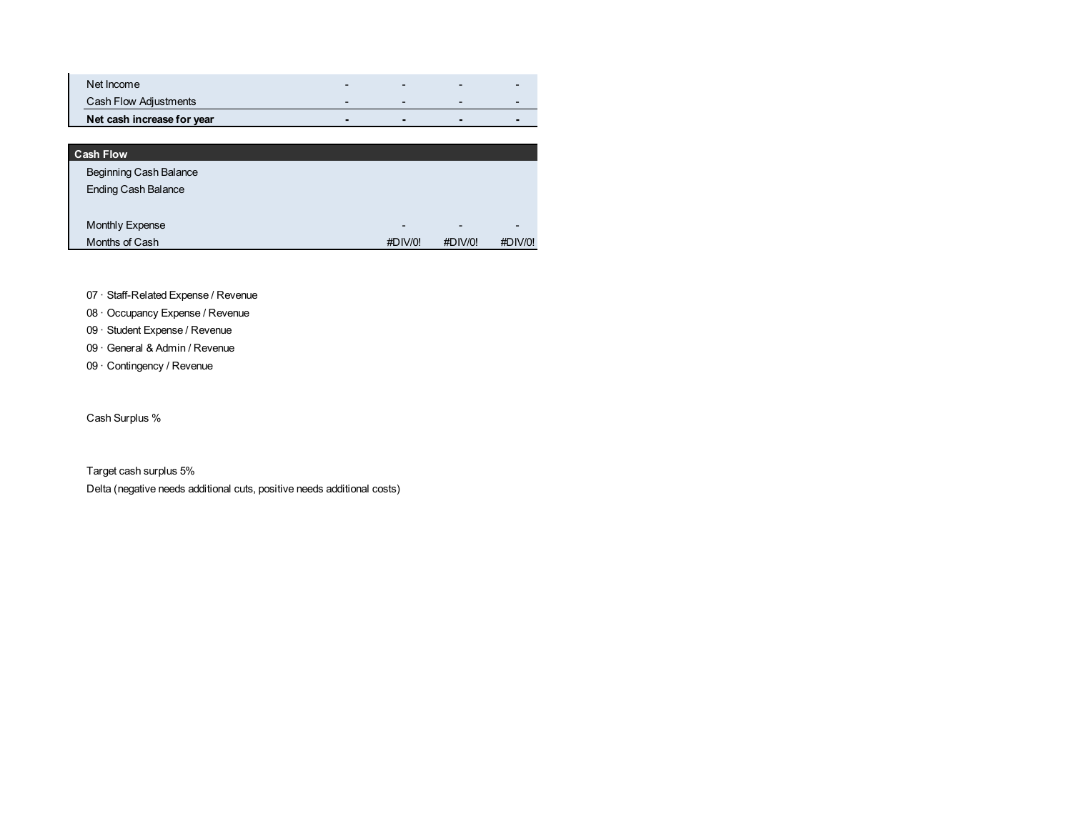| Net Income                 | - | $\overline{\phantom{0}}$ |  |
|----------------------------|---|--------------------------|--|
| Cash Flow Adjustments      | - | $\overline{\phantom{0}}$ |  |
| Net cash increase for year |   | $\blacksquare$           |  |

| <b>Cash Flow</b>           |                          |                          |                          |
|----------------------------|--------------------------|--------------------------|--------------------------|
| Beginning Cash Balance     |                          |                          |                          |
| <b>Ending Cash Balance</b> |                          |                          |                          |
|                            |                          |                          |                          |
| Monthly Expense            | $\overline{\phantom{a}}$ | $\overline{\phantom{0}}$ | $\overline{\phantom{0}}$ |
| Months of Cash             | #DIV/0!                  | #DIV/0!                  | #DIV/0!                  |

07 · Staff-Related Expense / Revenue

- 08 · Occupancy Expense / Revenue
- 09 · Student Expense / Revenue
- 09 · General & Admin / Revenue
- 09 · Contingency / Revenue

Cash Surplus %

Target cash surplus 5% Delta (negative needs additional cuts, positive needs additional costs)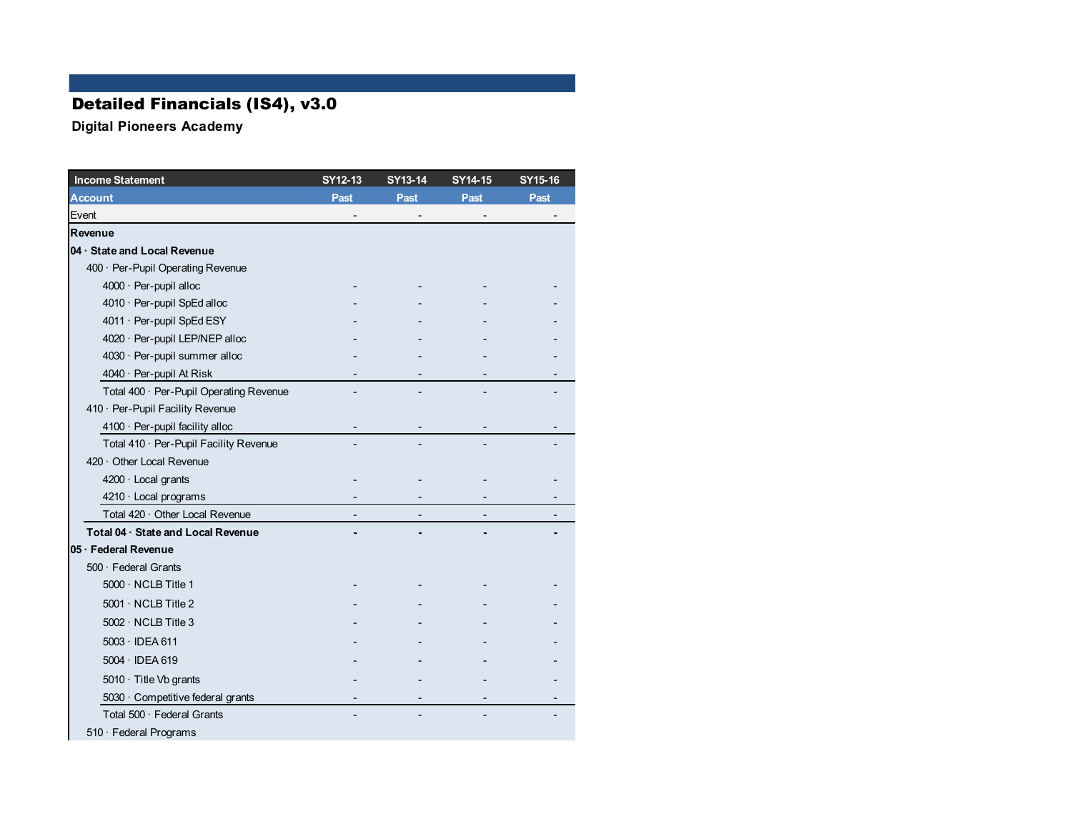# Detailed Financials (IS4), v3.0

| <b>Income Statement</b>                 | SY12-13 | SY13-14 | SY14-15 | SY15-16 |
|-----------------------------------------|---------|---------|---------|---------|
| Account                                 | Past    | Past    | Past    | Past    |
| Event                                   |         |         |         |         |
| Revenue                                 |         |         |         |         |
| 04 · State and Local Revenue            |         |         |         |         |
| 400 · Per-Pupil Operating Revenue       |         |         |         |         |
| 4000 · Per-pupil alloc                  |         |         |         |         |
| 4010 · Per-pupil SpEd alloc             |         |         |         |         |
| 4011 · Per-pupil SpEd ESY               |         |         |         |         |
| 4020 · Per-pupil LEP/NEP alloc          |         |         |         |         |
| 4030 · Per-pupil summer alloc           |         |         |         |         |
| 4040 · Per-pupil At Risk                |         |         |         |         |
| Total 400 · Per-Pupil Operating Revenue |         |         |         |         |
| 410 · Per-Pupil Facility Revenue        |         |         |         |         |
| 4100 · Per-pupil facility alloc         |         |         |         |         |
| Total 410 · Per-Pupil Facility Revenue  |         |         |         |         |
| 420 Other Local Revenue                 |         |         |         |         |
| 4200 · Local grants                     |         |         |         |         |
| $4210 \cdot$ Local programs             |         |         |         |         |
| Total 420 · Other Local Revenue         |         |         |         |         |
| Total 04 · State and Local Revenue      |         |         |         |         |
| 05 · Federal Revenue                    |         |         |         |         |
| $500 \cdot$ Federal Grants              |         |         |         |         |
| $5000 \cdot \text{NCLB}$ Title 1        |         |         |         |         |
| $5001 \cdot \text{NCLB}$ Title 2        |         |         |         |         |
| $5002 \cdot \text{NCLB}$ Title 3        |         |         |         |         |
| $5003 \cdot$ IDEA 611                   |         |         |         |         |
| $5004 \cdot$ IDEA 619                   |         |         |         |         |
| $5010 \cdot$ Title Vb grants            |         |         |         |         |
| 5030 · Competitive federal grants       |         |         |         |         |
| Total 500 · Federal Grants              |         |         |         |         |
| 510 · Federal Programs                  |         |         |         |         |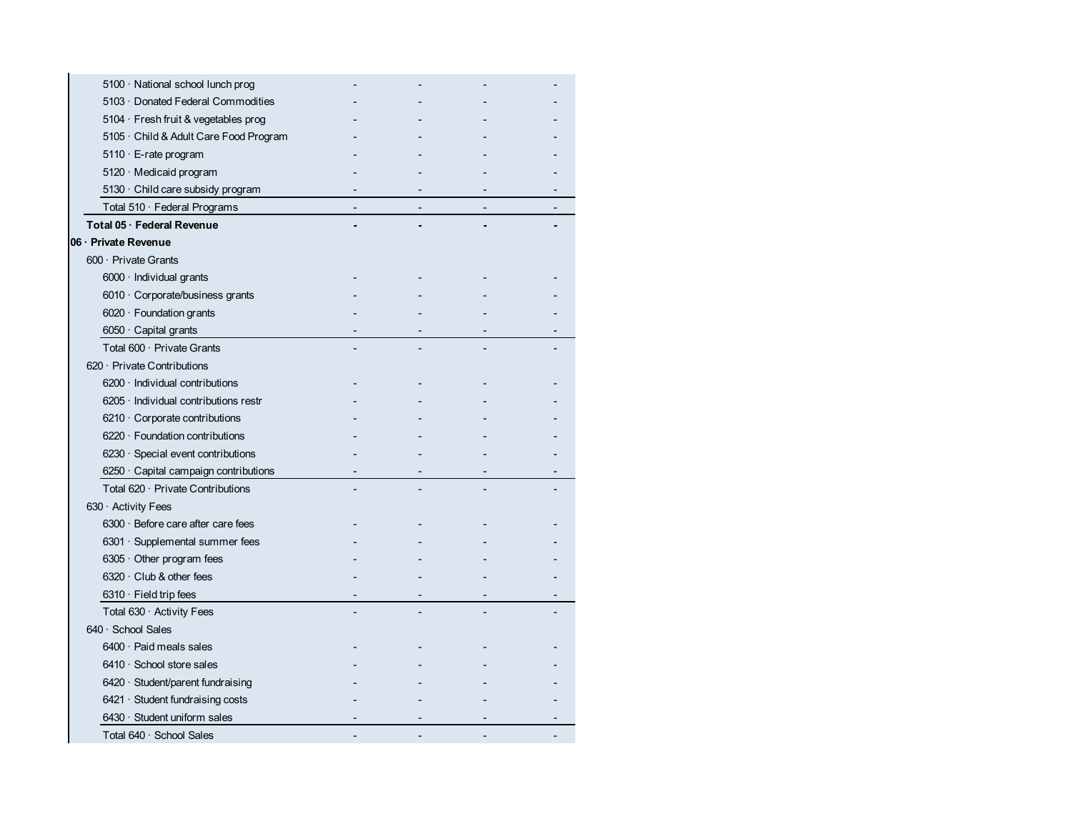| 5100 · National school lunch prog           |  |  |
|---------------------------------------------|--|--|
| 5103 Donated Federal Commodities            |  |  |
| 5104 · Fresh fruit & vegetables prog        |  |  |
| 5105 · Child & Adult Care Food Program      |  |  |
| $5110 \cdot E$ -rate program                |  |  |
| 5120 · Medicaid program                     |  |  |
| $5130 \cdot$ Child care subsidy program     |  |  |
| Total $510 \cdot$ Federal Programs          |  |  |
| Total 05 · Federal Revenue                  |  |  |
| 06 · Private Revenue                        |  |  |
| 600 · Private Grants                        |  |  |
| 6000 · Individual grants                    |  |  |
| 6010 · Corporate/business grants            |  |  |
| $6020 \cdot$ Foundation grants              |  |  |
| $6050 \cdot$ Capital grants                 |  |  |
| Total $600 \cdot$ Private Grants            |  |  |
| $620 \cdot$ Private Contributions           |  |  |
| $6200 \cdot$ Individual contributions       |  |  |
| $6205 \cdot$ Individual contributions restr |  |  |
| $6210 \cdot$ Corporate contributions        |  |  |
| $6220 \cdot$ Foundation contributions       |  |  |
| $6230 \cdot$ Special event contributions    |  |  |
| $6250 \cdot$ Capital campaign contributions |  |  |
| Total $620 \cdot$ Private Contributions     |  |  |
| 630 · Activity Fees                         |  |  |
| 6300 · Before care after care fees          |  |  |
| 6301 · Supplemental summer fees             |  |  |
| $6305 \cdot$ Other program fees             |  |  |
| $6320 \cdot$ Club & other fees              |  |  |
| $6310 \cdot$ Field trip fees                |  |  |
| Total 630 · Activity Fees                   |  |  |
| 640 · School Sales                          |  |  |
| $6400 \cdot$ Paid meals sales               |  |  |
| $6410 \cdot$ School store sales             |  |  |
| 6420 · Student/parent fundraising           |  |  |
| $6421 \cdot$ Student fundraising costs      |  |  |
| 6430 · Student uniform sales                |  |  |
| Total 640 · School Sales                    |  |  |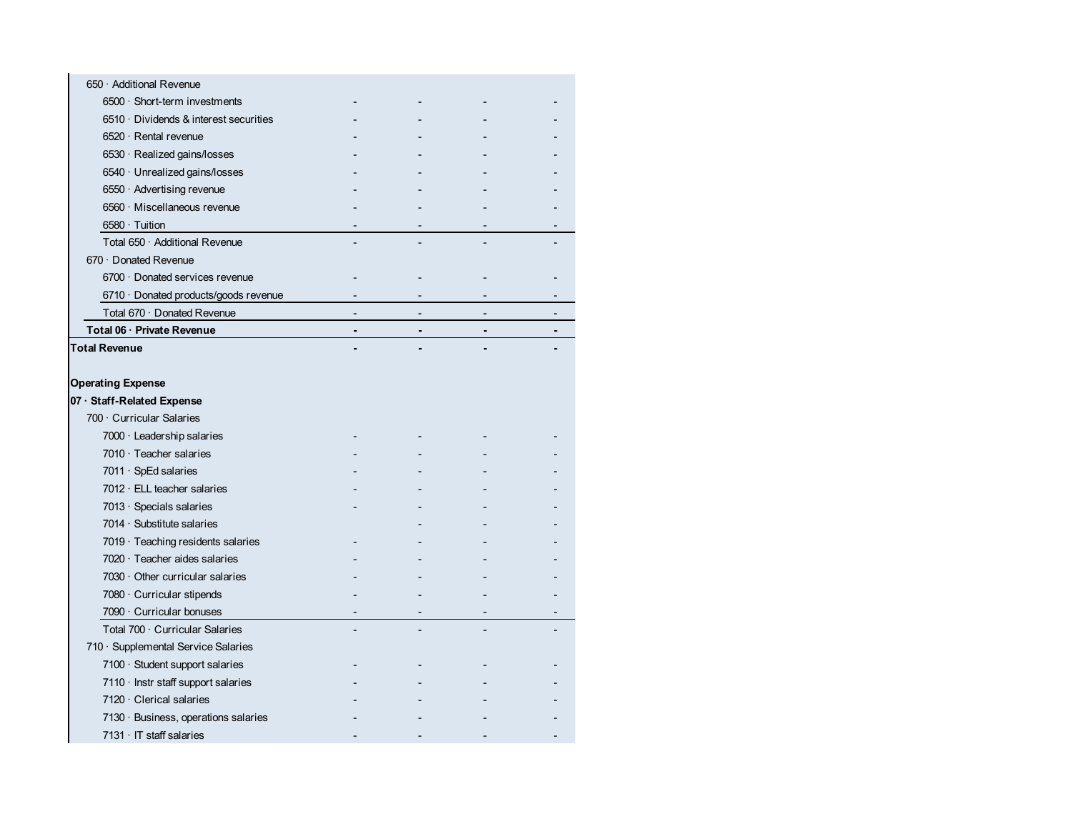| 650 · Additional Revenue                     |                |  |
|----------------------------------------------|----------------|--|
| $6500 \cdot$ Short-term investments          |                |  |
| $6510 \cdot$ Dividends & interest securities |                |  |
| $6520 \cdot$ Rental revenue                  |                |  |
| 6530 · Realized gains/losses                 |                |  |
| 6540 · Unrealized gains/losses               |                |  |
| $6550 \cdot$ Advertising revenue             |                |  |
| 6560 · Miscellaneous revenue                 |                |  |
| $6580 \cdot$ Tuition                         |                |  |
| Total 650 · Additional Revenue               |                |  |
| 670 Donated Revenue                          |                |  |
| 6700 Donated services revenue                |                |  |
| $6710 \cdot$ Donated products/goods revenue  |                |  |
| Total 670 · Donated Revenue                  |                |  |
| Total 06 · Private Revenue                   | $\blacksquare$ |  |
| <b>Total Revenue</b>                         |                |  |
|                                              |                |  |
| <b>Operating Expense</b>                     |                |  |
| 07 · Staff-Related Expense                   |                |  |
| 700 · Curricular Salaries                    |                |  |
| 7000 · Leadership salaries                   |                |  |
| 7010 $\cdot$ Teacher salaries                |                |  |
| $7011 \cdot SpEd$ salaries                   |                |  |
| $7012 \cdot$ ELL teacher salaries            |                |  |
| 7013 $\cdot$ Specials salaries               |                |  |
| 7014 $\cdot$ Substitute salaries             |                |  |
| 7019 · Teaching residents salaries           |                |  |
| 7020 · Teacher aides salaries                |                |  |
| $7030 \cdot$ Other curricular salaries       |                |  |
| $7080 \cdot$ Curricular stipends             |                |  |
| $7090 \cdot$ Curricular bonuses              |                |  |
| Total 700 · Curricular Salaries              |                |  |
| 710 · Supplemental Service Salaries          |                |  |
| $7100 \cdot$ Student support salaries        |                |  |
| $7110 \cdot$ Instr staff support salaries    |                |  |
| $7120 \cdot$ Clerical salaries               |                |  |
| 7130 · Business, operations salaries         |                |  |
| $7131 \cdot IT$ staff salaries               |                |  |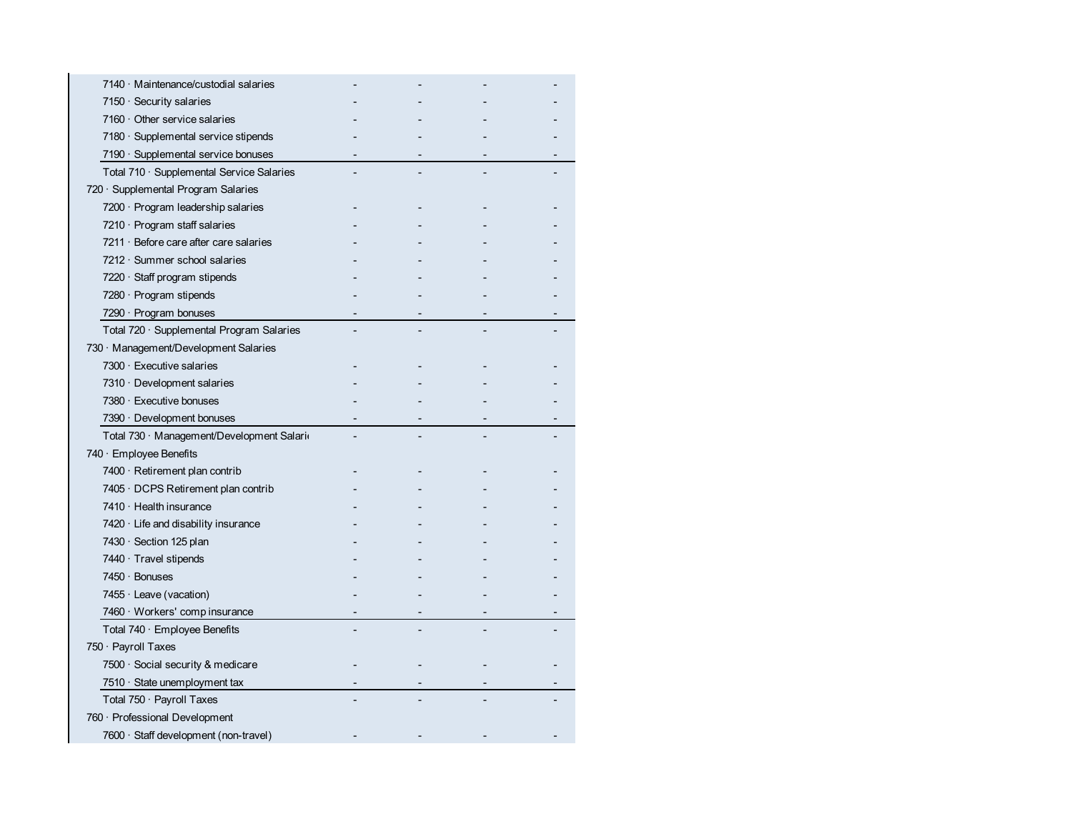| 7140 · Maintenance/custodial salaries        |  |  |
|----------------------------------------------|--|--|
| 7150 $\cdot$ Security salaries               |  |  |
| $7160 \cdot$ Other service salaries          |  |  |
| 7180 · Supplemental service stipends         |  |  |
| 7190 · Supplemental service bonuses          |  |  |
| Total 710 · Supplemental Service Salaries    |  |  |
| 720 · Supplemental Program Salaries          |  |  |
| $7200 \cdot$ Program leadership salaries     |  |  |
| $7210 \cdot$ Program staff salaries          |  |  |
| $7211 \cdot$ Before care after care salaries |  |  |
| $7212 \cdot$ Summer school salaries          |  |  |
| $7220 \cdot$ Staff program stipends          |  |  |
| $7280 \cdot$ Program stipends                |  |  |
| $7290 \cdot$ Program bonuses                 |  |  |
| Total 720 · Supplemental Program Salaries    |  |  |
| 730 Management/Development Salaries          |  |  |
| $7300 \cdot$ Executive salaries              |  |  |
| $7310 \cdot$ Development salaries            |  |  |
| 7380 · Executive bonuses                     |  |  |
|                                              |  |  |
| $7390 \cdot$ Development bonuses             |  |  |
| Total 730 · Management/Development Salari    |  |  |
| $740 \cdot$ Employee Benefits                |  |  |
| $7400 \cdot$ Retirement plan contrib         |  |  |
| $7405 \cdot$ DCPS Retirement plan contrib    |  |  |
| $7410 \cdot$ Health insurance                |  |  |
| $7420 \cdot$ Life and disability insurance   |  |  |
| 7430 · Section 125 plan                      |  |  |
| $7440 \cdot$ Travel stipends                 |  |  |
| $7450 \cdot$ Bonuses                         |  |  |
| 7455 $\cdot$ Leave (vacation)                |  |  |
| 7460 · Workers' comp insurance               |  |  |
| Total $740 \cdot$ Employee Benefits          |  |  |
| 750 · Payroll Taxes                          |  |  |
| $7500 \cdot$ Social security & medicare      |  |  |
| 7510 $\cdot$ State unemployment tax          |  |  |
| Total $750 \cdot$ Payroll Taxes              |  |  |
| 760 · Professional Development               |  |  |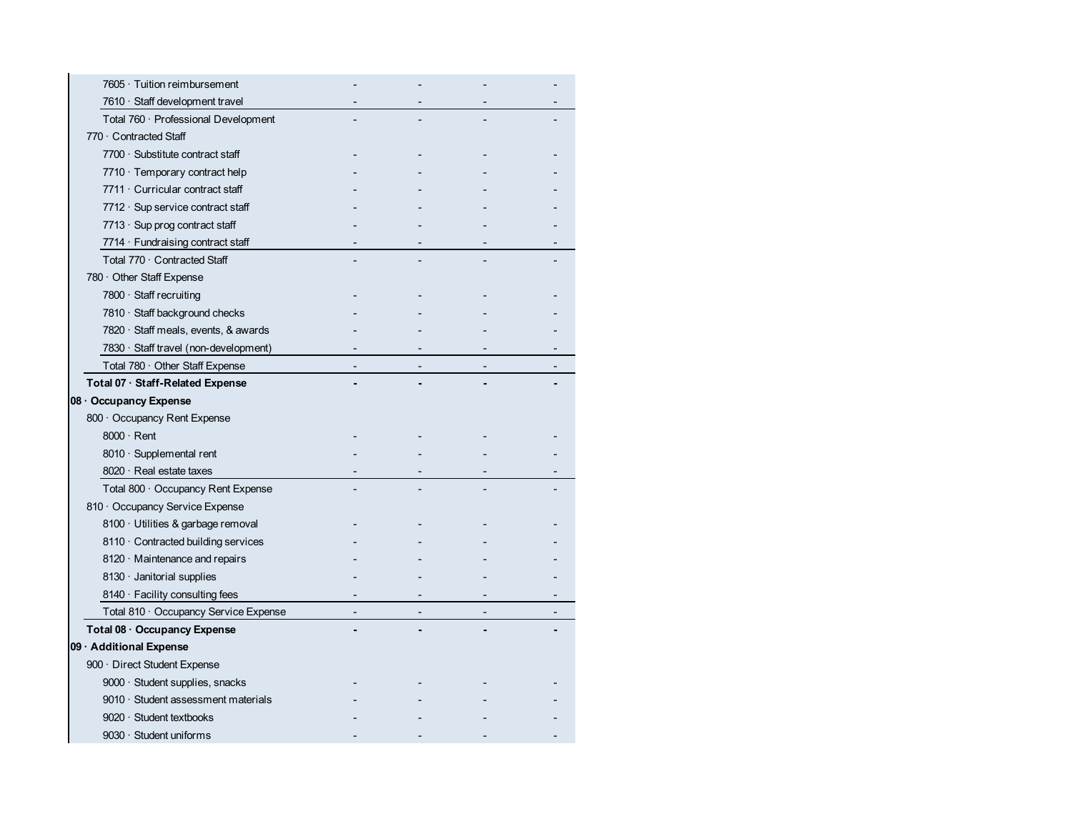| 7605 · Tuition reimbursement               |  |  |
|--------------------------------------------|--|--|
| 7610 · Staff development travel            |  |  |
| Total 760 · Professional Development       |  |  |
| 770 · Contracted Staff                     |  |  |
| 7700 · Substitute contract staff           |  |  |
| 7710 · Temporary contract help             |  |  |
| 7711 Curricular contract staff             |  |  |
| $7712 \cdot$ Sup service contract staff    |  |  |
| 7713 $\cdot$ Sup prog contract staff       |  |  |
| 7714 $\cdot$ Fundraising contract staff    |  |  |
| Total 770 · Contracted Staff               |  |  |
| 780 Other Staff Expense                    |  |  |
| 7800 · Staff recruiting                    |  |  |
| 7810 · Staff background checks             |  |  |
| 7820 $\cdot$ Staff meals, events, & awards |  |  |
| 7830 · Staff travel (non-development)      |  |  |
| Total 780 · Other Staff Expense            |  |  |
| Total 07 · Staff-Related Expense           |  |  |
| 08 · Occupancy Expense                     |  |  |
| 800 Occupancy Rent Expense                 |  |  |
| $8000 \cdot$ Rent                          |  |  |
| 8010 · Supplemental rent                   |  |  |
| 8020 · Real estate taxes                   |  |  |
| Total 800 · Occupancy Rent Expense         |  |  |
| 810 · Occupancy Service Expense            |  |  |
| 8100 · Utilities & garbage removal         |  |  |
| 8110 Contracted building services          |  |  |
| $8120 \cdot$ Maintenance and repairs       |  |  |
| 8130 · Janitorial supplies                 |  |  |
| 8140 · Facility consulting fees            |  |  |
| Total 810 Occupancy Service Expense        |  |  |
| Total 08 · Occupancy Expense               |  |  |
| 09 · Additional Expense                    |  |  |
| 900 · Direct Student Expense               |  |  |
| 9000 · Student supplies, snacks            |  |  |
| 9010 · Student assessment materials        |  |  |
| $9020 \cdot$ Student textbooks             |  |  |
| 9030 · Student uniforms                    |  |  |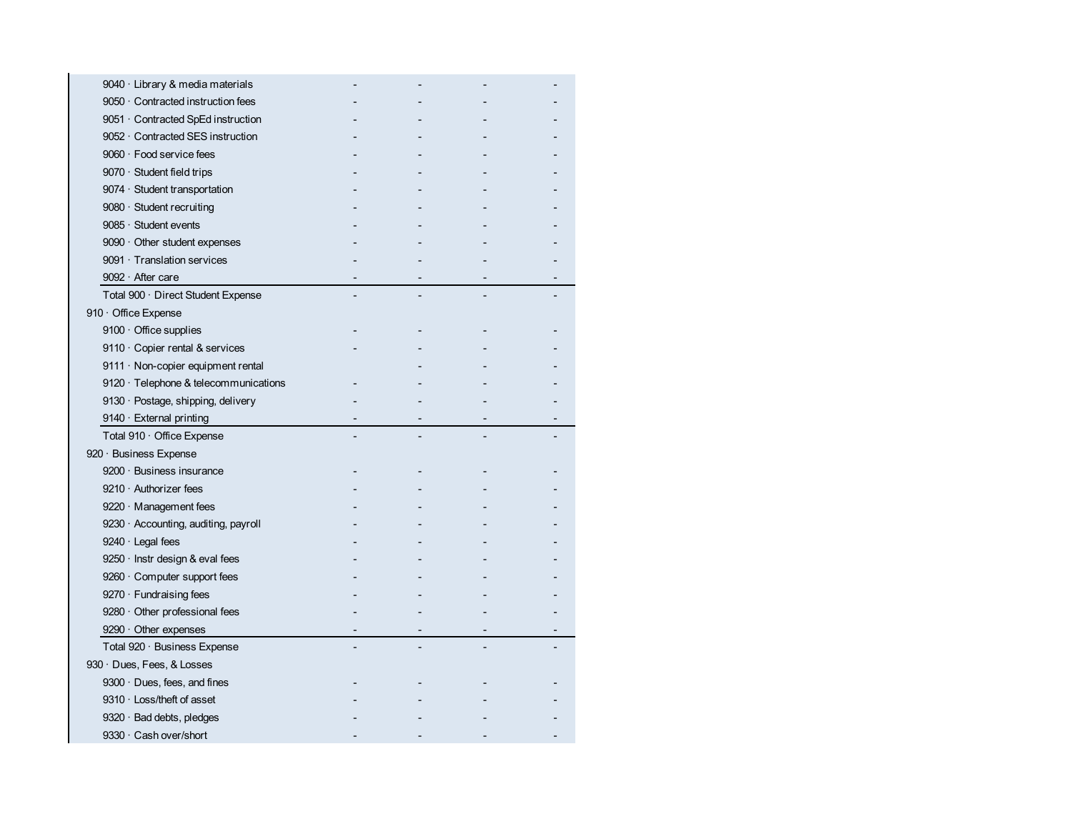| 9040 · Library & media materials            |  |  |
|---------------------------------------------|--|--|
| 9050 · Contracted instruction fees          |  |  |
| 9051 · Contracted SpEd instruction          |  |  |
| 9052 Contracted SES instruction             |  |  |
| 9060 · Food service fees                    |  |  |
| $9070 \cdot$ Student field trips            |  |  |
| 9074 · Student transportation               |  |  |
| $9080 \cdot$ Student recruiting             |  |  |
| $9085 \cdot$ Student events                 |  |  |
| $9090 \cdot$ Other student expenses         |  |  |
| 9091 Translation services                   |  |  |
| 9092 · After care                           |  |  |
| Total 900 · Direct Student Expense          |  |  |
| 910 · Office Expense                        |  |  |
| $9100 \cdot$ Office supplies                |  |  |
| 9110 · Copier rental & services             |  |  |
| 9111 · Non-copier equipment rental          |  |  |
| 9120 $\cdot$ Telephone & telecommunications |  |  |
| 9130 · Postage, shipping, delivery          |  |  |
|                                             |  |  |
| 9140 · External printing                    |  |  |
| Total 910 · Office Expense                  |  |  |
| 920 · Business Expense                      |  |  |
| $9200 \cdot$ Business insurance             |  |  |
| $9210 \cdot$ Authorizer fees                |  |  |
| $9220 \cdot$ Management fees                |  |  |
| 9230 · Accounting, auditing, payroll        |  |  |
| $9240 \cdot$ Legal fees                     |  |  |
| 9250 · Instr design & eval fees             |  |  |
| 9260 · Computer support fees                |  |  |
| $9270 \cdot$ Fundraising fees               |  |  |
| $9280 \cdot$ Other professional fees        |  |  |
| $9290 \cdot$ Other expenses                 |  |  |
| Total 920 · Business Expense                |  |  |
| 930 · Dues, Fees, & Losses                  |  |  |
| 9300 · Dues, fees, and fines                |  |  |
| 9310 · Loss/theft of asset                  |  |  |
| 9320 · Bad debts, pledges                   |  |  |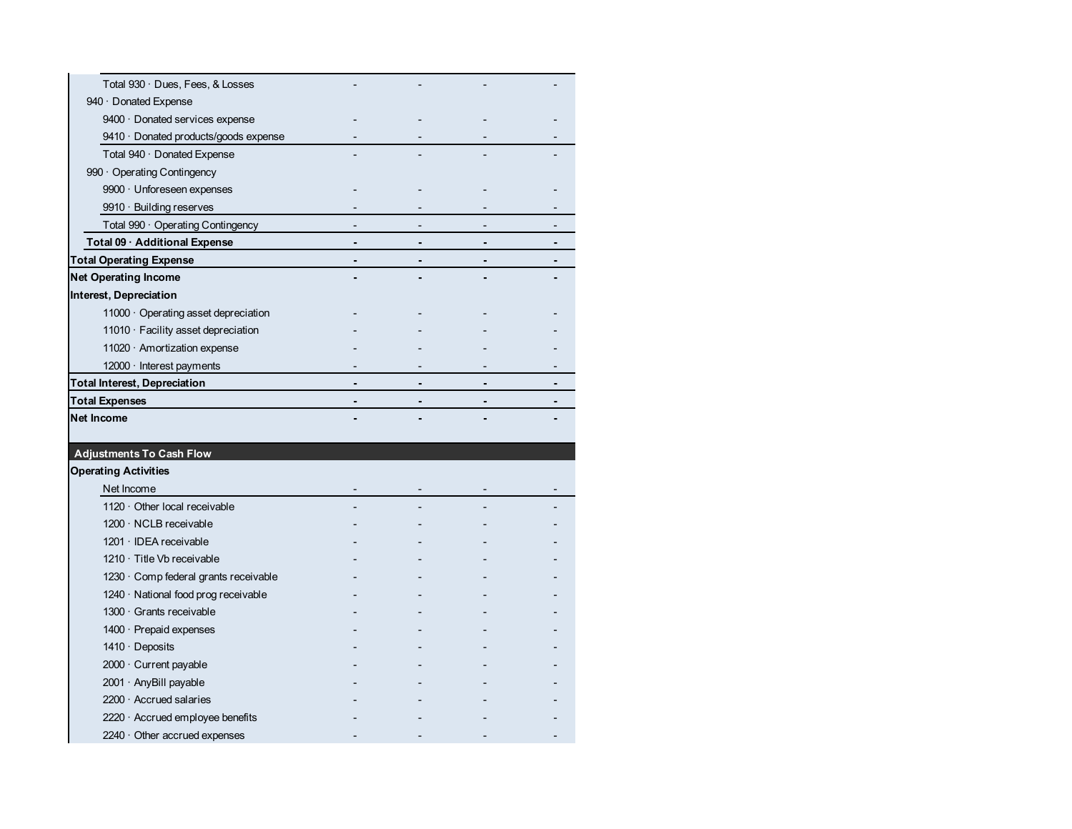| Total 930 · Dues, Fees, & Losses           |  |  |
|--------------------------------------------|--|--|
| 940 Donated Expense                        |  |  |
| 9400 Donated services expense              |  |  |
| 9410 Donated products/goods expense        |  |  |
| Total 940 · Donated Expense                |  |  |
| 990 Operating Contingency                  |  |  |
| 9900 · Unforeseen expenses                 |  |  |
| $9910 \cdot$ Building reserves             |  |  |
| Total 990 · Operating Contingency          |  |  |
| Total 09 · Additional Expense              |  |  |
| Total Operating Expense                    |  |  |
| Net Operating Income                       |  |  |
| Interest, Depreciation                     |  |  |
| $11000 \cdot$ Operating asset depreciation |  |  |
| $11010 \cdot$ Facility asset depreciation  |  |  |
| 11020 $\cdot$ Amortization expense         |  |  |
| $12000 \cdot$ Interest payments            |  |  |
| Total Interest, Depreciation               |  |  |
| <b>Total Expenses</b>                      |  |  |
| Net Income                                 |  |  |
|                                            |  |  |
| <b>Adjustments To Cash Flow</b>            |  |  |
| <b>Operating Activities</b>                |  |  |
| Net Income                                 |  |  |
| $1120 \cdot$ Other local receivable        |  |  |
| 1200 · NCLB receivable                     |  |  |
| $1201 \cdot$ IDEA receivable               |  |  |
| 1210 · Title Vb receivable                 |  |  |
| 1230 · Comp federal grants receivable      |  |  |
| $1240 \cdot$ National food prog receivable |  |  |
| 1300 · Grants receivable                   |  |  |
| $1400 \cdot$ Prepaid expenses              |  |  |
| $1410 \cdot$ Deposits                      |  |  |
| $2000 \cdot$ Current payable               |  |  |
| $2001 \cdot$ AnyBill payable               |  |  |
| $2200 \cdot$ Accrued salaries              |  |  |
| $2220 \cdot$ Accrued employee benefits     |  |  |
| $2240 \cdot$ Other accrued expenses        |  |  |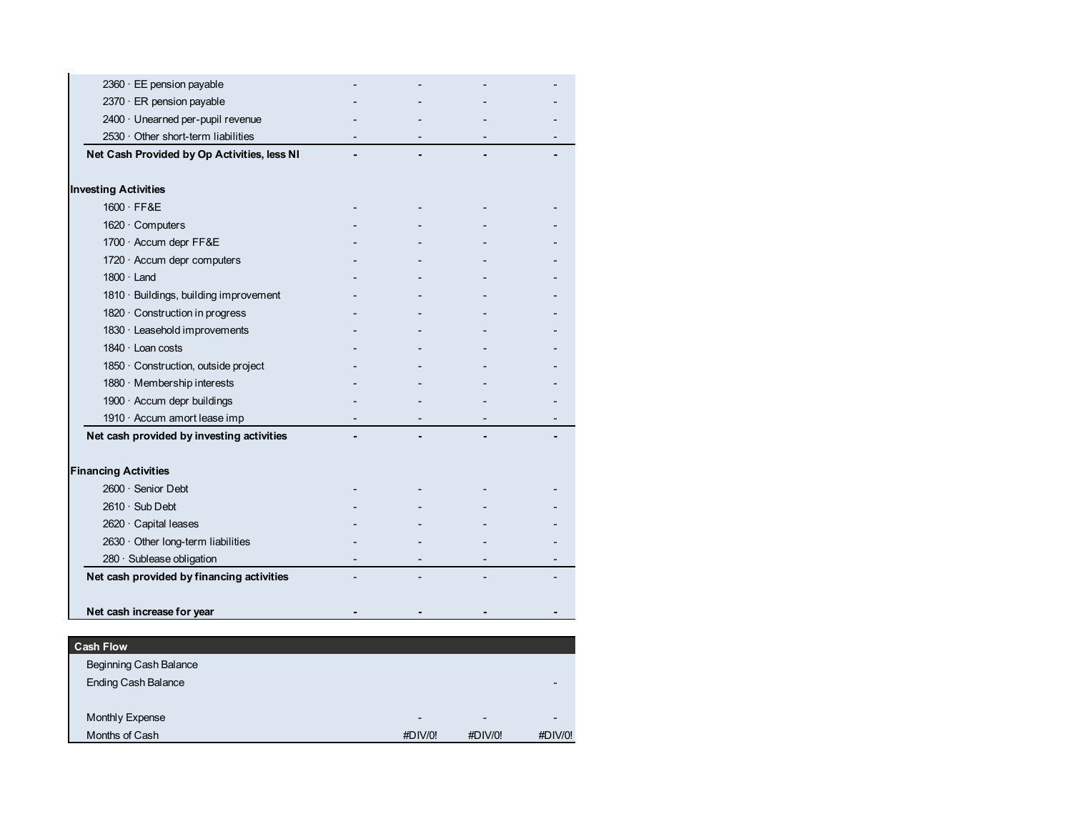| 2360 · EE pension payable                   |  |  |
|---------------------------------------------|--|--|
| 2370 · ER pension payable                   |  |  |
| 2400 · Unearned per-pupil revenue           |  |  |
| 2530 · Other short-term liabilities         |  |  |
| Net Cash Provided by Op Activities, less NI |  |  |
| <b>Investing Activities</b>                 |  |  |
| $1600 \cdot \text{FF}8E$                    |  |  |
| 1620 · Computers                            |  |  |
| 1700 · Accum depr FF&E                      |  |  |
| 1720 · Accum depr computers                 |  |  |
| $1800 \cdot$ Land                           |  |  |
| 1810 · Buildings, building improvement      |  |  |
| 1820 · Construction in progress             |  |  |
| 1830 · Leasehold improvements               |  |  |
| $1840 \cdot$ Loan costs                     |  |  |
| 1850 · Construction, outside project        |  |  |
| 1880 · Membership interests                 |  |  |
| 1900 · Accum depr buildings                 |  |  |
| 1910 $\cdot$ Accum amort lease imp          |  |  |
| Net cash provided by investing activities   |  |  |
| <b>Financing Activities</b>                 |  |  |
| $2600 \cdot$ Senior Debt                    |  |  |
| $2610 \cdot$ Sub Debt                       |  |  |
| 2620 · Capital leases                       |  |  |
| 2630 · Other long-term liabilities          |  |  |
| 280 · Sublease obligation                   |  |  |
| Net cash provided by financing activities   |  |  |
| Net cash increase for year                  |  |  |
|                                             |  |  |
| <b>Cash Flow</b>                            |  |  |
| Beginning Cash Balance                      |  |  |

| Beginning Cash Balance     |                          |                          |         |
|----------------------------|--------------------------|--------------------------|---------|
| <b>Ending Cash Balance</b> |                          |                          |         |
|                            |                          |                          |         |
| Monthly Expense            | $\overline{\phantom{0}}$ | $\overline{\phantom{0}}$ |         |
| Months of Cash             | #DIV/0!                  | #DIV/0!                  | #DIV/0! |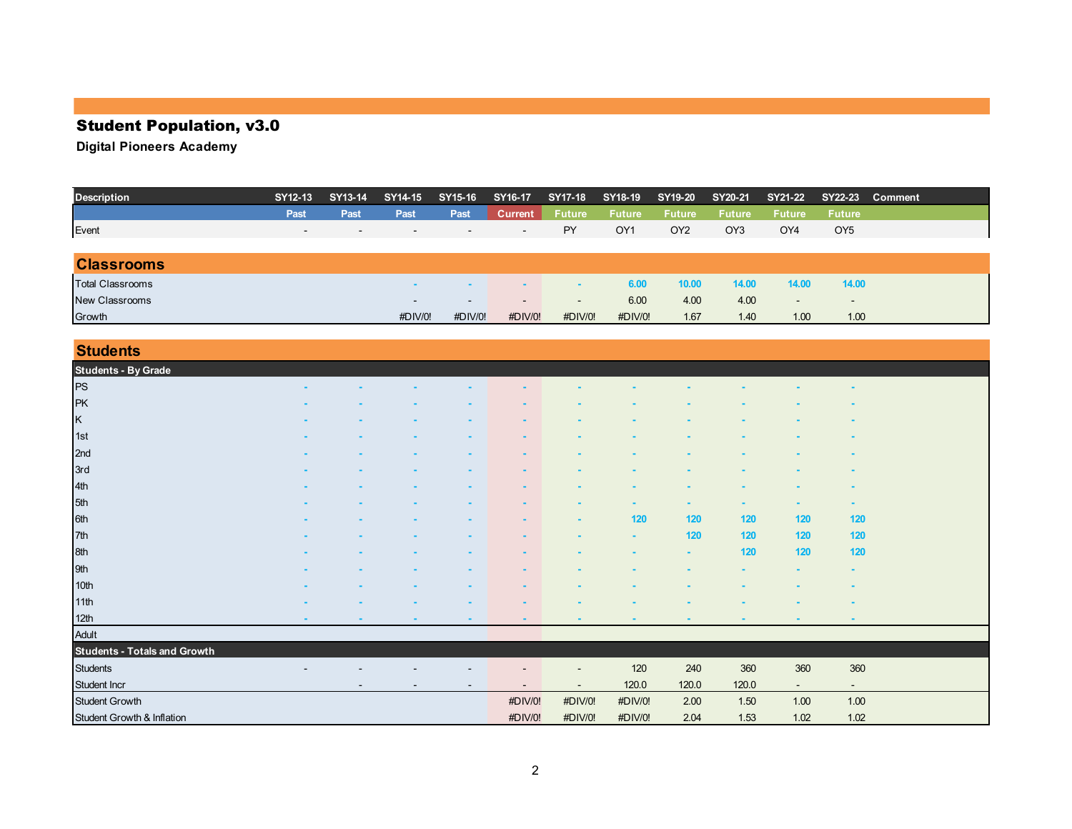# Student Population, v3.0

| <b>Description</b>      | SY12-13                  | SY13-14                  | SY14-15                  | SY15-16                  | SY16-17                  | <b>SY17-18</b> | SY18-19         | SY19-20         | SY20-21         | SY21-22                  |                          | SY22-23 Comment |
|-------------------------|--------------------------|--------------------------|--------------------------|--------------------------|--------------------------|----------------|-----------------|-----------------|-----------------|--------------------------|--------------------------|-----------------|
|                         | Past                     | Past                     | Past                     | Past                     | <b>Current</b>           | <b>Future</b>  | <b>Future</b>   | <b>Future</b>   | <b>Future</b>   | <b>Future</b>            | <b>Future</b>            |                 |
| Event                   | $\overline{\phantom{0}}$ | $\overline{\phantom{0}}$ | $\overline{\phantom{0}}$ | $\overline{\phantom{a}}$ | $\overline{\phantom{0}}$ | PY             | OY <sub>1</sub> | OY <sub>2</sub> | OY <sub>3</sub> | OY4                      | OY <sub>5</sub>          |                 |
|                         |                          |                          |                          |                          |                          |                |                 |                 |                 |                          |                          |                 |
| <b>Classrooms</b>       |                          |                          |                          |                          |                          |                |                 |                 |                 |                          |                          |                 |
| <b>Total Classrooms</b> |                          |                          |                          |                          |                          |                | 6.00            | 10.00           | 14.00           | 14.00                    | 14.00                    |                 |
| New Classrooms          |                          |                          | $\overline{\phantom{0}}$ | $\overline{\phantom{a}}$ | $\overline{\phantom{a}}$ | $\sim$         | 6.00            | 4.00            | 4.00            | $\overline{\phantom{0}}$ | $\overline{\phantom{a}}$ |                 |
| Growth                  |                          |                          | #DIV/0!                  | #DIV/0!                  | #DIV/0!                  | #DIV/0!        | #DIV/0!         | 1.67            | 1.40            | 1.00                     | 1.00                     |                 |

| <b>Students</b>                                      |        |  |   |                |         |                |        |        |        |                          |  |
|------------------------------------------------------|--------|--|---|----------------|---------|----------------|--------|--------|--------|--------------------------|--|
|                                                      |        |  |   |                |         |                |        |        |        |                          |  |
| Students - By Grade<br>PS                            |        |  |   |                |         |                |        |        |        |                          |  |
| PK                                                   |        |  |   |                |         |                |        |        |        |                          |  |
| K 1st 2nd 3rd<br>3rd 4th 5th<br>6th 7th 8th 9th 10th |        |  |   |                |         |                |        |        |        |                          |  |
|                                                      |        |  |   |                |         |                |        |        |        |                          |  |
|                                                      |        |  |   |                |         |                |        |        |        |                          |  |
|                                                      |        |  |   |                |         |                |        |        |        |                          |  |
|                                                      |        |  |   |                |         |                |        |        |        | $\blacksquare$           |  |
|                                                      |        |  |   |                |         |                |        |        |        | ٠                        |  |
|                                                      |        |  |   |                |         | 120            | 120    | 120    | 120    | 120                      |  |
|                                                      |        |  |   |                |         | $\blacksquare$ | 120    | 120    | 120    | 120                      |  |
|                                                      |        |  |   |                |         |                | ٠      | 120    | 120    | 120                      |  |
|                                                      |        |  |   |                |         |                |        |        |        | ٠                        |  |
|                                                      |        |  |   |                |         |                |        |        |        |                          |  |
| 11th                                                 |        |  |   |                |         |                |        |        |        |                          |  |
| 12th<br>Adult                                        | $\sim$ |  | ۰ | $\blacksquare$ |         | $\blacksquare$ | $\sim$ | $\sim$ | ٠      | $\sim$                   |  |
|                                                      |        |  |   |                |         |                |        |        |        |                          |  |
| <b>Students - Totals and Growth</b>                  |        |  |   |                |         |                |        |        |        |                          |  |
| <b>Students</b>                                      |        |  |   |                |         | 120            | 240    | 360    | 360    | 360                      |  |
| Student Incr                                         |        |  |   |                |         | 120.0          | 120.0  | 120.0  | $\sim$ | $\overline{\phantom{a}}$ |  |
| Student Growth                                       |        |  |   | #DIV/0!        | #DIV/0! | #DIV/0!        | 2.00   | 1.50   | 1.00   | 1.00                     |  |
| Student Growth & Inflation                           |        |  |   | #DIV/0!        | #DIV/0! | #DIV/0!        | 2.04   | 1.53   | 1.02   | 1.02                     |  |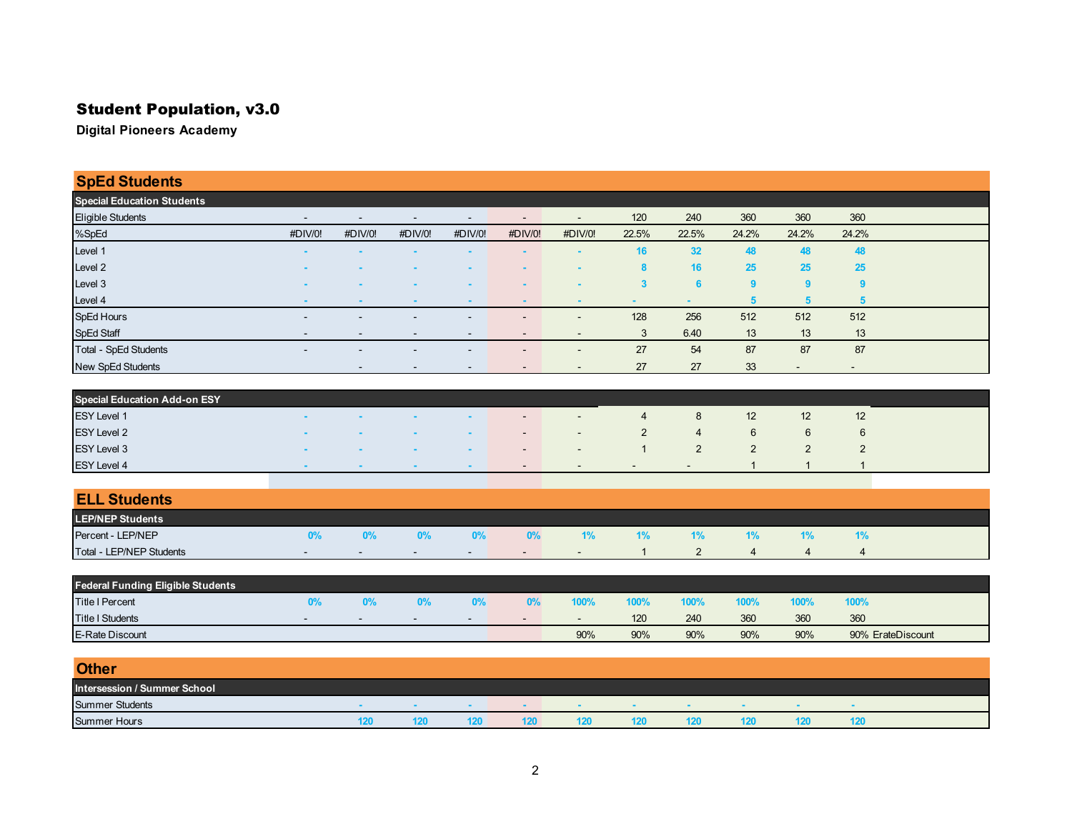# Student Population, v3.0

| <b>SpEd Students</b>                     |                          |                          |                          |                          |                |                |                                |                                  |                           |                               |                          |  |
|------------------------------------------|--------------------------|--------------------------|--------------------------|--------------------------|----------------|----------------|--------------------------------|----------------------------------|---------------------------|-------------------------------|--------------------------|--|
| <b>Special Education Students</b>        |                          |                          |                          |                          |                |                |                                |                                  |                           |                               |                          |  |
| Eligible Students                        |                          | $\overline{\phantom{a}}$ | $\overline{\phantom{a}}$ | $\overline{\phantom{0}}$ |                |                | 120                            | 240                              | 360                       | 360                           | 360                      |  |
| %SpEd                                    | #DIV/0!                  | #DIV/0!                  | #DIV/0!                  | #DIV/0!                  | #DIV/0!        | #DIV/0!        | 22.5%                          | 22.5%                            | 24.2%                     | 24.2%                         | 24.2%                    |  |
| Level 1                                  |                          |                          |                          |                          |                |                | 16                             | 32                               | 48                        | 48                            | 48                       |  |
| Level 2                                  |                          |                          |                          |                          |                |                | 8                              | 16                               | 25                        | 25                            | 25                       |  |
| Level 3                                  |                          |                          |                          |                          |                |                | $\overline{\mathbf{3}}$        | 6                                | 9                         | 9                             | 9                        |  |
| Level 4                                  |                          |                          |                          |                          |                |                | ۰                              | ٠                                | 5                         | $5\phantom{1}$                | $5\phantom{1}$           |  |
| SpEd Hours                               |                          |                          |                          |                          |                |                | 128                            | 256                              | 512                       | 512                           | 512                      |  |
| SpEd Staff                               |                          |                          |                          |                          |                |                | 3                              | 6.40                             | 13                        | 13                            | 13                       |  |
| Total - SpEd Students                    |                          | $\overline{\phantom{a}}$ |                          | $\blacksquare$           | $\overline{a}$ | $\overline{a}$ | 27                             | 54                               | 87                        | 87                            | 87                       |  |
| New SpEd Students                        |                          |                          |                          |                          |                |                | 27                             | 27                               | 33                        | $\overline{\phantom{a}}$      | $\overline{\phantom{a}}$ |  |
| <b>Special Education Add-on ESY</b>      |                          |                          |                          |                          |                |                |                                |                                  |                           |                               |                          |  |
| <b>ESY Level 1</b>                       |                          |                          |                          |                          |                |                | $\overline{4}$                 | 8                                | 12                        | 12                            | 12                       |  |
|                                          |                          |                          |                          |                          |                |                |                                |                                  |                           |                               |                          |  |
| <b>ESY Level 2</b>                       |                          |                          |                          |                          |                |                | $\overline{2}$<br>$\mathbf{1}$ | $\overline{4}$<br>$\overline{2}$ | $\,6\,$<br>$\overline{2}$ | 6                             | $\,6$                    |  |
| ESY Level 3                              |                          |                          |                          |                          |                |                |                                |                                  | 1                         | $\overline{c}$<br>$\mathbf 1$ | $\overline{c}$           |  |
| ESY Level 4                              |                          |                          |                          |                          |                |                |                                | $\overline{a}$                   |                           |                               | 1                        |  |
| <b>ELL Students</b>                      |                          |                          |                          |                          |                |                |                                |                                  |                           |                               |                          |  |
| <b>LEP/NEP Students</b>                  |                          |                          |                          |                          |                |                |                                |                                  |                           |                               |                          |  |
| Percent - LEP/NEP                        | 0%                       | 0%                       | 0%                       | 0%                       | 0%             | 1%             | 1%                             | 1%                               | 1%                        | 1%                            | 1%                       |  |
| Total - LEP/NEP Students                 | $\overline{\phantom{a}}$ |                          |                          | $\overline{\phantom{a}}$ |                | $\overline{a}$ | -1                             | $\overline{2}$                   | $\overline{4}$            | 4                             | $\overline{4}$           |  |
|                                          |                          |                          |                          |                          |                |                |                                |                                  |                           |                               |                          |  |
| <b>Federal Funding Eligible Students</b> |                          |                          |                          |                          |                |                |                                |                                  |                           |                               |                          |  |
| <b>Title I Percent</b>                   | 0%                       | 0%                       | 0%                       | 0%                       | 0%             | 100%           | 100%                           | 100%                             | 100%                      | 100%                          | 100%                     |  |
| <b>Title I Students</b>                  |                          |                          |                          |                          |                |                | 120                            | 240                              | 360                       | 360                           | 360                      |  |
| E-Rate Discount                          |                          |                          |                          |                          |                | 90%            | $90\%$                         | 90%                              | 90%                       | 90%                           | 90% ErateDiscount        |  |
| <b>Other</b>                             |                          |                          |                          |                          |                |                |                                |                                  |                           |                               |                          |  |
|                                          |                          |                          |                          |                          |                |                |                                |                                  |                           |                               |                          |  |

| Intersession / Summer School |  |  |  |  |    |
|------------------------------|--|--|--|--|----|
| <b>Summer Students</b>       |  |  |  |  |    |
| Summer Hours                 |  |  |  |  | ıΖ |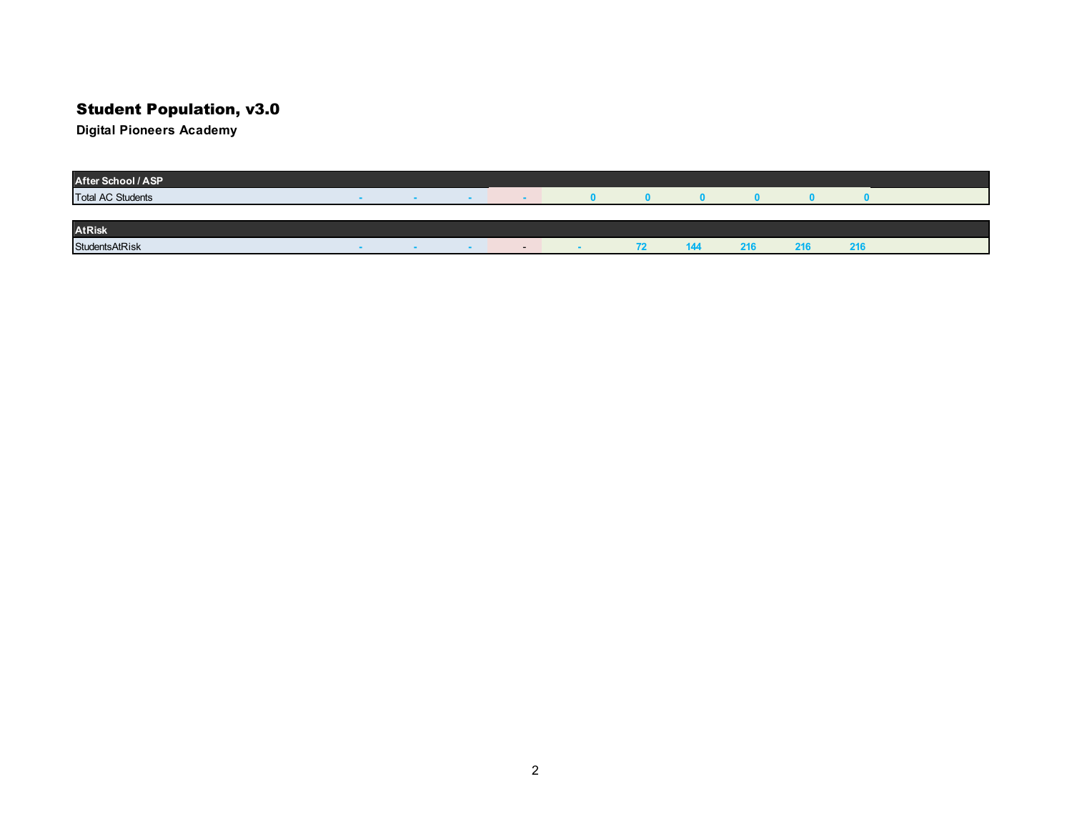# Student Population, v3.0

| After School / ASP       |  |     |                          |              |       |     |     |     |  |
|--------------------------|--|-----|--------------------------|--------------|-------|-----|-----|-----|--|
| <b>Total AC Students</b> |  | -   |                          |              |       |     |     |     |  |
|                          |  |     |                          |              |       |     |     |     |  |
| <b>AtRisk</b>            |  |     |                          |              |       |     |     |     |  |
| StudentsAtRisk           |  | . . | $\overline{\phantom{a}}$ | $\mathbf{r}$ | 4 A . | 216 | 216 | 216 |  |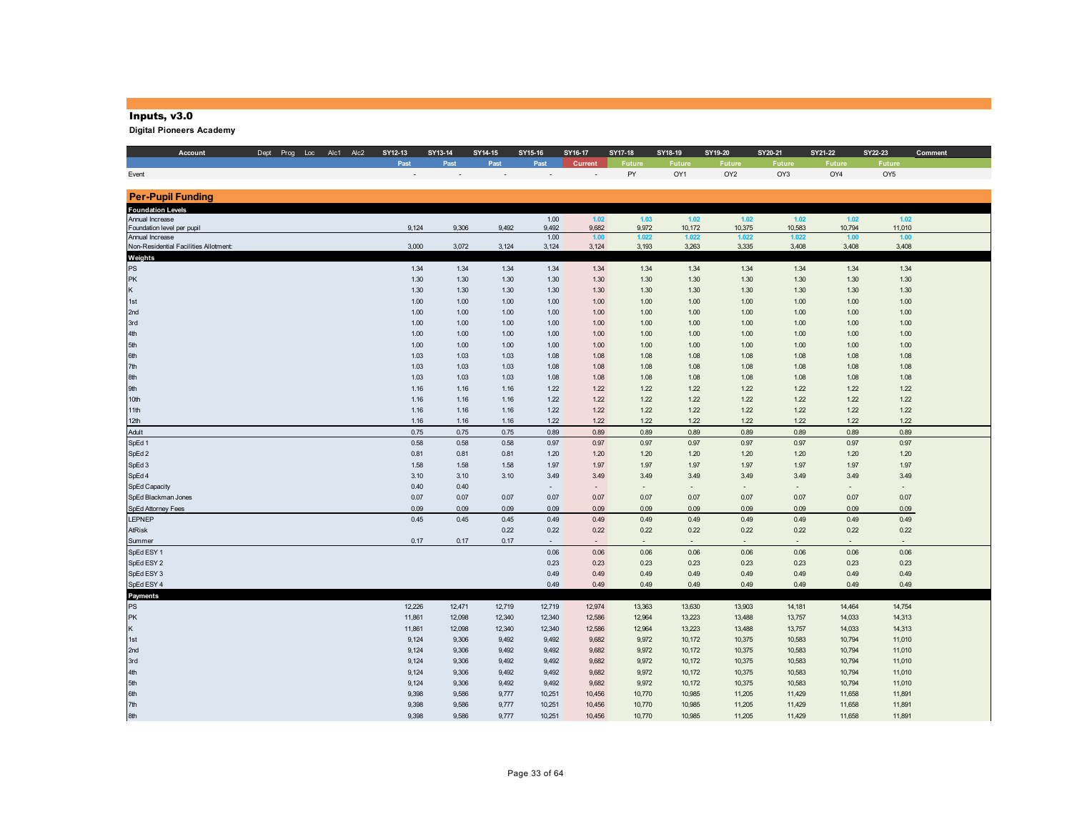#### Inputs, v3.0

| Account                                                  | Dept Prog Loc Alc1 Alc2 | SY12-13      | SY13-14      | SY14-15      | SY15-16       | SY16-17       | SY17-18                  | SY18-19        | SY19-20         | SY20-21        | SY21-22       | SY22-23         | Comment |
|----------------------------------------------------------|-------------------------|--------------|--------------|--------------|---------------|---------------|--------------------------|----------------|-----------------|----------------|---------------|-----------------|---------|
|                                                          |                         | Past         | Past         | Past         | Past          | Current       | <b>Future</b>            | <b>Future</b>  | <b>Future</b>   | <b>Future</b>  | <b>Future</b> | <b>Future</b>   |         |
| Event                                                    |                         |              |              |              |               |               | PY                       | OY1            | OY <sub>2</sub> | OY3            | OY4           | OY <sub>5</sub> |         |
|                                                          |                         |              |              |              |               |               |                          |                |                 |                |               |                 |         |
| <b>Per-Pupil Funding</b>                                 |                         |              |              |              |               |               |                          |                |                 |                |               |                 |         |
| <b>Foundation Levels</b>                                 |                         |              |              |              |               |               |                          |                |                 |                |               |                 |         |
| Annual Increase                                          |                         |              |              |              | 1.00          | 1.02          | 1.03                     | 1.02           | $1.02$          | $1.02$         | 1.02          | 1.02            |         |
| Foundation level per pupil                               |                         | 9,124        | 9,306        | 9,492        | 9,492         | 9,682         | 9,972                    | 10,172         | 10,375          | 10,583         | 10,794        | 11,010          |         |
| Annual Increase<br>Non-Residential Facilities Allotment: |                         | 3,000        | 3,072        | 3,124        | 1.00<br>3,124 | 1.00<br>3,124 | 1.022<br>3,193           | 1.022<br>3,263 | 1.022<br>3,335  | 1.022<br>3,408 | 1.00<br>3,408 | 1.00<br>3,408   |         |
|                                                          |                         |              |              |              |               |               |                          |                |                 |                |               |                 |         |
| Weights<br>PS                                            |                         | 1.34         | 1.34         | 1.34         | 1.34          | 1.34          | 1.34                     | 1.34           | 1.34            | 1.34           | 1.34          | 1.34            |         |
| PK                                                       |                         | 1.30         | 1.30         |              |               |               |                          | 1.30           | 1.30            | 1.30           | 1.30          | 1.30            |         |
| K                                                        |                         | 1.30         | 1.30         | 1.30<br>1.30 | 1.30<br>1.30  | 1.30<br>1.30  | 1.30<br>1.30             | 1.30           | 1.30            | 1.30           | 1.30          | 1.30            |         |
|                                                          |                         |              |              |              |               |               |                          |                |                 |                |               |                 |         |
| 1st<br>2nd                                               |                         | 1.00         | 1.00<br>1.00 | 1.00<br>1.00 | 1.00          | 1.00          | 1.00                     | 1.00<br>1.00   | 1.00<br>1.00    | 1.00<br>1.00   | 1.00          | 1.00<br>1.00    |         |
| 3rd                                                      |                         | 1.00<br>1.00 | 1.00         | 1.00         | 1.00<br>1.00  | 1.00<br>1.00  | 1.00<br>1.00             | 1.00           | 1.00            | 1.00           | 1.00<br>1.00  | 1.00            |         |
| 4th                                                      |                         | 1.00         | 1.00         | 1.00         | 1.00          | 1.00          | 1.00                     | 1.00           | 1.00            | 1.00           | 1.00          | 1.00            |         |
| 5th                                                      |                         | 1.00         | 1.00         | 1.00         |               | 1.00          | 1.00                     | 1.00           | 1.00            | 1.00           | 1.00          | 1.00            |         |
| 6th                                                      |                         | 1.03         | 1.03         | 1.03         | 1.00          |               | 1.08                     | 1.08           | 1.08            | 1.08           | 1.08          | 1.08            |         |
| 7th                                                      |                         | 1.03         | 1.03         | 1.03         | 1.08<br>1.08  | 1.08<br>1.08  | 1.08                     | 1.08           | 1.08            | 1.08           | 1.08          | 1.08            |         |
| 8th                                                      |                         | 1.03         | 1.03         | 1.03         | 1.08          | 1.08          | 1.08                     | 1.08           | 1.08            | 1.08           | 1.08          | 1.08            |         |
| 9th                                                      |                         | 1.16         | 1.16         | 1.16         | 1.22          | 1.22          | 1.22                     | 1.22           | 1.22            | 1.22           | 1.22          | 1.22            |         |
| 10th                                                     |                         | 1.16         | 1.16         | 1.16         | 1.22          | 1.22          | 1.22                     | 1.22           | 1.22            | 1.22           | 1.22          | 1.22            |         |
| 11th                                                     |                         | 1.16         | 1.16         | 1.16         | 1.22          | 1.22          | 1.22                     | 1.22           | 1.22            | 1.22           | 1.22          | 1.22            |         |
| 12th                                                     |                         | 1.16         | 1.16         | 1.16         | 1.22          | 1.22          | 1.22                     | 1.22           | 1.22            | 1.22           | 1.22          | 1.22            |         |
| Adult                                                    |                         | 0.75         | 0.75         | 0.75         | 0.89          | 0.89          | 0.89                     | 0.89           | 0.89            | 0.89           | 0.89          | 0.89            |         |
| SpEd 1                                                   |                         | 0.58         | 0.58         | 0.58         | 0.97          | 0.97          | 0.97                     | 0.97           | 0.97            | 0.97           | 0.97          | 0.97            |         |
| SpEd 2                                                   |                         | 0.81         | 0.81         | 0.81         | 1.20          | 1.20          | 1.20                     | 1.20           | 1.20            | 1.20           | 1.20          | 1.20            |         |
| SpEd 3                                                   |                         | 1.58         | 1.58         | 1.58         | 1.97          | 1.97          | 1.97                     | 1.97           | 1.97            | 1.97           | 1.97          | 1.97            |         |
| SpEd 4                                                   |                         | 3.10         | 3.10         | 3.10         | 3.49          | 3.49          | 3.49                     | 3.49           | 3.49            | 3.49           | 3.49          | 3.49            |         |
| SpEd Capacity                                            |                         | 0.40         | 0.40         |              | $\sim$        | $\sim$        | $\overline{\phantom{a}}$ | $\sim$         | $\sim$          | $\sim$         | $\sim$        | $\sim$          |         |
| SpEd Blackman Jones                                      |                         | 0.07         | 0.07         | 0.07         | 0.07          | 0.07          | 0.07                     | 0.07           | 0.07            | 0.07           | 0.07          | 0.07            |         |
| SpEd Attorney Fees                                       |                         | 0.09         | 0.09         | 0.09         | 0.09          | 0.09          | 0.09                     | 0.09           | 0.09            | 0.09           | 0.09          | 0.09            |         |
| <b>LEPNEP</b>                                            |                         | 0.45         | 0.45         | 0.45         | 0.49          | 0.49          | 0.49                     | 0.49           | 0.49            | 0.49           | 0.49          | 0.49            |         |
| AtRisk                                                   |                         |              |              | 0.22         | 0.22          | 0.22          | 0.22                     | 0.22           | 0.22            | 0.22           | 0.22          | 0.22            |         |
| Summer                                                   |                         | 0.17         | 0.17         | 0.17         | ÷.            | $\sim$        | $\sim$                   | $\sim$         | $\sim$          | $\sim$         |               | $\sim$          |         |
| SpEd ESY 1                                               |                         |              |              |              | 0.06          | 0.06          | 0.06                     | 0.06           | 0.06            | 0.06           | 0.06          | 0.06            |         |
| SpEd ESY 2                                               |                         |              |              |              | 0.23          | 0.23          | 0.23                     | 0.23           | 0.23            | 0.23           | 0.23          | 0.23            |         |
| SpEd ESY 3                                               |                         |              |              |              | 0.49          | 0.49          | 0.49                     | 0.49           | 0.49            | 0.49           | 0.49          | 0.49            |         |
| SpEd ESY 4                                               |                         |              |              |              | 0.49          | 0.49          | 0.49                     | 0.49           | 0.49            | 0.49           | 0.49          | 0.49            |         |
| Payments                                                 |                         |              |              |              |               |               |                          |                |                 |                |               |                 |         |
| PS                                                       |                         | 12,226       | 12,471       | 12,719       | 12,719        | 12,974        | 13,363                   | 13,630         | 13,903          | 14,181         | 14,464        | 14,754          |         |
| PK                                                       |                         | 11,861       | 12,098       | 12,340       | 12,340        | 12,586        | 12,964                   | 13,223         | 13,488          | 13,757         | 14,033        | 14,313          |         |
| K                                                        |                         | 11,861       | 12,098       | 12,340       | 12,340        | 12,586        | 12,964                   | 13,223         | 13,488          | 13,757         | 14,033        | 14,313          |         |
| 1st                                                      |                         | 9,124        | 9,306        | 9,492        | 9,492         | 9,682         | 9,972                    | 10,172         | 10,375          | 10,583         | 10,794        | 11,010          |         |
| 2nd                                                      |                         | 9,124        | 9,306        | 9,492        | 9,492         | 9,682         | 9,972                    | 10,172         | 10,375          | 10,583         | 10,794        | 11,010          |         |
| 3rd                                                      |                         | 9,124        | 9,306        | 9,492        | 9,492         | 9,682         | 9,972                    | 10,172         | 10,375          | 10,583         | 10,794        | 11,010          |         |
| 4th                                                      |                         | 9,124        | 9,306        | 9,492        | 9,492         | 9,682         | 9,972                    | 10,172         | 10,375          | 10,583         | 10,794        | 11,010          |         |
| 5th                                                      |                         | 9,124        | 9,306        | 9,492        | 9,492         | 9,682         | 9,972                    | 10,172         | 10,375          | 10,583         | 10,794        | 11,010          |         |
| 6th                                                      |                         | 9,398        | 9,586        | 9,777        | 10,251        | 10,456        | 10,770                   | 10,985         | 11,205          | 11,429         | 11,658        | 11,891          |         |
| 7th                                                      |                         | 9,398        | 9,586        | 9,777        | 10,251        | 10,456        | 10,770                   | 10,985         | 11,205          | 11,429         | 11,658        | 11,891          |         |
| 8th                                                      |                         | 9,398        | 9,586        | 9,777        | 10,251        | 10,456        | 10,770                   | 10,985         | 11,205          | 11,429         | 11,658        | 11,891          |         |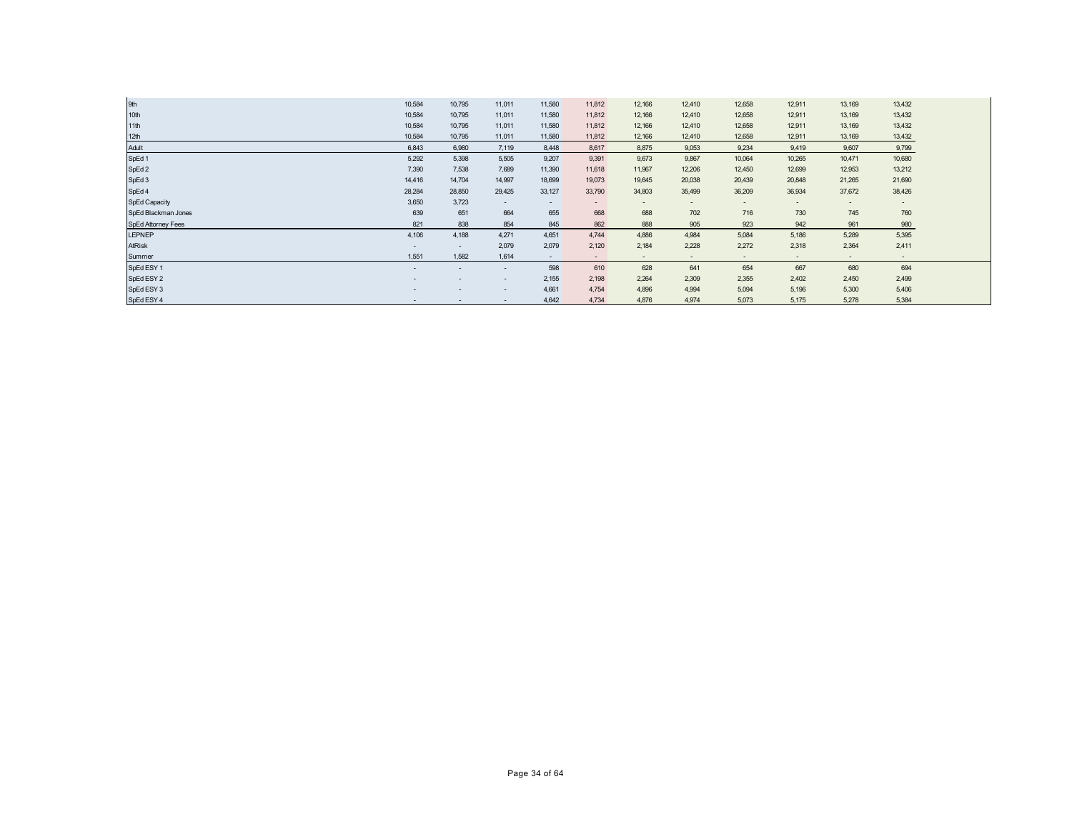| 9th                 | 10,584                   | 10,795 | 11,011                   | 11,580                   | 11,812                   | 12,166                   | 12,410                   | 12,658                   | 12,911                   | 13,169 | 13,432                   |
|---------------------|--------------------------|--------|--------------------------|--------------------------|--------------------------|--------------------------|--------------------------|--------------------------|--------------------------|--------|--------------------------|
| 10th                | 10,584                   | 10,795 | 11,011                   | 11,580                   | 11,812                   | 12,166                   | 12,410                   | 12,658                   | 12,911                   | 13,169 | 13,432                   |
| 11th                | 10,584                   | 10,795 | 11,011                   | 11,580                   | 11,812                   | 12,166                   | 12,410                   | 12,658                   | 12,911                   | 13,169 | 13,432                   |
| 12th                | 10,584                   | 10,795 | 11,011                   | 11,580                   | 11,812                   | 12,166                   | 12,410                   | 12,658                   | 12,911                   | 13,169 | 13,432                   |
| Adult               | 6,843                    | 6,980  | 7.119                    | 8,448                    | 8.617                    | 8,875                    | 9,053                    | 9,234                    | 9,419                    | 9.607  | 9,799                    |
| SpEd 1              | 5,292                    | 5,398  | 5,505                    | 9,207                    | 9,391                    | 9,673                    | 9,867                    | 10,064                   | 10,265                   | 10,471 | 10,680                   |
| SpEd 2              | 7,390                    | 7.538  | 7,689                    | 11,390                   | 11,618                   | 11,967                   | 12,206                   | 12,450                   | 12,699                   | 12,953 | 13,212                   |
| SpEd 3              | 14,416                   | 14,704 | 14,997                   | 18,699                   | 19,073                   | 19,645                   | 20,038                   | 20,439                   | 20,848                   | 21,265 | 21,690                   |
| SpEd 4              | 28,284                   | 28,850 | 29,425                   | 33,127                   | 33,790                   | 34,803                   | 35,499                   | 36,209                   | 36,934                   | 37,672 | 38,426                   |
| SpEd Capacity       | 3,650                    | 3,723  | $\overline{\phantom{a}}$ | $\overline{\phantom{0}}$ | $\overline{\phantom{a}}$ | $\overline{\phantom{0}}$ | $\overline{\phantom{a}}$ | $\overline{\phantom{a}}$ | $\overline{\phantom{a}}$ | $\sim$ | $\overline{\phantom{a}}$ |
| SpEd Blackman Jones | 639                      | 651    | 664                      | 655                      | 668                      | 688                      | 702                      | 716                      | 730                      | 745    | 760                      |
| SpEd Attorney Fees  | 821                      | 838    | 854                      | 845                      | 862                      | 888                      | 905                      | 923                      | 942                      | 961    | 980                      |
| <b>LEPNEP</b>       | 4,106                    | 4,188  | 4,271                    | 4,651                    | 4.744                    | 4,886                    | 4,984                    | 5,084                    | 5,186                    | 5,289  | 5,395                    |
| <b>AtRisk</b>       | $\overline{\phantom{a}}$ | $\sim$ | 2,079                    | 2,079                    | 2,120                    | 2,184                    | 2,228                    | 2,272                    | 2,318                    | 2,364  | 2,411                    |
| Summer              | 1,551                    | 1.582  | 1,614                    | $\sim$                   | $\overline{\phantom{a}}$ | $\sim$                   | $\sim$                   | $\sim$                   | $\sim$                   | $\sim$ | $\overline{\phantom{a}}$ |
| SpEd ESY 1          | -                        |        | $\overline{\phantom{a}}$ | 598                      | 610                      | 628                      | 641                      | 654                      | 667                      | 680    | 694                      |
| SpEd ESY 2          | -                        |        | $\overline{\phantom{a}}$ | 2,155                    | 2,198                    | 2,264                    | 2,309                    | 2,355                    | 2,402                    | 2,450  | 2,499                    |
| SpEd ESY 3          |                          |        | $\overline{\phantom{a}}$ | 4,661                    | 4,754                    | 4,896                    | 4,994                    | 5,094                    | 5,196                    | 5,300  | 5,406                    |
| SpEd ESY 4          | $\overline{\phantom{a}}$ |        | $\overline{\phantom{a}}$ | 4,642                    | 4,734                    | 4.876                    | 4.974                    | 5,073                    | 5,175                    | 5.278  | 5,384                    |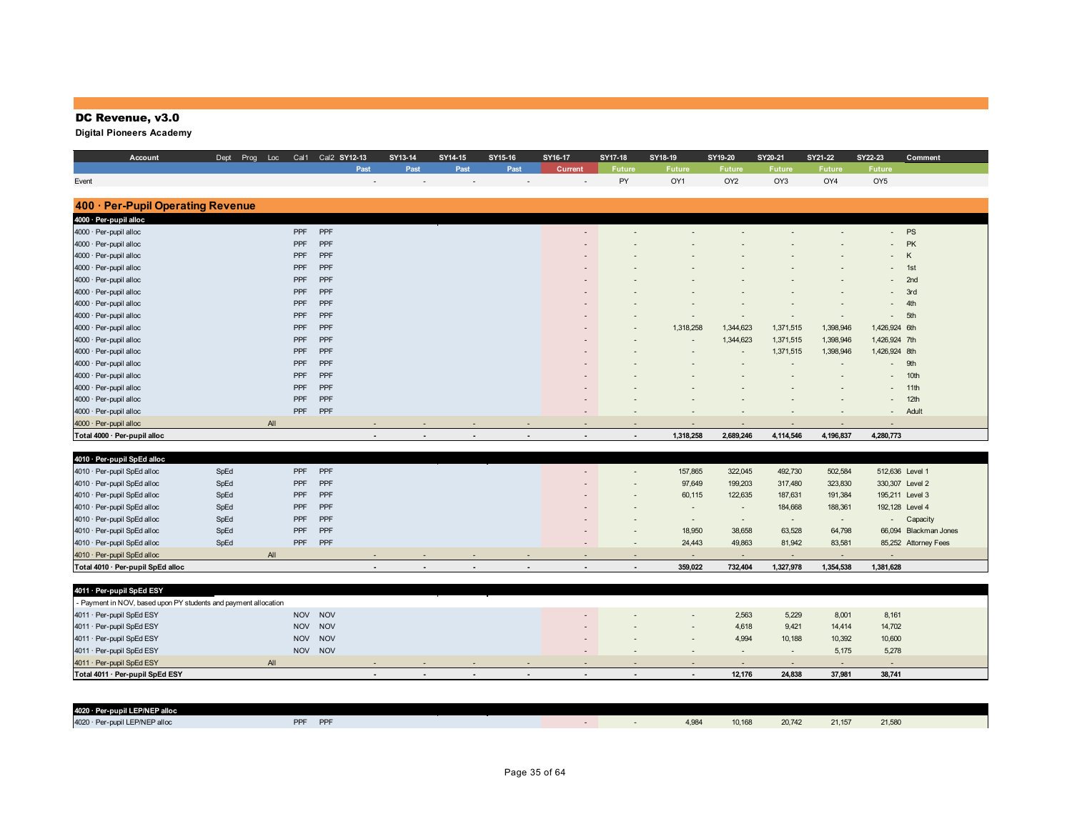## DC Revenue, v3.0

| Account                           | Dept<br>Prog | Loc        | Cal1 Cal2 SY12-13        | SY13-14 | SY14-15 | SY15-16                  | SY16-17                  | SY17-18                  | SY18-19                  | SY19-20                  | SY20-21       | SY21-22   | SY22-23         | Comment               |
|-----------------------------------|--------------|------------|--------------------------|---------|---------|--------------------------|--------------------------|--------------------------|--------------------------|--------------------------|---------------|-----------|-----------------|-----------------------|
|                                   |              |            | Past                     | Past    | Past    | Past                     | <b>Current</b>           | Future                   | <b>Future</b>            | <b>Future</b>            | <b>Future</b> | Future    | Future          |                       |
| Event                             |              |            |                          |         |         |                          |                          | PY                       | OY1                      | OY <sub>2</sub>          | OY3           | OY4       | OY <sub>5</sub> |                       |
|                                   |              |            |                          |         |         |                          |                          |                          |                          |                          |               |           |                 |                       |
| 400 · Per-Pupil Operating Revenue |              |            |                          |         |         |                          |                          |                          |                          |                          |               |           |                 |                       |
| 4000 · Per-pupil alloc            |              |            |                          |         |         |                          |                          |                          |                          |                          |               |           |                 |                       |
| 4000 · Per-pupil alloc            |              | PPF        | PPF                      |         |         |                          |                          |                          |                          |                          |               |           | <b>PS</b>       |                       |
| 4000 · Per-pupil alloc            |              | PPF        | PPF                      |         |         |                          |                          |                          |                          |                          |               |           | PK              |                       |
| 4000 · Per-pupil alloc            |              | PPF        | PPF                      |         |         |                          |                          |                          |                          |                          |               |           | K               |                       |
| 4000 · Per-pupil alloc            |              | PPF        | PPF                      |         |         |                          |                          |                          |                          |                          |               |           | 1st             |                       |
| 4000 · Per-pupil alloc            |              | PPF        | PPF                      |         |         |                          |                          |                          |                          |                          |               |           | 2nd             |                       |
| 4000 · Per-pupil alloc            |              | PPF        | PPF                      |         |         |                          |                          |                          |                          |                          |               |           | 3rd             |                       |
| 4000 · Per-pupil alloc            |              | PPF        | PPF                      |         |         |                          |                          |                          |                          |                          |               |           | 4th             |                       |
| 4000 · Per-pupil alloc            |              | PPF        | PPF                      |         |         |                          |                          |                          |                          |                          |               |           | 5th             |                       |
| 4000 · Per-pupil alloc            |              | PPF        | PPF                      |         |         |                          |                          |                          | 1,318,258                | 1,344,623                | 1,371,515     | 1,398,946 | 1,426,924 6th   |                       |
| 4000 · Per-pupil alloc            |              | <b>PPF</b> | PPF                      |         |         |                          |                          |                          |                          | 1,344,623                | 1,371,515     | 1,398,946 | 1,426,924 7th   |                       |
| 4000 · Per-pupil alloc            |              | PPF        | PPF                      |         |         |                          |                          |                          |                          | $\blacksquare$           | 1,371,515     | 1,398,946 | 1,426,924 8th   |                       |
| 4000 · Per-pupil alloc            |              | PPF        | PPF                      |         |         |                          |                          |                          |                          |                          |               |           | 9th             |                       |
| 4000 · Per-pupil alloc            |              | PPF        | PPF                      |         |         |                          |                          |                          |                          |                          |               |           |                 | 10th                  |
| 4000 · Per-pupil alloc            |              | PPF        | PPF                      |         |         |                          |                          |                          |                          |                          |               |           | 11th            |                       |
| 4000 · Per-pupil alloc            |              | PPF        | PPF                      |         |         |                          |                          |                          |                          |                          |               |           | 12th            |                       |
| 4000 · Per-pupil alloc            |              | PPF        | PPF                      |         |         |                          |                          |                          |                          |                          |               |           | $\sim$          | Adult                 |
| 4000 · Per-pupil alloc            |              | All        |                          |         |         |                          |                          |                          |                          |                          |               |           |                 |                       |
| Total 4000 · Per-pupil alloc      |              |            | $\overline{\phantom{a}}$ |         |         | $\overline{\phantom{a}}$ | $\overline{\phantom{a}}$ | $\blacksquare$           | 1,318,258                | 2,689,246                | 4,114,546     | 4,196,837 | 4,280,773       |                       |
|                                   |              |            |                          |         |         |                          |                          |                          |                          |                          |               |           |                 |                       |
| 4010 · Per-pupil SpEd alloc       |              |            |                          |         |         |                          |                          |                          |                          |                          |               |           |                 |                       |
| 4010 · Per-pupil SpEd alloc       | SpEd         | PPF        | PPF                      |         |         |                          |                          |                          | 157,865                  | 322,045                  | 492,730       | 502,584   | 512,636 Level 1 |                       |
| 4010 · Per-pupil SpEd alloc       | SpEd         | PPF        | PPF                      |         |         |                          |                          |                          | 97,649                   | 199,203                  | 317,480       | 323,830   | 330,307 Level 2 |                       |
| 4010 · Per-pupil SpEd alloc       | SpEd         | PPF        | PPF                      |         |         |                          |                          |                          | 60,115                   | 122,635                  | 187,631       | 191,384   | 195,211 Level 3 |                       |
| 4010 · Per-pupil SpEd alloc       | SpEd         | <b>PPF</b> | PPF                      |         |         |                          |                          |                          | $\overline{\phantom{a}}$ | $\overline{\phantom{a}}$ | 184,668       | 188,361   | 192,128 Level 4 |                       |
| 4010 · Per-pupil SpEd alloc       | SpEd         | PPF        | PPF                      |         |         |                          |                          |                          | $\sim$                   | $\sim$                   | $\sim$        | $\sim$    | $\sim$          | Capacity              |
| 4010 · Per-pupil SpEd alloc       | SpEd         | PPF        | PPF                      |         |         |                          |                          |                          | 18,950                   | 38,658                   | 63,528        | 64,798    |                 | 66,094 Blackman Jones |
| 4010 · Per-pupil SpEd alloc       | SpEd         | PPF        | PPF                      |         |         |                          |                          | $\overline{\phantom{a}}$ | 24,443                   | 49,863                   | 81,942        | 83,581    |                 | 85,252 Attorney Fees  |
| 4010 · Per-pupil SpEd alloc       |              | All        |                          |         |         |                          |                          |                          | ٠                        | $\blacksquare$           |               |           |                 |                       |
| Total 4010 · Per-pupil SpEd alloc |              |            |                          |         |         |                          | $\blacksquare$           | $\blacksquare$           | 359,022                  | 732,404                  | 1,327,978     | 1,354,538 | 1,381,628       |                       |
|                                   |              |            |                          |         |         |                          |                          |                          |                          |                          |               |           |                 |                       |

| Total 4011 · Per-pupil SpEd ESY                                 |         | $\sim$ |  |        |                          |  | 12.176 | 24,838                   | 37.981 | 38,741 |  |
|-----------------------------------------------------------------|---------|--------|--|--------|--------------------------|--|--------|--------------------------|--------|--------|--|
| 4011 · Per-pupil SpEd ESY<br>AlI                                |         |        |  | $\sim$ |                          |  |        | $\overline{\phantom{a}}$ |        |        |  |
| 4011 · Per-pupil SpEd ESY                                       | NOV NOV |        |  |        | $\sim$                   |  |        |                          | 5.175  | 5,278  |  |
| 4011 · Per-pupil SpEd ESY                                       | NOV NOV |        |  |        | $\overline{\phantom{a}}$ |  | 4,994  | 10,188                   | 10,392 | 10,600 |  |
| 4011 · Per-pupil SpEd ESY                                       | NOV NOV |        |  |        | $\sim$                   |  | 4,618  | 9,421                    | 14,414 | 14,702 |  |
| 4011 · Per-pupil SpEd ESY                                       | NOV NOV |        |  |        | $\overline{\phantom{0}}$ |  | 2,563  | 5,229                    | 8,001  | 8,161  |  |
| - Payment in NOV, based upon PY students and payment allocation |         |        |  |        |                          |  |        |                          |        |        |  |
| 4011 · Per-pupil SpEd ESY                                       |         |        |  |        |                          |  |        |                          |        |        |  |

| 4020 · Per-pupil LEP/NEP alloc |                               |  |      |        |        |       |        |  |
|--------------------------------|-------------------------------|--|------|--------|--------|-------|--------|--|
| 4020 · Per-pupil LEP/NEP alloc | <b>DDE</b><br><b>DPF</b><br>. |  | 4.98 | 10.168 | 20.742 | 21.15 | 21,580 |  |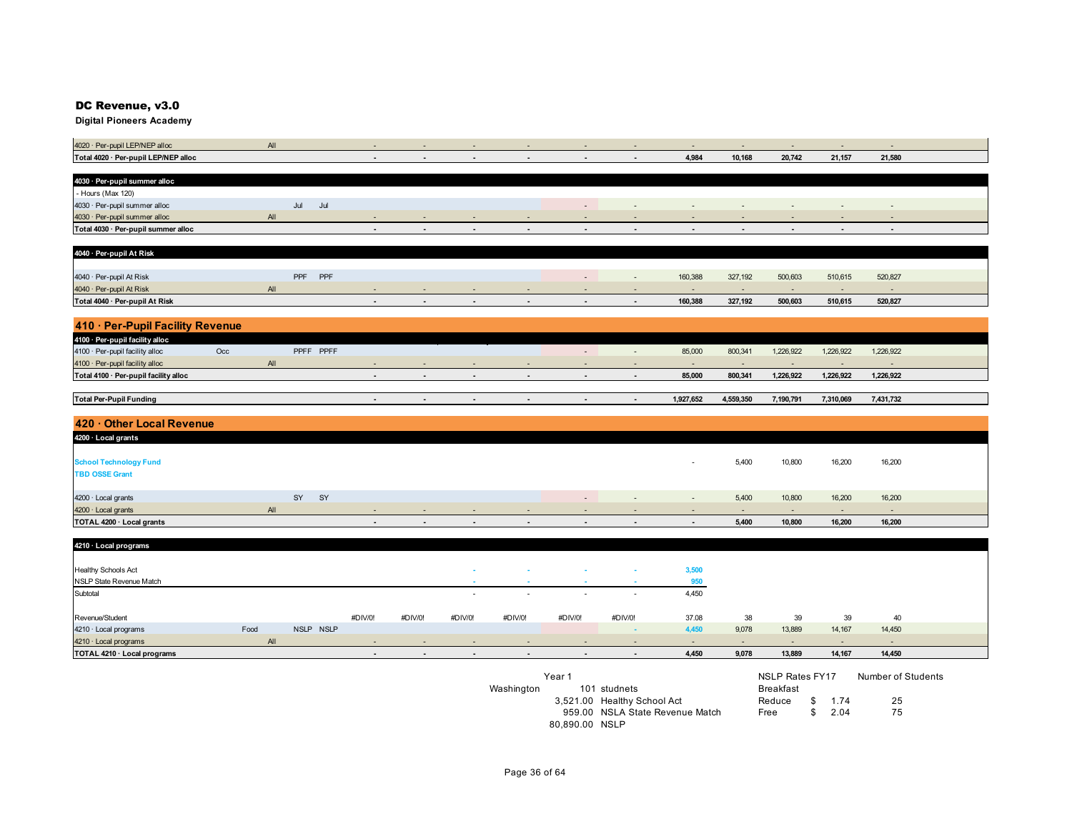#### DC Revenue, v3.0

| 4020 · Per-pupil LEP/NEP alloc           |      | AlI |                   | $\overline{\phantom{a}}$ |                          |                          |                          |                          | $\overline{\phantom{a}}$ | $\sim$                      | $\sim$                   | $\sim$                   | $\sim$    | $\sim$    |  |
|------------------------------------------|------|-----|-------------------|--------------------------|--------------------------|--------------------------|--------------------------|--------------------------|--------------------------|-----------------------------|--------------------------|--------------------------|-----------|-----------|--|
| Total 4020 · Per-pupil LEP/NEP alloc     |      |     |                   | $\overline{a}$           |                          |                          | $\overline{\phantom{a}}$ | $\overline{a}$           | $\overline{\phantom{a}}$ | 4,984                       | 10,168                   | 20,742                   | 21,157    | 21,580    |  |
|                                          |      |     |                   |                          |                          |                          |                          |                          |                          |                             |                          |                          |           |           |  |
| 4030 · Per-pupil summer alloc            |      |     |                   |                          |                          |                          |                          |                          |                          |                             |                          |                          |           |           |  |
| - Hours (Max 120)                        |      |     |                   |                          |                          |                          |                          |                          |                          |                             |                          |                          |           |           |  |
| 4030 · Per-pupil summer alloc            |      | Jul | Jul               |                          |                          |                          |                          | $\overline{\phantom{a}}$ | $\overline{\phantom{a}}$ | $\sim$                      | $\sim$                   | $\sim$                   | $\sim$    | $\sim$    |  |
| 4030 · Per-pupil summer alloc            |      | AlI |                   |                          |                          |                          |                          |                          |                          |                             |                          |                          |           |           |  |
| Total 4030 · Per-pupil summer alloc      |      |     |                   |                          |                          |                          |                          |                          | $\blacksquare$           | ٠                           |                          |                          |           |           |  |
|                                          |      |     |                   |                          |                          |                          |                          |                          |                          |                             |                          |                          |           |           |  |
| 4040 · Per-pupil At Risk                 |      |     |                   |                          |                          |                          |                          |                          |                          |                             |                          |                          |           |           |  |
|                                          |      |     |                   |                          |                          |                          |                          |                          |                          |                             |                          |                          |           |           |  |
| 4040 · Per-pupil At Risk                 |      |     | PPF<br><b>PPF</b> |                          |                          |                          |                          | $\overline{\phantom{a}}$ | $\sim$                   | 160,388                     | 327,192                  | 500,603                  | 510,615   | 520,827   |  |
| 4040 · Per-pupil At Risk                 |      | All |                   | $\overline{\phantom{a}}$ | $\overline{\phantom{a}}$ | $\overline{\phantom{a}}$ |                          | $\overline{\phantom{a}}$ | $\overline{\phantom{a}}$ | $\overline{\phantom{a}}$    | $\overline{\phantom{a}}$ | $\sim$                   | $\sim$    | $\sim$    |  |
| Total 4040 · Per-pupil At Risk           |      |     |                   | $\blacksquare$           | $\blacksquare$           | $\blacksquare$           | $\overline{\phantom{a}}$ | $\overline{\phantom{a}}$ | $\sim$                   | 160,388                     | 327,192                  | 500,603                  | 510,615   | 520,827   |  |
|                                          |      |     |                   |                          |                          |                          |                          |                          |                          |                             |                          |                          |           |           |  |
| 410 · Per-Pupil Facility Revenue         |      |     |                   |                          |                          |                          |                          |                          |                          |                             |                          |                          |           |           |  |
|                                          |      |     |                   |                          |                          |                          |                          |                          |                          |                             |                          |                          |           |           |  |
| 4100 · Per-pupil facility alloc          |      |     |                   |                          |                          |                          |                          |                          |                          |                             |                          |                          |           |           |  |
| 4100 · Per-pupil facility alloc<br>$Occ$ |      |     | PPFF PPFF         |                          |                          |                          |                          | $\overline{\phantom{a}}$ | $\sim$                   | 85,000                      | 800,341                  | 1,226,922                | 1,226,922 | 1,226,922 |  |
| 4100 · Per-pupil facility alloc          |      | AlI |                   | ÷                        |                          |                          |                          |                          |                          | $\sim$                      | $\overline{\phantom{a}}$ | $\overline{\phantom{a}}$ |           |           |  |
| Total 4100 · Per-pupil facility alloc    |      |     |                   | $\blacksquare$           | $\blacksquare$           | $\blacksquare$           | $\blacksquare$           | $\blacksquare$           | $\blacksquare$           | 85,000                      | 800,341                  | 1,226,922                | 1,226,922 | 1,226,922 |  |
|                                          |      |     |                   |                          |                          |                          |                          |                          |                          |                             |                          |                          |           |           |  |
| <b>Total Per-Pupil Funding</b>           |      |     |                   | $\blacksquare$           | $\blacksquare$           | $\blacksquare$           | $\blacksquare$           | $\sim$                   | $\sim$                   | 1,927,652                   | 4,559,350                | 7,190,791                | 7,310,069 | 7,431,732 |  |
|                                          |      |     |                   |                          |                          |                          |                          |                          |                          |                             |                          |                          |           |           |  |
| 420 · Other Local Revenue                |      |     |                   |                          |                          |                          |                          |                          |                          |                             |                          |                          |           |           |  |
| 4200 · Local grants                      |      |     |                   |                          |                          |                          |                          |                          |                          |                             |                          |                          |           |           |  |
|                                          |      |     |                   |                          |                          |                          |                          |                          |                          |                             |                          |                          |           |           |  |
| <b>School Technology Fund</b>            |      |     |                   |                          |                          |                          |                          |                          |                          |                             | 5,400                    | 10,800                   | 16,200    | 16,200    |  |
| <b>TBD OSSE Grant</b>                    |      |     |                   |                          |                          |                          |                          |                          |                          |                             |                          |                          |           |           |  |
|                                          |      |     |                   |                          |                          |                          |                          |                          |                          |                             |                          |                          |           |           |  |
|                                          |      |     |                   |                          |                          |                          |                          |                          |                          |                             |                          |                          |           |           |  |
| 4200 · Local grants                      |      | SY  | SY                |                          |                          |                          |                          | $\overline{\phantom{a}}$ | $\sim$                   | $\mathcal{L}_{\mathcal{A}}$ | 5,400                    | 10,800                   | 16,200    | 16,200    |  |
| 4200 · Local grants                      |      | All |                   |                          | ٠                        |                          |                          | $\overline{\phantom{a}}$ | $\overline{\phantom{a}}$ | $\sim$                      | $\sim$                   | $\sim$                   | $\sim$    | $\sim$    |  |
| TOTAL 4200 · Local grants                |      |     |                   | $\blacksquare$           | $\overline{\phantom{a}}$ | $\overline{\phantom{a}}$ | $\sim$                   | $\overline{\phantom{a}}$ | $\sim$                   | $\blacksquare$              | 5,400                    | 10,800                   | 16,200    | 16,200    |  |
|                                          |      |     |                   |                          |                          |                          |                          |                          |                          |                             |                          |                          |           |           |  |
| 4210 · Local programs                    |      |     |                   |                          |                          |                          |                          |                          |                          |                             |                          |                          |           |           |  |
|                                          |      |     |                   |                          |                          |                          |                          |                          |                          |                             |                          |                          |           |           |  |
| <b>Healthy Schools Act</b>               |      |     |                   |                          |                          |                          |                          |                          |                          | 3,500                       |                          |                          |           |           |  |
| NSLP State Revenue Match                 |      |     |                   |                          |                          |                          |                          |                          |                          | 950                         |                          |                          |           |           |  |
| Subtotal                                 |      |     |                   |                          |                          | $\overline{\phantom{a}}$ |                          |                          |                          | 4,450                       |                          |                          |           |           |  |
|                                          |      |     |                   |                          |                          |                          |                          |                          |                          |                             |                          |                          |           |           |  |
| Revenue/Student                          |      |     |                   | #DIV/0!                  | #DIV/0!                  | #DIV/0!                  | #DIV/0!                  | #DIV/0!                  | #DIV/0!                  | 37.08                       | 38                       | 39                       | 39        | 40        |  |
| 4210 · Local programs                    | Food |     | NSLP NSLP         |                          |                          |                          |                          |                          | $\sim$                   | 4,450                       | 9,078                    | 13,889                   | 14,167    | 14,450    |  |
| 4210 · Local programs                    |      | All |                   | $\overline{\phantom{a}}$ | $\overline{\phantom{a}}$ | $\overline{\phantom{a}}$ | $\overline{\phantom{a}}$ | $\overline{\phantom{a}}$ | $\overline{\phantom{a}}$ | $\sim$                      | $\sim$                   | $\sim$                   | $\sim$    | $\sim$    |  |
| TOTAL 4210 · Local programs              |      |     |                   | $\overline{\phantom{a}}$ | $\blacksquare$           | $\blacksquare$           | $\blacksquare$           | $\blacksquare$           | $\blacksquare$           | 4,450                       | 9,078                    | 13,889                   | 14,167    | 14,450    |  |

|            | Year 1         |                                 | NSLP Rates FY17  |         | Number of Students |
|------------|----------------|---------------------------------|------------------|---------|--------------------|
| Washington |                | 101 studnets                    | <b>Breakfast</b> |         |                    |
|            |                | 3,521.00 Healthy School Act     | Reduce           | \$ 1.74 | 25                 |
|            |                | 959.00 NSLA State Revenue Match | Free             | \$704   | 75                 |
|            | 80.890.00 NSLP |                                 |                  |         |                    |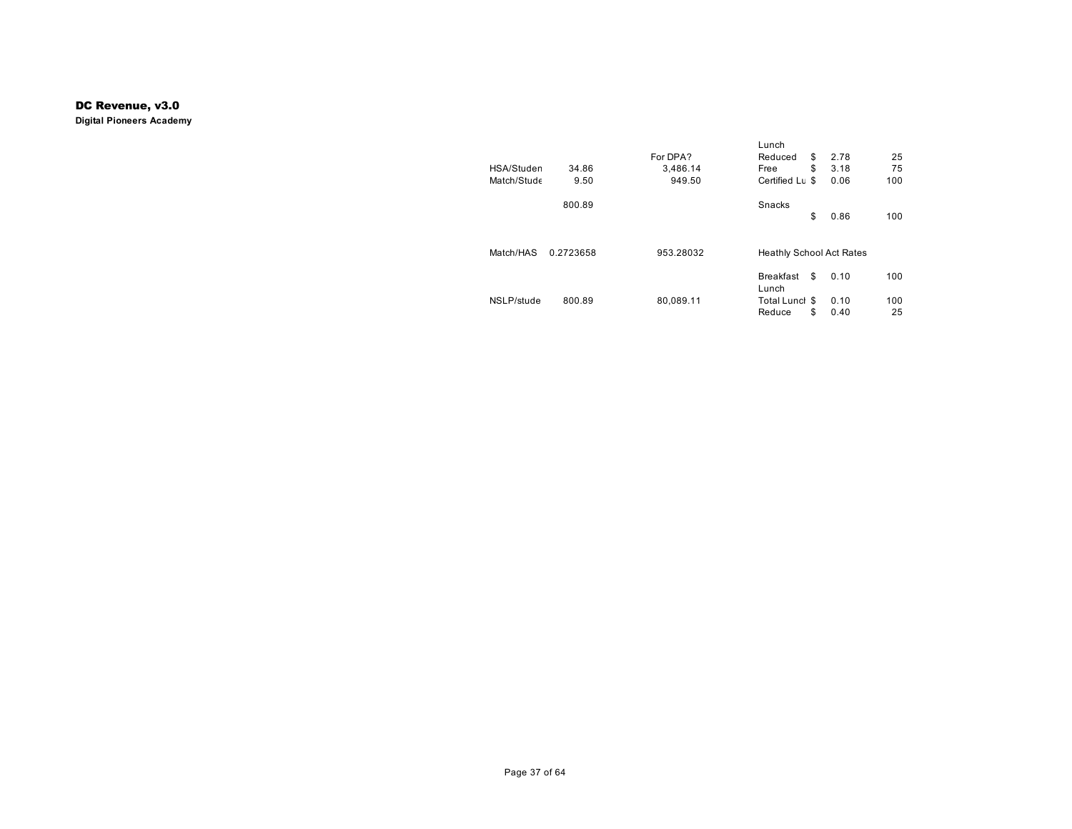#### DC Revenue, v3.0

|             |           |           | Lunch                           |            |     |
|-------------|-----------|-----------|---------------------------------|------------|-----|
|             |           | For DPA?  | Reduced                         | \$<br>2.78 | 25  |
| HSA/Studen  | 34.86     | 3,486.14  | Free                            | \$<br>3.18 | 75  |
| Match/Stude | 9.50      | 949.50    | Certified Lu \$                 | 0.06       | 100 |
|             | 800.89    |           | <b>Snacks</b>                   |            |     |
|             |           |           |                                 | \$<br>0.86 | 100 |
|             |           |           |                                 |            |     |
| Match/HAS   | 0.2723658 | 953.28032 | <b>Heathly School Act Rates</b> |            |     |
|             |           |           | <b>Breakfast</b><br>Lunch       | \$<br>0.10 | 100 |
| NSLP/stude  | 800.89    | 80,089.11 | Total Lunch \$                  | 0.10       | 100 |
|             |           |           | Reduce                          | \$<br>0.40 | 25  |
|             |           |           |                                 |            |     |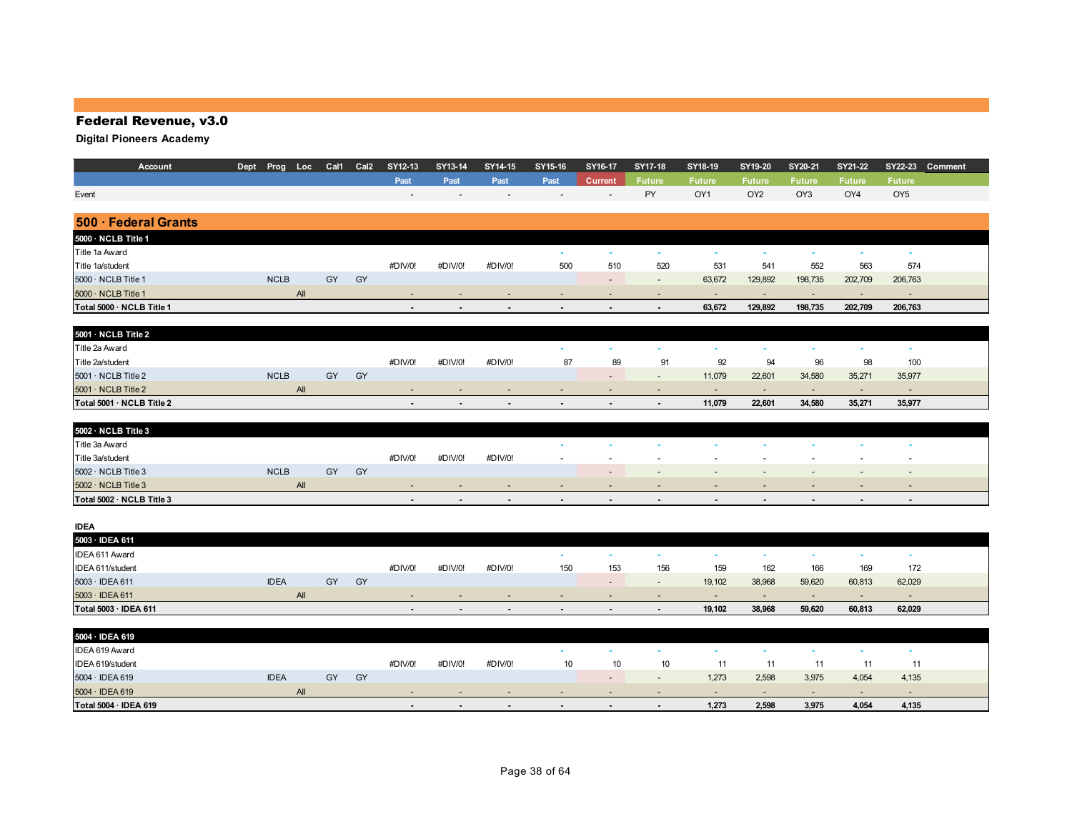## Federal Revenue, v3.0

| Account                          | Dept Prog Loc |    | Cal1 Cal2 | SY12-13        | SY13-14                  | SY14-15        | SY15-16                  | SY16-17                  | SY17-18                  | SY18-19                  | SY19-20                  | SY20-21                     | SY21-22                  | SY22-23         | Comment |
|----------------------------------|---------------|----|-----------|----------------|--------------------------|----------------|--------------------------|--------------------------|--------------------------|--------------------------|--------------------------|-----------------------------|--------------------------|-----------------|---------|
|                                  |               |    |           | Past           | Past                     | Past           | Past                     | <b>Current</b>           | <b>Future</b>            | <b>Future</b>            | <b>Future</b>            | <b>Future</b>               | <b>Future</b>            | <b>Future</b>   |         |
| Event                            |               |    |           |                |                          |                |                          |                          | PY                       | OY1                      | OY <sub>2</sub>          | OY3                         | OY4                      | OY <sub>5</sub> |         |
|                                  |               |    |           |                |                          |                |                          |                          |                          |                          |                          |                             |                          |                 |         |
| 500 · Federal Grants             |               |    |           |                |                          |                |                          |                          |                          |                          |                          |                             |                          |                 |         |
| 5000 · NCLB Title 1              |               |    |           |                |                          |                |                          |                          |                          |                          |                          |                             |                          |                 |         |
| Title 1a Award                   |               |    |           |                |                          |                | ×.                       | $\sim$                   | ¥.                       | $\sim$                   | $\sim$                   | $\sim$                      | $\sim$                   | $\sim$          |         |
| Title 1a/student                 |               |    |           | #DIV/0!        | #DIV/0!                  | #DIV/0!        | 500                      | 510                      | 520                      | 531                      | 541                      | 552                         | 563                      | 574             |         |
| 5000 · NCLB Title 1              | <b>NCLB</b>   | GY | GY        |                |                          |                |                          | $\sim$                   | $\overline{\phantom{a}}$ | 63,672                   | 129,892                  | 198,735                     | 202,709                  | 206,763         |         |
| 5000 · NCLB Title 1              | All           |    |           |                |                          |                | $\overline{\phantom{a}}$ | $\overline{\phantom{a}}$ | ٠                        | $\overline{\phantom{a}}$ | $\overline{\phantom{a}}$ | $\overline{\phantom{a}}$    | $\overline{\phantom{a}}$ | $\sim$          |         |
| Total 5000 · NCLB Title 1        |               |    |           | $\blacksquare$ | $\overline{\phantom{a}}$ | $\overline{a}$ | $\sim$                   | $\blacksquare$           | $\blacksquare$           | 63,672                   | 129,892                  | 198,735                     | 202,709                  | 206,763         |         |
|                                  |               |    |           |                |                          |                |                          |                          |                          |                          |                          |                             |                          |                 |         |
| 5001 · NCLB Title 2              |               |    |           |                |                          |                |                          |                          |                          |                          |                          |                             |                          |                 |         |
| Title 2a Award                   |               |    |           |                |                          |                | ٠                        | $\sim$                   | ٠                        | $\sim$                   | $\sim$                   | $\sim$                      | $\sim$                   | $\sim$          |         |
| Title 2a/student                 |               |    |           | #DIV/0!        | #DIV/0!                  | #DIV/0!        | 87                       | 89                       | 91                       | 92                       | 94                       | 96                          | 98                       | 100             |         |
| $5001 \cdot \text{NCLB}$ Title 2 | <b>NCLB</b>   | GY | GY        |                |                          |                |                          | $\overline{\phantom{a}}$ | $\overline{\phantom{a}}$ | 11,079                   | 22,601                   | 34,580                      | 35,271                   | 35,977          |         |
| $5001 \cdot \text{NCLB}$ Title 2 | All           |    |           | $\blacksquare$ |                          |                | $\blacksquare$           |                          | $\blacksquare$           | $\overline{\phantom{a}}$ | $\blacksquare$           | $\blacksquare$              | $\overline{\phantom{a}}$ | $\sim$          |         |
| Total 5001 · NCLB Title 2        |               |    |           |                |                          |                |                          |                          | $\blacksquare$           | 11,079                   | 22,601                   | 34,580                      | 35,271                   | 35,977          |         |
|                                  |               |    |           |                |                          |                |                          |                          |                          |                          |                          |                             |                          |                 |         |
| 5002 · NCLB Title 3              |               |    |           |                |                          |                |                          |                          |                          |                          |                          |                             |                          |                 |         |
| Title 3a Award                   |               |    |           |                |                          |                | ×                        | <b>A</b>                 | ×.                       | <b>A</b>                 | <b>A</b>                 | ×.                          | ×.                       | o.              |         |
| Title 3a/student                 |               |    |           | #DIV/0!        | #DIV/0!                  | #DIV/0!        |                          |                          |                          |                          | $\overline{\phantom{a}}$ | $\overline{\phantom{a}}$    | $\overline{\phantom{a}}$ |                 |         |
| 5002 · NCLB Title 3              | <b>NCLB</b>   | GY | GY        |                |                          |                |                          | $\overline{\phantom{a}}$ | $\overline{\phantom{a}}$ |                          | $\overline{\phantom{a}}$ | $\overline{\phantom{a}}$    | $\blacksquare$           | $\sim$          |         |
| 5002 · NCLB Title 3              | <b>All</b>    |    |           | ٠              |                          |                | $\overline{\phantom{a}}$ |                          |                          |                          |                          |                             | $\overline{a}$           |                 |         |
| Total 5002 · NCLB Title 3        |               |    |           | $\blacksquare$ | $\blacksquare$           |                | $\blacksquare$           | $\blacksquare$           | $\blacksquare$           | $\overline{\phantom{a}}$ | $\blacksquare$           | $\blacksquare$              | $\blacksquare$           | $\blacksquare$  |         |
|                                  |               |    |           |                |                          |                |                          |                          |                          |                          |                          |                             |                          |                 |         |
| <b>IDEA</b>                      |               |    |           |                |                          |                |                          |                          |                          |                          |                          |                             |                          |                 |         |
| 5003 · IDEA 611                  |               |    |           |                |                          |                |                          |                          |                          |                          |                          |                             |                          |                 |         |
| IDEA 611 Award                   |               |    |           |                |                          |                | $\sim$                   | $\sim$                   | $\sim$                   | $\sim$                   | $\sim$                   | $\sim$                      | $\sim$                   | $\sim$          |         |
| IDEA 611/student                 |               |    |           | #DIV/0!        | #DIV/0!                  | #DIV/0!        | 150                      | 153                      | 156                      | 159                      | 162                      | 166                         | 169                      | 172             |         |
| 5003 · IDEA 611                  | <b>IDEA</b>   | GY | GY        |                |                          |                |                          | $\overline{\phantom{a}}$ | $\overline{\phantom{a}}$ | 19,102                   | 38,968                   | 59,620                      | 60,813                   | 62,029          |         |
| $5003 \cdot$ IDEA 611            | All           |    |           |                |                          |                | $\overline{\phantom{a}}$ | $\overline{a}$           | $\overline{\phantom{a}}$ | $\sim$                   | $\sim$                   | $\overline{\phantom{a}}$    | $\sim$                   | $\sim$          |         |
| Total 5003 · IDEA 611            |               |    |           |                |                          |                | ٠                        |                          | $\blacksquare$           | 19,102                   | 38,968                   | 59,620                      | 60,813                   | 62,029          |         |
|                                  |               |    |           |                |                          |                |                          |                          |                          |                          |                          |                             |                          |                 |         |
| 5004 · IDEA 619                  |               |    |           |                |                          |                |                          |                          |                          |                          |                          |                             |                          |                 |         |
| IDEA 619 Award                   |               |    |           |                |                          |                | $\sim$                   | $\mathbf{r}$             | ¥.                       | ×.                       | $\sim$                   | $\mathcal{L}_{\mathcal{A}}$ | $\mathbf{r}$             | $\sim$          |         |
| IDEA 619/student                 |               |    |           | #DIV/0!        | #DIV/0!                  | #DIV/0!        | 10                       | 10                       | 10                       | 11                       | 11                       | 11                          | 11                       | 11              |         |
| 5004 · IDEA 619                  | <b>IDEA</b>   | GY | GY        |                |                          |                |                          | $\overline{\phantom{a}}$ | $\blacksquare$           | 1,273                    | 2,598                    | 3,975                       | 4,054                    | 4,135           |         |
| $5004 \cdot IDEA$ 619            | All           |    |           |                |                          |                |                          |                          | ٠                        | $\overline{a}$           | $\sim$                   | $\overline{a}$              | $\overline{\phantom{a}}$ | $\sim$          |         |
| Total 5004 · IDEA 619            |               |    |           |                | $\blacksquare$           |                | $\overline{\phantom{a}}$ |                          | $\blacksquare$           | 1,273                    | 2,598                    | 3,975                       | 4,054                    | 4,135           |         |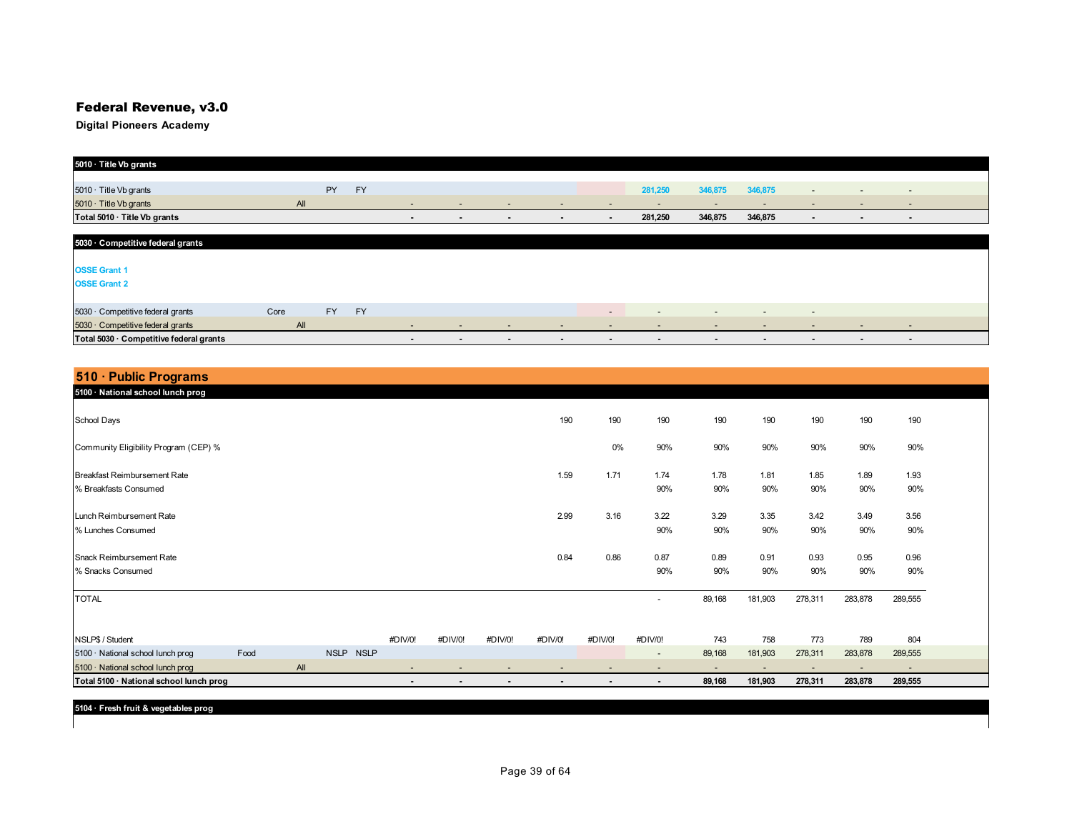## Federal Revenue, v3.0

| 5010 · Title Vb grants                  |      |           |           |                          |                |                          |                          |                          |                          |                          |         |                          |                          |                          |  |
|-----------------------------------------|------|-----------|-----------|--------------------------|----------------|--------------------------|--------------------------|--------------------------|--------------------------|--------------------------|---------|--------------------------|--------------------------|--------------------------|--|
|                                         |      |           |           |                          |                |                          |                          |                          |                          |                          |         |                          |                          |                          |  |
| 5010 · Title Vb grants                  |      | <b>PY</b> | <b>FY</b> |                          |                |                          |                          |                          | 281,250                  | 346,875                  | 346,875 | $\overline{\phantom{a}}$ | $\overline{a}$           | $\overline{\phantom{a}}$ |  |
| $5010 \cdot$ Title Vb grants            |      | All       |           | $\overline{\phantom{a}}$ | $\sim$         | $\overline{\phantom{a}}$ | $\overline{\phantom{0}}$ | $\overline{\phantom{0}}$ | $\sim$                   | $\sim$                   | $\sim$  | $\overline{\phantom{0}}$ | $\overline{\phantom{0}}$ | $\sim$                   |  |
| Total 5010 · Title Vb grants            |      |           |           | $\overline{\phantom{a}}$ | $\sim$         | $\sim$                   |                          | $\sim$                   | 281,250                  | 346,875                  | 346,875 | $\sim$                   | $\blacksquare$           | $\blacksquare$           |  |
|                                         |      |           |           |                          |                |                          |                          |                          |                          |                          |         |                          |                          |                          |  |
| 5030 · Competitive federal grants       |      |           |           |                          |                |                          |                          |                          |                          |                          |         |                          |                          |                          |  |
|                                         |      |           |           |                          |                |                          |                          |                          |                          |                          |         |                          |                          |                          |  |
| <b>OSSE Grant 1</b>                     |      |           |           |                          |                |                          |                          |                          |                          |                          |         |                          |                          |                          |  |
| <b>OSSE Grant 2</b>                     |      |           |           |                          |                |                          |                          |                          |                          |                          |         |                          |                          |                          |  |
|                                         |      |           |           |                          |                |                          |                          |                          |                          |                          |         |                          |                          |                          |  |
| 5030 · Competitive federal grants       | Core | <b>FY</b> | <b>FY</b> |                          |                |                          |                          | $\overline{\phantom{0}}$ | $\overline{\phantom{0}}$ | $\sim$                   | $\sim$  | $\overline{\phantom{0}}$ |                          |                          |  |
| 5030 Competitive federal grants         |      | All       |           | $\sim$                   | $\sim$         | $\overline{\phantom{a}}$ | $\overline{\phantom{a}}$ | $\overline{\phantom{a}}$ | $\sim$                   | $\overline{\phantom{0}}$ | $\sim$  | $\sim$                   | $\sim$                   | $\sim$                   |  |
| Total 5030 · Competitive federal grants |      |           |           | $\sim$                   | $\blacksquare$ | $\blacksquare$           | $\overline{\phantom{a}}$ | $\overline{\phantom{0}}$ | $\blacksquare$           | $\blacksquare$           | $\sim$  | $\sim$                   | $\sim$                   | $\blacksquare$           |  |

| 510 · Public Programs                   |      |     |                            |                |                |         |                |                |                              |                          |         |                          |                          |         |  |
|-----------------------------------------|------|-----|----------------------------|----------------|----------------|---------|----------------|----------------|------------------------------|--------------------------|---------|--------------------------|--------------------------|---------|--|
| 5100 · National school lunch prog       |      |     |                            |                |                |         |                |                |                              |                          |         |                          |                          |         |  |
| School Days                             |      |     |                            |                |                |         | 190            | 190            | 190                          | 190                      | 190     | 190                      | 190                      | 190     |  |
| Community Eligibility Program (CEP) %   |      |     |                            |                |                |         |                | $0\%$          | 90%                          | 90%                      | 90%     | 90%                      | 90%                      | 90%     |  |
| Breakfast Reimbursement Rate            |      |     |                            |                |                |         | 1.59           | 1.71           | 1.74                         | 1.78                     | 1.81    | 1.85                     | 1.89                     | 1.93    |  |
| % Breakfasts Consumed                   |      |     |                            |                |                |         |                |                | 90%                          | 90%                      | 90%     | 90%                      | 90%                      | 90%     |  |
| Lunch Reimbursement Rate                |      |     |                            |                |                |         | 2.99           | 3.16           | 3.22                         | 3.29                     | 3.35    | 3.42                     | 3.49                     | 3.56    |  |
| % Lunches Consumed                      |      |     |                            |                |                |         |                |                | 90%                          | 90%                      | 90%     | 90%                      | 90%                      | 90%     |  |
| Snack Reimbursement Rate                |      |     |                            |                |                |         | 0.84           | 0.86           | 0.87                         | 0.89                     | 0.91    | 0.93                     | 0.95                     | 0.96    |  |
| % Snacks Consumed                       |      |     |                            |                |                |         |                |                | 90%                          | 90%                      | 90%     | 90%                      | 90%                      | 90%     |  |
| <b>TOTAL</b>                            |      |     |                            |                |                |         |                |                | $\overline{\phantom{a}}$     | 89,168                   | 181,903 | 278,311                  | 283,878                  | 289,555 |  |
| NSLP\$ / Student                        |      |     |                            | #DIV/0!        | #DIV/0!        | #DIV/0! | #DIV/0!        | #DIV/0!        | #DIV/0!                      | 743                      | 758     | 773                      | 789                      | 804     |  |
| 5100 · National school lunch prog       | Food |     | <b>NSLP</b><br><b>NSLP</b> |                |                |         |                |                | $\overline{\phantom{a}}$     | 89,168                   | 181,903 | 278,311                  | 283,878                  | 289,555 |  |
| 5100 · National school lunch prog       |      | All |                            |                |                |         |                |                | $\qquad \qquad \blacksquare$ | $\overline{\phantom{a}}$ |         | $\overline{\phantom{a}}$ | $\overline{\phantom{a}}$ |         |  |
| Total 5100 · National school lunch prog |      |     |                            | $\blacksquare$ | $\blacksquare$ | ٠       | $\blacksquare$ | $\blacksquare$ | $\blacksquare$               | 89,168                   | 181,903 | 278,311                  | 283,878                  | 289,555 |  |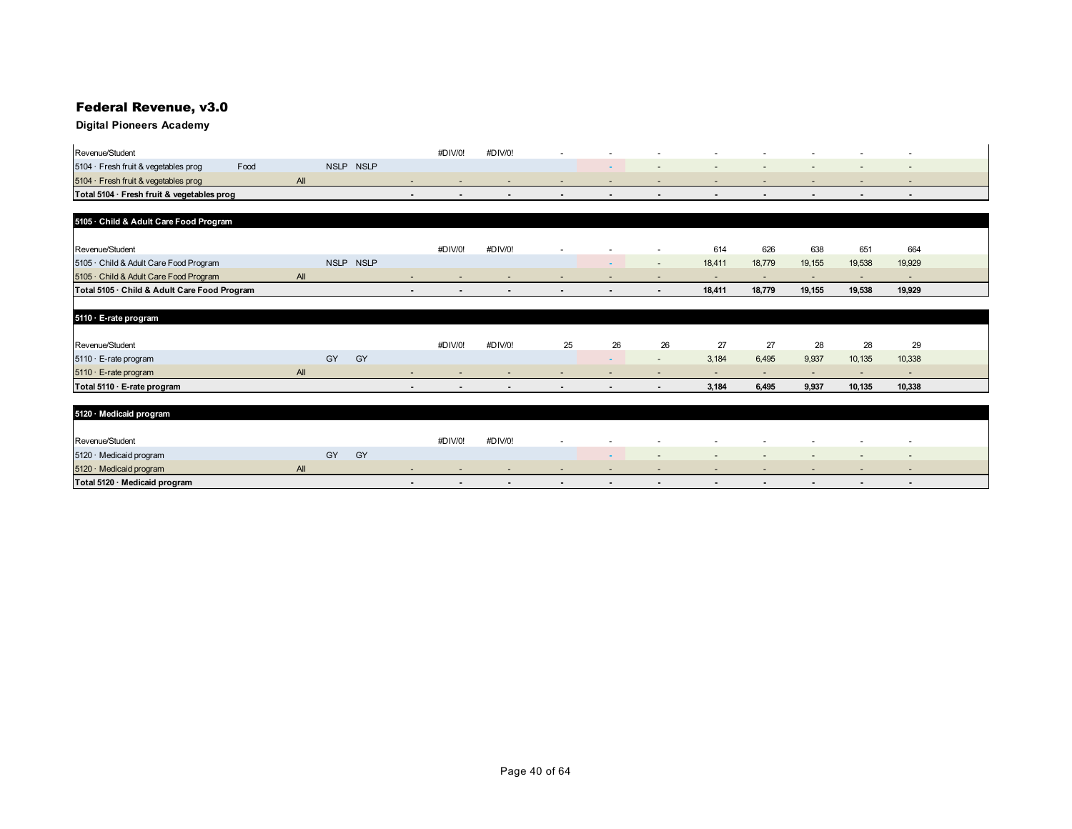## Federal Revenue, v3.0

## **Digital Pioneers Academy**

| Revenue/Student                              |      |     |             |             |                          | #DIV/0!        | #DIV/0!        |                          |                          |                          |                          |                          |                          |                          |                          |  |
|----------------------------------------------|------|-----|-------------|-------------|--------------------------|----------------|----------------|--------------------------|--------------------------|--------------------------|--------------------------|--------------------------|--------------------------|--------------------------|--------------------------|--|
| 5104 · Fresh fruit & vegetables prog         | Food |     | <b>NSLP</b> | <b>NSLP</b> |                          |                |                |                          |                          |                          |                          |                          |                          |                          |                          |  |
| 5104 · Fresh fruit & vegetables prog         |      | AII |             |             | $\overline{\phantom{a}}$ |                |                |                          |                          |                          | $\overline{\phantom{a}}$ |                          |                          |                          | $\overline{\phantom{a}}$ |  |
| Total 5104 · Fresh fruit & vegetables prog   |      |     |             |             | $\overline{\phantom{a}}$ | $\blacksquare$ | $\blacksquare$ | $\overline{\phantom{0}}$ | $\overline{\phantom{a}}$ | $\blacksquare$           | $\blacksquare$           | $\blacksquare$           | $\sim$                   | $\blacksquare$           | $\blacksquare$           |  |
|                                              |      |     |             |             |                          |                |                |                          |                          |                          |                          |                          |                          |                          |                          |  |
| 5105 · Child & Adult Care Food Program       |      |     |             |             |                          |                |                |                          |                          |                          |                          |                          |                          |                          |                          |  |
|                                              |      |     |             |             |                          |                |                |                          |                          |                          |                          |                          |                          |                          |                          |  |
| Revenue/Student                              |      |     |             |             |                          | #DIV/0!        | #DIV/0!        |                          |                          |                          | 614                      | 626                      | 638                      | 651                      | 664                      |  |
| 5105 · Child & Adult Care Food Program       |      |     |             | NSLP NSLP   |                          |                |                |                          | $\sim$                   | $\sim$                   | 18,411                   | 18,779                   | 19,155                   | 19,538                   | 19,929                   |  |
| 5105 · Child & Adult Care Food Program       |      | All |             |             | $\overline{\phantom{a}}$ |                |                |                          |                          | $\overline{a}$           | $\overline{\phantom{a}}$ | $\overline{\phantom{a}}$ | $\overline{\phantom{a}}$ | $\overline{\phantom{a}}$ | $\overline{\phantom{a}}$ |  |
| Total 5105 · Child & Adult Care Food Program |      |     |             |             | $\blacksquare$           | $\blacksquare$ | $\sim$         |                          | $\sim$                   | $\blacksquare$           | 18,411                   | 18,779                   | 19,155                   | 19,538                   | 19,929                   |  |
|                                              |      |     |             |             |                          |                |                |                          |                          |                          |                          |                          |                          |                          |                          |  |
| 5110 · E-rate program                        |      |     |             |             |                          |                |                |                          |                          |                          |                          |                          |                          |                          |                          |  |
|                                              |      |     |             |             |                          |                |                |                          |                          |                          |                          |                          |                          |                          |                          |  |
| Revenue/Student                              |      |     |             |             |                          | #DIV/0!        | #DIV/0!        | 25                       | 26                       | 26                       | 27                       | 27                       | 28                       | 28                       | 29                       |  |
| 5110 · E-rate program                        |      |     | GY          | GY          |                          |                |                |                          |                          | $\overline{\phantom{a}}$ | 3,184                    | 6,495                    | 9,937                    | 10,135                   | 10,338                   |  |
| 5110 · E-rate program                        |      | All |             |             |                          |                |                |                          |                          |                          | $\overline{\phantom{a}}$ | $\overline{a}$           | $\overline{\phantom{0}}$ | $\overline{\phantom{a}}$ | $\overline{\phantom{a}}$ |  |
| Total 5110 · E-rate program                  |      |     |             |             | $\blacksquare$           |                | $\sim$         |                          | $\overline{\phantom{a}}$ | $\blacksquare$           | 3,184                    | 6,495                    | 9,937                    | 10,135                   | 10,338                   |  |
|                                              |      |     |             |             |                          |                |                |                          |                          |                          |                          |                          |                          |                          |                          |  |
| 5120 · Medicaid program                      |      |     |             |             |                          |                |                |                          |                          |                          |                          |                          |                          |                          |                          |  |
|                                              |      |     |             |             |                          |                |                |                          |                          |                          |                          |                          |                          |                          |                          |  |
| Revenue/Student                              |      |     |             |             |                          | #DIV/0!        | #DIV/0!        |                          |                          |                          |                          |                          |                          |                          |                          |  |
| 5120 · Medicaid program                      |      |     | GY          | GY          |                          |                |                |                          |                          |                          | $\overline{\phantom{a}}$ |                          |                          | $\overline{\phantom{a}}$ | $\overline{\phantom{a}}$ |  |
| 5120 · Medicaid program                      |      | All |             |             |                          |                |                |                          |                          |                          |                          |                          |                          |                          |                          |  |

**Total 5120 · Medicaid program and the control of the control of the control of the control of the control of the control of the control of the control of the control of the control of the control of the control of the con**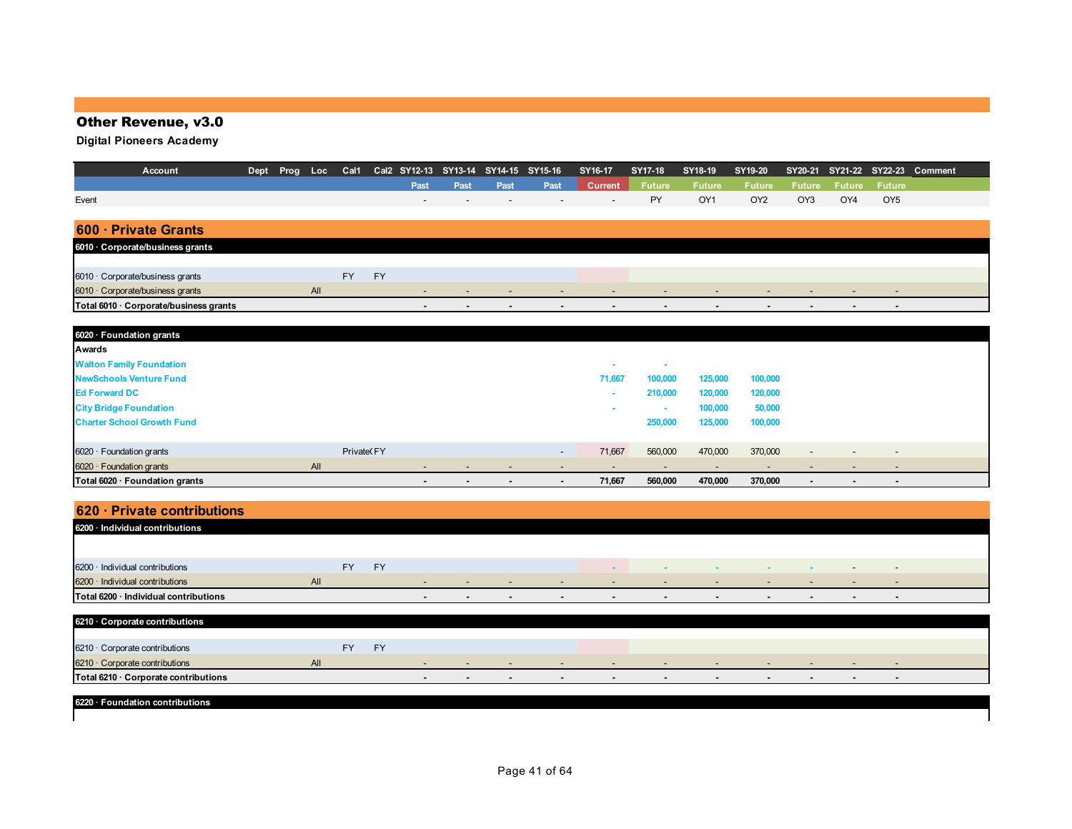## Other Revenue, v3.0

**Digital Pioneers Academy**

| Account                                | Dept | Prog | Loc | Cal1       |           | Cal2 SY12-13 | SY13-14 | SY14-15 | SY15-16                  | SY16-17                  | <b>SY17-18</b>           | SY18-19       | SY19-20         | SY20-21        | SY21-22        |                          | SY22-23 Comment |
|----------------------------------------|------|------|-----|------------|-----------|--------------|---------|---------|--------------------------|--------------------------|--------------------------|---------------|-----------------|----------------|----------------|--------------------------|-----------------|
|                                        |      |      |     |            |           | Past         | Past    | Past    | Past                     | <b>Current</b>           | <b>Future</b>            | <b>Future</b> | <b>Future</b>   | <b>Future</b>  | <b>Future</b>  | <b>Future</b>            |                 |
| Event                                  |      |      |     |            |           |              |         |         |                          |                          | PY                       | OY1           | OY <sub>2</sub> | OY3            | OY4            | OY <sub>5</sub>          |                 |
|                                        |      |      |     |            |           |              |         |         |                          |                          |                          |               |                 |                |                |                          |                 |
| <b>Private Grants</b><br>$600 -$       |      |      |     |            |           |              |         |         |                          |                          |                          |               |                 |                |                |                          |                 |
| 6010 Corporate/business grants         |      |      |     |            |           |              |         |         |                          |                          |                          |               |                 |                |                |                          |                 |
|                                        |      |      |     |            |           |              |         |         |                          |                          |                          |               |                 |                |                |                          |                 |
| 6010 · Corporate/business grants       |      |      |     | <b>FY</b>  | <b>FY</b> |              |         |         |                          |                          |                          |               |                 |                |                |                          |                 |
| 6010 · Corporate/business grants       |      |      | All |            |           |              |         |         |                          |                          | $\overline{\phantom{a}}$ |               |                 |                |                |                          |                 |
| Total 6010 · Corporate/business grants |      |      |     |            |           |              |         |         |                          |                          |                          |               |                 |                | $\blacksquare$ |                          |                 |
|                                        |      |      |     |            |           |              |         |         |                          |                          |                          |               |                 |                |                |                          |                 |
| 6020 · Foundation grants               |      |      |     |            |           |              |         |         |                          |                          |                          |               |                 |                |                |                          |                 |
| Awards                                 |      |      |     |            |           |              |         |         |                          |                          |                          |               |                 |                |                |                          |                 |
| <b>Walton Family Foundation</b>        |      |      |     |            |           |              |         |         |                          |                          |                          |               |                 |                |                |                          |                 |
| <b>NewSchools Venture Fund</b>         |      |      |     |            |           |              |         |         |                          | 71,667                   | 100,000                  | 125,000       | 100,000         |                |                |                          |                 |
| <b>Ed Forward DC</b>                   |      |      |     |            |           |              |         |         |                          | ۰                        | 210,000                  | 120,000       | 120,000         |                |                |                          |                 |
| <b>City Bridge Foundation</b>          |      |      |     |            |           |              |         |         |                          | ۰                        | ٠                        | 100,000       | 50,000          |                |                |                          |                 |
| <b>Charter School Growth Fund</b>      |      |      |     |            |           |              |         |         |                          |                          | 250,000                  | 125,000       | 100,000         |                |                |                          |                 |
|                                        |      |      |     |            |           |              |         |         |                          |                          |                          |               |                 |                |                |                          |                 |
| $6020 \cdot$ Foundation grants         |      |      |     | Private FY |           |              |         |         | $\overline{\phantom{a}}$ | 71,667                   | 560,000                  | 470,000       | 370,000         |                |                | $\overline{\phantom{a}}$ |                 |
| $6020 \cdot$ Foundation grants         |      |      | All |            |           |              |         |         |                          | $\overline{\phantom{a}}$ | $\overline{\phantom{a}}$ |               |                 |                |                | $\overline{\phantom{a}}$ |                 |
| Total 6020 · Foundation grants         |      |      |     |            |           |              |         |         | $\blacksquare$           | 71,667                   | 560,000                  | 470,000       | 370,000         | $\blacksquare$ |                |                          |                 |

## **620 · Private contributions**

| 6200 · Individual contributions       |           |           |  |  |                          |                          |                          |  |  |  |
|---------------------------------------|-----------|-----------|--|--|--------------------------|--------------------------|--------------------------|--|--|--|
|                                       |           |           |  |  |                          |                          |                          |  |  |  |
| 6200 · Individual contributions       | <b>FY</b> | <b>FY</b> |  |  |                          | . .                      | . .                      |  |  |  |
| 6200 · Individual contributions       | All       |           |  |  | $\overline{\phantom{a}}$ | $\overline{\phantom{a}}$ | $\overline{\phantom{a}}$ |  |  |  |
| Total 6200 · Individual contributions |           |           |  |  |                          | $\overline{\phantom{a}}$ |                          |  |  |  |
|                                       |           |           |  |  |                          |                          |                          |  |  |  |
| 6210 Corporate contributions          |           |           |  |  |                          |                          |                          |  |  |  |

| <u><b>BETO COIDOTALE COITLIBULIONS</b></u> |     |        |                          |        |     |                          |   |        |     |  |
|--------------------------------------------|-----|--------|--------------------------|--------|-----|--------------------------|---|--------|-----|--|
|                                            |     |        |                          |        |     |                          |   |        |     |  |
| $6210 -$<br>Corporate contributions        | EY  |        |                          |        |     |                          |   |        |     |  |
| $6210 \cdot$<br>Corporate contributions    | All |        | $\overline{\phantom{0}}$ | $\sim$ | . . | $\overline{\phantom{a}}$ | - | $\sim$ | . . |  |
| Total 6210 · Corporate contributions       |     | $\sim$ |                          | $\sim$ |     |                          |   |        |     |  |
|                                            |     |        |                          |        |     |                          |   |        |     |  |

**6220 · Foundation contributions**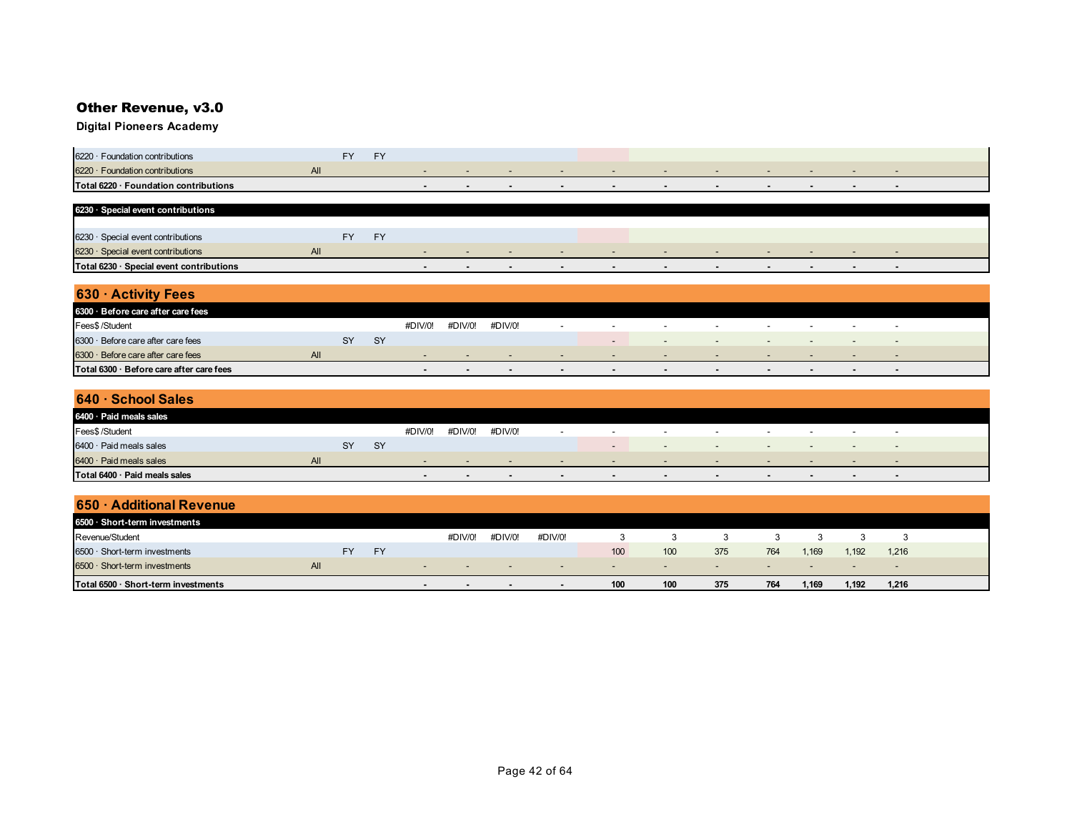## Other Revenue, v3.0

| 6220 · Foundation contributions                        |  |  |  |  |  |  |  |
|--------------------------------------------------------|--|--|--|--|--|--|--|
| $6220 \cdot$ Foundation contributions                  |  |  |  |  |  |  |  |
| <b>Total 6220</b><br>$\cdot$ Foundation contributions. |  |  |  |  |  |  |  |

| 6230 Special event contributions         |        |    |    |  |     |        |        |        |        |        |  |        |  |
|------------------------------------------|--------|----|----|--|-----|--------|--------|--------|--------|--------|--|--------|--|
|                                          |        |    |    |  |     |        |        |        |        |        |  |        |  |
| 6230 · Special event contributions       |        | Ξν | cv |  |     |        |        |        |        |        |  |        |  |
| $6230 \cdot$ Special event contributions | $\sim$ |    |    |  |     |        | $\sim$ |        | $\sim$ |        |  | $\sim$ |  |
| Total 6230 · Special event contributions |        |    |    |  | . . | $\sim$ | $\sim$ | $\sim$ | $\sim$ | $\sim$ |  | $\sim$ |  |

| 630 · Activity Fees                      |     |           |           |         |         |         |                |                          |                |                          |        |   |                          |                          |  |
|------------------------------------------|-----|-----------|-----------|---------|---------|---------|----------------|--------------------------|----------------|--------------------------|--------|---|--------------------------|--------------------------|--|
| 6300 Before care after care fees         |     |           |           |         |         |         |                |                          |                |                          |        |   |                          |                          |  |
| Fees\$ /Student                          |     |           |           | #DIV/0! | #DIV/0! | #DIV/0! |                | $\sim$                   | $\sim$         | $\overline{\phantom{0}}$ | $\sim$ | - | $\overline{\phantom{0}}$ | $\overline{\phantom{a}}$ |  |
| $6300 \cdot$ Before care after care fees |     | <b>SY</b> | <b>SY</b> |         |         |         |                | $\sim$                   | $\sim$         | $\overline{\phantom{a}}$ | $\sim$ |   |                          | - -                      |  |
| $6300 \cdot$ Before care after care fees | All |           |           |         | -       |         | . .            | $\overline{\phantom{a}}$ | $\sim$         | $\sim$                   | . .    |   |                          |                          |  |
| Total 6300 · Before care after care fees |     |           |           |         | $\sim$  |         | $\blacksquare$ | $\sim$                   | $\blacksquare$ |                          |        |   |                          | . .                      |  |

| $640 \cdot$ School Sales      |     |    |           |         |         |         |        |                          |                          |        |        |                          |                          |                          |  |
|-------------------------------|-----|----|-----------|---------|---------|---------|--------|--------------------------|--------------------------|--------|--------|--------------------------|--------------------------|--------------------------|--|
| 6400 · Paid meals sales       |     |    |           |         |         |         |        |                          |                          |        |        |                          |                          |                          |  |
| Fees\$ /Student               |     |    |           | #DIV/0! | #DIV/0! | #DIV/0! |        | $\overline{\phantom{a}}$ | $\overline{\phantom{a}}$ | $\sim$ | $\sim$ | $\overline{\phantom{0}}$ | $\overline{\phantom{a}}$ | $\overline{\phantom{a}}$ |  |
| 6400 · Paid meals sales       |     | SY | <b>SY</b> |         |         |         |        | $\overline{\phantom{a}}$ | $\sim$                   | $\sim$ | $-$    | $\overline{\phantom{a}}$ |                          | $\sim$                   |  |
| $6400 \cdot$ Paid meals sales | All |    |           | $\sim$  |         | $\sim$  | $-$    | $-$                      | $\sim$                   | $\sim$ | $\sim$ | $\sim$                   | $\sim$ $\sim$            | $\overline{\phantom{a}}$ |  |
| Total 6400 · Paid meals sales |     |    |           | $\sim$  | $\sim$  | . .     | $\sim$ | $\overline{\phantom{a}}$ | $\overline{\phantom{a}}$ |        | . .    | $\blacksquare$           | . .                      | . .                      |  |

| 650 · Additional Revenue            |            |           |    |               |                          |         |                          |        |        |                |        |        |        |                          |  |
|-------------------------------------|------------|-----------|----|---------------|--------------------------|---------|--------------------------|--------|--------|----------------|--------|--------|--------|--------------------------|--|
| 6500 · Short-term investments       |            |           |    |               |                          |         |                          |        |        |                |        |        |        |                          |  |
| Revenue/Student                     |            |           |    |               | #DIV/0!                  | #DIV/0! | #DIV/0!                  |        |        |                |        |        |        |                          |  |
| 6500 · Short-term investments       |            | <b>FY</b> | FY |               |                          |         |                          | 100    | 100    | 375            | 764    | 1,169  | 1.192  | 1,216                    |  |
| $6500 \cdot$ Short-term investments | <b>All</b> |           |    | $\sim$ $\sim$ | $\overline{\phantom{0}}$ | $\sim$  | $\overline{\phantom{0}}$ | $\sim$ | $\sim$ | $\overline{a}$ | $\sim$ | $\sim$ | $\sim$ | $\overline{\phantom{a}}$ |  |
| Total 6500 · Short-term investments |            |           |    | $\sim$        | $\sim$                   | . .     | $\sim$                   | 100    | 100    | 375            | 764    | 1,169  | 1.192  | 1,216                    |  |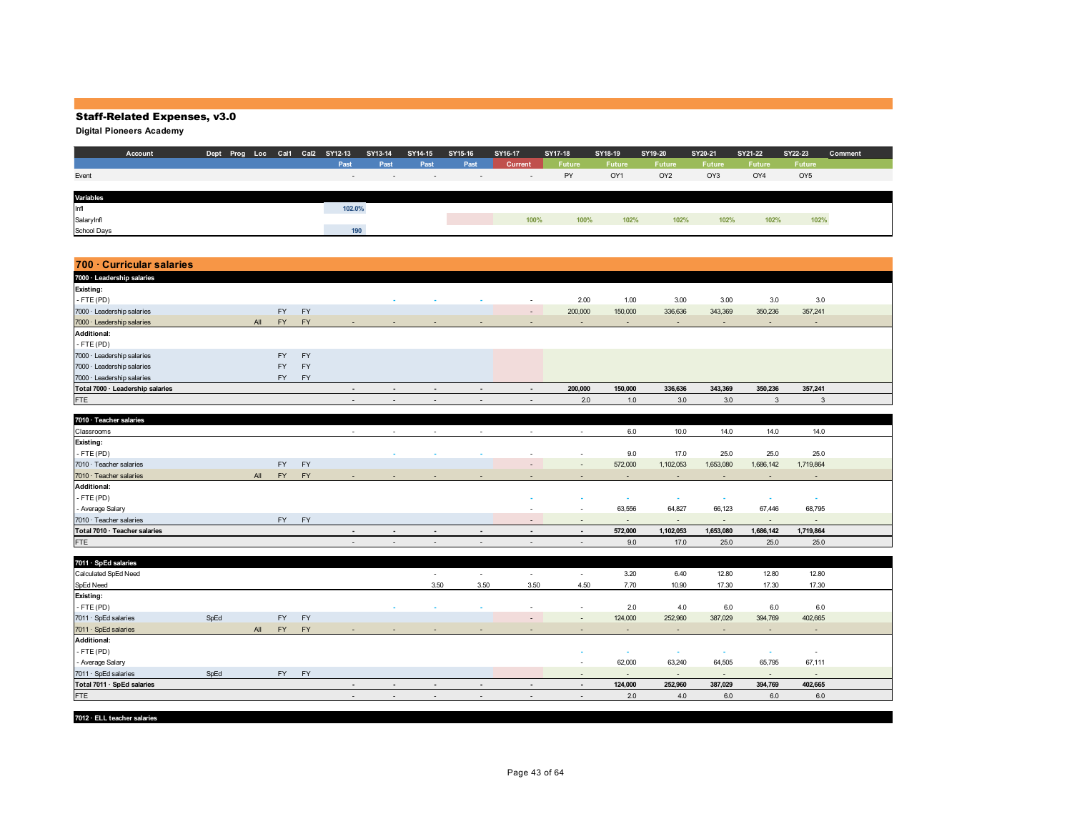**Digital Pioneers Academy**

|             | Account |  |  | Dept Prog Loc Cal1 Cal2 SY12-13 | SY13-14                  | SY14-15                  | SY15-16 | SY16-17 | SY17-18 | SY18-19       | SY19-20         | SY20-21 | SY21-22       | SY22-23         | Comment |
|-------------|---------|--|--|---------------------------------|--------------------------|--------------------------|---------|---------|---------|---------------|-----------------|---------|---------------|-----------------|---------|
|             |         |  |  | Past                            | Past                     | Past                     | Past    | Current | Future  | <b>Future</b> | <b>Future</b>   | Future  | <b>Future</b> | Future          |         |
| Event       |         |  |  | $\sim$                          | $\overline{\phantom{a}}$ | $\overline{\phantom{0}}$ | $\sim$  | $\sim$  | PY      | OY1           | OY <sub>2</sub> | OY3     | OY4           | OY <sub>5</sub> |         |
|             |         |  |  |                                 |                          |                          |         |         |         |               |                 |         |               |                 |         |
| Variables   |         |  |  |                                 |                          |                          |         |         |         |               |                 |         |               |                 |         |
| Infl        |         |  |  | 102.0%                          |                          |                          |         |         |         |               |                 |         |               |                 |         |
| SalaryInfl  |         |  |  |                                 |                          |                          |         | 100%    | 100%    | 102%          | 102%            | 102%    | 102%          | 102%            |         |
| School Days |         |  |  | 190                             |                          |                          |         |         |         |               |                 |         |               |                 |         |

| 700 Curricular salaries          |      |     |           |           |                          |                          |                          |                |                          |                          |                |                |                          |                          |                          |  |
|----------------------------------|------|-----|-----------|-----------|--------------------------|--------------------------|--------------------------|----------------|--------------------------|--------------------------|----------------|----------------|--------------------------|--------------------------|--------------------------|--|
| 7000 · Leadership salaries       |      |     |           |           |                          |                          |                          |                |                          |                          |                |                |                          |                          |                          |  |
| Existing:                        |      |     |           |           |                          |                          |                          |                |                          |                          |                |                |                          |                          |                          |  |
| $-FTE(PD)$                       |      |     |           |           |                          |                          |                          |                |                          | 2.00                     | 1.00           | 3.00           | 3.00                     | 3.0                      | 3.0                      |  |
| 7000 · Leadership salaries       |      |     | <b>FY</b> | <b>FY</b> |                          |                          |                          |                | $\sim$                   | 200,000                  | 150,000        | 336,636        | 343,369                  | 350,236                  | 357,241                  |  |
| 7000 · Leadership salaries       |      | All | <b>FY</b> | FY        |                          |                          |                          |                |                          | $\sim$                   | $\sim$         | $\sim$         | $\sim$                   | $\sim$                   | $\sim$                   |  |
| <b>Additional:</b>               |      |     |           |           |                          |                          |                          |                |                          |                          |                |                |                          |                          |                          |  |
| $-$ FTE (PD)                     |      |     |           |           |                          |                          |                          |                |                          |                          |                |                |                          |                          |                          |  |
| 7000 · Leadership salaries       |      |     | <b>FY</b> | FY        |                          |                          |                          |                |                          |                          |                |                |                          |                          |                          |  |
| 7000 · Leadership salaries       |      |     | <b>FY</b> | <b>FY</b> |                          |                          |                          |                |                          |                          |                |                |                          |                          |                          |  |
| 7000 · Leadership salaries       |      |     | <b>FY</b> | FY        |                          |                          |                          |                |                          |                          |                |                |                          |                          |                          |  |
| Total 7000 · Leadership salaries |      |     |           |           | $\overline{\phantom{a}}$ | $\overline{\phantom{a}}$ | $\overline{\phantom{a}}$ | $\blacksquare$ | $\overline{\phantom{a}}$ | 200,000                  | 150,000        | 336,636        | 343,369                  | 350,236                  | 357,241                  |  |
| <b>FTE</b>                       |      |     |           |           | $\sim$                   | $\sim$                   | $\sim$                   | $\sim$         | $\sim$                   | 2.0                      | 1.0            | 3.0            | 3.0                      | $\mathbf{3}$             | $\mathbf{3}$             |  |
|                                  |      |     |           |           |                          |                          |                          |                |                          |                          |                |                |                          |                          |                          |  |
| 7010 · Teacher salaries          |      |     |           |           |                          |                          |                          |                |                          |                          |                |                |                          |                          |                          |  |
| Classrooms                       |      |     |           |           | $\sim$                   | $\sim$                   | $\sim$                   | $\sim$         | $\sim$                   | $\sim$                   | 6.0            | 10.0           | 14.0                     | 14.0                     | 14.0                     |  |
| Existing:                        |      |     |           |           |                          |                          |                          |                |                          |                          |                |                |                          |                          |                          |  |
| $-FTE(PD)$                       |      |     |           |           |                          | $\sim$                   |                          | ٠              |                          | $\sim$                   | 9.0            | 17.0           | 25.0                     | 25.0                     | 25.0                     |  |
| 7010 · Teacher salaries          |      |     | <b>FY</b> | FY        |                          |                          |                          |                |                          | $\sim$                   | 572,000        | 1,102,053      | 1,653,080                | 1,686,142                | 1,719,864                |  |
| 7010 · Teacher salaries          |      | All | <b>FY</b> | <b>FY</b> |                          |                          |                          |                |                          |                          | $\sim$         |                | $\overline{\phantom{a}}$ | $\blacksquare$           | $\sim$                   |  |
| <b>Additional:</b>               |      |     |           |           |                          |                          |                          |                |                          |                          |                |                |                          |                          |                          |  |
| $-FTE(PD)$                       |      |     |           |           |                          |                          |                          |                |                          |                          | ×              | ×              | $\sim$                   | $\sim$                   | $\sim$                   |  |
| - Average Salary                 |      |     |           |           |                          |                          |                          |                |                          | $\overline{\phantom{a}}$ | 63,556         | 64,827         | 66,123                   | 67,446                   | 68,795                   |  |
| 7010 · Teacher salaries          |      |     | <b>FY</b> | FY        |                          |                          |                          |                | $\sim$                   | $\overline{\phantom{a}}$ | $\sim$         | $\blacksquare$ | $\overline{\phantom{a}}$ | $\overline{\phantom{a}}$ | $\sim$                   |  |
| Total 7010 · Teacher salaries    |      |     |           |           | $\overline{\phantom{a}}$ | $\sim$                   | $\overline{\phantom{a}}$ | $\blacksquare$ | $\sim$                   | $\overline{\phantom{a}}$ | 572,000        | 1,102,053      | 1,653,080                | 1,686,142                | 1,719,864                |  |
| <b>FTE</b>                       |      |     |           |           | $\sim$                   | $\overline{\phantom{a}}$ | $\sim$                   | $\sim$         | $\sim$                   | $\sim$                   | 9.0            | 17.0           | 25.0                     | 25.0                     | 25.0                     |  |
|                                  |      |     |           |           |                          |                          |                          |                |                          |                          |                |                |                          |                          |                          |  |
| 7011 · SpEd salaries             |      |     |           |           |                          |                          |                          |                |                          |                          |                |                |                          |                          |                          |  |
| Calculated SpEd Need             |      |     |           |           |                          |                          | $\sim$                   | $\sim$         | $\sim$                   | $\sim$                   | 3.20           | 6.40           | 12.80                    | 12.80                    | 12.80                    |  |
| SpEd Need                        |      |     |           |           |                          |                          | 3.50                     | 3.50           | 3.50                     | 4.50                     | 7.70           | 10.90          | 17.30                    | 17.30                    | 17.30                    |  |
| Existing:                        |      |     |           |           |                          |                          |                          |                |                          |                          |                |                |                          |                          |                          |  |
| $-$ FTE (PD)                     |      |     |           |           |                          |                          |                          | ٠              |                          | $\sim$                   | 2.0            | 4.0            | 6.0                      | 6.0                      | 6.0                      |  |
| 7011 · SpEd salaries             | SpEd |     | <b>FY</b> | <b>FY</b> |                          |                          |                          |                |                          | $\sim$                   | 124,000        | 252,960        | 387,029                  | 394,769                  | 402,665                  |  |
| 7011 · SpEd salaries             |      | All | <b>FY</b> | <b>FY</b> |                          |                          |                          |                |                          | $\sim$                   | $\blacksquare$ | $\sim$         | $\overline{\phantom{a}}$ | $\overline{\phantom{a}}$ | $\sim$                   |  |
| <b>Additional:</b>               |      |     |           |           |                          |                          |                          |                |                          |                          |                |                |                          |                          |                          |  |
| $-FTE(PD)$                       |      |     |           |           |                          |                          |                          |                |                          |                          | ٠              | $\sim$         | $\sim$                   | $\sim$                   | $\overline{\phantom{a}}$ |  |
| - Average Salary                 |      |     |           |           |                          |                          |                          |                |                          | $\sim$                   | 62,000         | 63,240         | 64,505                   | 65,795                   | 67,111                   |  |
| 7011 · SpEd salaries             | SpEd |     | FY -      | FY        |                          |                          |                          |                |                          | $\overline{\phantom{a}}$ | $\sim$         | $\sim$         | $\overline{\phantom{a}}$ | $\sim$                   | $\sim$                   |  |
| Total 7011 · SpEd salaries       |      |     |           |           | $\blacksquare$           | $\overline{\phantom{a}}$ | $\overline{\phantom{a}}$ | $\blacksquare$ | $\overline{\phantom{a}}$ | $\blacksquare$           | 124,000        | 252,960        | 387,029                  | 394,769                  | 402,665                  |  |
| <b>FTE</b>                       |      |     |           |           | $\sim$                   | $\overline{\phantom{a}}$ | $\sim$                   | $\sim$         | $\overline{\phantom{a}}$ | $\sim$                   | 2.0            | 4.0            | 6.0                      | 6.0                      | 6.0                      |  |

**7012 · ELL teacher salaries**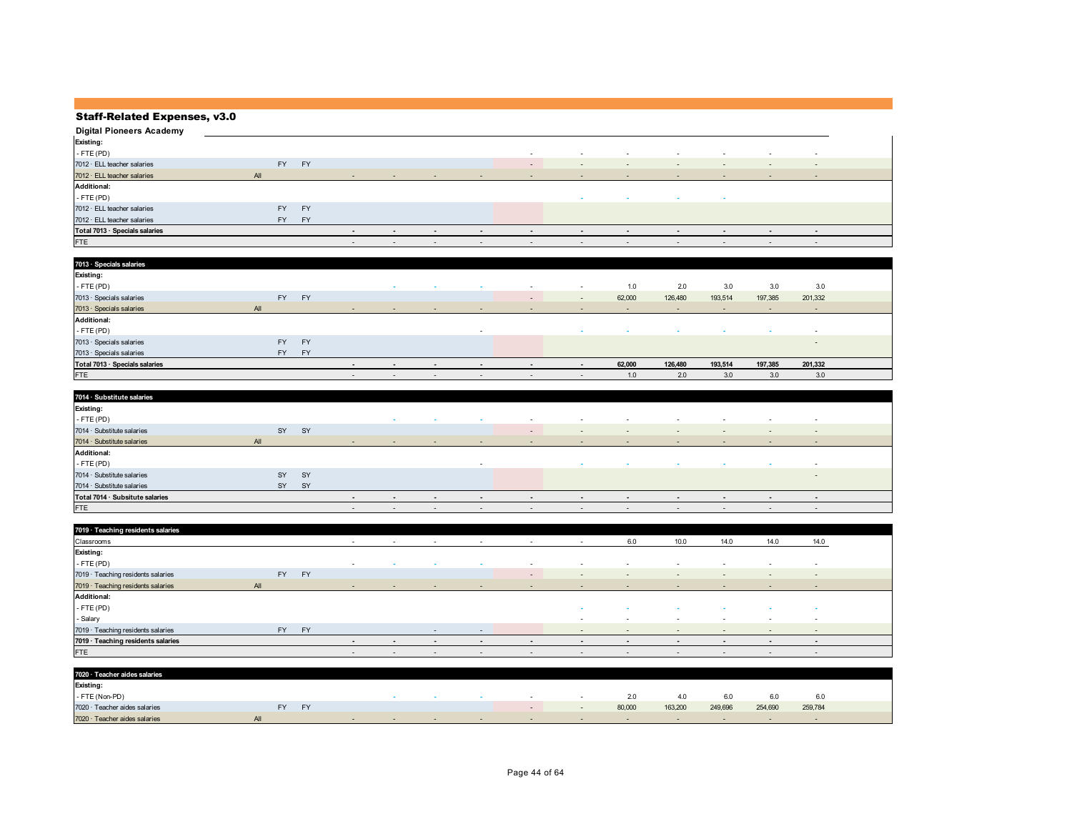| <b>Digital Pioneers Academy</b>   |           |           |                          |                          |                          |                          |                          |                          |                          |        |                          |                          |                          |  |
|-----------------------------------|-----------|-----------|--------------------------|--------------------------|--------------------------|--------------------------|--------------------------|--------------------------|--------------------------|--------|--------------------------|--------------------------|--------------------------|--|
| Existing:                         |           |           |                          |                          |                          |                          |                          |                          |                          |        |                          |                          |                          |  |
| $-$ FTE (PD)                      |           |           |                          |                          |                          |                          | $\overline{\phantom{a}}$ | $\sim$                   | $\sim$                   | $\sim$ | $\overline{\phantom{a}}$ | $\overline{\phantom{a}}$ | $\overline{\phantom{a}}$ |  |
| 7012 · ELL teacher salaries       | <b>FY</b> | <b>FY</b> |                          |                          |                          |                          | $\sim$                   | $\sim$                   | $\sim$                   | $\sim$ | $\overline{\phantom{0}}$ | $\overline{\phantom{0}}$ | $\overline{\phantom{a}}$ |  |
| $7012 \cdot$ ELL teacher salaries | All       |           | $\sim$                   | $\sim$                   | $\sim$                   | $\sim$                   | $\sim$                   | $\sim$                   | $\sim$                   | $\sim$ | $\sim$                   | $\sim$                   | $\sim$                   |  |
| <b>Additional:</b>                |           |           |                          |                          |                          |                          |                          |                          |                          |        |                          |                          |                          |  |
| $-$ FTE (PD)                      |           |           |                          |                          |                          |                          |                          | $\sim$                   | $\sim$                   | $\sim$ | $\sim$                   |                          |                          |  |
| 7012 · ELL teacher salaries       | <b>FY</b> | <b>FY</b> |                          |                          |                          |                          |                          |                          |                          |        |                          |                          |                          |  |
| 7012 · ELL teacher salaries       | FY        | <b>FY</b> |                          |                          |                          |                          |                          |                          |                          |        |                          |                          |                          |  |
| Total 7013 · Specials salaries    |           |           | $\sim$                   | $\sim$                   | $\blacksquare$           | $\overline{\phantom{a}}$ | $\blacksquare$           | $\overline{\phantom{a}}$ | $\sim$                   | $\sim$ | $\blacksquare$           | $\overline{\phantom{a}}$ | $\sim$                   |  |
| <b>FTE</b>                        |           |           | $\overline{\phantom{a}}$ | $\overline{\phantom{a}}$ | $\overline{\phantom{a}}$ | $\overline{\phantom{a}}$ | $\overline{\phantom{a}}$ | $\overline{\phantom{a}}$ | $\overline{\phantom{a}}$ | $\sim$ | $\overline{\phantom{a}}$ | $\sim$                   | $\overline{\phantom{a}}$ |  |

| 7013 · Specials salaries       |           |           |        |                          |                          |                          |                          |                          |        |         |                          |         |                          |  |
|--------------------------------|-----------|-----------|--------|--------------------------|--------------------------|--------------------------|--------------------------|--------------------------|--------|---------|--------------------------|---------|--------------------------|--|
| <b>Existing:</b>               |           |           |        |                          |                          |                          |                          |                          |        |         |                          |         |                          |  |
| $-FTE(PD)$                     |           |           |        | . .                      | $\sim$                   | $\sim$                   | $\sim$                   | $\sim$                   | 1.0    | 2.0     | 3.0                      | 3.0     | 3.0                      |  |
| 7013 · Specials salaries       | FY        | <b>FY</b> |        |                          |                          |                          | $\sim$                   | $\sim$                   | 62,000 | 126,480 | 193,514                  | 197,385 | 201,332                  |  |
| 7013 · Specials salaries       | All       |           | $\sim$ | $\overline{\phantom{a}}$ | $\sim$                   | $\overline{\phantom{a}}$ | $\overline{\phantom{0}}$ | $\sim$                   | $\sim$ | $\sim$  | $\overline{\phantom{a}}$ | $\sim$  | $\sim$                   |  |
| <b>Additional:</b>             |           |           |        |                          |                          |                          |                          |                          |        |         |                          |         |                          |  |
| $-FTE(PD)$                     |           |           |        |                          |                          | $\sim$                   |                          | $\sim$                   |        | $\sim$  | . .                      | $\sim$  | $\overline{\phantom{a}}$ |  |
| 7013 · Specials salaries       | <b>FY</b> | <b>FY</b> |        |                          |                          |                          |                          |                          |        |         |                          |         | $\overline{\phantom{a}}$ |  |
| 7013 · Specials salaries       | <b>FY</b> | FY        |        |                          |                          |                          |                          |                          |        |         |                          |         |                          |  |
| Total 7013 · Specials salaries |           |           |        | $\overline{\phantom{a}}$ | $\overline{\phantom{a}}$ | $\blacksquare$           | $\overline{\phantom{0}}$ | $\overline{\phantom{a}}$ | 62,000 | 126,480 | 193,514                  | 197,385 | 201,332                  |  |
| FTE                            |           |           | $\sim$ | $\overline{\phantom{0}}$ | $\sim$                   | $\sim$                   | $\sim$                   | $\sim$                   | 1.0    | 2.0     | 3.0                      | 3.0     | 3.0                      |  |

| 7014 · Substitute salaries       |     |    |                          |                          |                          |        |                          |                          |                          |                          |                          |                          |                          |
|----------------------------------|-----|----|--------------------------|--------------------------|--------------------------|--------|--------------------------|--------------------------|--------------------------|--------------------------|--------------------------|--------------------------|--------------------------|
| <b>Existing:</b>                 |     |    |                          |                          |                          |        |                          |                          |                          |                          |                          |                          |                          |
| $-$ FTE (PD)                     |     |    |                          | $\sim$                   | $\sim$                   | $\sim$ | $\overline{\phantom{a}}$ | $\overline{\phantom{a}}$ | $\sim$                   | $\sim$                   | $\overline{\phantom{a}}$ | $\overline{\phantom{a}}$ | $\sim$                   |
| 7014 · Substitute salaries       | SY  | SY |                          |                          |                          |        | $\overline{\phantom{a}}$ | $\overline{\phantom{0}}$ | $\sim$                   | $\overline{\phantom{a}}$ | $\overline{\phantom{a}}$ | $\sim$                   | $\sim$                   |
| $7014 \cdot$ Substitute salaries | All |    | $\sim$                   | $\sim$                   | $\sim$                   | $\sim$ | $\sim$                   | $\sim$                   | $\sim$                   | $\sim$                   | $\overline{\phantom{0}}$ | $\overline{\phantom{a}}$ | $\sim$                   |
| <b>Additional:</b>               |     |    |                          |                          |                          |        |                          |                          |                          |                          |                          |                          |                          |
| $-$ FTE (PD)                     |     |    |                          |                          |                          |        |                          | $\sim$                   | $\sim$                   | $\sim$                   | $\sim$                   | . .                      | $\sim$                   |
| 7014 · Substitute salaries       | SY  | SY |                          |                          |                          |        |                          |                          |                          |                          |                          |                          | $\sim$                   |
| 7014 · Substitute salaries       | SY  | SY |                          |                          |                          |        |                          |                          |                          |                          |                          |                          |                          |
| Total 7014 · Subsitute salaries  |     |    | $\overline{\phantom{a}}$ | $\overline{\phantom{a}}$ | $\overline{\phantom{a}}$ | $\sim$ | $\sim$                   | $\overline{\phantom{a}}$ | $\overline{\phantom{a}}$ | $\blacksquare$           | $\overline{\phantom{a}}$ | $\sim$                   | $\overline{\phantom{a}}$ |
| <b>FTE</b>                       |     |    | $\overline{\phantom{a}}$ | $\overline{\phantom{a}}$ | $\sim$                   | $\sim$ | $\overline{\phantom{a}}$ | $\overline{\phantom{a}}$ | $\sim$                   | $\overline{\phantom{a}}$ | $\overline{\phantom{a}}$ | $\overline{\phantom{0}}$ | $\sim$                   |

| 7019 · Teaching residents salaries |           |           |        |        |                          |                          |                          |                          |                          |                |                          |                          |                          |  |
|------------------------------------|-----------|-----------|--------|--------|--------------------------|--------------------------|--------------------------|--------------------------|--------------------------|----------------|--------------------------|--------------------------|--------------------------|--|
| Classrooms                         |           |           | $\sim$ | $\sim$ | $\sim$                   | $\sim$                   | $\sim$                   | $\sim$                   | 6.0                      | 10.0           | 14.0                     | 14.0                     | 14.0                     |  |
| <b>Existing:</b>                   |           |           |        |        |                          |                          |                          |                          |                          |                |                          |                          |                          |  |
| $-$ FTE (PD)                       |           |           | $\sim$ | $\sim$ | $\sim$                   | $\sim$                   | $\overline{\phantom{a}}$ | $\sim$                   | $\sim$                   | $\sim$         | $\overline{\phantom{a}}$ | $\overline{\phantom{a}}$ | $\sim$                   |  |
| 7019 · Teaching residents salaries | <b>FY</b> | <b>FY</b> |        |        |                          |                          | $\sim$                   | $\sim$                   | $\overline{\phantom{a}}$ | $\sim$         | $\overline{\phantom{a}}$ | $\overline{\phantom{a}}$ | $\overline{\phantom{a}}$ |  |
| 7019 · Teaching residents salaries | All       |           | $\sim$ | $\sim$ | $\sim$                   | <b>Contract Contract</b> | <b>Contract Contract</b> | $\sim$                   | $\sim$                   | $\sim$         | $\overline{\phantom{a}}$ | $\sim$                   | $\sim$                   |  |
|                                    |           |           |        |        |                          |                          |                          |                          |                          |                |                          |                          |                          |  |
| <b>Additional:</b>                 |           |           |        |        |                          |                          |                          |                          |                          |                |                          |                          |                          |  |
| $-$ FTE (PD)                       |           |           |        |        |                          |                          |                          |                          | $\sim$                   | $\sim$         | $\sim$                   |                          |                          |  |
| - Salary                           |           |           |        |        |                          |                          |                          | $\overline{\phantom{a}}$ | $\sim$                   | $\sim$         | $\overline{\phantom{a}}$ | $\sim$                   | $\sim$                   |  |
| 7019 · Teaching residents salaries | <b>FY</b> | <b>FY</b> |        |        | $\sim$                   | $\sim$                   |                          | $\sim$ $\sim$            | $\sim$                   | $\sim$ $ \sim$ | $\sim$                   | $\sim$                   | $\sim$                   |  |
| 7019 · Teaching residents salaries |           |           | $\sim$ | $\sim$ | $\overline{\phantom{a}}$ | $\sim$                   | $\blacksquare$           | $\overline{\phantom{a}}$ | $\sim$                   | $\sim$         | $\overline{\phantom{a}}$ | $\sim$                   | $\sim$                   |  |

| 7020 · Teacher aides salaries |                 |  |        |        |        |         |         |         |         |  |
|-------------------------------|-----------------|--|--------|--------|--------|---------|---------|---------|---------|--|
| Existing:                     |                 |  |        |        |        |         |         |         |         |  |
| - FTE (Non-PD)                |                 |  |        | $\sim$ | 2.0    | 4.0     | 6.0     | 6.0     | 6.0     |  |
| 7020 · Teacher aides salaries | <b>FY</b><br>EV |  |        |        | 80,000 | 163,200 | 249,696 | 254,690 | 259,784 |  |
| 7020 · Teacher aides salaries |                 |  | $\sim$ |        |        |         |         |         |         |  |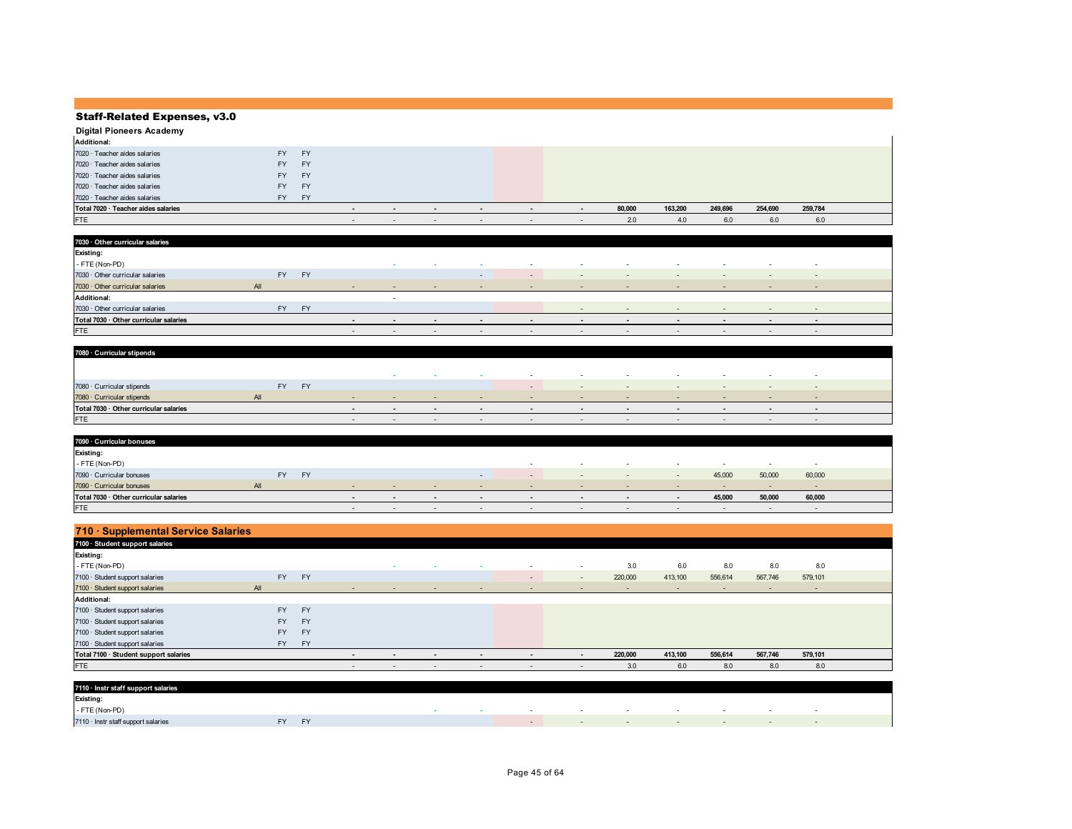| Digital Pioneers Academy            |       |           |                          |        |                          |                          |                          |                          |        |         |         |         |         |  |
|-------------------------------------|-------|-----------|--------------------------|--------|--------------------------|--------------------------|--------------------------|--------------------------|--------|---------|---------|---------|---------|--|
| <b>Additional:</b>                  |       |           |                          |        |                          |                          |                          |                          |        |         |         |         |         |  |
| $7020 \cdot$ Teacher aides salaries | FY -  | <b>FY</b> |                          |        |                          |                          |                          |                          |        |         |         |         |         |  |
| 7020 · Teacher aides salaries       | FY -  | <b>FY</b> |                          |        |                          |                          |                          |                          |        |         |         |         |         |  |
| $7020 \cdot$ Teacher aides salaries | FY -  | <b>FY</b> |                          |        |                          |                          |                          |                          |        |         |         |         |         |  |
| $7020 \cdot$ Teacher aides salaries | FY -  | <b>FY</b> |                          |        |                          |                          |                          |                          |        |         |         |         |         |  |
| 7020 · Teacher aides salaries       | FY FY |           |                          |        |                          |                          |                          |                          |        |         |         |         |         |  |
| Total 7020 · Teacher aides salaries |       |           | $\overline{\phantom{a}}$ | $\sim$ | $\overline{\phantom{a}}$ | $\overline{\phantom{a}}$ | $\overline{\phantom{a}}$ | $\overline{\phantom{a}}$ | 80,000 | 163,200 | 249,696 | 254,690 | 259,784 |  |
| <b>FTE</b>                          |       |           | $\sim$                   | $\sim$ | $\sim$                   | $\sim$                   | $\sim$                   | $\overline{\phantom{a}}$ | 2.0    | 4.0     | 6.0     | 6.0     | 6.0     |  |

| 7030 · Other curricular salaries       |     |     |              |               |                          |                          |                          |                |               |                                   |                   |        |                          |                          |  |
|----------------------------------------|-----|-----|--------------|---------------|--------------------------|--------------------------|--------------------------|----------------|---------------|-----------------------------------|-------------------|--------|--------------------------|--------------------------|--|
| Existing:                              |     |     |              |               |                          |                          |                          |                |               |                                   |                   |        |                          |                          |  |
| - FTE (Non-PD)                         |     |     |              |               | $\sim$                   | $\sim$                   | $\sim$                   | $\sim$         | $\sim$        | $\sim$                            | $\sim$            | $\sim$ | $\sim$                   | $\overline{\phantom{a}}$ |  |
| 7030 · Other curricular salaries       |     | FY  | <b>FY</b>    |               |                          |                          | $\sim$                   | $\sim$         | $\sim$        | $\sim$                            | $\sim$            | $\sim$ | $\sim$                   | $\sim$                   |  |
| 7030 · Other curricular salaries       | All |     |              | $\sim$        | $\sim$                   | $\sim$                   | $\sim$                   | $\sim$         | $\sim$        | $\sim$                            | $\sim$            | $\sim$ | $\sim$                   | $\sim$                   |  |
| <b>Additional:</b>                     |     |     |              |               | $\sim$                   |                          |                          |                |               |                                   |                   |        |                          |                          |  |
| 7030 Other curricular salaries         |     | FY. | FY <b>FY</b> |               |                          |                          |                          |                | $\sim$        | $\sim$ $ \sim$                    | $\sim$            | $\sim$ | $\overline{\phantom{0}}$ | $\sim$                   |  |
| Total 7030 · Other curricular salaries |     |     |              | $\sim$        | $\overline{\phantom{a}}$ | $\overline{\phantom{a}}$ | $\overline{\phantom{a}}$ | $\sim$         | $\sim$        | $\overline{\phantom{a}}$          | $\blacksquare$    | $\sim$ | $\sim$                   | $\overline{\phantom{a}}$ |  |
| <b>FTE</b>                             |     |     |              | $\sim$ $\sim$ | $\sim$                   | $\sim$ $\sim$            | $\sim$ $-$               | <b>Service</b> | $\sim$ $\sim$ | <b>Contract Contract Contract</b> | $\sim$ 100 $\sim$ | $\sim$ | $\sim$ $\sim$            | $\sim$                   |  |

| 7080 · Curricular stipends             |     |           |           |  |                          |        |                          |                          |                          |                          |     |        |
|----------------------------------------|-----|-----------|-----------|--|--------------------------|--------|--------------------------|--------------------------|--------------------------|--------------------------|-----|--------|
|                                        |     |           |           |  |                          |        |                          |                          |                          |                          |     |        |
|                                        |     |           |           |  |                          | $\sim$ | $\overline{\phantom{a}}$ | $\overline{\phantom{a}}$ |                          | $\overline{\phantom{a}}$ |     |        |
| 7080 · Curricular stipends             |     | <b>FY</b> | <b>FV</b> |  |                          | $\sim$ | $\sim$                   | $\sim$                   |                          | $\sim$                   | . . | $\sim$ |
| 7080 · Curricular stipends             | All |           |           |  | $\sim$                   |        | $\sim$                   |                          | $\sim$                   | $\overline{\phantom{a}}$ |     |        |
| Total 7030 · Other curricular salaries |     |           |           |  | $\overline{\phantom{a}}$ |        |                          | $\overline{\phantom{a}}$ |                          |                          |     |        |
| <b>FTE</b>                             |     |           |           |  | $\overline{\phantom{a}}$ |        | $\overline{\phantom{a}}$ |                          | $\overline{\phantom{a}}$ | $\overline{\phantom{0}}$ |     |        |

| 7090 · Curricular bonuses              |           |    |        |        |        |                          |        |                          |        |                          |                          |        |        |  |
|----------------------------------------|-----------|----|--------|--------|--------|--------------------------|--------|--------------------------|--------|--------------------------|--------------------------|--------|--------|--|
| Existing:                              |           |    |        |        |        |                          |        |                          |        |                          |                          |        |        |  |
| - FTE (Non-PD)                         |           |    |        |        |        |                          | $\sim$ | $\sim$                   | $\sim$ | $\sim$                   | $\sim$                   | $\sim$ | $\sim$ |  |
| 7090 · Curricular bonuses              | <b>FY</b> | EV |        |        |        | $\sim$                   | $\sim$ | $\overline{\phantom{a}}$ | $\sim$ | $\overline{\phantom{a}}$ | 45,000                   | 50,000 | 60,000 |  |
| 7090 · Curricular bonuses              | All       |    |        |        |        | $\sim$                   |        | $\sim$                   |        | $\overline{\phantom{a}}$ | $\overline{\phantom{0}}$ |        |        |  |
| Total 7030 · Other curricular salaries |           |    |        | $\sim$ | $\sim$ | $\overline{\phantom{a}}$ |        | $\overline{\phantom{a}}$ | $\sim$ |                          | 45.000                   | 50.000 | 60,000 |  |
| <b>FTE</b>                             |           |    | $\sim$ | $\sim$ | $\sim$ | $\sim$                   | $\sim$ | $\overline{\phantom{a}}$ | $\sim$ | $\sim$                   | $\sim$                   | $\sim$ | $\sim$ |  |

| 710 · Supplemental Service Salaries   |           |           |                          |                          |                          |                          |                          |                          |         |         |                          |                          |         |  |
|---------------------------------------|-----------|-----------|--------------------------|--------------------------|--------------------------|--------------------------|--------------------------|--------------------------|---------|---------|--------------------------|--------------------------|---------|--|
| 7100 · Student support salaries       |           |           |                          |                          |                          |                          |                          |                          |         |         |                          |                          |         |  |
| Existing:                             |           |           |                          |                          |                          |                          |                          |                          |         |         |                          |                          |         |  |
| - FTE (Non-PD)                        |           |           |                          | $\sim$                   | $\overline{\phantom{a}}$ | . .                      | $\sim$                   | $\overline{\phantom{a}}$ | 3.0     | 6.0     | 8.0                      | 8.0                      | 8.0     |  |
| 7100 · Student support salaries       | <b>FY</b> | <b>FY</b> |                          |                          |                          |                          | $\overline{\phantom{a}}$ | $\sim$                   | 220,000 | 413,100 | 556,614                  | 567,746                  | 579,101 |  |
| 7100 · Student support salaries       | All       |           | $\overline{\phantom{a}}$ | $\overline{\phantom{a}}$ | $\sim$                   | $\sim$                   | $\overline{\phantom{a}}$ | $\overline{\phantom{a}}$ |         |         | $\overline{\phantom{a}}$ | $\overline{\phantom{a}}$ | $\sim$  |  |
| <b>Additional:</b>                    |           |           |                          |                          |                          |                          |                          |                          |         |         |                          |                          |         |  |
| 7100 · Student support salaries       | <b>FY</b> | <b>FY</b> |                          |                          |                          |                          |                          |                          |         |         |                          |                          |         |  |
| 7100 · Student support salaries       | <b>FY</b> | <b>FY</b> |                          |                          |                          |                          |                          |                          |         |         |                          |                          |         |  |
| 7100 · Student support salaries       | <b>FY</b> | <b>FY</b> |                          |                          |                          |                          |                          |                          |         |         |                          |                          |         |  |
| 7100 · Student support salaries       | <b>FY</b> | <b>FY</b> |                          |                          |                          |                          |                          |                          |         |         |                          |                          |         |  |
| Total 7100 · Student support salaries |           |           | $\blacksquare$           | $\blacksquare$           | $\overline{\phantom{a}}$ | $\overline{\phantom{a}}$ | $\overline{\phantom{0}}$ | $\blacksquare$           | 220,000 | 413,100 | 556,614                  | 567,746                  | 579,101 |  |
| <b>FTE</b>                            |           |           | $\overline{\phantom{a}}$ | $\overline{\phantom{0}}$ | $\sim$                   | $\sim$                   | $\sim$                   | $\overline{\phantom{a}}$ | 3.0     | 6.0     | 8.0                      | 8.0                      | 8.0     |  |

| 7110 · Instr staff support salaries |                |  |        |  |        |  |        |
|-------------------------------------|----------------|--|--------|--|--------|--|--------|
| <b>Existing:</b>                    |                |  |        |  |        |  |        |
| - FTE (Non-PD)                      |                |  | $\sim$ |  | $\sim$ |  | $\sim$ |
| 7110 · Instr staff support salaries | <b>EV</b><br>. |  |        |  |        |  |        |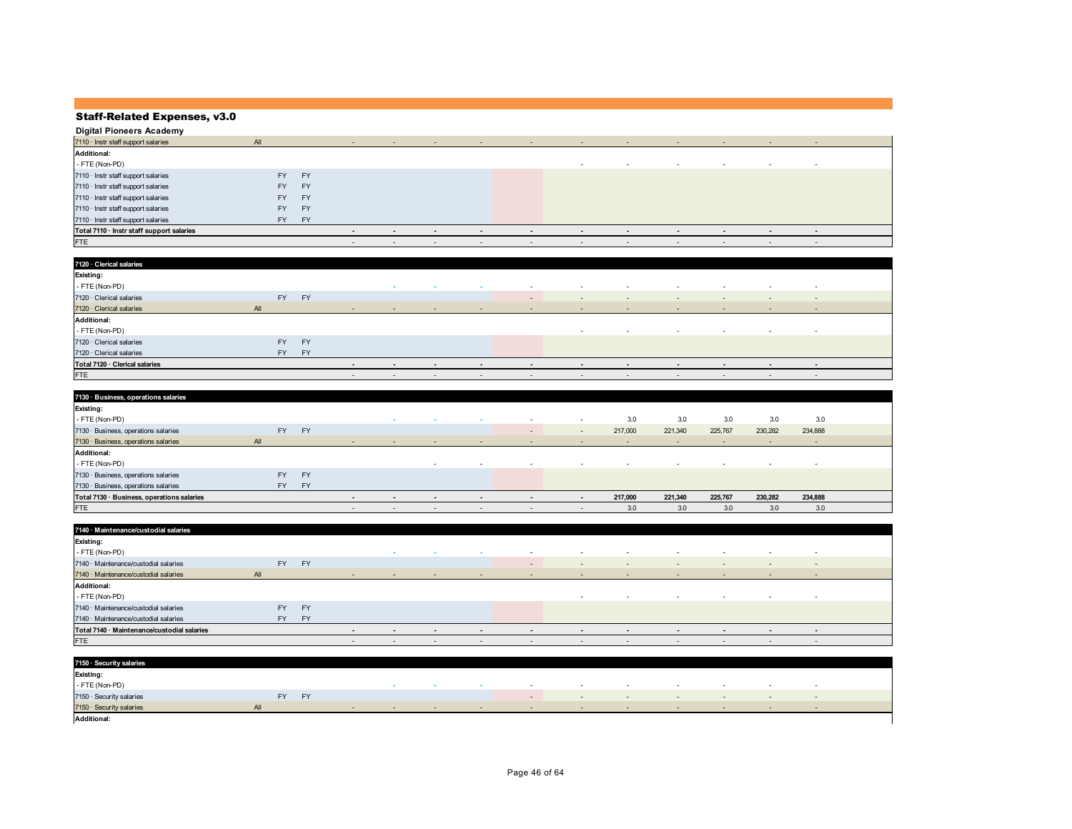| <b>Digital Pioneers Academy</b>           |           |           |                          |                          |                          |        |                          |                          |                          |               |                          |                          |                          |  |
|-------------------------------------------|-----------|-----------|--------------------------|--------------------------|--------------------------|--------|--------------------------|--------------------------|--------------------------|---------------|--------------------------|--------------------------|--------------------------|--|
| 7110 · Instr staff support salaries       | All       |           | $\sim$                   | $\sim$                   | $\sim$                   | $\sim$ | $\sim$                   | $\sim$                   | $\sim$                   | $\sim$ $\sim$ | $\overline{\phantom{a}}$ | $\sim$                   | $\sim$                   |  |
| <b>Additional:</b>                        |           |           |                          |                          |                          |        |                          |                          |                          |               |                          |                          |                          |  |
| - FTE (Non-PD)                            |           |           |                          |                          |                          |        |                          | $\overline{\phantom{a}}$ | $\sim$                   | $\sim$        | $\overline{\phantom{a}}$ | $\sim$                   | $\sim$                   |  |
| 7110 · Instr staff support salaries       | <b>FY</b> | <b>FY</b> |                          |                          |                          |        |                          |                          |                          |               |                          |                          |                          |  |
| 7110 · Instr staff support salaries       | FY.       | <b>FY</b> |                          |                          |                          |        |                          |                          |                          |               |                          |                          |                          |  |
| 7110 · Instr staff support salaries       | <b>FY</b> | FY        |                          |                          |                          |        |                          |                          |                          |               |                          |                          |                          |  |
| 7110 · Instr staff support salaries       | <b>FY</b> | <b>FY</b> |                          |                          |                          |        |                          |                          |                          |               |                          |                          |                          |  |
| $7110 \cdot$ Instr staff support salaries | FY -      | <b>FY</b> |                          |                          |                          |        |                          |                          |                          |               |                          |                          |                          |  |
| Total 7110 · Instr staff support salaries |           |           | $\overline{\phantom{a}}$ | $\sim$                   | $\blacksquare$           |        | $\blacksquare$           | $\overline{\phantom{0}}$ | $\overline{\phantom{a}}$ | $\sim$        | $\overline{\phantom{a}}$ | $\overline{\phantom{0}}$ | $\overline{\phantom{a}}$ |  |
| <b>FTE</b>                                |           |           | $\sim$                   | $\overline{\phantom{a}}$ | $\overline{\phantom{a}}$ | $\sim$ | $\overline{\phantom{a}}$ | $\overline{\phantom{a}}$ | $\sim$                   | $\sim$        | $\overline{\phantom{a}}$ | $\overline{\phantom{a}}$ | $\overline{\phantom{a}}$ |  |

| 7120 · Clerical salaries       |     |           |           |        |                          |                          |        |                          |                          |        |        |                          |                          |                          |
|--------------------------------|-----|-----------|-----------|--------|--------------------------|--------------------------|--------|--------------------------|--------------------------|--------|--------|--------------------------|--------------------------|--------------------------|
| <b>Existing:</b>               |     |           |           |        |                          |                          |        |                          |                          |        |        |                          |                          |                          |
| - FTE (Non-PD)                 |     |           |           |        | . .                      | $\sim$                   | $\sim$ | $\overline{\phantom{a}}$ | $\sim$                   | $\sim$ |        | $\overline{\phantom{a}}$ | $\overline{\phantom{a}}$ | $\overline{\phantom{a}}$ |
| 7120 · Clerical salaries       |     | <b>FY</b> | <b>FY</b> |        |                          |                          |        | $\sim$                   | $\sim$                   | $\sim$ | $\sim$ | $\overline{\phantom{a}}$ | $\overline{\phantom{a}}$ | $\overline{\phantom{a}}$ |
| 7120 · Clerical salaries       | All |           |           | $\sim$ | $\sim$                   | $\sim$                   | $\sim$ | $\overline{\phantom{a}}$ | $\sim$                   | $\sim$ | $\sim$ | $\sim$                   | $\sim$                   | $\sim$ $-$               |
| <b>Additional:</b>             |     |           |           |        |                          |                          |        |                          |                          |        |        |                          |                          |                          |
| - FTE (Non-PD)                 |     |           |           |        |                          |                          |        |                          | $\sim$                   | $\sim$ | $\sim$ | $\overline{\phantom{a}}$ | $\sim$                   | $\sim$                   |
| 7120 · Clerical salaries       |     | <b>FY</b> | <b>FY</b> |        |                          |                          |        |                          |                          |        |        |                          |                          |                          |
| 7120 · Clerical salaries       |     | <b>FY</b> | FY        |        |                          |                          |        |                          |                          |        |        |                          |                          |                          |
| Total 7120 · Clerical salaries |     |           |           | $\sim$ | $\overline{\phantom{a}}$ | $\sim$                   | $\sim$ | $\sim$                   | $\overline{\phantom{a}}$ | $\sim$ | $\sim$ | $\blacksquare$           | $\overline{\phantom{a}}$ | $\sim$                   |
| <b>FTE</b>                     |     |           |           | $\sim$ | $\overline{\phantom{a}}$ | $\overline{\phantom{a}}$ | $\sim$ | $\overline{\phantom{a}}$ | $\sim$                   | $\sim$ | $\sim$ | $\overline{\phantom{0}}$ | $\sim$                   | $\sim$                   |

| 7130 · Business, operations salaries       |     |                        |                          |                          |                          |                          |                          |                          |         |                          |                          |                          |                          |  |
|--------------------------------------------|-----|------------------------|--------------------------|--------------------------|--------------------------|--------------------------|--------------------------|--------------------------|---------|--------------------------|--------------------------|--------------------------|--------------------------|--|
| <b>Existing:</b>                           |     |                        |                          |                          |                          |                          |                          |                          |         |                          |                          |                          |                          |  |
| - FTE (Non-PD)                             |     |                        |                          | $\sim$                   | $\sim$                   | $\sim$                   | $\overline{\phantom{a}}$ | $\sim$                   | 3.0     | 3.0                      | 3.0                      | 3.0                      | 3.0                      |  |
| 7130 · Business, operations salaries       |     | <b>FY</b><br><b>FY</b> |                          |                          |                          |                          | $\overline{\phantom{a}}$ | $\sim$                   | 217,000 | 221,340                  | 225,767                  | 230,282                  | 234,888                  |  |
| 7130 · Business, operations salaries       | All |                        |                          | $\overline{\phantom{a}}$ | $\overline{\phantom{a}}$ | $\overline{\phantom{a}}$ | $\overline{\phantom{a}}$ | $\overline{\phantom{a}}$ | $\sim$  | $\overline{\phantom{a}}$ | $\overline{\phantom{0}}$ | $\overline{\phantom{0}}$ | $\sim$                   |  |
| <b>Additional:</b>                         |     |                        |                          |                          |                          |                          |                          |                          |         |                          |                          |                          |                          |  |
| - FTE (Non-PD)                             |     |                        |                          |                          | $\overline{\phantom{a}}$ | $\sim$                   | $\overline{\phantom{a}}$ | $\overline{\phantom{a}}$ | $\sim$  | $\overline{\phantom{a}}$ | $\sim$                   | $\overline{\phantom{a}}$ | $\overline{\phantom{a}}$ |  |
| 7130 · Business, operations salaries       |     | <b>FY</b><br><b>FY</b> |                          |                          |                          |                          |                          |                          |         |                          |                          |                          |                          |  |
| 7130 · Business, operations salaries       |     | <b>FY</b><br><b>FY</b> |                          |                          |                          |                          |                          |                          |         |                          |                          |                          |                          |  |
| Total 7130 · Business, operations salaries |     |                        | $\sim$                   | $\overline{\phantom{a}}$ | $\overline{\phantom{a}}$ | $\overline{\phantom{a}}$ | $\overline{\phantom{a}}$ | $\blacksquare$           | 217,000 | 221.340                  | 225.767                  | 230,282                  | 234,888                  |  |
| <b>FTE</b>                                 |     |                        | $\overline{\phantom{a}}$ | $\overline{\phantom{a}}$ | $\overline{\phantom{a}}$ | $\overline{a}$           | $\overline{\phantom{a}}$ | $\overline{\phantom{a}}$ | 3.0     | 3.0                      | 3.0                      | 3.0                      | 3.0                      |  |

| 7140 · Maintenance/custodial salaries       |           |           |        |                                                      |        |                          |                          |                          |        |                              |                          |                          |                          |
|---------------------------------------------|-----------|-----------|--------|------------------------------------------------------|--------|--------------------------|--------------------------|--------------------------|--------|------------------------------|--------------------------|--------------------------|--------------------------|
| <b>Existing:</b>                            |           |           |        |                                                      |        |                          |                          |                          |        |                              |                          |                          |                          |
| - FTE (Non-PD)                              |           |           |        | $\sim$                                               | $\sim$ | $\sim$                   | $\sim$                   | $\sim$                   | $\sim$ | $\overline{\phantom{a}}$     | $\sim$                   | $\overline{\phantom{a}}$ | $\sim$                   |
| 7140 · Maintenance/custodial salaries       | <b>FY</b> | FY        |        |                                                      |        |                          | $\overline{\phantom{a}}$ | $\overline{\phantom{a}}$ | $\sim$ | $\qquad \qquad \blacksquare$ | $\sim$                   | $\overline{\phantom{0}}$ | $\overline{\phantom{a}}$ |
| 7140 · Maintenance/custodial salaries       | All       |           |        |                                                      | $\sim$ | $\sim$                   | $\overline{\phantom{a}}$ | $\sim$                   | $\sim$ | $\overline{\phantom{a}}$     | $\overline{\phantom{0}}$ | $\overline{\phantom{a}}$ | $\sim$                   |
| <b>Additional:</b>                          |           |           |        |                                                      |        |                          |                          |                          |        |                              |                          |                          |                          |
| - FTE (Non-PD)                              |           |           |        |                                                      |        |                          |                          | $\overline{\phantom{a}}$ | $\sim$ | $\sim$                       | $\sim$                   | $\overline{\phantom{a}}$ | $\sim$                   |
| 7140 · Maintenance/custodial salaries       | <b>FY</b> | <b>FY</b> |        |                                                      |        |                          |                          |                          |        |                              |                          |                          |                          |
| 7140 · Maintenance/custodial salaries       | <b>FY</b> | FY        |        |                                                      |        |                          |                          |                          |        |                              |                          |                          |                          |
| Total 7140 · Maintenance/custodial salaries |           |           |        | $\overline{\phantom{0}}$<br>$\overline{\phantom{a}}$ |        | $\overline{\phantom{a}}$ | $\overline{\phantom{a}}$ | $\overline{\phantom{a}}$ | $\sim$ | $\sim$                       | $\overline{\phantom{0}}$ | $\sim$                   | $\overline{\phantom{a}}$ |
| <b>FTE</b>                                  |           |           | $\sim$ | $\sim$<br>$\overline{\phantom{a}}$                   |        | $\sim$                   | $\sim$                   | $\sim$                   | $\sim$ | $\sim$                       | $\overline{\phantom{a}}$ | $\overline{\phantom{0}}$ | $\overline{\phantom{a}}$ |

| 7150 · Security salaries |           |           |        |                          |        |        |        |        |        |                          |                          |        |                          |
|--------------------------|-----------|-----------|--------|--------------------------|--------|--------|--------|--------|--------|--------------------------|--------------------------|--------|--------------------------|
| <b>Existing:</b>         |           |           |        |                          |        |        |        |        |        |                          |                          |        |                          |
| - FTE (Non-PD)           |           |           |        |                          |        |        | $\sim$ | $\sim$ | $\sim$ | $\overline{\phantom{a}}$ | $\overline{\phantom{a}}$ | $\sim$ | $\overline{\phantom{a}}$ |
| 7150 · Security salaries | <b>FY</b> | <b>FY</b> |        |                          |        |        |        | $\sim$ |        | $\sim$                   | $\sim$                   | $\sim$ | $\sim$                   |
| 7150 · Security salaries | All       |           | $\sim$ | $\overline{\phantom{a}}$ | $\sim$ | $\sim$ | $\sim$ | $\sim$ |        | $\sim$                   | $\sim$                   |        | $\sim$                   |
| <b>Additional:</b>       |           |           |        |                          |        |        |        |        |        |                          |                          |        |                          |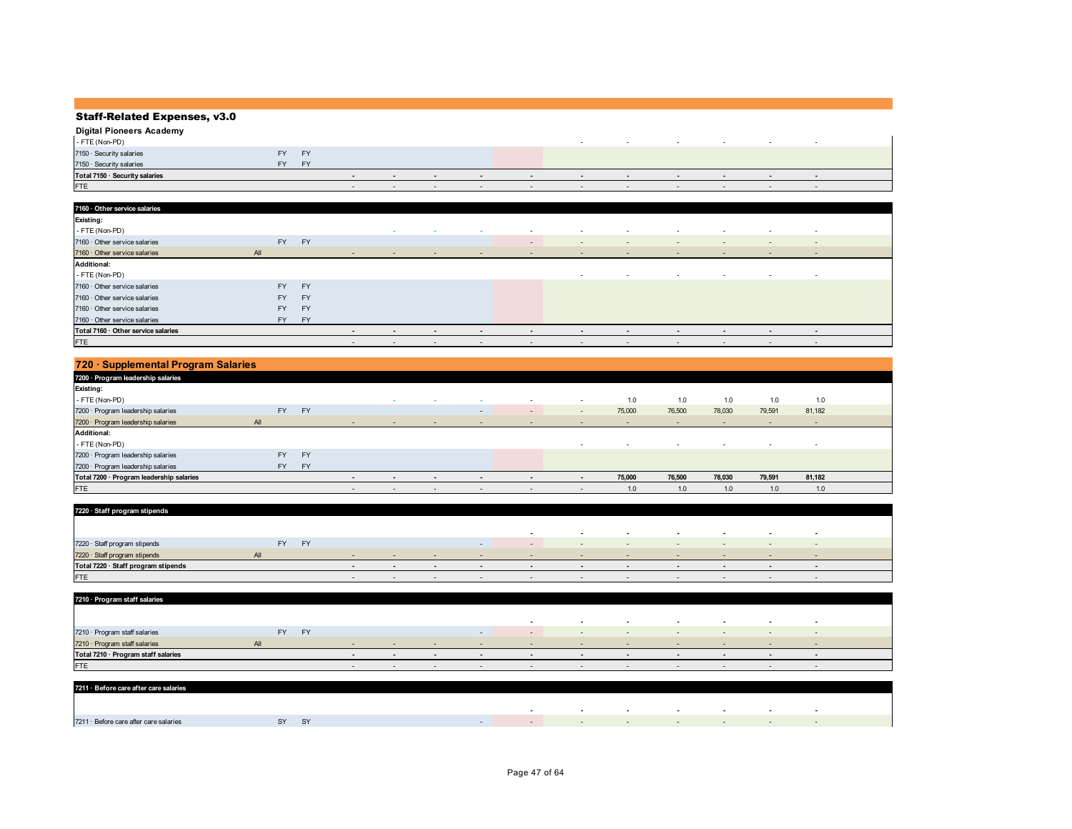| <b>Digital Pioneers Academy</b> |     |           |        |        |                          |        |                          |                          |        |                          |                          |
|---------------------------------|-----|-----------|--------|--------|--------------------------|--------|--------------------------|--------------------------|--------|--------------------------|--------------------------|
| - FTE (Non-PD)                  |     |           |        |        |                          |        |                          |                          |        |                          |                          |
| 7150 · Security salaries        | FY. | <b>FY</b> |        |        |                          |        |                          |                          |        |                          |                          |
| 7150 · Security salaries        | FY. | EV        |        |        |                          |        |                          |                          |        |                          |                          |
| Total 7150 · Security salaries  |     |           |        | $\sim$ | $\overline{\phantom{a}}$ |        | $\overline{\phantom{a}}$ | $\overline{\phantom{a}}$ | $\sim$ | $\sim$                   |                          |
| <b>FTE</b>                      |     |           | $\sim$ | $\sim$ | $\sim$                   | $\sim$ | $\sim$                   | $\sim$                   | $\sim$ | $\overline{\phantom{a}}$ | $\overline{\phantom{a}}$ |

| 7160 · Other service salaries       |           |           |        |        |        |        |        |                          |                          |        |                          |                          |                          |  |
|-------------------------------------|-----------|-----------|--------|--------|--------|--------|--------|--------------------------|--------------------------|--------|--------------------------|--------------------------|--------------------------|--|
| <b>Existing:</b>                    |           |           |        |        |        |        |        |                          |                          |        |                          |                          |                          |  |
| - FTE (Non-PD)                      |           |           |        | $\sim$ | $\sim$ | $\sim$ | $\sim$ | $\sim$                   | $\sim$                   | $\sim$ | $\sim$                   | $\sim$                   | $\overline{\phantom{a}}$ |  |
| 7160 · Other service salaries       | <b>FY</b> | <b>FY</b> |        |        |        |        | $\sim$ | $\sim$                   | $\sim$                   | $\sim$ | $\overline{\phantom{a}}$ | $\overline{\phantom{a}}$ | $\sim$                   |  |
| 7160 · Other service salaries       | All       |           | $\sim$ | $\sim$ | $\sim$ | $\sim$ | $\sim$ | $\sim$                   | $\sim$                   | $\sim$ | $\overline{\phantom{a}}$ | $\overline{\phantom{a}}$ | $\sim$                   |  |
| <b>Additional:</b>                  |           |           |        |        |        |        |        |                          |                          |        |                          |                          |                          |  |
| - FTE (Non-PD)                      |           |           |        |        |        |        |        | $\overline{\phantom{a}}$ | $\sim$                   | $\sim$ | $\overline{\phantom{a}}$ | $\sim$                   | $\overline{\phantom{a}}$ |  |
| 7160 · Other service salaries       | <b>FY</b> | <b>FY</b> |        |        |        |        |        |                          |                          |        |                          |                          |                          |  |
| $7160 \cdot$ Other service salaries | FY.       | <b>FY</b> |        |        |        |        |        |                          |                          |        |                          |                          |                          |  |
| 7160 · Other service salaries       | FY.       | <b>FY</b> |        |        |        |        |        |                          |                          |        |                          |                          |                          |  |
| 7160 · Other service salaries       | FY .      | <b>FY</b> |        |        |        |        |        |                          |                          |        |                          |                          |                          |  |
| Total 7160 · Other service salaries |           |           | $\sim$ | $\sim$ | $\sim$ | $\sim$ | $\sim$ | $\overline{\phantom{a}}$ | $\overline{\phantom{a}}$ | $\sim$ | $\sim$                   | $\sim$                   | $\overline{\phantom{a}}$ |  |
| <b>FTE</b>                          |           |           | $\sim$ | $\sim$ | $\sim$ | $\sim$ | $\sim$ | $\sim$                   | $\sim$                   | $\sim$ | $\overline{\phantom{a}}$ | $\sim$                   | $\sim$                   |  |

| 720 · Supplemental Program Salaries      |           |           |                          |                          |                          |                          |        |                          |        |                          |                          |                          |                          |  |
|------------------------------------------|-----------|-----------|--------------------------|--------------------------|--------------------------|--------------------------|--------|--------------------------|--------|--------------------------|--------------------------|--------------------------|--------------------------|--|
| 7200 · Program leadership salaries       |           |           |                          |                          |                          |                          |        |                          |        |                          |                          |                          |                          |  |
| Existing:                                |           |           |                          |                          |                          |                          |        |                          |        |                          |                          |                          |                          |  |
| - FTE (Non-PD)                           |           |           |                          | $\sim$                   | $\sim$                   |                          | $\sim$ | $\overline{\phantom{a}}$ | 1.0    | 1.0                      | 1.0                      | 1.0                      | 1.0                      |  |
| 7200 · Program leadership salaries       | <b>FY</b> | <b>FY</b> |                          |                          |                          | $\overline{\phantom{a}}$ | $\sim$ | $\overline{\phantom{0}}$ | 75,000 | 76,500                   | 78,030                   | 79,591                   | 81,182                   |  |
| 7200 · Program leadership salaries       | All       |           | $\sim$                   | $\sim$                   | $\sim$                   | $\overline{\phantom{a}}$ | $\sim$ | $\sim$                   | $\sim$ | $\overline{\phantom{a}}$ | $\overline{\phantom{0}}$ | $\overline{\phantom{a}}$ | $\sim$                   |  |
| <b>Additional:</b>                       |           |           |                          |                          |                          |                          |        |                          |        |                          |                          |                          |                          |  |
|                                          |           |           |                          |                          |                          |                          |        |                          |        |                          |                          |                          |                          |  |
| - FTE (Non-PD)                           |           |           |                          |                          |                          |                          |        | $\sim$                   |        | $\sim$                   | $\sim$                   | <b>.</b>                 | $\overline{\phantom{a}}$ |  |
| 7200 · Program leadership salaries       | <b>FY</b> | <b>FY</b> |                          |                          |                          |                          |        |                          |        |                          |                          |                          |                          |  |
| 7200 · Program leadership salaries       | <b>FY</b> | <b>FY</b> |                          |                          |                          |                          |        |                          |        |                          |                          |                          |                          |  |
| Total 7200 · Program leadership salaries |           |           | $\overline{\phantom{a}}$ | $\overline{\phantom{a}}$ | $\overline{\phantom{a}}$ | $\overline{\phantom{a}}$ |        | $\blacksquare$           | 75,000 | 76,500                   | 78.030                   | 79,591                   | 81,182                   |  |

| 7220 · Staff program stipends       |                        |        |        |                          |                             |        |                          |                          |        |                          |        |                          |  |
|-------------------------------------|------------------------|--------|--------|--------------------------|-----------------------------|--------|--------------------------|--------------------------|--------|--------------------------|--------|--------------------------|--|
|                                     |                        |        |        |                          |                             |        |                          |                          |        |                          |        |                          |  |
|                                     |                        |        |        |                          |                             | $\sim$ | $\overline{\phantom{a}}$ | $\overline{\phantom{a}}$ | $\sim$ | $\sim$                   | $\sim$ | $\overline{\phantom{a}}$ |  |
| 7220 · Staff program stipends       | <b>FY</b><br><b>FY</b> |        |        |                          |                             |        | $\sim$                   | $\sim$                   |        | . .                      |        | $\overline{\phantom{a}}$ |  |
| 7220 · Staff program stipends       | All                    |        |        |                          | <b><i><u>Part 1</u></i></b> |        | $\sim$                   |                          |        | . .                      |        |                          |  |
| Total 7220 · Staff program stipends |                        |        |        |                          | $\sim$                      |        | $\overline{\phantom{0}}$ |                          | $\sim$ | $\overline{\phantom{a}}$ |        |                          |  |
| <b>FTE</b>                          |                        | $\sim$ | $\sim$ | $\overline{\phantom{a}}$ | $\sim$                      | $\sim$ | $\sim$                   | $\sim$                   | $\sim$ | $\overline{\phantom{0}}$ | . .    | $\overline{\phantom{a}}$ |  |

| 7210 · Program staff salaries       |     |                        |                          |        |        |        |                          |        |        |                          |        |                          |  |
|-------------------------------------|-----|------------------------|--------------------------|--------|--------|--------|--------------------------|--------|--------|--------------------------|--------|--------------------------|--|
|                                     |     |                        |                          |        |        |        |                          |        |        |                          |        |                          |  |
|                                     |     |                        |                          |        |        | $\sim$ | $\overline{\phantom{a}}$ | $\sim$ | $\sim$ | $\sim$                   | $\sim$ | $\overline{\phantom{a}}$ |  |
| 7210 · Program staff salaries       |     | <b>FY</b><br><b>FY</b> |                          |        | $\sim$ | $\sim$ | $\sim$                   | $\sim$ | $\sim$ | $\sim$                   | $\sim$ | $\sim$                   |  |
| 7210 · Program staff salaries       | All |                        |                          | $\sim$ |        |        | $\sim$                   |        | $\sim$ | $\overline{\phantom{a}}$ |        |                          |  |
| Total 7210 · Program staff salaries |     |                        |                          |        |        |        |                          |        |        |                          |        |                          |  |
| <b>FTE</b>                          |     |                        | $\overline{\phantom{0}}$ |        | $\sim$ |        | $\overline{\phantom{a}}$ |        | $\sim$ | $\hskip1em -$            |        |                          |  |

| 7211 · Before care after care salaries |    |    |  |                          |  |  |  |
|----------------------------------------|----|----|--|--------------------------|--|--|--|
|                                        |    |    |  |                          |  |  |  |
|                                        |    |    |  | $\overline{\phantom{a}}$ |  |  |  |
| 7211 · Before care after care salaries | SY | SY |  |                          |  |  |  |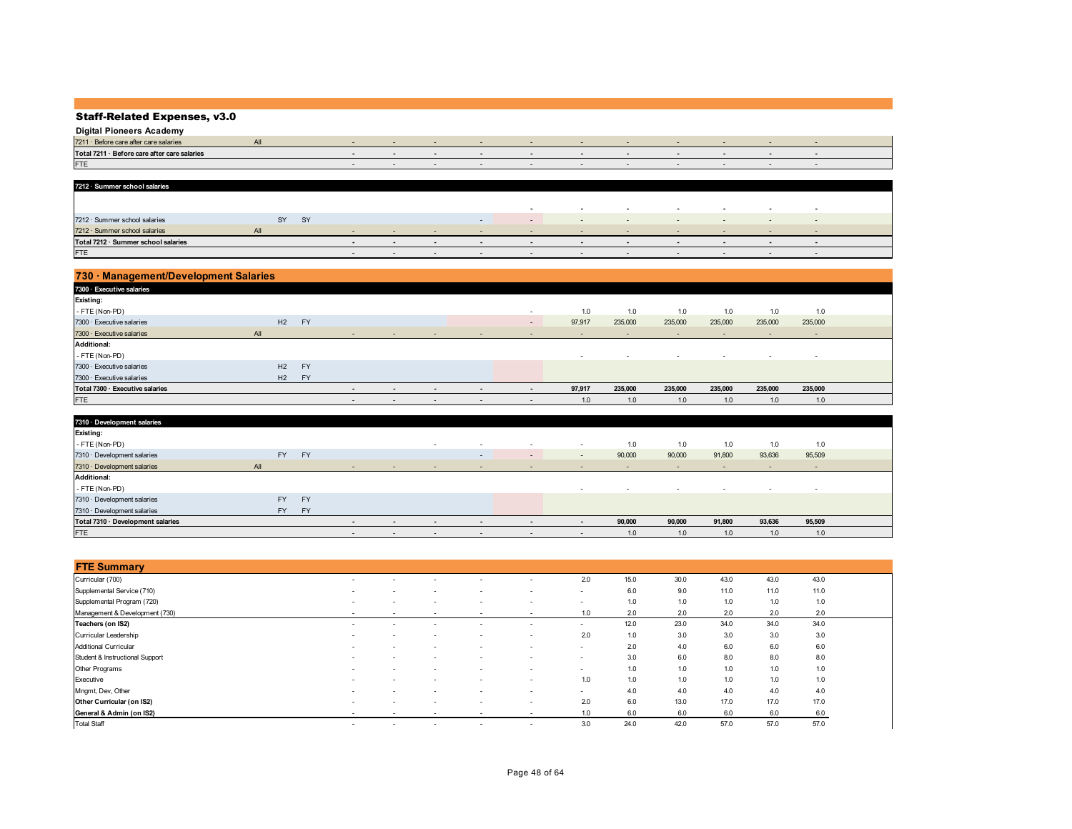| <b>Digital Pioneers Academy</b>              |  |  |  |  |  |  |
|----------------------------------------------|--|--|--|--|--|--|
| $7211 \cdot$ Befor<br>er care salaries       |  |  |  |  |  |  |
| Total 7211 · Before care after care salaries |  |  |  |  |  |  |
| <b>FTE</b>                                   |  |  |  |  |  |  |
|                                              |  |  |  |  |  |  |

| 7212 · Summer school salaries       |     |    |           |        |                          |                          |                          |                          |        |                          |        |        |                          |  |
|-------------------------------------|-----|----|-----------|--------|--------------------------|--------------------------|--------------------------|--------------------------|--------|--------------------------|--------|--------|--------------------------|--|
|                                     |     |    |           |        |                          |                          |                          |                          |        |                          |        |        |                          |  |
|                                     |     |    |           |        |                          |                          | $\overline{\phantom{a}}$ | $\overline{\phantom{a}}$ | $\sim$ | $\overline{\phantom{a}}$ | $\sim$ | $\sim$ | $\overline{\phantom{a}}$ |  |
| 7212 · Summer school salaries       |     | SY | <b>SY</b> |        |                          | $\sim$                   | $\sim$                   | $\sim$                   | $\sim$ | $\sim$                   | $\sim$ |        | $\sim$                   |  |
| 7212 · Summer school salaries       | All |    |           | $\sim$ | $\sim$                   |                          | $\sim$                   | $\sim$                   |        | $\sim$                   | $\sim$ |        | $\sim$                   |  |
| Total 7212 · Summer school salaries |     |    |           |        |                          |                          |                          |                          |        |                          |        |        |                          |  |
| FTE                                 |     |    |           | $\sim$ | $\overline{\phantom{a}}$ | $\overline{\phantom{a}}$ | $\sim$                   |                          |        | $\sim$                   | $\sim$ |        |                          |  |

| 730 · Management/Development Salaries |     |    |                 |                          |                          |                          |                          |                          |        |         |         |                          |                          |                          |  |
|---------------------------------------|-----|----|-----------------|--------------------------|--------------------------|--------------------------|--------------------------|--------------------------|--------|---------|---------|--------------------------|--------------------------|--------------------------|--|
| 7300 · Executive salaries             |     |    |                 |                          |                          |                          |                          |                          |        |         |         |                          |                          |                          |  |
| Existing:                             |     |    |                 |                          |                          |                          |                          |                          |        |         |         |                          |                          |                          |  |
| - FTE (Non-PD)                        |     |    |                 |                          |                          |                          |                          | $\sim$                   | 1.0    | 1.0     | 1.0     | 1.0                      | 1.0                      | 1.0                      |  |
| 7300 · Executive salaries             |     | H2 | <b>FY</b>       |                          |                          |                          |                          | $\sim$                   | 97,917 | 235,000 | 235,000 | 235,000                  | 235,000                  | 235,000                  |  |
| 7300 · Executive salaries             | All |    |                 | $\overline{\phantom{a}}$ | $\overline{\phantom{a}}$ | $\sim$                   | $\sim$                   | $\overline{\phantom{a}}$ | $\sim$ |         | $\sim$  | $\overline{\phantom{a}}$ | $\overline{\phantom{a}}$ | $\sim$                   |  |
| <b>Additional:</b>                    |     |    |                 |                          |                          |                          |                          |                          |        |         |         |                          |                          |                          |  |
| - FTE (Non-PD)                        |     |    |                 |                          |                          |                          |                          |                          | $\sim$ | $\sim$  | $\sim$  | $\overline{\phantom{a}}$ | $\overline{\phantom{a}}$ | $\overline{\phantom{a}}$ |  |
| 7300 · Executive salaries             |     | H2 | <b>FY</b>       |                          |                          |                          |                          |                          |        |         |         |                          |                          |                          |  |
| 7300 · Executive salaries             |     | H2 | FY <sub>1</sub> |                          |                          |                          |                          |                          |        |         |         |                          |                          |                          |  |
| Total 7300 · Executive salaries       |     |    |                 | $\overline{\phantom{a}}$ | $\overline{\phantom{0}}$ | $\overline{\phantom{a}}$ | $\sim$                   | $\overline{\phantom{0}}$ | 97,917 | 235,000 | 235,000 | 235,000                  | 235,000                  | 235,000                  |  |
| <b>FTE</b>                            |     |    |                 | $\overline{\phantom{a}}$ | $\overline{\phantom{a}}$ | $\overline{\phantom{a}}$ | $\overline{\phantom{a}}$ | $\overline{\phantom{a}}$ | 1.0    | 1.0     | 1.0     | 1.0                      | 1.0                      | 1.0                      |  |

| 7310 · Development salaries       |           |           |                          |                          |                |                          |                          |                          |        |                          |                          |                          |                          |  |
|-----------------------------------|-----------|-----------|--------------------------|--------------------------|----------------|--------------------------|--------------------------|--------------------------|--------|--------------------------|--------------------------|--------------------------|--------------------------|--|
| <b>Existing:</b>                  |           |           |                          |                          |                |                          |                          |                          |        |                          |                          |                          |                          |  |
| - FTE (Non-PD)                    |           |           |                          |                          | $\sim$         | $\sim$                   | $\overline{\phantom{a}}$ | $\overline{\phantom{a}}$ | 1.0    | 1.0                      | 1.0                      | 1.0                      | 1.0                      |  |
| 7310 · Development salaries       | <b>FY</b> | <b>FY</b> |                          |                          |                | $\sim$                   | $\overline{\phantom{a}}$ | $\overline{\phantom{a}}$ | 90,000 | 90,000                   | 91,800                   | 93,636                   | 95,509                   |  |
| 7310 · Development salaries       | All       |           | $\sim$                   | $\overline{\phantom{a}}$ | $\sim$         | $\sim$                   | $\sim$                   | $\sim$                   | $\sim$ | $\sim$                   | $\overline{\phantom{0}}$ | $\overline{\phantom{a}}$ | $\sim$                   |  |
| <b>Additional:</b>                |           |           |                          |                          |                |                          |                          |                          |        |                          |                          |                          |                          |  |
| - FTE (Non-PD)                    |           |           |                          |                          |                |                          |                          | $\overline{\phantom{a}}$ | $\sim$ | $\overline{\phantom{a}}$ | $\overline{\phantom{a}}$ | $\overline{\phantom{a}}$ | $\overline{\phantom{a}}$ |  |
| 7310 · Development salaries       | <b>FY</b> | <b>FY</b> |                          |                          |                |                          |                          |                          |        |                          |                          |                          |                          |  |
| 7310 · Development salaries       | <b>FY</b> | <b>FY</b> |                          |                          |                |                          |                          |                          |        |                          |                          |                          |                          |  |
| Total 7310 · Development salaries |           |           | $\overline{\phantom{a}}$ | $\overline{\phantom{0}}$ | $\blacksquare$ | $\overline{\phantom{a}}$ | $\overline{\phantom{a}}$ | $\blacksquare$           | 90,000 | 90,000                   | 91,800                   | 93,636                   | 95,509                   |  |
| FTE                               |           |           | $\sim$                   | $\overline{\phantom{a}}$ | $\sim$         | $\overline{\phantom{a}}$ | $\overline{\phantom{a}}$ | $\overline{\phantom{a}}$ | 1.0    | 1.0                      | 1.0                      | 1.0                      | 1.0                      |  |

| <b>FTE Summary</b>              |                          |                          |                          |                          |                          |                          |      |      |      |      |      |
|---------------------------------|--------------------------|--------------------------|--------------------------|--------------------------|--------------------------|--------------------------|------|------|------|------|------|
| Curricular (700)                | $\sim$                   | $\overline{\phantom{a}}$ |                          |                          |                          | 2.0                      | 15.0 | 30.0 | 43.0 | 43.0 | 43.0 |
| Supplemental Service (710)      | $\overline{\phantom{a}}$ | $\overline{\phantom{a}}$ | $\overline{\phantom{a}}$ | ۰.                       | $\sim$                   | $\overline{\phantom{a}}$ | 6.0  | 9.0  | 11.0 | 11.0 | 11.0 |
| Supplemental Program (720)      | $\sim$                   | $\overline{\phantom{a}}$ | $\overline{\phantom{a}}$ | $\overline{\phantom{a}}$ | $\overline{\phantom{a}}$ | $\overline{\phantom{a}}$ | 1.0  | 1.0  | 1.0  | 1.0  | 1.0  |
| Management & Development (730)  | $\sim$                   | $\overline{\phantom{a}}$ | $\sim$                   | ۰.                       | $\overline{\phantom{a}}$ | 1.0                      | 2.0  | 2.0  | 2.0  | 2.0  | 2.0  |
| Teachers (on IS2)               | $\sim$                   | $\overline{\phantom{a}}$ |                          | $\overline{\phantom{a}}$ | $\overline{\phantom{a}}$ | $\sim$                   | 12.0 | 23.0 | 34.0 | 34.0 | 34.0 |
| Curricular Leadership           | $\overline{\phantom{a}}$ | $\overline{\phantom{a}}$ | $\sim$                   | $\overline{\phantom{a}}$ | $\sim$                   | 2.0                      | 1.0  | 3.0  | 3.0  | 3.0  | 3.0  |
| <b>Additional Curricular</b>    | $\sim$                   | $\overline{\phantom{a}}$ | $\overline{\phantom{a}}$ | $\overline{\phantom{a}}$ | $\sim$                   | $\sim$                   | 2.0  | 4.0  | 6.0  | 6.0  | 6.0  |
| Student & Instructional Support | $\sim$                   | $\sim$                   | $\overline{\phantom{a}}$ | $\overline{\phantom{a}}$ | $\overline{\phantom{a}}$ | $\overline{\phantom{a}}$ | 3.0  | 6.0  | 8.0  | 8.0  | 8.0  |
| Other Programs                  | $\sim$                   | $\overline{\phantom{a}}$ | $\overline{\phantom{a}}$ | $\overline{\phantom{a}}$ | $\sim$                   | $\sim$                   | 1.0  | 1.0  | 1.0  | 1.0  | 1.0  |
| Executive                       | $\overline{\phantom{a}}$ | $\overline{\phantom{a}}$ | $\overline{\phantom{a}}$ | $\overline{\phantom{a}}$ | $\overline{\phantom{a}}$ | 1.0                      | 1.0  | 1.0  | 1.0  | 1.0  | 1.0  |
| Mngmt, Dev, Other               | $\overline{\phantom{a}}$ | $\overline{\phantom{a}}$ | $\overline{\phantom{a}}$ | $\overline{\phantom{a}}$ | $\sim$                   | $\sim$                   | 4.0  | 4.0  | 4.0  | 4.0  | 4.0  |
| Other Curricular (on IS2)       | $\sim$                   | $\overline{\phantom{a}}$ | $\overline{\phantom{a}}$ | ٠                        | $\sim$                   | 2.0                      | 6.0  | 13.0 | 17.0 | 17.0 | 17.0 |
| General & Admin (on IS2)        | $\overline{\phantom{a}}$ | $\overline{\phantom{a}}$ | $\overline{\phantom{a}}$ | $\overline{\phantom{a}}$ | $\overline{\phantom{a}}$ | 1.0                      | 6.0  | 6.0  | 6.0  | 6.0  | 6.0  |
| <b>Total Staff</b>              | $\sim$                   | $\overline{\phantom{a}}$ | $\overline{\phantom{a}}$ | $\overline{\phantom{a}}$ | $\overline{\phantom{a}}$ | 3.0                      | 24.0 | 42.0 | 57.0 | 57.0 | 57.0 |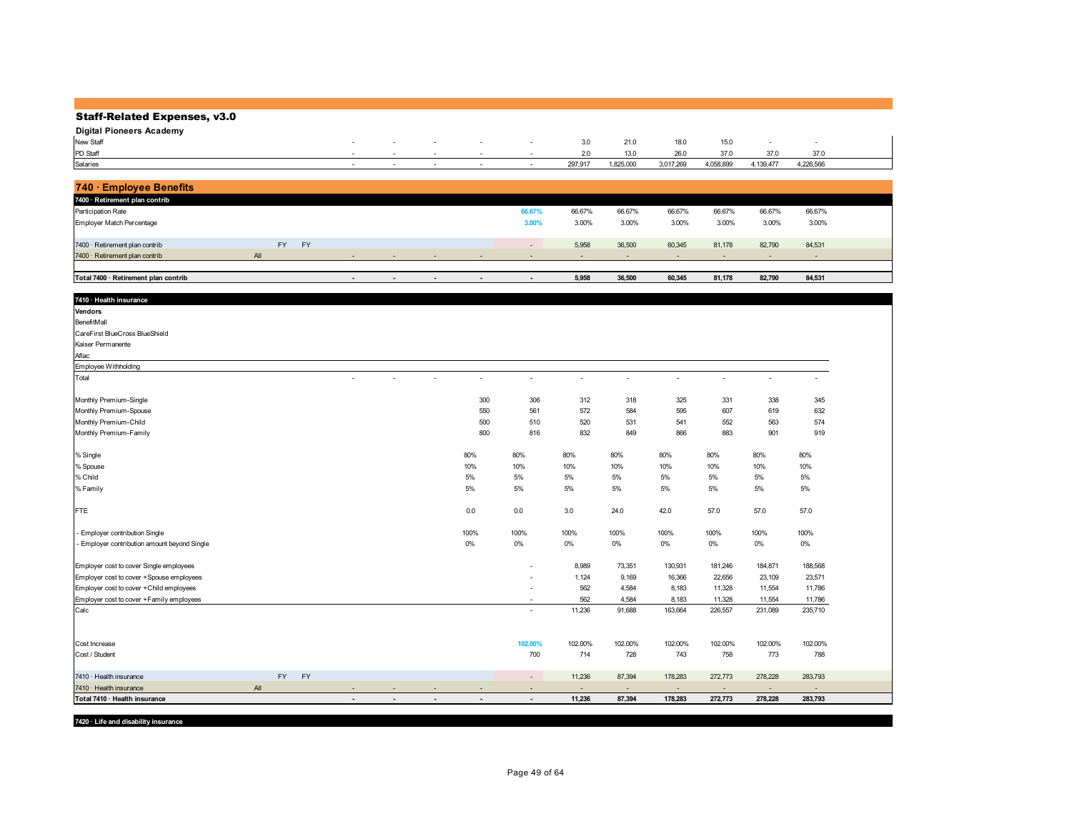| <b>Staff-Related Expenses, v3.0</b>          |     |           |           |                |                |        |                          |                          |              |                |           |                          |           |           |  |
|----------------------------------------------|-----|-----------|-----------|----------------|----------------|--------|--------------------------|--------------------------|--------------|----------------|-----------|--------------------------|-----------|-----------|--|
| <b>Digital Pioneers Academy</b>              |     |           |           |                |                |        |                          |                          |              |                |           |                          |           |           |  |
| New Staff                                    |     |           |           |                |                |        |                          |                          | 3.0          | 21.0           | 18.0      | 15.0                     | ÷,        |           |  |
| PD Staff                                     |     |           |           |                |                |        |                          |                          | 2.0          | 13.0           | 26.0      | 37.0                     | 37.0      | 37.0      |  |
| Salaries                                     |     |           |           | in 1919.       | $\sim$         | $\sim$ | $\sim$                   | $\sim$                   | 297,917      | 1,825,000      | 3,017,269 | 4,058,899                | 4,139,477 | 4,226,566 |  |
|                                              |     |           |           |                |                |        |                          |                          |              |                |           |                          |           |           |  |
| 740 · Employee Benefits                      |     |           |           |                |                |        |                          |                          |              |                |           |                          |           |           |  |
| 7400 · Retirement plan contrib               |     |           |           |                |                |        |                          |                          |              |                |           |                          |           |           |  |
| Participation Rate                           |     |           |           |                |                |        |                          | 66.67%                   | 66.67%       | 66.67%         | 66.67%    | 66.67%                   | 66.67%    | 66.67%    |  |
| Employer Match Percentage                    |     |           |           |                |                |        |                          | 3.00%                    | 3.00%        | 3.00%          | 3.00%     | 3.00%                    | 3.00%     | 3.00%     |  |
| 7400 · Retirement plan contrib               |     | <b>FY</b> | <b>FY</b> |                |                |        |                          | $\sim$                   | 5,958        | 36,500         | 60,345    | 81,178                   | 82,790    | 84,531    |  |
| 7400 · Retirement plan contrib               | All |           |           |                |                |        |                          |                          | ÷.           | $\overline{a}$ |           |                          |           |           |  |
|                                              |     |           |           |                |                |        |                          |                          |              |                |           |                          |           |           |  |
| Total 7400 · Retirement plan contrib         |     |           |           |                |                |        | $\overline{\phantom{a}}$ | $\blacksquare$           | 5,958        | 36,500         | 60,345    | 81,178                   | 82,790    | 84,531    |  |
|                                              |     |           |           |                |                |        |                          |                          |              |                |           |                          |           |           |  |
| 7410 · Health insurance                      |     |           |           |                |                |        |                          |                          |              |                |           |                          |           |           |  |
| Vendors                                      |     |           |           |                |                |        |                          |                          |              |                |           |                          |           |           |  |
| BenefitMall                                  |     |           |           |                |                |        |                          |                          |              |                |           |                          |           |           |  |
| CareFirst BlueCross BlueShield               |     |           |           |                |                |        |                          |                          |              |                |           |                          |           |           |  |
| Kaiser Permanente                            |     |           |           |                |                |        |                          |                          |              |                |           |                          |           |           |  |
| Aflac                                        |     |           |           |                |                |        |                          |                          |              |                |           |                          |           |           |  |
| Employee Withholding                         |     |           |           |                |                |        |                          |                          |              |                |           |                          |           |           |  |
| Total                                        |     |           |           |                |                |        | $\sim$                   | $\bar{\phantom{a}}$      | $\mathbf{r}$ | $\overline{a}$ | $\sim$    | $\overline{\phantom{a}}$ | ÷,        |           |  |
| Monthly Premium-Single                       |     |           |           |                |                |        | 300                      | 306                      | 312          | 318            | 325       | 331                      | 338       | 345       |  |
| Monthly Premium-Spouse                       |     |           |           |                |                |        | 550                      | 561                      | 572          | 584            | 595       | 607                      | 619       | 632       |  |
| Monthly Premium-Child                        |     |           |           |                |                |        | 500                      | 510                      | 520          | 531            | 541       | 552                      | 563       | 574       |  |
| Monthly Premium-Family                       |     |           |           |                |                |        | 800                      | 816                      | 832          | 849            | 866       | 883                      | 901       | 919       |  |
|                                              |     |           |           |                |                |        |                          |                          |              |                |           |                          |           |           |  |
| % Single                                     |     |           |           |                |                |        | 80%                      | 80%                      | 80%          | 80%            | 80%       | 80%                      | 80%       | 80%       |  |
| % Spouse                                     |     |           |           |                |                |        | 10%                      | 10%                      | 10%          | 10%            | 10%       | 10%                      | 10%       | 10%       |  |
| % Child                                      |     |           |           |                |                |        | $5\%$                    | $5\%$                    | $5\%$        | 5%             | 5%        | $5\%$                    | $5\%$     | 5%        |  |
| % Family                                     |     |           |           |                |                |        | 5%                       | 5%                       | 5%           | 5%             | 5%        | 5%                       | 5%        | 5%        |  |
|                                              |     |           |           |                |                |        |                          |                          |              |                |           |                          |           |           |  |
| <b>FTE</b>                                   |     |           |           |                |                |        | $0.0\,$                  | 0.0                      | 3.0          | 24.0           | 42.0      | 57.0                     | 57.0      | 57.0      |  |
| - Employer contribution Single               |     |           |           |                |                |        | 100%                     | 100%                     | 100%         | 100%           | 100%      | 100%                     | 100%      | 100%      |  |
| - Employer contribution amount beyond Single |     |           |           |                |                |        | $0\%$                    | 0%                       | $0\%$        | $0\%$          | $0\%$     | $0\%$                    | $0\%$     | $0\%$     |  |
| Employer cost to cover Single employees      |     |           |           |                |                |        |                          |                          | 8,989        | 73,351         | 130,931   | 181,246                  | 184,871   | 188,568   |  |
| Employer cost to cover +Spouse employees     |     |           |           |                |                |        |                          |                          | 1,124        | 9,169          | 16,366    | 22,656                   | 23,109    | 23,571    |  |
| Employer cost to cover + Child employees     |     |           |           |                |                |        |                          |                          | 562          | 4,584          | 8,183     | 11,328                   | 11,554    | 11,786    |  |
| Employer cost to cover +Family employees     |     |           |           |                |                |        |                          |                          | 562          | 4,584          | 8,183     | 11,328                   | 11,554    | 11,786    |  |
| Calc                                         |     |           |           |                |                |        |                          | ÷.                       | 11,236       | 91,688         | 163,664   | 226,557                  | 231,089   | 235,710   |  |
|                                              |     |           |           |                |                |        |                          |                          |              |                |           |                          |           |           |  |
| Cost Increase                                |     |           |           |                |                |        |                          | 102.00%                  | 102.00%      | 102.00%        | 102.00%   | 102.00%                  | 102.00%   | 102.00%   |  |
| Cost / Student                               |     |           |           |                |                |        |                          | 700                      | 714          | 728            | 743       | 758                      | 773       | 788       |  |
|                                              |     |           |           |                |                |        |                          |                          |              |                |           |                          |           |           |  |
| 7410 · Health insurance                      |     | <b>FY</b> | <b>FY</b> |                |                |        |                          | $\overline{a}$           | 11,236       | 87,394         | 178,283   | 272,773                  | 278,228   | 283,793   |  |
| 7410 · Health insurance                      | All |           |           |                |                |        |                          | ÷.                       | ÷            | ш.             | п.        | $\sim$                   | ÷         |           |  |
| Total 7410 · Health insurance                |     |           |           | $\blacksquare$ | $\blacksquare$ |        |                          | $\overline{\phantom{a}}$ | 11,236       | 87,394         | 178,283   | 272,773                  | 278,228   | 283,793   |  |

**7420 · Life and disability insurance**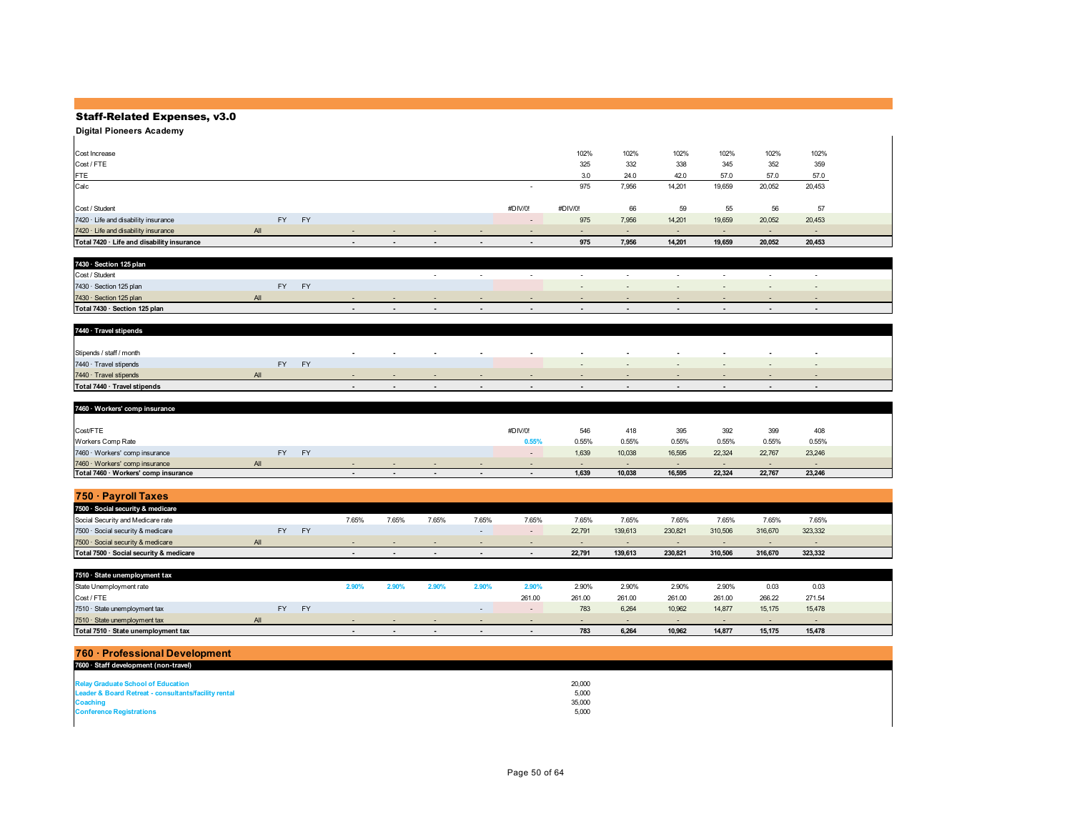**Digital Pioneers Academy**

| Cost Increase                              |           |           |                          |                          |                          |                          |                          | 102%    | 102%   | 102%                     | 102%                     | 102%   | 102%   |  |
|--------------------------------------------|-----------|-----------|--------------------------|--------------------------|--------------------------|--------------------------|--------------------------|---------|--------|--------------------------|--------------------------|--------|--------|--|
| Cost / FTE                                 |           |           |                          |                          |                          |                          |                          | 325     | 332    | 338                      | 345                      | 352    | 359    |  |
| FTE                                        |           |           |                          |                          |                          |                          |                          | 3.0     | 24.0   | 42.0                     | 57.0                     | 57.0   | 57.0   |  |
| Calc                                       |           |           |                          |                          |                          |                          |                          | 975     | 7,956  | 14,201                   | 19,659                   | 20,052 | 20,453 |  |
|                                            |           |           |                          |                          |                          |                          |                          |         |        |                          |                          |        |        |  |
| Cost / Student                             |           |           |                          |                          |                          |                          | #DIV/0!                  | #DIV/0! | 66     | 59                       | 55                       | 56     | 57     |  |
| 7420 · Life and disability insurance       | <b>FY</b> | <b>FY</b> |                          |                          |                          |                          | $\overline{\phantom{a}}$ | 975     | 7,956  | 14,201                   | 19,659                   | 20,052 | 20,453 |  |
| 7420 · Life and disability insurance       | All       |           | $\overline{\phantom{a}}$ | $\overline{\phantom{a}}$ | $\overline{\phantom{a}}$ | $\overline{\phantom{0}}$ | $\overline{\phantom{a}}$ | $\sim$  | $\sim$ | $\overline{\phantom{0}}$ | $\overline{\phantom{a}}$ |        | $\sim$ |  |
| Total 7420 · Life and disability insurance |           |           | $\overline{\phantom{a}}$ | $\overline{\phantom{0}}$ | $\overline{\phantom{a}}$ | $\sim$                   | $\overline{\phantom{0}}$ | 975     | 7,956  | 14,201                   | 19,659                   | 20,052 | 20,453 |  |

| 7430 · Section 125 plan       |           |              |     |        |        |     |                          |        |                          |                          |  |
|-------------------------------|-----------|--------------|-----|--------|--------|-----|--------------------------|--------|--------------------------|--------------------------|--|
| Cost / Student                |           |              |     | $\sim$ | $\sim$ | . . | $\sim$                   | $\sim$ | $\overline{\phantom{a}}$ | $\overline{\phantom{a}}$ |  |
| 7430 · Section 125 plan       | <b>FV</b> | $\mathbf{v}$ |     |        |        |     |                          |        |                          |                          |  |
| 7430 · Section 125 plan       |           |              | . . | $\sim$ |        |     | $\sim$                   |        | . .                      | . .                      |  |
| Total 7430 · Section 125 plan |           |              |     |        | $\sim$ |     | $\overline{\phantom{0}}$ |        |                          |                          |  |

| 7440 · Travel stipends       |     |                        |        |                          |                          |                          |                          |                          |                          |        |                          |        |                          |  |
|------------------------------|-----|------------------------|--------|--------------------------|--------------------------|--------------------------|--------------------------|--------------------------|--------------------------|--------|--------------------------|--------|--------------------------|--|
|                              |     |                        |        |                          |                          |                          |                          |                          |                          |        |                          |        |                          |  |
| Stipends / staff / month     |     |                        | $\sim$ | $\overline{\phantom{a}}$ | $\sim$                   | $\sim$                   | $\sim$                   | $\sim$                   | $\overline{\phantom{a}}$ | $\sim$ | $\sim$                   |        | $\overline{\phantom{a}}$ |  |
| 7440 · Travel stipends       |     | <b>EV</b><br><b>FY</b> |        |                          |                          |                          |                          | $\sim$                   | $\sim$                   | $\sim$ | $\sim$                   | $\sim$ | $\sim$                   |  |
| 7440 · Travel stipends       | All |                        |        | $\overline{\phantom{0}}$ |                          |                          |                          | $\overline{\phantom{a}}$ |                          |        | $\overline{\phantom{0}}$ |        |                          |  |
| Total 7440 · Travel stipends |     |                        |        |                          | $\overline{\phantom{a}}$ | $\overline{\phantom{a}}$ | $\overline{\phantom{a}}$ | $\overline{\phantom{0}}$ | $\overline{\phantom{a}}$ |        |                          |        |                          |  |

| 7460 · Workers' comp insurance       |     |           |                          |                          |        |         |                          |        |                          |                          |        |        |  |
|--------------------------------------|-----|-----------|--------------------------|--------------------------|--------|---------|--------------------------|--------|--------------------------|--------------------------|--------|--------|--|
|                                      |     |           |                          |                          |        |         |                          |        |                          |                          |        |        |  |
| Cost/FTE                             |     |           |                          |                          |        | #DIV/0! | 546                      | 418    | 395                      | 392                      | 399    | 408    |  |
| Workers Comp Rate                    |     |           |                          |                          |        | 0.55%   | 0.55%                    | 0.55%  | 0.55%                    | 0.55%                    | 0.55%  | 0.55%  |  |
| 7460 · Workers' comp insurance       | FY. | <b>FY</b> |                          |                          |        | $\sim$  | 1,639                    | 10,038 | 16,595                   | 22,324                   | 22,767 | 23,246 |  |
| 7460 · Workers' comp insurance       | All |           |                          |                          |        |         | $\overline{\phantom{a}}$ | $\sim$ | $\overline{\phantom{a}}$ | $\overline{\phantom{a}}$ |        |        |  |
| Total 7460 · Workers' comp insurance |     |           | $\overline{\phantom{0}}$ | $\overline{\phantom{0}}$ | $\sim$ |         | 1,639                    | 10,038 | 16,595                   | 22,324                   | 22,767 | 23,246 |  |

| 750 · Pavroll Taxes                     |     |           |       |                          |                          |       |       |                          |         |         |         |         |         |  |
|-----------------------------------------|-----|-----------|-------|--------------------------|--------------------------|-------|-------|--------------------------|---------|---------|---------|---------|---------|--|
| 7500 · Social security & medicare       |     |           |       |                          |                          |       |       |                          |         |         |         |         |         |  |
| Social Security and Medicare rate       |     |           | 7.65% | 7.65%                    | 7.65%                    | 7.65% | 7.65% | 7.65%                    | 7.65%   | 7.65%   | 7.65%   | 7.65%   | 7.65%   |  |
| 7500 · Social security & medicare       |     | <b>FY</b> |       |                          |                          |       |       | 22,791                   | 139,613 | 230.821 | 310,506 | 316,670 | 323,332 |  |
| 7500 · Social security & medicare       | All |           |       | . .                      |                          |       |       | $\overline{\phantom{a}}$ |         |         | . .     | . .     |         |  |
| Total 7500 · Social security & medicare |     |           |       | $\overline{\phantom{0}}$ | $\overline{\phantom{a}}$ |       |       | 22,791                   | 139,613 | 230.821 | 310,506 | 316.670 | 323,332 |  |

| 7510 · State unemployment tax       |     |    |           |                |               |       |        |        |        |        |        |        |        |  |
|-------------------------------------|-----|----|-----------|----------------|---------------|-------|--------|--------|--------|--------|--------|--------|--------|--|
| State Unemployment rate             |     |    |           | $2.90^{\circ}$ | $.90^{\circ}$ | 2.90% | 2.90%  | 2.90%  | 2.90%  | 2.90%  | 2.90%  | 0.03   | 0.03   |  |
| Cost/FTE                            |     |    |           |                |               |       | 261.00 | 261.00 | 261.00 | 261.00 | 261.00 | 266.22 | 271.54 |  |
| 7510 · State unemployment tax       |     | FY | <b>FY</b> |                |               |       |        | 783    | 6,264  | 10,962 | 14,877 | 15.175 | 15,478 |  |
| 7510 · State unemployment tax       | All |    |           |                |               |       |        | $\sim$ | $\sim$ |        |        |        |        |  |
| Total 7510 · State unemployment tax |     |    |           |                |               |       |        | 783    | 6.264  | 10.962 | 14,877 | 15.175 | 15,478 |  |

| 760 · Professional Development                       |        |  |
|------------------------------------------------------|--------|--|
| 7600 · Staff development (non-travel)                |        |  |
|                                                      |        |  |
| <b>Relay Graduate School of Education</b>            | 20,000 |  |
| Leader & Board Retreat - consultants/facility rental | 5,000  |  |
| <b>Coaching</b>                                      | 35,000 |  |
| <b>Conference Registrations</b>                      | 5,000  |  |
|                                                      |        |  |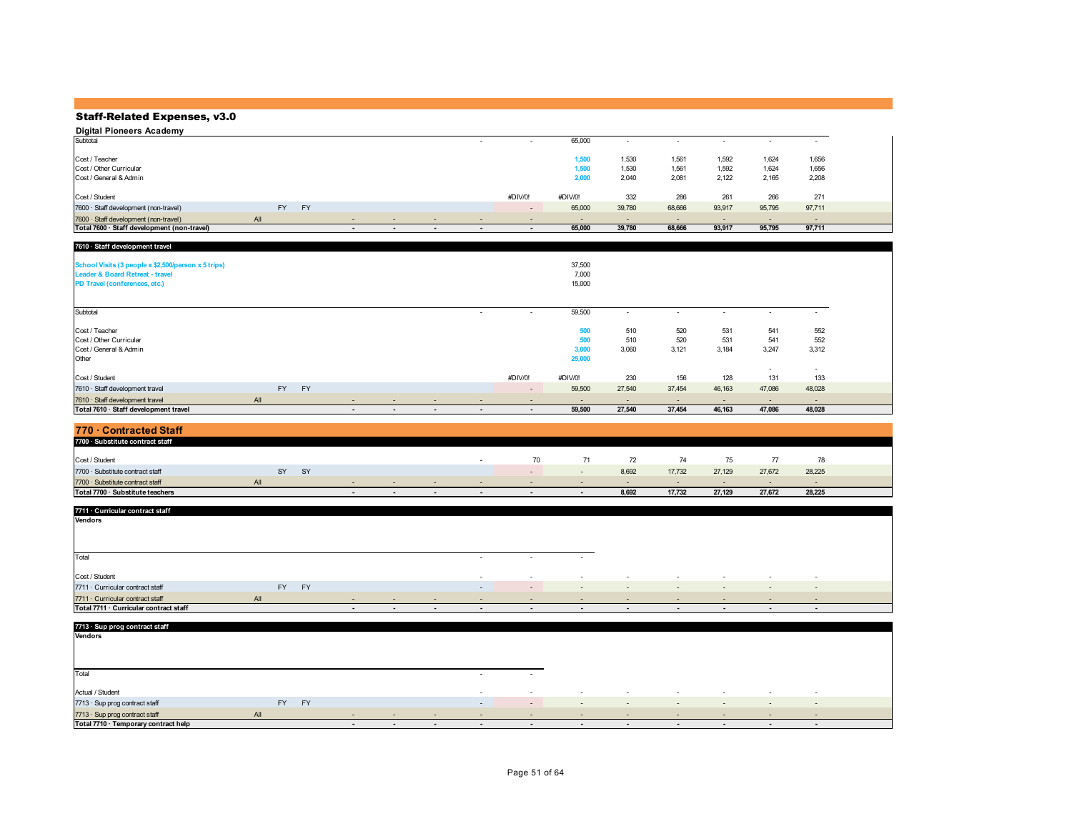| Digital Pioneers Academy                    |     |           |                          |                          |                          |                          |         |        |                          |                          |                          |        |
|---------------------------------------------|-----|-----------|--------------------------|--------------------------|--------------------------|--------------------------|---------|--------|--------------------------|--------------------------|--------------------------|--------|
| Subtotal                                    |     |           |                          |                          | ۰.                       | $\overline{\phantom{a}}$ | 65,000  |        | $\overline{\phantom{a}}$ | $\overline{\phantom{a}}$ | $\overline{\phantom{a}}$ |        |
|                                             |     |           |                          |                          |                          |                          |         |        |                          |                          |                          |        |
| Cost / Teacher                              |     |           |                          |                          |                          |                          | 1,500   | 1.530  | 1.561                    | 1.592                    | 1,624                    | 1,656  |
| Cost / Other Curricular                     |     |           |                          |                          |                          |                          | 1,500   | 1.530  | 1,561                    | 1,592                    | 1,624                    | 1,656  |
| Cost / General & Admin                      |     |           |                          |                          |                          |                          | 2,000   | 2,040  | 2,081                    | 2,122                    | 2,165                    | 2,208  |
|                                             |     |           |                          |                          |                          |                          |         |        |                          |                          |                          |        |
| Cost / Student                              |     |           |                          |                          |                          | #DIV/0!                  | #DIV/0! | 332    | 286                      | 261                      | 266                      | 271    |
| 7600 · Staff development (non-travel)       | FY. | <b>FY</b> |                          |                          |                          | $\overline{\phantom{a}}$ | 65,000  | 39,780 | 68,666                   | 93,917                   | 95,795                   | 97,711 |
| 7600 · Staff development (non-travel)       | All |           |                          | $\overline{\phantom{a}}$ | $\overline{\phantom{a}}$ | $\overline{\phantom{a}}$ | $\sim$  |        | $\overline{\phantom{a}}$ | $\overline{\phantom{a}}$ | $\overline{\phantom{a}}$ | $\sim$ |
| Total 7600 · Staff development (non-travel) |     |           | $\overline{\phantom{a}}$ |                          | $\blacksquare$           |                          | 65,000  | 39,780 | 68,666                   | 93,917                   | 95,795                   | 97,711 |

| 7610 · Staff development travel                                                                                                    |     |           |    |                          |        |                          |                          |                          |                               |                          |                          |                          |                          |                          |  |
|------------------------------------------------------------------------------------------------------------------------------------|-----|-----------|----|--------------------------|--------|--------------------------|--------------------------|--------------------------|-------------------------------|--------------------------|--------------------------|--------------------------|--------------------------|--------------------------|--|
| School Visits (3 people x \$2,500/person x 5 trips)<br><b>Leader &amp; Board Retreat - travel</b><br>PD Travel (conferences, etc.) |     |           |    |                          |        |                          |                          |                          | 37,500<br>7,000<br>15,000     |                          |                          |                          |                          |                          |  |
| Subtotal                                                                                                                           |     |           |    |                          |        |                          | $\overline{\phantom{a}}$ | $\overline{\phantom{a}}$ | 59,500                        | $\sim$                   |                          | $\overline{\phantom{a}}$ |                          | $\overline{\phantom{a}}$ |  |
| Cost / Teacher<br>Cost / Other Curricular<br>Cost / General & Admin<br>Other                                                       |     |           |    |                          |        |                          |                          |                          | 500<br>500<br>3,000<br>25,000 | 510<br>510<br>3.060      | 520<br>520<br>3,121      | 531<br>531<br>3,184      | 541<br>541<br>3,247      | 552<br>552<br>3,312      |  |
| Cost / Student                                                                                                                     |     |           |    |                          |        |                          |                          | #DIV/0!                  | #DIV/0!                       | 230                      | 156                      | 128                      | $\sim$<br>131            | $\sim$<br>133            |  |
| 7610 · Staff development travel                                                                                                    |     | <b>FY</b> | FY |                          |        |                          |                          | $\sim$                   | 59,500                        | 27,540                   | 37,454                   | 46,163                   | 47,086                   | 48,028                   |  |
| 7610 · Staff development travel                                                                                                    | All |           |    | $\overline{\phantom{a}}$ | $\sim$ | $\sim$                   | $\overline{\phantom{a}}$ | $\overline{\phantom{a}}$ | $\overline{\phantom{0}}$      | $\overline{\phantom{0}}$ | $\overline{\phantom{a}}$ | $\overline{\phantom{a}}$ | $\overline{\phantom{0}}$ | $\sim$                   |  |
| Total 7610 · Staff development travel                                                                                              |     |           |    | $\overline{\phantom{a}}$ | $\sim$ | $\overline{\phantom{a}}$ | $\overline{\phantom{a}}$ | $\overline{\phantom{a}}$ | 59,500                        | 27.540                   | 37,454                   | 46,163                   | 47,086                   | 48,028                   |  |

| 770 · Contracted Staff           |     |    |    |                          |        |        |    |                          |       |        |        |        |        |  |
|----------------------------------|-----|----|----|--------------------------|--------|--------|----|--------------------------|-------|--------|--------|--------|--------|--|
| 7700 · Substitute contract staff |     |    |    |                          |        |        |    |                          |       |        |        |        |        |  |
| Cost / Student                   |     |    |    |                          |        |        | 70 |                          |       | 74     | 75     |        | 78     |  |
| 7700 · Substitute contract staff |     | SY | SY |                          |        |        |    | $\overline{\phantom{a}}$ | 8,692 | 17,732 | 27,129 | 27,672 | 28,225 |  |
| 7700 · Substitute contract staff | All |    |    |                          | $\sim$ | $\sim$ |    | $\sim$                   | - -   | $\sim$ | . .    | . .    |        |  |
| Total 7700 · Substitute teachers |     |    |    | $\overline{\phantom{a}}$ |        | $\sim$ |    | $\overline{\phantom{a}}$ | 8,692 | 17,732 | 27.129 | 27,672 | 28,225 |  |

| 7711 · Curricular contract staff       |     |           |        |                          |                          |                          |                          |                |        |        |                          |                          |                          |
|----------------------------------------|-----|-----------|--------|--------------------------|--------------------------|--------------------------|--------------------------|----------------|--------|--------|--------------------------|--------------------------|--------------------------|
| Vendors                                |     |           |        |                          |                          |                          |                          |                |        |        |                          |                          |                          |
|                                        |     |           |        |                          |                          |                          |                          |                |        |        |                          |                          |                          |
|                                        |     |           |        |                          |                          |                          |                          |                |        |        |                          |                          |                          |
|                                        |     |           |        |                          |                          |                          |                          |                |        |        |                          |                          |                          |
| Total                                  |     |           |        |                          |                          |                          |                          |                |        |        |                          |                          |                          |
|                                        |     |           |        |                          |                          |                          |                          |                |        |        |                          |                          |                          |
| Cost / Student                         |     |           |        |                          |                          | $\sim$                   | $\overline{\phantom{a}}$ | $\sim$         | $\sim$ | $\sim$ | $\sim$                   | $\overline{\phantom{a}}$ | $\sim$                   |
| 7711 · Curricular contract staff       | FY  | <b>FY</b> |        |                          |                          | $\sim$                   | $\sim$                   | $\sim$         | $\sim$ | $\sim$ | $\overline{\phantom{a}}$ | $\overline{\phantom{0}}$ | $\sim$                   |
| 7711 · Curricular contract staff       | All |           | $\sim$ | $\overline{\phantom{0}}$ | $\overline{\phantom{a}}$ | $\sim$                   | $\sim$                   | $\sim$         | $\sim$ | $\sim$ | $\sim$                   | $\overline{\phantom{0}}$ | $\sim$                   |
| Total 7711 · Curricular contract staff |     |           | $\sim$ | $\overline{\phantom{a}}$ | $\overline{\phantom{a}}$ | $\overline{\phantom{a}}$ | $\blacksquare$           | $\blacksquare$ | $\sim$ | $\sim$ | $\sim$                   | $\overline{\phantom{a}}$ | $\overline{\phantom{0}}$ |

| 7713 · Sup prog contract staff       |     |           |           |        |                          |                          |                          |                          |                          |                          |        |                          |                          |                          |
|--------------------------------------|-----|-----------|-----------|--------|--------------------------|--------------------------|--------------------------|--------------------------|--------------------------|--------------------------|--------|--------------------------|--------------------------|--------------------------|
| Vendors                              |     |           |           |        |                          |                          |                          |                          |                          |                          |        |                          |                          |                          |
|                                      |     |           |           |        |                          |                          |                          |                          |                          |                          |        |                          |                          |                          |
|                                      |     |           |           |        |                          |                          |                          |                          |                          |                          |        |                          |                          |                          |
|                                      |     |           |           |        |                          |                          |                          |                          |                          |                          |        |                          |                          |                          |
| Total                                |     |           |           |        |                          |                          | $\sim$                   | $\sim$                   |                          |                          |        |                          |                          |                          |
| Actual / Student                     |     |           |           |        |                          |                          | $\sim$                   | $\overline{\phantom{a}}$ | $\sim$                   | $\sim$                   | $\sim$ | $\sim$                   | $\overline{\phantom{a}}$ | $\sim$                   |
|                                      |     | <b>FY</b> | <b>FY</b> |        |                          |                          |                          |                          |                          |                          |        |                          |                          |                          |
| 7713 · Sup prog contract staff       |     |           |           |        |                          |                          | $\overline{\phantom{a}}$ | $\sim$                   | $\sim$                   | $\sim$                   | $\sim$ | $\overline{\phantom{a}}$ | $\overline{\phantom{a}}$ | $\overline{\phantom{a}}$ |
| 7713 · Sup prog contract staff       | All |           |           | $\sim$ | $\overline{\phantom{a}}$ | $\overline{\phantom{a}}$ |                          | $\overline{\phantom{a}}$ | $\sim$                   | $\overline{\phantom{a}}$ | $\sim$ | $\overline{\phantom{a}}$ | $\overline{\phantom{a}}$ | $\overline{\phantom{a}}$ |
| Total 7710 · Temporary contract help |     |           |           |        | $\overline{\phantom{a}}$ | $\overline{\phantom{a}}$ | $\blacksquare$           | $\overline{\phantom{a}}$ | $\overline{\phantom{a}}$ | $\overline{\phantom{a}}$ | $\sim$ | $\sim$                   | $\blacksquare$           | $\overline{\phantom{0}}$ |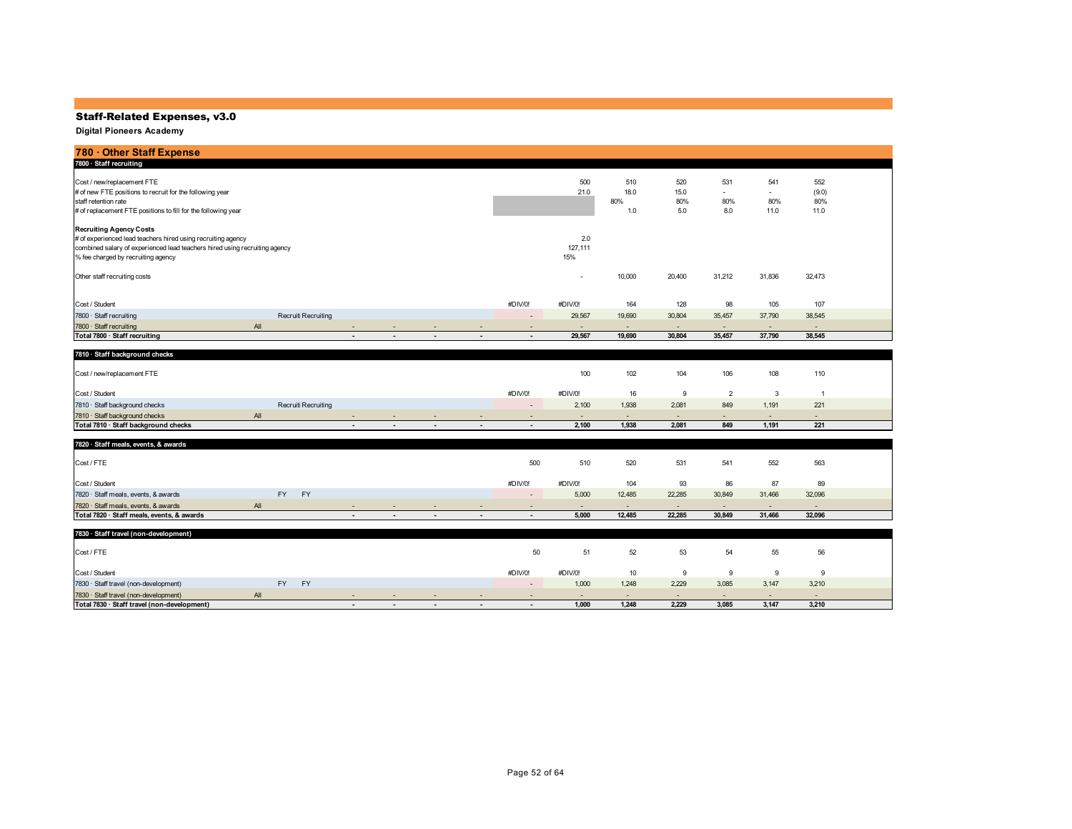| 780 Other Staff Expense                                                                                                                                                                                            |                     |                          |                          |                          |                          |                          |                          |                           |                           |                                               |                                                |                             |  |
|--------------------------------------------------------------------------------------------------------------------------------------------------------------------------------------------------------------------|---------------------|--------------------------|--------------------------|--------------------------|--------------------------|--------------------------|--------------------------|---------------------------|---------------------------|-----------------------------------------------|------------------------------------------------|-----------------------------|--|
| 7800 · Staff recruiting                                                                                                                                                                                            |                     |                          |                          |                          |                          |                          |                          |                           |                           |                                               |                                                |                             |  |
| Cost / new/replacement FTE<br># of new FTE positions to recruit for the following year<br>staff retention rate<br># of replacement FTE positions to fill for the following year                                    |                     |                          |                          |                          |                          |                          | 500<br>21.0              | 510<br>18.0<br>80%<br>1.0 | 520<br>15.0<br>80%<br>5.0 | 531<br>$\overline{\phantom{a}}$<br>80%<br>8.0 | 541<br>$\overline{\phantom{a}}$<br>80%<br>11.0 | 552<br>(9.0)<br>80%<br>11.0 |  |
| <b>Recruiting Agency Costs</b><br># of experienced lead teachers hired using recruiting agency<br>combined salary of experienced lead teachers hired using recruiting agency<br>% fee charged by recruiting agency |                     |                          |                          |                          |                          |                          | 2.0<br>127,111<br>15%    |                           |                           |                                               |                                                |                             |  |
| Other staff recruiting costs                                                                                                                                                                                       |                     |                          |                          |                          |                          |                          | $\overline{\phantom{a}}$ | 10,000                    | 20,400                    | 31,212                                        | 31,836                                         | 32,473                      |  |
| Cost / Student                                                                                                                                                                                                     |                     |                          |                          |                          |                          | #DIV/0!                  | #DIV/0!                  | 164                       | 128                       | 98                                            | 105                                            | 107                         |  |
| 7800 · Staff recruiting                                                                                                                                                                                            | Recruiti Recruiting |                          |                          |                          |                          | $\overline{\phantom{a}}$ | 29,567                   | 19,690                    | 30,804                    | 35,457                                        | 37,790                                         | 38,545                      |  |
| All<br>7800 · Staff recruiting                                                                                                                                                                                     |                     | $\overline{\phantom{a}}$ | $\overline{\phantom{a}}$ | $\sim$                   | $\overline{\phantom{a}}$ | $\overline{\phantom{a}}$ | $\sim$                   | $\sim$                    | $\sim$                    | $\overline{\phantom{a}}$                      | $\sim$                                         | $\sim$                      |  |
| Total 7800 · Staff recruiting                                                                                                                                                                                      |                     | $\blacksquare$           | $\blacksquare$           | $\overline{\phantom{a}}$ | $\blacksquare$           | $\blacksquare$           | 29,567                   | 19,690                    | 30,804                    | 35,457                                        | 37,790                                         | 38,545                      |  |
| 7810 · Staff background checks                                                                                                                                                                                     |                     |                          |                          |                          |                          |                          |                          |                           |                           |                                               |                                                |                             |  |

| <b>1010 Start Dackground Criecks</b> |     |                     |        |                          |                             |         |         |        |        |                          |                          |     |  |
|--------------------------------------|-----|---------------------|--------|--------------------------|-----------------------------|---------|---------|--------|--------|--------------------------|--------------------------|-----|--|
| Cost / new/replacement FTE           |     |                     |        |                          |                             |         | 100     | 102    | 104    | 106                      | 108                      | 110 |  |
| Cost / Student                       |     |                     |        |                          |                             | #DIV/0! | #DIV/0! | 16     |        |                          |                          |     |  |
| 7810 · Staff background checks       |     | Recruiti Recruiting |        |                          |                             | -       | 2,100   | 1.938  | 2,081  | 849                      | 1,191                    | 221 |  |
| 7810 · Staff background checks       | All |                     | $\sim$ | $\overline{\phantom{0}}$ | <b><i><u>Part 1</u></i></b> |         | $\sim$  | $\sim$ | $\sim$ | $\overline{\phantom{a}}$ | $\overline{\phantom{a}}$ |     |  |
| Total 7810 · Staff background checks |     |                     |        | $\overline{\phantom{0}}$ | $\overline{\phantom{a}}$    |         | 2,100   | 1.938  | 2,081  | 849                      | 1,191                    | 221 |  |

| 7820 · Staff meals, events, & awards       |     |           |           |                          |        |                          |        |                          |         |        |        |                          |        |                          |  |
|--------------------------------------------|-----|-----------|-----------|--------------------------|--------|--------------------------|--------|--------------------------|---------|--------|--------|--------------------------|--------|--------------------------|--|
| Cost / FTE                                 |     |           |           |                          |        |                          |        | 500                      | 510     | 520    | 531    | 541                      | 552    | 563                      |  |
| Cost / Student                             |     |           |           |                          |        |                          |        | #DIV/0!                  | #DIV/0! | 104    | 93     | 86                       | 87     | 89                       |  |
| 7820 · Staff meals, events, & awards       |     | <b>FY</b> | <b>FY</b> |                          |        |                          |        | $\overline{\phantom{a}}$ | 5,000   | 12,485 | 22.285 | 30,849                   | 31,466 | 32,096                   |  |
| 7820 · Staff meals, events, & awards       | All |           |           |                          | . .    |                          |        |                          | $\sim$  |        | $\sim$ | $\overline{\phantom{0}}$ | . .    | $\overline{\phantom{a}}$ |  |
| Total 7820 · Staff meals, events, & awards |     |           |           | $\overline{\phantom{a}}$ | $\sim$ | $\overline{\phantom{a}}$ | $\sim$ | $\overline{\phantom{a}}$ | 5,000   | 12,485 | 22,285 | 30,849                   | 31,466 | 32,096                   |  |

| 7830 · Staff travel (non-development)       |     |           |           |        |                          |                          |        |         |         |       |        |                          |        |       |  |
|---------------------------------------------|-----|-----------|-----------|--------|--------------------------|--------------------------|--------|---------|---------|-------|--------|--------------------------|--------|-------|--|
| Cost / FTE                                  |     |           |           |        |                          |                          |        | 50      |         | 52    | 53     |                          | 55     | 56    |  |
| Cost / Student                              |     |           |           |        |                          |                          |        | #DIV/0! | #DIV/0! |       |        |                          |        |       |  |
| 7830 · Staff travel (non-development)       |     | <b>FY</b> | <b>FV</b> |        |                          |                          |        | $\sim$  | 1,000   | 1.248 | 2,229  | 3,085                    | 3.147  | 3,210 |  |
| 7830 · Staff travel (non-development)       | All |           |           | $\sim$ |                          | $\sim$                   |        | $\sim$  | $\sim$  |       | $\sim$ | $\overline{\phantom{0}}$ | $\sim$ |       |  |
| Total 7830 · Staff travel (non-development) |     |           |           | $\sim$ | $\overline{\phantom{a}}$ | $\overline{\phantom{a}}$ | $\sim$ |         | 1,000   | 1,248 | 2,229  | 3,085                    | 3,147  | 3,210 |  |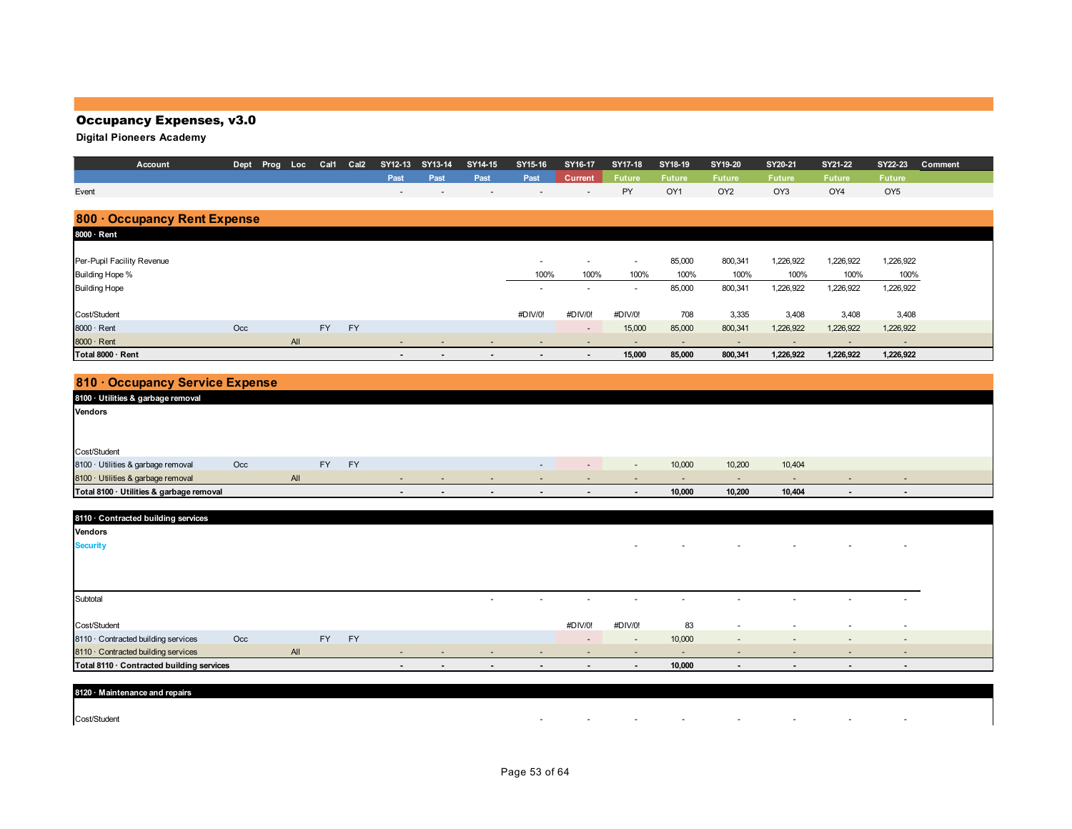## Occupancy Expenses, v3.0

**Digital Pioneers Academy**

| Account                    | Dept | Prog | Loc | Cal1      | Cal <sub>2</sub> | SY12-13 | SY13-14                  | SY14-15                  | SY15-16                  | SY16-17                  | SY17-18                  | SY18-19       | SY19-20         | SY20-21         | SY21-22       | SY22-23         | Comment |
|----------------------------|------|------|-----|-----------|------------------|---------|--------------------------|--------------------------|--------------------------|--------------------------|--------------------------|---------------|-----------------|-----------------|---------------|-----------------|---------|
|                            |      |      |     |           |                  | Past    | Past                     | Past                     | Past                     | <b>Current</b>           | <b>Future</b>            | <b>Future</b> | <b>Future</b>   | <b>Future</b>   | <b>Future</b> | <b>Future</b>   |         |
| Event                      |      |      |     |           |                  | $\sim$  | $\overline{\phantom{a}}$ | $\overline{\phantom{a}}$ | $\overline{\phantom{a}}$ | $\overline{\phantom{a}}$ | <b>PY</b>                | OY1           | OY <sub>2</sub> | OY <sub>3</sub> | OY4           | OY <sub>5</sub> |         |
|                            |      |      |     |           |                  |         |                          |                          |                          |                          |                          |               |                 |                 |               |                 |         |
| 800 Occupancy Rent Expense |      |      |     |           |                  |         |                          |                          |                          |                          |                          |               |                 |                 |               |                 |         |
| 8000 · Rent                |      |      |     |           |                  |         |                          |                          |                          |                          |                          |               |                 |                 |               |                 |         |
|                            |      |      |     |           |                  |         |                          |                          |                          |                          |                          |               |                 |                 |               |                 |         |
| Per-Pupil Facility Revenue |      |      |     |           |                  |         |                          |                          | $\sim$                   | $\overline{\phantom{0}}$ | $\overline{\phantom{0}}$ | 85,000        | 800,341         | 1,226,922       | 1,226,922     | 1,226,922       |         |
| Building Hope %            |      |      |     |           |                  |         |                          |                          | 100%                     | 100%                     | 100%                     | 100%          | 100%            | 100%            | 100%          | 100%            |         |
| <b>Building Hope</b>       |      |      |     |           |                  |         |                          |                          | $\overline{\phantom{a}}$ | $\overline{\phantom{0}}$ | $\sim$                   | 85,000        | 800,341         | 1,226,922       | 1,226,922     | 1,226,922       |         |
|                            |      |      |     |           |                  |         |                          |                          |                          |                          |                          |               |                 |                 |               |                 |         |
| Cost/Student               |      |      |     |           |                  |         |                          |                          | #DIV/0!                  | #DIV/0!                  | #DIV/0!                  | 708           | 3,335           | 3,408           | 3,408         | 3,408           |         |
| 8000 · Rent                | Occ  |      |     | <b>FY</b> | <b>FY</b>        |         |                          |                          |                          | $\overline{\phantom{a}}$ | 15,000                   | 85,000        | 800,341         | 1,226,922       | 1,226,922     | 1,226,922       |         |
| 8000 · Rent                |      |      | All |           |                  |         |                          |                          |                          |                          |                          |               |                 |                 |               |                 |         |
| Total 8000 · Rent          |      |      |     |           |                  | $\sim$  | $\sim$                   | $\blacksquare$           | $\blacksquare$           | $\blacksquare$           | 15,000                   | 85,000        | 800,341         | 1,226,922       | 1,226,922     | 1,226,922       |         |

# **810 · Occupancy Service Expense**

| 8100 · Utilities & garbage removal       |     |     |           |           |        |                          |        |                          |                |        |        |                          |        |                |                          |  |
|------------------------------------------|-----|-----|-----------|-----------|--------|--------------------------|--------|--------------------------|----------------|--------|--------|--------------------------|--------|----------------|--------------------------|--|
| <b>Vendors</b>                           |     |     |           |           |        |                          |        |                          |                |        |        |                          |        |                |                          |  |
|                                          |     |     |           |           |        |                          |        |                          |                |        |        |                          |        |                |                          |  |
|                                          |     |     |           |           |        |                          |        |                          |                |        |        |                          |        |                |                          |  |
| Cost/Student                             |     |     |           |           |        |                          |        |                          |                |        |        |                          |        |                |                          |  |
| 8100 · Utilities & garbage removal       | Occ |     | <b>FY</b> | <b>FY</b> |        |                          |        | $\overline{\phantom{a}}$ | $\sim$         | $\sim$ | 10,000 | 10,200                   | 10,404 |                |                          |  |
| 8100 · Utilities & garbage removal       |     | All |           |           | $\sim$ | $\overline{\phantom{a}}$ | $\sim$ | $\sim$                   | $\sim$         | $-$    | $\sim$ | $\overline{\phantom{a}}$ | $\sim$ | $\overline{a}$ | $\overline{\phantom{a}}$ |  |
| Total 8100 · Utilities & garbage removal |     |     |           |           | $\sim$ | $\sim$                   | $\sim$ | $\sim$                   | $\blacksquare$ |        | 10,000 | 10,200                   | 10,404 | $\blacksquare$ | $\overline{\phantom{a}}$ |  |

| 8110 · Contracted building services       |     |     |           |           |        |        |        |                          |         |                          |        |                          |                          |                          |                          |  |
|-------------------------------------------|-----|-----|-----------|-----------|--------|--------|--------|--------------------------|---------|--------------------------|--------|--------------------------|--------------------------|--------------------------|--------------------------|--|
| Vendors                                   |     |     |           |           |        |        |        |                          |         |                          |        |                          |                          |                          |                          |  |
| <b>Security</b>                           |     |     |           |           |        |        |        |                          |         | $\sim$                   | $\sim$ | $\overline{\phantom{a}}$ | $\sim$                   | $\sim$                   | $\overline{\phantom{a}}$ |  |
|                                           |     |     |           |           |        |        |        |                          |         |                          |        |                          |                          |                          |                          |  |
|                                           |     |     |           |           |        |        |        |                          |         |                          |        |                          |                          |                          |                          |  |
|                                           |     |     |           |           |        |        |        |                          |         |                          |        |                          |                          |                          |                          |  |
| Subtotal                                  |     |     |           |           |        |        | $\sim$ | $\sim$                   | $\sim$  | $\sim$                   | $\sim$ | $\sim$                   | $\sim$                   | $\sim$                   | $\sim$                   |  |
|                                           |     |     |           |           |        |        |        |                          |         |                          |        |                          |                          |                          |                          |  |
| Cost/Student                              |     |     |           |           |        |        |        |                          | #DIV/0! | #DIV/0!                  | 83     | $\overline{\phantom{0}}$ | $\overline{a}$           | $\overline{a}$           | $\overline{\phantom{a}}$ |  |
| 8110 · Contracted building services       | Occ |     | <b>FY</b> | <b>FY</b> |        |        |        |                          | $\sim$  | $\overline{\phantom{a}}$ | 10,000 | $\sim$                   | $\overline{\phantom{a}}$ | $\sim$                   | $\overline{\phantom{a}}$ |  |
| 8110 · Contracted building services       |     | All |           |           | $\sim$ | $\sim$ | $\sim$ | $\sim$                   | $\sim$  | $\sim$                   | $\sim$ | $\sim$                   | $\sim$                   | $\sim$                   | $\sim$                   |  |
| Total 8110 · Contracted building services |     |     |           |           | $\sim$ | $\sim$ | $\sim$ | $\overline{\phantom{a}}$ | $\sim$  | $\sim$                   | 10,000 | $\blacksquare$           | $\sim$                   | $\overline{\phantom{a}}$ | $\sim$                   |  |
|                                           |     |     |           |           |        |        |        |                          |         |                          |        |                          |                          |                          |                          |  |

| 8120 · Mair<br>aintenance and repairs |        |  |        |  |        |  |
|---------------------------------------|--------|--|--------|--|--------|--|
|                                       |        |  |        |  |        |  |
| Cost/Student                          | $\sim$ |  | $\sim$ |  | $\sim$ |  |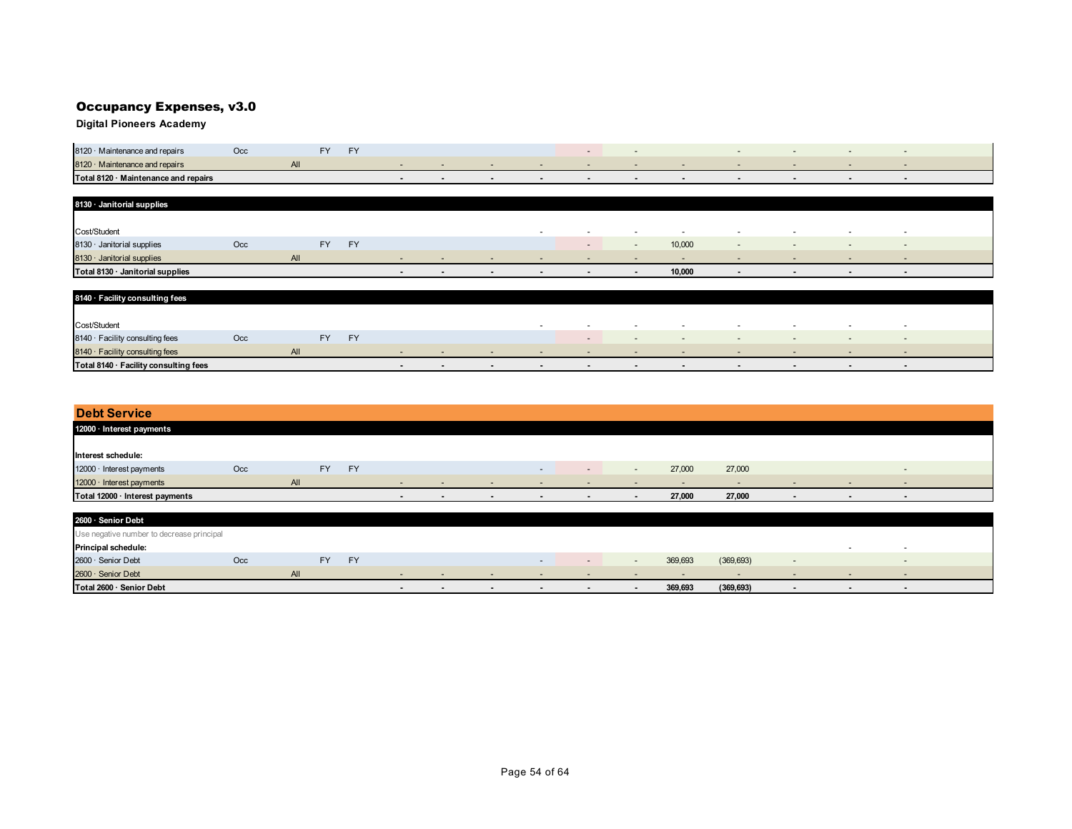## Occupancy Expenses, v3.0

**Digital Pioneers Academy**

| 8120 Maintenance and repairs         | Occ |      | <b>EV</b> |  |  |  |  |  |  |
|--------------------------------------|-----|------|-----------|--|--|--|--|--|--|
| 8120 · Maintenance and repairs       |     | гwн. |           |  |  |  |  |  |  |
| Total 8120 · Maintenance and repairs |     |      |           |  |  |  |  |  |  |

| 8130 · Janitorial supplies       |     |     |    |           |        |                          |        |                          |                          |                          |        |                |                          |                          |        |  |
|----------------------------------|-----|-----|----|-----------|--------|--------------------------|--------|--------------------------|--------------------------|--------------------------|--------|----------------|--------------------------|--------------------------|--------|--|
|                                  |     |     |    |           |        |                          |        |                          |                          |                          |        |                |                          |                          |        |  |
| Cost/Student                     |     |     |    |           |        |                          |        | $\sim$                   | $\overline{\phantom{a}}$ | $\sim$                   | $\sim$ | $\sim$         | $\overline{\phantom{a}}$ | $\sim$                   | $\sim$ |  |
| 8130 · Janitorial supplies       | Occ |     | FY | <b>EY</b> |        |                          |        |                          |                          | $\overline{\phantom{0}}$ | 10,000 | $\sim$         | $\sim$                   | $\sim$                   | $\sim$ |  |
| 8130 · Janitorial supplies       |     | All |    |           | $\sim$ | $\overline{\phantom{a}}$ | $\sim$ | $\sim$                   |                          | $\sim$                   | $\sim$ | $-$            | $\sim$                   | $-$                      | $\sim$ |  |
| Total 8130 · Janitorial supplies |     |     |    |           | $\sim$ | $\sim$                   | $\sim$ | $\overline{\phantom{a}}$ | $\sim$                   |                          | 10,000 | $\blacksquare$ | . .                      | $\overline{\phantom{a}}$ | . .    |  |

| 8140 · Facility consulting fees       |     |     |    |           |        |        |                          |                          |        |                          |        |                          |        |
|---------------------------------------|-----|-----|----|-----------|--------|--------|--------------------------|--------------------------|--------|--------------------------|--------|--------------------------|--------|
|                                       |     |     |    |           |        |        |                          |                          |        |                          |        |                          |        |
| Cost/Student                          |     |     |    |           |        |        | $\overline{\phantom{a}}$ |                          | $\sim$ | $\sim$                   | $\sim$ | $\sim$                   | $\sim$ |
| 8140 · Facility consulting fees       | Occ |     | FY | <b>EV</b> |        |        |                          |                          | $\sim$ | $\sim$                   | $\sim$ | $\overline{\phantom{a}}$ | $\sim$ |
| 8140 · Facility consulting fees       |     | All |    |           |        | $\sim$ | $\sim$                   | $\overline{\phantom{a}}$ | $\sim$ | $\sim$                   | $\sim$ | $\overline{\phantom{a}}$ | . .    |
| Total 8140 · Facility consulting fees |     |     |    |           | $\sim$ |        |                          |                          |        | $\overline{\phantom{a}}$ |        |                          |        |

| <b>Debt Service</b>                       |     |     |           |           |        |                          |        |                          |                          |                          |         |                          |                          |                          |                          |  |
|-------------------------------------------|-----|-----|-----------|-----------|--------|--------------------------|--------|--------------------------|--------------------------|--------------------------|---------|--------------------------|--------------------------|--------------------------|--------------------------|--|
| 12000 · Interest payments                 |     |     |           |           |        |                          |        |                          |                          |                          |         |                          |                          |                          |                          |  |
|                                           |     |     |           |           |        |                          |        |                          |                          |                          |         |                          |                          |                          |                          |  |
| Interest schedule:                        |     |     |           |           |        |                          |        |                          |                          |                          |         |                          |                          |                          |                          |  |
| 12000 · Interest payments                 | Occ |     | <b>FY</b> | <b>FY</b> |        |                          |        | $\overline{\phantom{0}}$ | $\overline{a}$           | $\sim$                   | 27,000  | 27,000                   |                          |                          | $\sim$                   |  |
| 12000 · Interest payments                 |     | All |           |           | $\sim$ | $\overline{\phantom{a}}$ | $\sim$ | $\sim$                   | $\overline{\phantom{0}}$ | $\overline{\phantom{a}}$ | $\sim$  | $\overline{\phantom{0}}$ | $\overline{\phantom{a}}$ | $\overline{\phantom{0}}$ | $\overline{\phantom{a}}$ |  |
| Total 12000 · Interest payments           |     |     |           |           | $\sim$ | $\sim$                   | $\sim$ | $\blacksquare$           | $\blacksquare$           | $\sim$                   | 27,000  | 27,000                   | $\sim$                   | $\overline{\phantom{a}}$ | $\sim$                   |  |
|                                           |     |     |           |           |        |                          |        |                          |                          |                          |         |                          |                          |                          |                          |  |
| 2600 · Senior Debt                        |     |     |           |           |        |                          |        |                          |                          |                          |         |                          |                          |                          |                          |  |
| Use negative number to decrease principal |     |     |           |           |        |                          |        |                          |                          |                          |         |                          |                          |                          |                          |  |
| Principal schedule:                       |     |     |           |           |        |                          |        |                          |                          |                          |         |                          |                          | $\sim$                   | $\overline{\phantom{a}}$ |  |
| 2600 · Senior Debt                        | Occ |     | <b>FY</b> | <b>FY</b> |        |                          |        | $\sim$                   | $\overline{\phantom{a}}$ | $\overline{\phantom{a}}$ | 369,693 | (369, 693)               | $\overline{\phantom{a}}$ |                          | $\sim$                   |  |

2600 · Senior Debt All - - - - - - - - - - - **Total 2600 · Senior Debt - - - - - - 369,693 (369,693) - - -**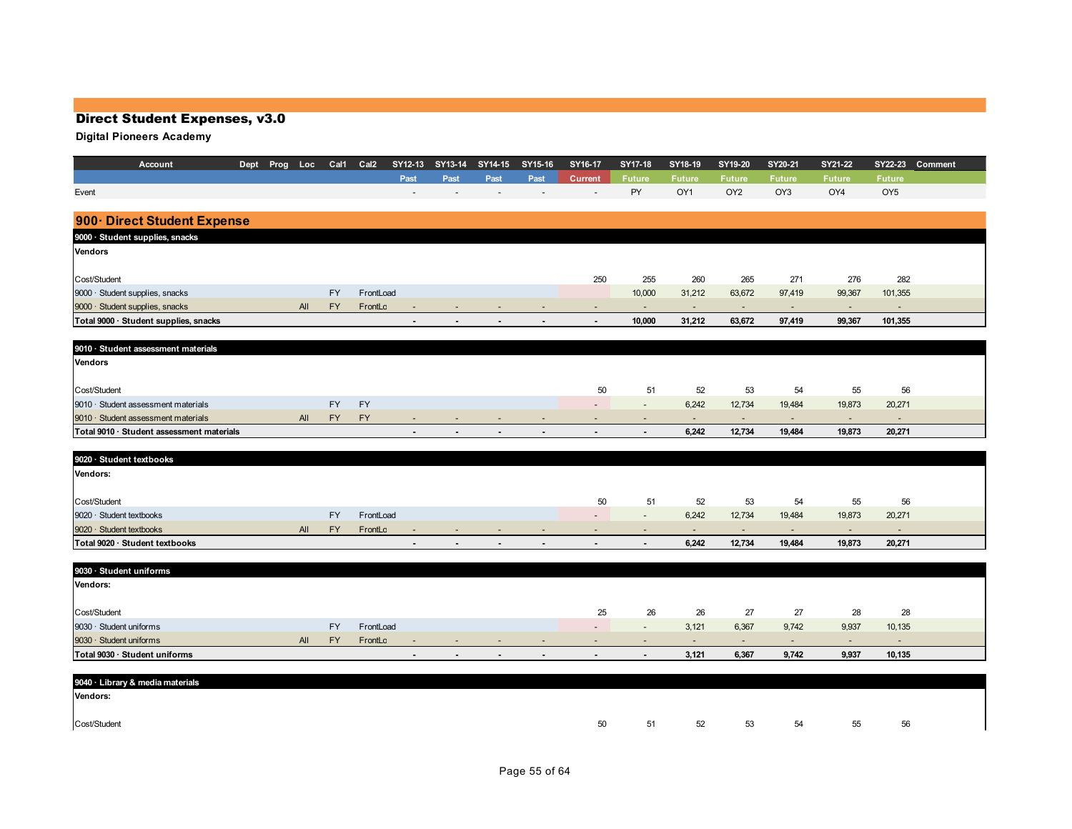| PY<br>OY1<br>OY <sub>2</sub><br>OY3<br>OY4<br>OY <sub>5</sub><br>900 Direct Student Expense<br>250<br>255<br>276<br>282<br>260<br>265<br>271<br>FY<br>FrontLoad<br>10,000<br>31,212<br>63,672<br>97,419<br>99,367<br>101,355<br><b>FY</b><br>All<br>FrontLc<br>$\sim$<br>$\sim$<br>$\sim$<br>$\sim$<br>$\sim$<br>$\overline{a}$<br>10,000<br>97,419<br>101,355<br>31,212<br>63,672<br>99,367<br>$\overline{a}$<br>$\overline{\phantom{a}}$<br>$\overline{\phantom{a}}$<br>$\overline{a}$<br>$\overline{\phantom{a}}$<br>9010 · Student assessment materials<br>Vendors<br>50<br>51<br>52<br>53<br>56<br>54<br>55<br><b>FY</b><br><b>FY</b><br>6,242<br>12,734<br>19,484<br>19,873<br>20,271<br>$\overline{\phantom{a}}$<br>$\overline{\phantom{a}}$<br><b>FY</b><br><b>FY</b><br>All<br>$\overline{a}$<br>$\sim$<br>$\sim$<br>$\sim$<br>$\overline{\phantom{a}}$<br>$\overline{\phantom{a}}$<br>6,242<br>12,734<br>19,484<br>20,271<br>19,873<br>$\overline{\phantom{a}}$<br>$\overline{\phantom{a}}$<br>$\overline{\phantom{a}}$<br>50<br>51<br>52<br>53<br>56<br>54<br>55<br>FY<br>9020 · Student textbooks<br>FrontLoad<br>6,242<br>12,734<br>19,484<br>19,873<br>20,271<br>$\sim$<br>9020 · Student textbooks<br><b>FY</b><br>All<br>FrontLc<br>$\sim$<br>$\sim$<br>$\sim$<br>$\sim$<br>$\sim$<br>$\overline{\phantom{a}}$<br>$\overline{\phantom{a}}$<br>$\overline{\phantom{a}}$<br>Total 9020 · Student textbooks<br>6,242<br>12,734<br>20,271<br>19,484<br>19,873<br>9030 · Student uniforms<br>25<br>26<br>27<br>27<br>28<br>28<br>26<br>FY<br>FrontLoad<br>3,121<br>6,367<br>9,742<br>9,937<br>10,135<br>$\overline{\phantom{a}}$<br>$\sim$<br>All<br><b>FY</b><br>FrontLc<br>$\overline{\phantom{a}}$<br>$\sim$<br>$\sim$<br>$\sim$<br>$\sim$<br>$\overline{\phantom{a}}$<br>$\overline{\phantom{a}}$<br>$\overline{\phantom{a}}$<br>$\overline{a}$<br>$\overline{\phantom{a}}$<br>3,121<br>6,367<br>9,742<br>9,937<br>10,135<br>$\overline{\phantom{a}}$<br>$\overline{\phantom{a}}$<br>$\overline{\phantom{a}}$<br>$\overline{\phantom{a}}$<br>$\overline{\phantom{a}}$<br>$\overline{a}$<br>9040 · Library & media materials | Account                                   | Dept Prog Loc | Cal1 | Cal <sub>2</sub> | SY12-13 | SY13-14 | SY14-15 | SY15-16 | SY16-17 | SY17-18       | SY18-19       | SY19-20       | SY20-21       | <b>SY21-22</b> | SY22-23       | Comment |
|--------------------------------------------------------------------------------------------------------------------------------------------------------------------------------------------------------------------------------------------------------------------------------------------------------------------------------------------------------------------------------------------------------------------------------------------------------------------------------------------------------------------------------------------------------------------------------------------------------------------------------------------------------------------------------------------------------------------------------------------------------------------------------------------------------------------------------------------------------------------------------------------------------------------------------------------------------------------------------------------------------------------------------------------------------------------------------------------------------------------------------------------------------------------------------------------------------------------------------------------------------------------------------------------------------------------------------------------------------------------------------------------------------------------------------------------------------------------------------------------------------------------------------------------------------------------------------------------------------------------------------------------------------------------------------------------------------------------------------------------------------------------------------------------------------------------------------------------------------------------------------------------------------------------------------------------------------------------------------------------------------------------------------------------------------------------------------------------------------------------------------------------|-------------------------------------------|---------------|------|------------------|---------|---------|---------|---------|---------|---------------|---------------|---------------|---------------|----------------|---------------|---------|
|                                                                                                                                                                                                                                                                                                                                                                                                                                                                                                                                                                                                                                                                                                                                                                                                                                                                                                                                                                                                                                                                                                                                                                                                                                                                                                                                                                                                                                                                                                                                                                                                                                                                                                                                                                                                                                                                                                                                                                                                                                                                                                                                            |                                           |               |      |                  | Past    | Past    | Past    | Past    | Current | <b>Future</b> | <b>Future</b> | <b>Future</b> | <b>Future</b> | <b>Future</b>  | <b>Future</b> |         |
|                                                                                                                                                                                                                                                                                                                                                                                                                                                                                                                                                                                                                                                                                                                                                                                                                                                                                                                                                                                                                                                                                                                                                                                                                                                                                                                                                                                                                                                                                                                                                                                                                                                                                                                                                                                                                                                                                                                                                                                                                                                                                                                                            | Event                                     |               |      |                  |         |         |         |         |         |               |               |               |               |                |               |         |
|                                                                                                                                                                                                                                                                                                                                                                                                                                                                                                                                                                                                                                                                                                                                                                                                                                                                                                                                                                                                                                                                                                                                                                                                                                                                                                                                                                                                                                                                                                                                                                                                                                                                                                                                                                                                                                                                                                                                                                                                                                                                                                                                            |                                           |               |      |                  |         |         |         |         |         |               |               |               |               |                |               |         |
|                                                                                                                                                                                                                                                                                                                                                                                                                                                                                                                                                                                                                                                                                                                                                                                                                                                                                                                                                                                                                                                                                                                                                                                                                                                                                                                                                                                                                                                                                                                                                                                                                                                                                                                                                                                                                                                                                                                                                                                                                                                                                                                                            | 9000 · Student supplies, snacks           |               |      |                  |         |         |         |         |         |               |               |               |               |                |               |         |
|                                                                                                                                                                                                                                                                                                                                                                                                                                                                                                                                                                                                                                                                                                                                                                                                                                                                                                                                                                                                                                                                                                                                                                                                                                                                                                                                                                                                                                                                                                                                                                                                                                                                                                                                                                                                                                                                                                                                                                                                                                                                                                                                            | <b>Vendors</b>                            |               |      |                  |         |         |         |         |         |               |               |               |               |                |               |         |
|                                                                                                                                                                                                                                                                                                                                                                                                                                                                                                                                                                                                                                                                                                                                                                                                                                                                                                                                                                                                                                                                                                                                                                                                                                                                                                                                                                                                                                                                                                                                                                                                                                                                                                                                                                                                                                                                                                                                                                                                                                                                                                                                            |                                           |               |      |                  |         |         |         |         |         |               |               |               |               |                |               |         |
|                                                                                                                                                                                                                                                                                                                                                                                                                                                                                                                                                                                                                                                                                                                                                                                                                                                                                                                                                                                                                                                                                                                                                                                                                                                                                                                                                                                                                                                                                                                                                                                                                                                                                                                                                                                                                                                                                                                                                                                                                                                                                                                                            | Cost/Student                              |               |      |                  |         |         |         |         |         |               |               |               |               |                |               |         |
|                                                                                                                                                                                                                                                                                                                                                                                                                                                                                                                                                                                                                                                                                                                                                                                                                                                                                                                                                                                                                                                                                                                                                                                                                                                                                                                                                                                                                                                                                                                                                                                                                                                                                                                                                                                                                                                                                                                                                                                                                                                                                                                                            | 9000 · Student supplies, snacks           |               |      |                  |         |         |         |         |         |               |               |               |               |                |               |         |
|                                                                                                                                                                                                                                                                                                                                                                                                                                                                                                                                                                                                                                                                                                                                                                                                                                                                                                                                                                                                                                                                                                                                                                                                                                                                                                                                                                                                                                                                                                                                                                                                                                                                                                                                                                                                                                                                                                                                                                                                                                                                                                                                            | 9000 · Student supplies, snacks           |               |      |                  |         |         |         |         |         |               |               |               |               |                |               |         |
|                                                                                                                                                                                                                                                                                                                                                                                                                                                                                                                                                                                                                                                                                                                                                                                                                                                                                                                                                                                                                                                                                                                                                                                                                                                                                                                                                                                                                                                                                                                                                                                                                                                                                                                                                                                                                                                                                                                                                                                                                                                                                                                                            | Total 9000 · Student supplies, snacks     |               |      |                  |         |         |         |         |         |               |               |               |               |                |               |         |
|                                                                                                                                                                                                                                                                                                                                                                                                                                                                                                                                                                                                                                                                                                                                                                                                                                                                                                                                                                                                                                                                                                                                                                                                                                                                                                                                                                                                                                                                                                                                                                                                                                                                                                                                                                                                                                                                                                                                                                                                                                                                                                                                            |                                           |               |      |                  |         |         |         |         |         |               |               |               |               |                |               |         |
|                                                                                                                                                                                                                                                                                                                                                                                                                                                                                                                                                                                                                                                                                                                                                                                                                                                                                                                                                                                                                                                                                                                                                                                                                                                                                                                                                                                                                                                                                                                                                                                                                                                                                                                                                                                                                                                                                                                                                                                                                                                                                                                                            |                                           |               |      |                  |         |         |         |         |         |               |               |               |               |                |               |         |
|                                                                                                                                                                                                                                                                                                                                                                                                                                                                                                                                                                                                                                                                                                                                                                                                                                                                                                                                                                                                                                                                                                                                                                                                                                                                                                                                                                                                                                                                                                                                                                                                                                                                                                                                                                                                                                                                                                                                                                                                                                                                                                                                            |                                           |               |      |                  |         |         |         |         |         |               |               |               |               |                |               |         |
|                                                                                                                                                                                                                                                                                                                                                                                                                                                                                                                                                                                                                                                                                                                                                                                                                                                                                                                                                                                                                                                                                                                                                                                                                                                                                                                                                                                                                                                                                                                                                                                                                                                                                                                                                                                                                                                                                                                                                                                                                                                                                                                                            | Cost/Student                              |               |      |                  |         |         |         |         |         |               |               |               |               |                |               |         |
|                                                                                                                                                                                                                                                                                                                                                                                                                                                                                                                                                                                                                                                                                                                                                                                                                                                                                                                                                                                                                                                                                                                                                                                                                                                                                                                                                                                                                                                                                                                                                                                                                                                                                                                                                                                                                                                                                                                                                                                                                                                                                                                                            | 9010 · Student assessment materials       |               |      |                  |         |         |         |         |         |               |               |               |               |                |               |         |
|                                                                                                                                                                                                                                                                                                                                                                                                                                                                                                                                                                                                                                                                                                                                                                                                                                                                                                                                                                                                                                                                                                                                                                                                                                                                                                                                                                                                                                                                                                                                                                                                                                                                                                                                                                                                                                                                                                                                                                                                                                                                                                                                            | 9010 · Student assessment materials       |               |      |                  |         |         |         |         |         |               |               |               |               |                |               |         |
|                                                                                                                                                                                                                                                                                                                                                                                                                                                                                                                                                                                                                                                                                                                                                                                                                                                                                                                                                                                                                                                                                                                                                                                                                                                                                                                                                                                                                                                                                                                                                                                                                                                                                                                                                                                                                                                                                                                                                                                                                                                                                                                                            | Total 9010 · Student assessment materials |               |      |                  |         |         |         |         |         |               |               |               |               |                |               |         |
|                                                                                                                                                                                                                                                                                                                                                                                                                                                                                                                                                                                                                                                                                                                                                                                                                                                                                                                                                                                                                                                                                                                                                                                                                                                                                                                                                                                                                                                                                                                                                                                                                                                                                                                                                                                                                                                                                                                                                                                                                                                                                                                                            |                                           |               |      |                  |         |         |         |         |         |               |               |               |               |                |               |         |
|                                                                                                                                                                                                                                                                                                                                                                                                                                                                                                                                                                                                                                                                                                                                                                                                                                                                                                                                                                                                                                                                                                                                                                                                                                                                                                                                                                                                                                                                                                                                                                                                                                                                                                                                                                                                                                                                                                                                                                                                                                                                                                                                            | 9020 · Student textbooks                  |               |      |                  |         |         |         |         |         |               |               |               |               |                |               |         |
|                                                                                                                                                                                                                                                                                                                                                                                                                                                                                                                                                                                                                                                                                                                                                                                                                                                                                                                                                                                                                                                                                                                                                                                                                                                                                                                                                                                                                                                                                                                                                                                                                                                                                                                                                                                                                                                                                                                                                                                                                                                                                                                                            | Vendors:                                  |               |      |                  |         |         |         |         |         |               |               |               |               |                |               |         |
|                                                                                                                                                                                                                                                                                                                                                                                                                                                                                                                                                                                                                                                                                                                                                                                                                                                                                                                                                                                                                                                                                                                                                                                                                                                                                                                                                                                                                                                                                                                                                                                                                                                                                                                                                                                                                                                                                                                                                                                                                                                                                                                                            |                                           |               |      |                  |         |         |         |         |         |               |               |               |               |                |               |         |
|                                                                                                                                                                                                                                                                                                                                                                                                                                                                                                                                                                                                                                                                                                                                                                                                                                                                                                                                                                                                                                                                                                                                                                                                                                                                                                                                                                                                                                                                                                                                                                                                                                                                                                                                                                                                                                                                                                                                                                                                                                                                                                                                            | Cost/Student                              |               |      |                  |         |         |         |         |         |               |               |               |               |                |               |         |
|                                                                                                                                                                                                                                                                                                                                                                                                                                                                                                                                                                                                                                                                                                                                                                                                                                                                                                                                                                                                                                                                                                                                                                                                                                                                                                                                                                                                                                                                                                                                                                                                                                                                                                                                                                                                                                                                                                                                                                                                                                                                                                                                            |                                           |               |      |                  |         |         |         |         |         |               |               |               |               |                |               |         |
|                                                                                                                                                                                                                                                                                                                                                                                                                                                                                                                                                                                                                                                                                                                                                                                                                                                                                                                                                                                                                                                                                                                                                                                                                                                                                                                                                                                                                                                                                                                                                                                                                                                                                                                                                                                                                                                                                                                                                                                                                                                                                                                                            |                                           |               |      |                  |         |         |         |         |         |               |               |               |               |                |               |         |
|                                                                                                                                                                                                                                                                                                                                                                                                                                                                                                                                                                                                                                                                                                                                                                                                                                                                                                                                                                                                                                                                                                                                                                                                                                                                                                                                                                                                                                                                                                                                                                                                                                                                                                                                                                                                                                                                                                                                                                                                                                                                                                                                            |                                           |               |      |                  |         |         |         |         |         |               |               |               |               |                |               |         |
|                                                                                                                                                                                                                                                                                                                                                                                                                                                                                                                                                                                                                                                                                                                                                                                                                                                                                                                                                                                                                                                                                                                                                                                                                                                                                                                                                                                                                                                                                                                                                                                                                                                                                                                                                                                                                                                                                                                                                                                                                                                                                                                                            |                                           |               |      |                  |         |         |         |         |         |               |               |               |               |                |               |         |
|                                                                                                                                                                                                                                                                                                                                                                                                                                                                                                                                                                                                                                                                                                                                                                                                                                                                                                                                                                                                                                                                                                                                                                                                                                                                                                                                                                                                                                                                                                                                                                                                                                                                                                                                                                                                                                                                                                                                                                                                                                                                                                                                            | Vendors:                                  |               |      |                  |         |         |         |         |         |               |               |               |               |                |               |         |
|                                                                                                                                                                                                                                                                                                                                                                                                                                                                                                                                                                                                                                                                                                                                                                                                                                                                                                                                                                                                                                                                                                                                                                                                                                                                                                                                                                                                                                                                                                                                                                                                                                                                                                                                                                                                                                                                                                                                                                                                                                                                                                                                            |                                           |               |      |                  |         |         |         |         |         |               |               |               |               |                |               |         |
|                                                                                                                                                                                                                                                                                                                                                                                                                                                                                                                                                                                                                                                                                                                                                                                                                                                                                                                                                                                                                                                                                                                                                                                                                                                                                                                                                                                                                                                                                                                                                                                                                                                                                                                                                                                                                                                                                                                                                                                                                                                                                                                                            | Cost/Student                              |               |      |                  |         |         |         |         |         |               |               |               |               |                |               |         |
|                                                                                                                                                                                                                                                                                                                                                                                                                                                                                                                                                                                                                                                                                                                                                                                                                                                                                                                                                                                                                                                                                                                                                                                                                                                                                                                                                                                                                                                                                                                                                                                                                                                                                                                                                                                                                                                                                                                                                                                                                                                                                                                                            | 9030 · Student uniforms                   |               |      |                  |         |         |         |         |         |               |               |               |               |                |               |         |
|                                                                                                                                                                                                                                                                                                                                                                                                                                                                                                                                                                                                                                                                                                                                                                                                                                                                                                                                                                                                                                                                                                                                                                                                                                                                                                                                                                                                                                                                                                                                                                                                                                                                                                                                                                                                                                                                                                                                                                                                                                                                                                                                            | 9030 · Student uniforms                   |               |      |                  |         |         |         |         |         |               |               |               |               |                |               |         |
|                                                                                                                                                                                                                                                                                                                                                                                                                                                                                                                                                                                                                                                                                                                                                                                                                                                                                                                                                                                                                                                                                                                                                                                                                                                                                                                                                                                                                                                                                                                                                                                                                                                                                                                                                                                                                                                                                                                                                                                                                                                                                                                                            | Total 9030 · Student uniforms             |               |      |                  |         |         |         |         |         |               |               |               |               |                |               |         |
|                                                                                                                                                                                                                                                                                                                                                                                                                                                                                                                                                                                                                                                                                                                                                                                                                                                                                                                                                                                                                                                                                                                                                                                                                                                                                                                                                                                                                                                                                                                                                                                                                                                                                                                                                                                                                                                                                                                                                                                                                                                                                                                                            |                                           |               |      |                  |         |         |         |         |         |               |               |               |               |                |               |         |
|                                                                                                                                                                                                                                                                                                                                                                                                                                                                                                                                                                                                                                                                                                                                                                                                                                                                                                                                                                                                                                                                                                                                                                                                                                                                                                                                                                                                                                                                                                                                                                                                                                                                                                                                                                                                                                                                                                                                                                                                                                                                                                                                            |                                           |               |      |                  |         |         |         |         |         |               |               |               |               |                |               |         |
|                                                                                                                                                                                                                                                                                                                                                                                                                                                                                                                                                                                                                                                                                                                                                                                                                                                                                                                                                                                                                                                                                                                                                                                                                                                                                                                                                                                                                                                                                                                                                                                                                                                                                                                                                                                                                                                                                                                                                                                                                                                                                                                                            | Vendors:                                  |               |      |                  |         |         |         |         |         |               |               |               |               |                |               |         |
|                                                                                                                                                                                                                                                                                                                                                                                                                                                                                                                                                                                                                                                                                                                                                                                                                                                                                                                                                                                                                                                                                                                                                                                                                                                                                                                                                                                                                                                                                                                                                                                                                                                                                                                                                                                                                                                                                                                                                                                                                                                                                                                                            |                                           |               |      |                  |         |         |         |         |         |               |               |               |               |                |               |         |
| 53<br>50<br>51<br>52<br>54<br>55<br>56                                                                                                                                                                                                                                                                                                                                                                                                                                                                                                                                                                                                                                                                                                                                                                                                                                                                                                                                                                                                                                                                                                                                                                                                                                                                                                                                                                                                                                                                                                                                                                                                                                                                                                                                                                                                                                                                                                                                                                                                                                                                                                     | Cost/Student                              |               |      |                  |         |         |         |         |         |               |               |               |               |                |               |         |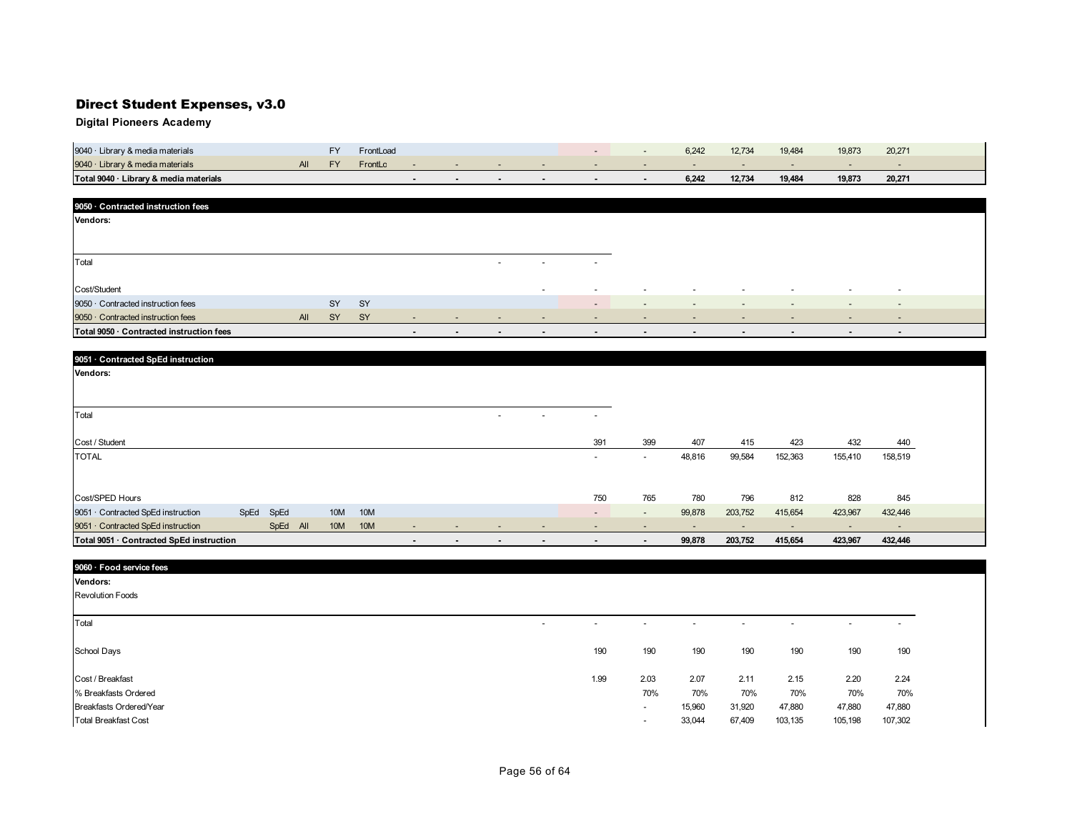| 9040 · Library & media materials       |  | FrontLoad |  |  |  | 6.242 | 12.734 | 19,484 | 19,873 | 20,271 |
|----------------------------------------|--|-----------|--|--|--|-------|--------|--------|--------|--------|
| 9040 · Library & media materials       |  | FrontLc   |  |  |  |       |        |        |        |        |
| Total 9040 · Library & media materials |  |           |  |  |  | 6.242 | 12.734 | 19.484 | 19.873 | 20,271 |

| 9050 Contracted instruction fees         |     |           |           |                          |                          |                          |                          |                          |                          |                          |                          |                          |                          |                          |
|------------------------------------------|-----|-----------|-----------|--------------------------|--------------------------|--------------------------|--------------------------|--------------------------|--------------------------|--------------------------|--------------------------|--------------------------|--------------------------|--------------------------|
| <b>Vendors:</b>                          |     |           |           |                          |                          |                          |                          |                          |                          |                          |                          |                          |                          |                          |
|                                          |     |           |           |                          |                          |                          |                          |                          |                          |                          |                          |                          |                          |                          |
|                                          |     |           |           |                          |                          |                          |                          |                          |                          |                          |                          |                          |                          |                          |
| Total                                    |     |           |           |                          |                          | $\overline{\phantom{0}}$ | $\overline{\phantom{a}}$ | $\overline{\phantom{a}}$ |                          |                          |                          |                          |                          |                          |
|                                          |     |           |           |                          |                          |                          |                          |                          |                          |                          |                          |                          |                          |                          |
| Cost/Student                             |     |           |           |                          |                          |                          | $\overline{a}$           | $\overline{\phantom{a}}$ | $\overline{\phantom{a}}$ | $\overline{\phantom{a}}$ | $\overline{\phantom{a}}$ | $\overline{\phantom{0}}$ | $\sim$                   | $\overline{\phantom{a}}$ |
| 9050 Contracted instruction fees         |     | SY        | <b>SY</b> |                          |                          |                          |                          | $\overline{\phantom{a}}$ |                          | $\overline{\phantom{0}}$ |                          | $\sim$                   | $\sim$                   | $\overline{\phantom{a}}$ |
| 9050 · Contracted instruction fees       | All | <b>SY</b> | SY        | $\overline{\phantom{0}}$ | $\overline{\phantom{0}}$ | $\overline{\phantom{0}}$ | $\overline{\phantom{0}}$ | $\sim$                   | $\overline{\phantom{0}}$ | $\overline{\phantom{a}}$ | $\overline{\phantom{a}}$ | $\overline{\phantom{a}}$ | $\sim$                   | $\overline{\phantom{a}}$ |
| Total 9050 · Contracted instruction fees |     |           |           | $\overline{\phantom{a}}$ | $\overline{\phantom{a}}$ | $\overline{\phantom{a}}$ | $\blacksquare$           | $\overline{\phantom{a}}$ | $\sim$                   | $\overline{\phantom{a}}$ | $\blacksquare$           | $\overline{\phantom{a}}$ | $\overline{\phantom{a}}$ | $\sim$                   |

| 9051 Contracted SpEd instruction         |      |          |     |     |                          |                          |                          |                          |                          |                          |                          |         |         |         |                          |  |
|------------------------------------------|------|----------|-----|-----|--------------------------|--------------------------|--------------------------|--------------------------|--------------------------|--------------------------|--------------------------|---------|---------|---------|--------------------------|--|
| Vendors:                                 |      |          |     |     |                          |                          |                          |                          |                          |                          |                          |         |         |         |                          |  |
|                                          |      |          |     |     |                          |                          |                          |                          |                          |                          |                          |         |         |         |                          |  |
|                                          |      |          |     |     |                          |                          |                          |                          |                          |                          |                          |         |         |         |                          |  |
| Total                                    |      |          |     |     |                          |                          | $\overline{\phantom{0}}$ | $\overline{\phantom{a}}$ | $\overline{\phantom{a}}$ |                          |                          |         |         |         |                          |  |
|                                          |      |          |     |     |                          |                          |                          |                          |                          |                          |                          |         |         |         |                          |  |
| Cost / Student                           |      |          |     |     |                          |                          |                          |                          | 391                      | 399                      | 407                      | 415     | 423     | 432     | 440                      |  |
| <b>TOTAL</b>                             |      |          |     |     |                          |                          |                          |                          | $\overline{\phantom{0}}$ | $\overline{\phantom{a}}$ | 48,816                   | 99,584  | 152,363 | 155,410 | 158,519                  |  |
|                                          |      |          |     |     |                          |                          |                          |                          |                          |                          |                          |         |         |         |                          |  |
|                                          |      |          |     |     |                          |                          |                          |                          |                          |                          |                          |         |         |         |                          |  |
| Cost/SPED Hours                          |      |          |     |     |                          |                          |                          |                          | 750                      | 765                      | 780                      | 796     | 812     | 828     | 845                      |  |
| 9051 Contracted SpEd instruction         | SpEd | SpEd     | 10M | 10M |                          |                          |                          |                          | $\sim$                   | $\sim$                   | 99,878                   | 203,752 | 415,654 | 423,967 | 432,446                  |  |
| 9051 Contracted SpEd instruction         |      | SpEd All | 10M | 10M | $\overline{\phantom{a}}$ | $\overline{\phantom{a}}$ | $\overline{\phantom{a}}$ | $\overline{\phantom{a}}$ |                          | $\overline{\phantom{0}}$ | $\overline{\phantom{a}}$ |         |         | $\sim$  | $\overline{\phantom{a}}$ |  |
| Total 9051 · Contracted SpEd instruction |      |          |     |     | $\overline{\phantom{a}}$ |                          |                          | $\blacksquare$           | $\blacksquare$           | $\blacksquare$           | 99,878                   | 203,752 | 415,654 | 423,967 | 432,446                  |  |

| 9060 · Food service fees    |                          |                          |                          |                          |                          |         |                          |                          |
|-----------------------------|--------------------------|--------------------------|--------------------------|--------------------------|--------------------------|---------|--------------------------|--------------------------|
| Vendors:                    |                          |                          |                          |                          |                          |         |                          |                          |
| <b>Revolution Foods</b>     |                          |                          |                          |                          |                          |         |                          |                          |
|                             |                          |                          |                          |                          |                          |         |                          |                          |
| Total                       | $\overline{\phantom{a}}$ | $\overline{\phantom{a}}$ | $\overline{\phantom{a}}$ | $\overline{\phantom{0}}$ | $\overline{\phantom{a}}$ | ٠       | $\overline{\phantom{a}}$ | $\overline{\phantom{a}}$ |
|                             |                          |                          |                          |                          |                          |         |                          |                          |
| School Days                 |                          | 190                      | 190                      | 190                      | 190                      | 190     | 190                      | 190                      |
| Cost / Breakfast            |                          | 1.99                     | 2.03                     | 2.07                     | 2.11                     | 2.15    | 2.20                     | 2.24                     |
|                             |                          |                          |                          |                          |                          |         |                          |                          |
| % Breakfasts Ordered        |                          |                          | 70%                      | 70%                      | 70%                      | 70%     | 70%                      | 70%                      |
| Breakfasts Ordered/Year     |                          |                          | $\overline{\phantom{a}}$ | 15,960                   | 31,920                   | 47,880  | 47,880                   | 47,880                   |
| <b>Total Breakfast Cost</b> |                          |                          | $\overline{\phantom{a}}$ | 33,044                   | 67,409                   | 103,135 | 105,198                  | 107,302                  |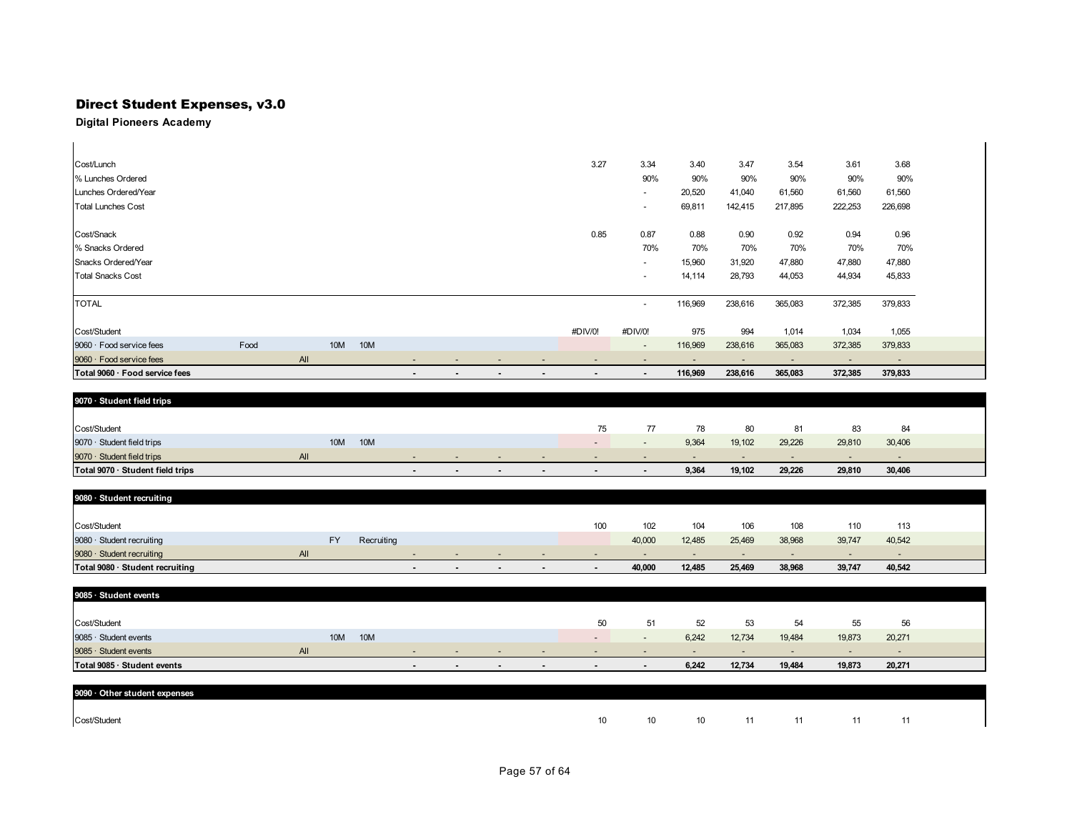| Cost/Lunch                     |      |     |                 |     |                          |  | 3.27    | 3.34                     | 3.40    | 3.47    | 3.54    | 3.61                     | 3.68                     |
|--------------------------------|------|-----|-----------------|-----|--------------------------|--|---------|--------------------------|---------|---------|---------|--------------------------|--------------------------|
| % Lunches Ordered              |      |     |                 |     |                          |  |         | 90%                      | 90%     | 90%     | 90%     | 90%                      | 90%                      |
| Lunches Ordered/Year           |      |     |                 |     |                          |  |         | $\overline{\phantom{a}}$ | 20,520  | 41,040  | 61,560  | 61,560                   | 61,560                   |
| <b>Total Lunches Cost</b>      |      |     |                 |     |                          |  |         | $\overline{\phantom{a}}$ | 69,811  | 142,415 | 217,895 | 222,253                  | 226,698                  |
| Cost/Snack                     |      |     |                 |     |                          |  | 0.85    | 0.87                     | 0.88    | 0.90    | 0.92    | 0.94                     | 0.96                     |
| % Snacks Ordered               |      |     |                 |     |                          |  |         | 70%                      | 70%     | 70%     | 70%     | 70%                      | 70%                      |
| Snacks Ordered/Year            |      |     |                 |     |                          |  |         | $\overline{\phantom{a}}$ | 15,960  | 31,920  | 47,880  | 47,880                   | 47,880                   |
| <b>Total Snacks Cost</b>       |      |     |                 |     |                          |  |         | $\overline{\phantom{a}}$ | 14,114  | 28,793  | 44,053  | 44,934                   | 45,833                   |
| <b>TOTAL</b>                   |      |     |                 |     |                          |  |         | $\overline{\phantom{a}}$ | 116,969 | 238,616 | 365,083 | 372,385                  | 379,833                  |
| Cost/Student                   |      |     |                 |     |                          |  | #DIV/0! | #DIV/0!                  | 975     | 994     | 1,014   | 1,034                    | 1,055                    |
| 9060 · Food service fees       | Food |     | 10 <sub>M</sub> | 10M |                          |  |         | $\overline{a}$           | 116,969 | 238,616 | 365,083 | 372,385                  | 379,833                  |
| 9060 · Food service fees       |      | All |                 |     |                          |  |         |                          |         |         |         | $\overline{\phantom{a}}$ | $\overline{\phantom{a}}$ |
| Total 9060 · Food service fees |      |     |                 |     | $\overline{\phantom{a}}$ |  |         | ٠                        | 116,969 | 238,616 | 365,083 | 372,385                  | 379,833                  |

| 9070 · Student field trips       |     |     |        |     |                          |        |                          |                          |                          |        |        |        |                          |  |
|----------------------------------|-----|-----|--------|-----|--------------------------|--------|--------------------------|--------------------------|--------------------------|--------|--------|--------|--------------------------|--|
|                                  |     |     |        |     |                          |        |                          |                          |                          |        |        |        |                          |  |
| Cost/Student                     |     |     |        |     |                          |        |                          |                          | 78                       | 80     | 81     | 83     | 84                       |  |
| $9070 \cdot$ Student field trips | 10M | 10M |        |     |                          |        |                          |                          | 9,364                    | 19,102 | 29.226 | 29,810 | 30,406                   |  |
| 9070 · Student field trips       | All |     | $\sim$ |     | $\sim$                   | $\sim$ | $\sim$                   | $\overline{\phantom{0}}$ | $\overline{\phantom{a}}$ | $\sim$ | $\sim$ |        | $\overline{\phantom{a}}$ |  |
| Total 9070 · Student field trips |     |     | $\sim$ | . . | $\overline{\phantom{a}}$ | $\sim$ | $\overline{\phantom{a}}$ |                          | 9,364                    | 19,102 | 29,226 | 29,810 | 30,406                   |  |

| 9080 · Student recruiting       |     |           |            |                          |                          |                          |                          |                |        |        |        |        |        |                          |  |
|---------------------------------|-----|-----------|------------|--------------------------|--------------------------|--------------------------|--------------------------|----------------|--------|--------|--------|--------|--------|--------------------------|--|
|                                 |     |           |            |                          |                          |                          |                          |                |        |        |        |        |        |                          |  |
| Cost/Student                    |     |           |            |                          |                          |                          |                          | 100            | 102    | 104    | 106    | 108    | 110    | 113                      |  |
| 9080 · Student recruiting       |     | <b>FY</b> | Recruiting |                          |                          |                          |                          |                | 40,000 | 12,485 | 25,469 | 38,968 | 39,747 | 40,542                   |  |
| 9080 · Student recruiting       | All |           |            | $\overline{\phantom{0}}$ | $\overline{\phantom{a}}$ | $\overline{\phantom{0}}$ | $\overline{\phantom{a}}$ |                |        |        |        |        | . .    | $\overline{\phantom{a}}$ |  |
| Total 9080 · Student recruiting |     |           |            | $\blacksquare$           | . .                      | $\overline{\phantom{a}}$ | . .                      | $\blacksquare$ | 40,000 | 12.485 | 25.469 | 38.968 | 39.747 | 40,542                   |  |

| 9085 · Student events       |     |                   |        |                          |        |                          |                          |                          |                          |                          |                          |        |                          |  |
|-----------------------------|-----|-------------------|--------|--------------------------|--------|--------------------------|--------------------------|--------------------------|--------------------------|--------------------------|--------------------------|--------|--------------------------|--|
|                             |     |                   |        |                          |        |                          |                          |                          |                          |                          |                          |        |                          |  |
| Cost/Student                |     |                   |        |                          |        |                          | 50                       | 51                       | 52                       | 53                       | 54                       | 55     | 56                       |  |
| 9085 · Student events       |     | 10M<br><b>10M</b> |        |                          |        |                          | $\overline{\phantom{0}}$ | $\overline{\phantom{0}}$ | 6,242                    | 12,734                   | 19,484                   | 19,873 | 20,271                   |  |
| 9085 · Student events       | All |                   | $\sim$ | $\overline{\phantom{a}}$ | $\sim$ | $\overline{\phantom{a}}$ | $\overline{\phantom{0}}$ | $\overline{\phantom{0}}$ | $\overline{\phantom{0}}$ | $\overline{\phantom{a}}$ | $\overline{\phantom{0}}$ | $\sim$ | $\overline{\phantom{a}}$ |  |
| Total 9085 · Student events |     |                   | $\sim$ | $\sim$                   | $\sim$ | . .                      | $\sim$                   | $\blacksquare$           | 6.242                    | 12.734                   | 19.484                   | 19,873 | 20,271                   |  |

| 9090 Other student expenses |                 |    |    |       |    |     |
|-----------------------------|-----------------|----|----|-------|----|-----|
|                             |                 |    |    |       |    |     |
| Cost/Student                | 10 <sup>1</sup> | 10 | 10 | $-11$ | 11 | -11 |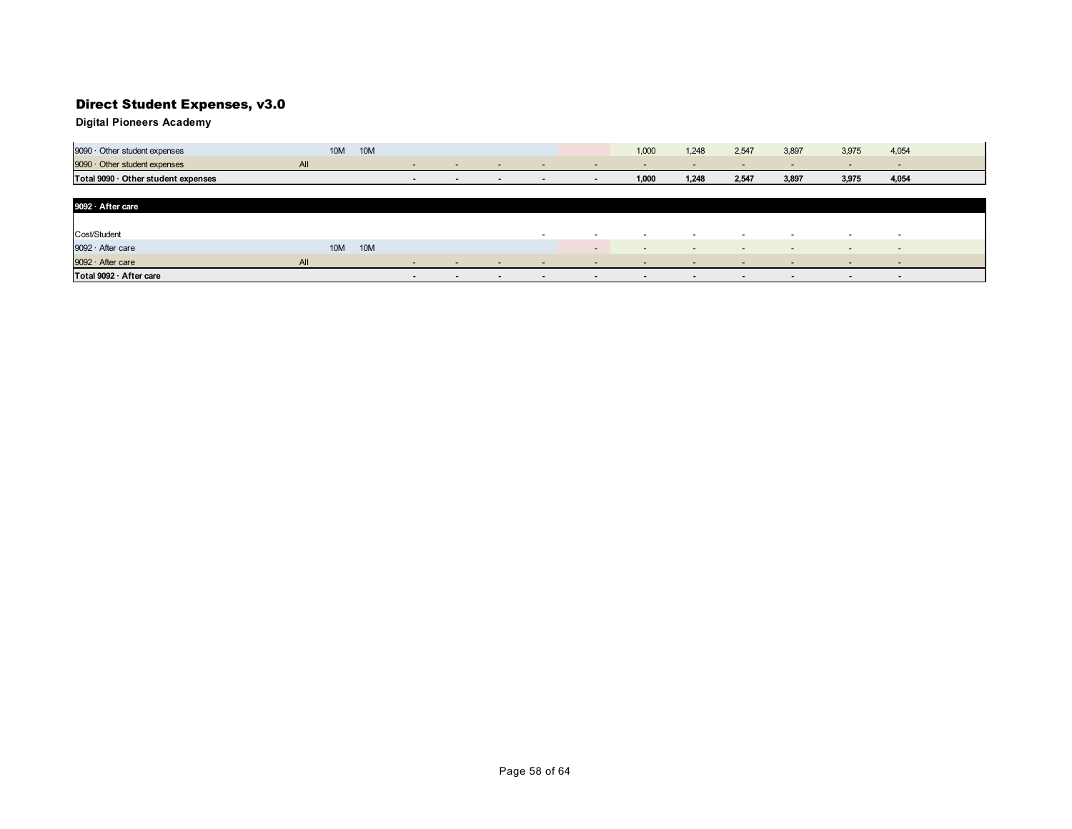**Digital Pioneers Academy**

| 9090 · Other student expenses       |     | <b>10M</b> | <b>10M</b> |                          |                          |                          |                          |                          | 1,000                    | 1,248                    | 2,547                    | 3,897                    | 3,975                    | 4,054                    |
|-------------------------------------|-----|------------|------------|--------------------------|--------------------------|--------------------------|--------------------------|--------------------------|--------------------------|--------------------------|--------------------------|--------------------------|--------------------------|--------------------------|
| 9090 · Other student expenses       | All |            |            | $\overline{\phantom{a}}$ | $\overline{\phantom{a}}$ | $\sim$                   | $\overline{\phantom{0}}$ | $\overline{\phantom{0}}$ | $\overline{\phantom{0}}$ | $\overline{\phantom{0}}$ | $\overline{\phantom{0}}$ | $\overline{\phantom{0}}$ | $\overline{\phantom{a}}$ | $\overline{\phantom{0}}$ |
| Total 9090 · Other student expenses |     |            |            | $\overline{\phantom{a}}$ | $\blacksquare$           | $\blacksquare$           | $\overline{\phantom{a}}$ | $\overline{\phantom{a}}$ | 1,000                    | 1,248                    | 2,547                    | 3,897                    | 3,975                    | 4,054                    |
|                                     |     |            |            |                          |                          |                          |                          |                          |                          |                          |                          |                          |                          |                          |
| 9092 · After care                   |     |            |            |                          |                          |                          |                          |                          |                          |                          |                          |                          |                          |                          |
|                                     |     |            |            |                          |                          |                          |                          |                          |                          |                          |                          |                          |                          |                          |
| Cost/Student                        |     |            |            |                          |                          |                          | $\overline{\phantom{a}}$ | $\sim$                   | $\overline{\phantom{a}}$ | $\overline{\phantom{a}}$ | $\sim$                   | $\overline{\phantom{0}}$ | $\overline{\phantom{0}}$ | $\overline{\phantom{0}}$ |
| 9092 · After care                   |     | <b>10M</b> | <b>10M</b> |                          |                          |                          |                          | $\overline{\phantom{a}}$ | $\overline{\phantom{0}}$ | $\overline{\phantom{a}}$ | $-$                      | $\sim$                   | $\sim$                   | $\overline{\phantom{0}}$ |
| 9092 · After care                   | All |            |            | $\overline{\phantom{0}}$ | $\overline{\phantom{a}}$ | $\overline{\phantom{a}}$ | $\overline{\phantom{0}}$ |                          |                          |                          |                          |                          | $\sim$                   | $\overline{\phantom{a}}$ |

**Total 9092 · After care**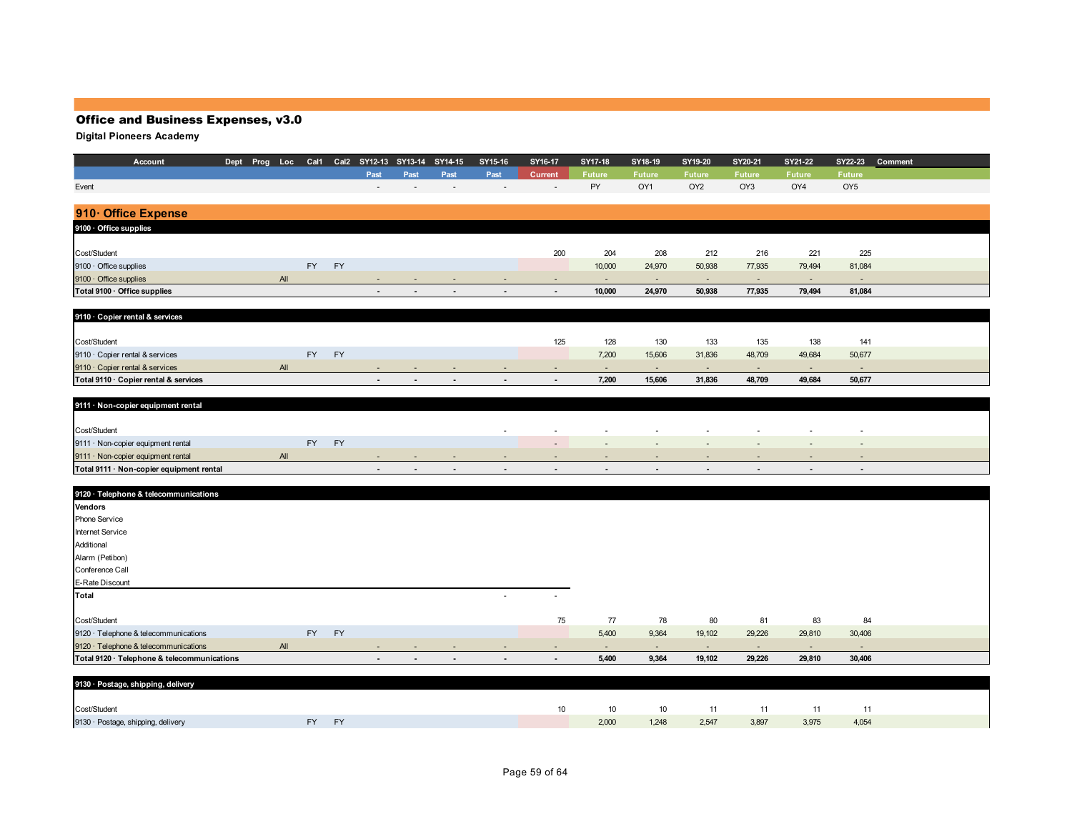| Account                                     |  |     |           |           |                          | Dept Prog Loc Cal1 Cal2 SY12-13 SY13-14 SY14-15 |      | SY15-16        | SY16-17        | SY17-18        | SY18-19                  | SY19-20                  | SY20-21        | SY21-22        |                          | SY22-23 Comment |
|---------------------------------------------|--|-----|-----------|-----------|--------------------------|-------------------------------------------------|------|----------------|----------------|----------------|--------------------------|--------------------------|----------------|----------------|--------------------------|-----------------|
|                                             |  |     |           |           | Past                     | Past                                            | Past | Past           | Current        | <b>Future</b>  | <b>Future</b>            | <b>Future</b>            | <b>Future</b>  | <b>Future</b>  | <b>Future</b>            |                 |
| Event                                       |  |     |           |           |                          |                                                 |      |                |                | PY             | OY1                      | OY <sub>2</sub>          | OY3            | OY4            | OY <sub>5</sub>          |                 |
|                                             |  |     |           |           |                          |                                                 |      |                |                |                |                          |                          |                |                |                          |                 |
| 910 Office Expense                          |  |     |           |           |                          |                                                 |      |                |                |                |                          |                          |                |                |                          |                 |
| 9100 · Office supplies                      |  |     |           |           |                          |                                                 |      |                |                |                |                          |                          |                |                |                          |                 |
|                                             |  |     |           |           |                          |                                                 |      |                |                |                |                          |                          |                |                |                          |                 |
| Cost/Student                                |  |     |           |           |                          |                                                 |      |                | 200            | 204            | 208                      | 212                      | 216            | 221            | 225                      |                 |
| 9100 · Office supplies                      |  |     | <b>FY</b> | <b>FY</b> |                          |                                                 |      |                |                | 10,000         | 24,970                   | 50,938                   | 77,935         | 79,494         | 81,084                   |                 |
| 9100 · Office supplies                      |  | All |           |           | ÷                        | ÷                                               |      | $\blacksquare$ | $\sim$         | $\sim$         | $\sim$                   | $\sim$                   | $\sim$         | $\sim$         | $\sim$                   |                 |
| Total 9100 · Office supplies                |  |     |           |           | $\blacksquare$           | $\blacksquare$                                  |      | $\blacksquare$ | $\blacksquare$ | 10,000         | 24,970                   | 50,938                   | 77,935         | 79,494         | 81,084                   |                 |
|                                             |  |     |           |           |                          |                                                 |      |                |                |                |                          |                          |                |                |                          |                 |
| 9110 · Copier rental & services             |  |     |           |           |                          |                                                 |      |                |                |                |                          |                          |                |                |                          |                 |
|                                             |  |     |           |           |                          |                                                 |      |                |                |                |                          |                          |                |                |                          |                 |
| Cost/Student                                |  |     |           |           |                          |                                                 |      |                | 125            | 128            | 130                      | 133                      | 135            | 138            | 141                      |                 |
| 9110 · Copier rental & services             |  |     | <b>FY</b> | FY        |                          |                                                 |      |                |                | 7,200          | 15,606                   | 31,836                   | 48,709         | 49,684         | 50,677                   |                 |
| 9110 · Copier rental & services             |  | All |           |           |                          |                                                 |      |                |                | ٠              | $\sim$                   | $\sim$                   | $\sim$         | $\sim$         | $\sim$                   |                 |
| Total 9110 · Copier rental & services       |  |     |           |           | $\blacksquare$           | $\blacksquare$                                  |      | $\blacksquare$ | $\sim$         | 7,200          | 15,606                   | 31,836                   | 48,709         | 49,684         | 50,677                   |                 |
|                                             |  |     |           |           |                          |                                                 |      |                |                |                |                          |                          |                |                |                          |                 |
| 9111 · Non-copier equipment rental          |  |     |           |           |                          |                                                 |      |                |                |                |                          |                          |                |                |                          |                 |
|                                             |  |     |           |           |                          |                                                 |      |                |                |                |                          |                          |                |                |                          |                 |
| Cost/Student                                |  |     |           |           |                          |                                                 |      |                |                |                |                          |                          |                |                |                          |                 |
| 9111 · Non-copier equipment rental          |  |     | FY        | FY        |                          |                                                 |      |                |                |                |                          |                          |                |                | $\overline{\phantom{a}}$ |                 |
| 9111 · Non-copier equipment rental          |  | All |           |           |                          |                                                 |      |                |                |                |                          | $\overline{\phantom{a}}$ |                |                | $\sim$                   |                 |
| Total 9111 · Non-copier equipment rental    |  |     |           |           | $\overline{\phantom{a}}$ | $\overline{\phantom{a}}$                        |      | $\blacksquare$ |                | $\blacksquare$ | $\overline{\phantom{a}}$ | $\blacksquare$           | $\blacksquare$ | $\blacksquare$ | $\blacksquare$           |                 |
|                                             |  |     |           |           |                          |                                                 |      |                |                |                |                          |                          |                |                |                          |                 |
| 9120 · Telephone & telecommunications       |  |     |           |           |                          |                                                 |      |                |                |                |                          |                          |                |                |                          |                 |
| Vendors                                     |  |     |           |           |                          |                                                 |      |                |                |                |                          |                          |                |                |                          |                 |
| Phone Service                               |  |     |           |           |                          |                                                 |      |                |                |                |                          |                          |                |                |                          |                 |
| Internet Service                            |  |     |           |           |                          |                                                 |      |                |                |                |                          |                          |                |                |                          |                 |
| Additional                                  |  |     |           |           |                          |                                                 |      |                |                |                |                          |                          |                |                |                          |                 |
| Alarm (Petibon)                             |  |     |           |           |                          |                                                 |      |                |                |                |                          |                          |                |                |                          |                 |
| Conference Call                             |  |     |           |           |                          |                                                 |      |                |                |                |                          |                          |                |                |                          |                 |
| E-Rate Discount                             |  |     |           |           |                          |                                                 |      |                |                |                |                          |                          |                |                |                          |                 |
| <b>Total</b>                                |  |     |           |           |                          |                                                 |      | $\sim$         |                |                |                          |                          |                |                |                          |                 |
|                                             |  |     |           |           |                          |                                                 |      |                |                |                |                          |                          |                |                |                          |                 |
| Cost/Student                                |  |     |           |           |                          |                                                 |      |                | 75             | 77             | 78                       | 80                       | 81             | 83             | 84                       |                 |
| 9120 · Telephone & telecommunications       |  |     | FY        | FY        |                          |                                                 |      |                |                | 5,400          | 9,364                    | 19,102                   | 29,226         | 29,810         | 30,406                   |                 |
| 9120 · Telephone & telecommunications       |  | All |           |           | $\overline{\phantom{a}}$ |                                                 |      |                | $\sim$         | $\sim$         | $\sim$                   | $\sim$                   | $\sim$         | $\sim$         | $\sim$                   |                 |
| Total 9120 · Telephone & telecommunications |  |     |           |           |                          |                                                 |      |                |                | 5,400          | 9,364                    | 19,102                   | 29,226         | 29,810         | 30,406                   |                 |
|                                             |  |     |           |           |                          |                                                 |      |                |                |                |                          |                          |                |                |                          |                 |
| 9130 · Postage, shipping, delivery          |  |     |           |           |                          |                                                 |      |                |                |                |                          |                          |                |                |                          |                 |
|                                             |  |     |           |           |                          |                                                 |      |                |                |                |                          |                          |                |                |                          |                 |

| Cost/Student                       |       | $10-10$ |       |       |       | 10 10 11 11 | 11    |       |  |
|------------------------------------|-------|---------|-------|-------|-------|-------------|-------|-------|--|
| 9130 · Postage, shipping, delivery | FY FY |         | 2,000 | 1,248 | 2,547 | 3,897       | 3,975 | 4,054 |  |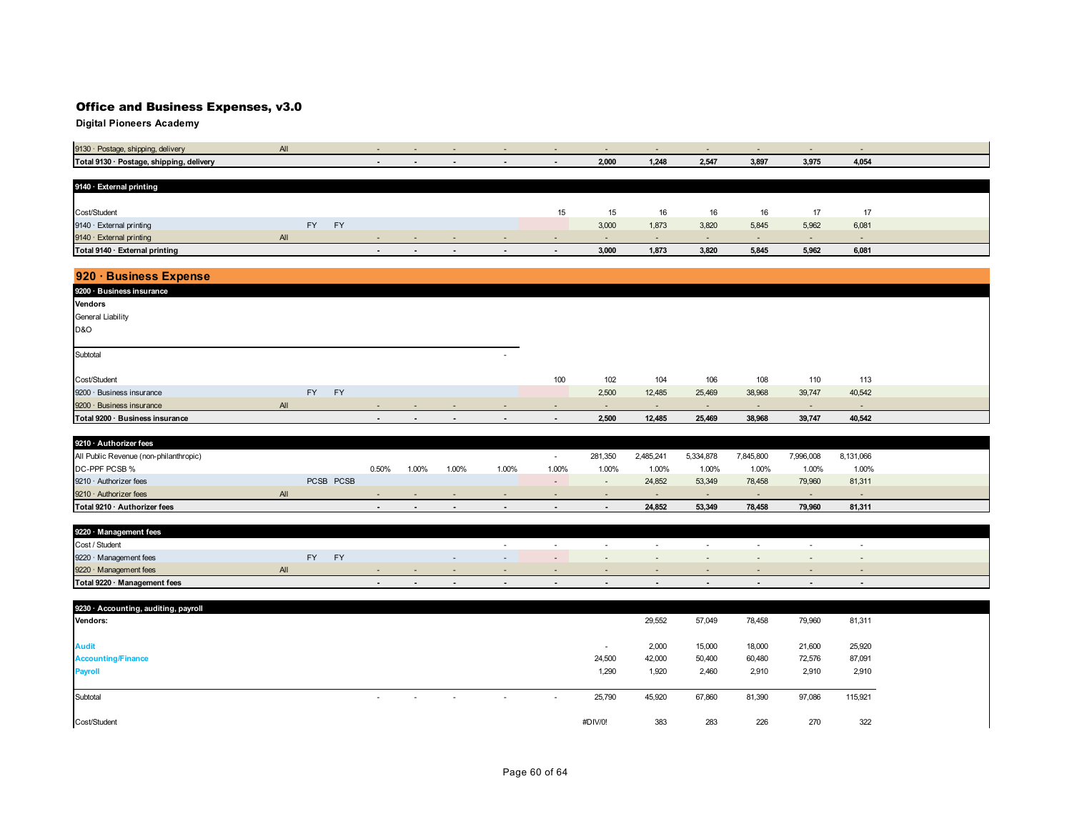| $\overline{\phantom{0}}$ | $\overline{\phantom{a}}$ | . .   | $\overline{\phantom{a}}$     | $\overline{\phantom{a}}$ | $\sim$                   | $\sim$ |  |
|--------------------------|--------------------------|-------|------------------------------|--------------------------|--------------------------|--------|--|
| $\blacksquare$           | 2,000                    | 1,248 | 2,547                        | 3,897                    | 3,975                    | 4,054  |  |
|                          |                          |       |                              |                          |                          |        |  |
|                          |                          |       |                              |                          |                          |        |  |
|                          |                          |       |                              |                          |                          |        |  |
| 15                       | 15                       | 16    | 16                           | 16                       | 17                       | 17     |  |
|                          | 3,000                    | 1,873 | 3,820                        | 5,845                    | 5,962                    | 6,081  |  |
|                          | . .                      |       | $\qquad \qquad \blacksquare$ | $\sim$                   | $\overline{\phantom{a}}$ |        |  |
| $\sim$                   | 3,000                    | 1,873 | 3,820                        | 5,845                    | 5,962                    | 6,081  |  |
|                          |                          |       |                              |                          |                          |        |  |

| 920 · Business Expense          |     |           |           |                          |                |                |                          |                          |                          |        |        |                          |                          |                          |  |
|---------------------------------|-----|-----------|-----------|--------------------------|----------------|----------------|--------------------------|--------------------------|--------------------------|--------|--------|--------------------------|--------------------------|--------------------------|--|
| 9200 · Business insurance       |     |           |           |                          |                |                |                          |                          |                          |        |        |                          |                          |                          |  |
| <b>Vendors</b>                  |     |           |           |                          |                |                |                          |                          |                          |        |        |                          |                          |                          |  |
| General Liability               |     |           |           |                          |                |                |                          |                          |                          |        |        |                          |                          |                          |  |
| <b>D&amp;O</b>                  |     |           |           |                          |                |                |                          |                          |                          |        |        |                          |                          |                          |  |
|                                 |     |           |           |                          |                |                |                          |                          |                          |        |        |                          |                          |                          |  |
| Subtotal                        |     |           |           |                          |                |                | $\sim$                   |                          |                          |        |        |                          |                          |                          |  |
|                                 |     |           |           |                          |                |                |                          |                          |                          |        |        |                          |                          |                          |  |
| Cost/Student                    |     |           |           |                          |                |                |                          | 100                      | 102                      | 104    | 106    | 108                      | 110                      | 113                      |  |
| 9200 · Business insurance       |     | <b>FY</b> | <b>FY</b> |                          |                |                |                          |                          | 2,500                    | 12,485 | 25,469 | 38,968                   | 39,747                   | 40,542                   |  |
| 9200 · Business insurance       | All |           |           | $\overline{\phantom{a}}$ | $\sim$         | $\sim$         | $\overline{\phantom{a}}$ | $\overline{\phantom{a}}$ | $\overline{\phantom{a}}$ | $\sim$ | $\sim$ | $\overline{\phantom{0}}$ | $\overline{\phantom{a}}$ | $\overline{\phantom{0}}$ |  |
| Total 9200 · Business insurance |     |           |           | $\sim$                   | $\blacksquare$ | $\blacksquare$ | $\blacksquare$           | $\sim$                   | 2,500                    | 12,485 | 25,469 | 38,968                   | 39,747                   | 40,542                   |  |

| 9210 · Authorizer fees                 |           |        |       |        |                          |                          |         |           |           |           |           |           |  |
|----------------------------------------|-----------|--------|-------|--------|--------------------------|--------------------------|---------|-----------|-----------|-----------|-----------|-----------|--|
| All Public Revenue (non-philanthropic) |           |        |       |        |                          |                          | 281,350 | 2.485.241 | 5,334,878 | 7.845.800 | 7,996,008 | 8,131,066 |  |
| DC-PPF PCSB %                          |           | 0.50%  | 1.00% | 1.00%  | 1.00%                    | 1.00%                    | 1.00%   | 1.00%     | 1.00%     | 1.00%     | 1.00%     | 1.00%     |  |
| $9210 \cdot$ Authorizer fees           | PCSB PCSB |        |       |        |                          | $\sim$                   |         | 24,852    | 53,349    | 78,458    | 79,960    | 81,311    |  |
| $9210 \cdot$ Authorizer fees           |           | $\sim$ |       |        | $\sim$                   |                          |         |           |           |           | $\sim$    |           |  |
| Total 9210 · Authorizer fees           |           | $\sim$ | . .   | $\sim$ | $\overline{\phantom{a}}$ | $\overline{\phantom{a}}$ |         | 24,852    | 53,349    | 78,458    | 79,960    | 81,311    |  |

| 9220 · Management fees       |     |    |           |        |     |        |                          |     |  |        |        |  |
|------------------------------|-----|----|-----------|--------|-----|--------|--------------------------|-----|--|--------|--------|--|
| Cost / Student               |     |    |           |        |     |        |                          |     |  |        |        |  |
| 9220 · Management fees       |     | FΥ | <b>EY</b> |        |     |        |                          | . . |  |        | . .    |  |
| 9220 · Management fees       | All |    |           |        | . . | . .    | . .                      | . . |  |        | . .    |  |
| Total 9220 · Management fees |     |    |           | $\sim$ |     | $\sim$ | $\overline{\phantom{a}}$ |     |  | $\sim$ | $\sim$ |  |

| 9230 · Accounting, auditing, payroll                                                                                                      |
|-------------------------------------------------------------------------------------------------------------------------------------------|
| 29,552<br>57,049<br>78,458<br>79,960<br>Vendors:<br>81,311                                                                                |
|                                                                                                                                           |
| 15,000<br>18,000<br>21,600<br>25,920<br>2,000<br><b>Audit</b>                                                                             |
| 24,500<br>42,000<br>50,400<br>60,480<br>72,576<br>87,091<br><b>Accounting/Finance</b>                                                     |
| <b>Payroll</b><br>1,290<br>1,920<br>2,460<br>2,910<br>2,910<br>2,910                                                                      |
|                                                                                                                                           |
| 81,390<br>97,086<br>25,790<br>45,920<br>67,860<br>115,921<br>Subtotal<br>$\overline{\phantom{a}}$<br>$\sim$<br>$\sim$<br>$\sim$<br>$\sim$ |
|                                                                                                                                           |
| 283<br>226<br>383<br>270<br>322<br>Cost/Student<br>#DIV/0!                                                                                |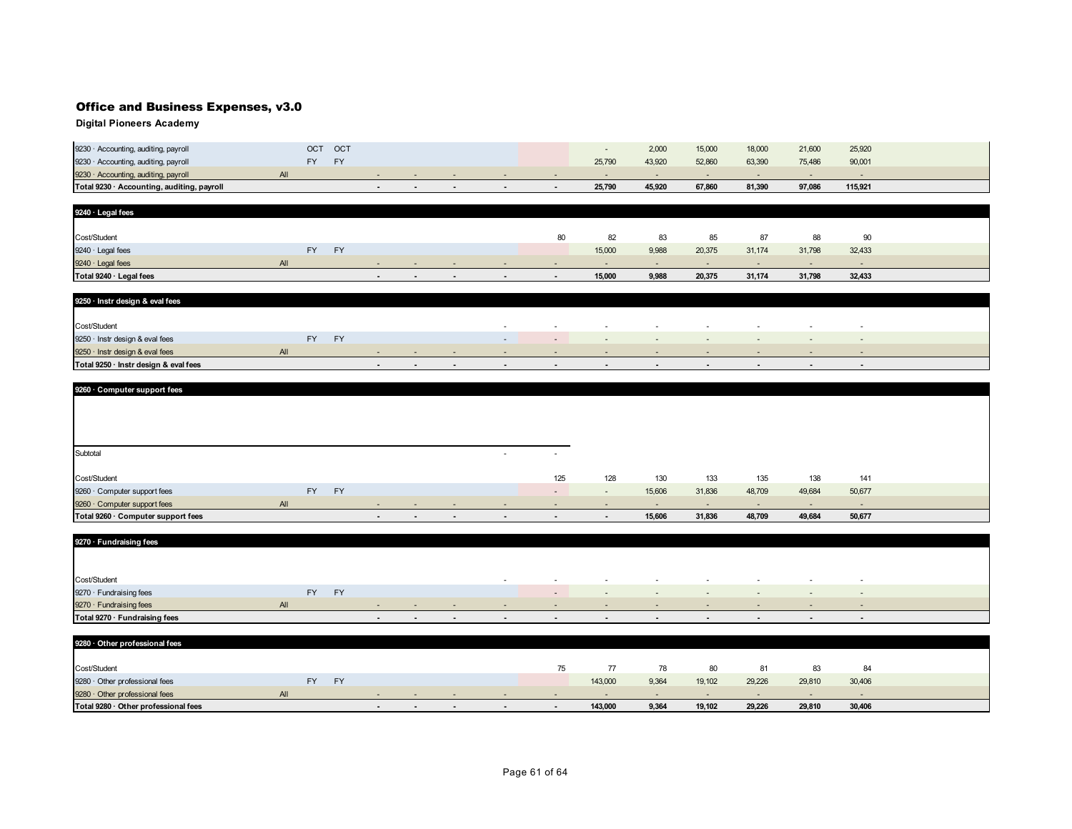| Total 9230 · Accounting, auditing, payroll |                          |            |  |  | 25.790 | 45.920 | 67.860 | 81.390 | 97,086 | 115.921 |  |
|--------------------------------------------|--------------------------|------------|--|--|--------|--------|--------|--------|--------|---------|--|
| 9230 · Accounting, auditing, payroll       | All                      |            |  |  |        |        |        |        |        |         |  |
| 9230 · Accounting, auditing, payroll       | $\overline{\phantom{a}}$ | EV         |  |  | 25,790 | 43,920 | 52,860 | 63,390 | 75,486 | 90,001  |  |
| 9230 · Accounting, auditing, payroll       | ост                      | <b>OCT</b> |  |  |        | 2,000  | 15,000 | 18,000 | 21,600 | 25,920  |  |

| 9240 · Legal fees       |     |           |           |        |                          |     |        |        |        |       |        |        |        |        |  |
|-------------------------|-----|-----------|-----------|--------|--------------------------|-----|--------|--------|--------|-------|--------|--------|--------|--------|--|
|                         |     |           |           |        |                          |     |        |        |        |       |        |        |        |        |  |
| Cost/Student            |     |           |           |        |                          |     |        | 80     | 82     | 83    | 85     | 87     | 88     | 90     |  |
| 9240 · Legal fees       |     | <b>FY</b> | <b>EV</b> |        |                          |     |        |        | 15,000 | 9,988 | 20,375 | 31,174 | 31,798 | 32,433 |  |
| 9240 · Legal fees       | All |           |           | $\sim$ | . .                      | . . |        | . .    |        | . .   | . .    |        |        | . .    |  |
| Total 9240 · Legal fees |     |           |           | $\sim$ | $\overline{\phantom{a}}$ | . . | $\sim$ | $\sim$ | 15,000 | 9,988 | 20,375 | 31,174 | 31,798 | 32,433 |  |

| 9250 · Instr design & eval fees       |     |           |            |   |        |        |                  |        |        |        |                          |        |
|---------------------------------------|-----|-----------|------------|---|--------|--------|------------------|--------|--------|--------|--------------------------|--------|
|                                       |     |           |            |   |        |        |                  |        |        |        |                          |        |
| Cost/Student                          |     |           |            |   | $\sim$ | . .    | $\sim$           | $\sim$ |        | . .    |                          |        |
| 9250 · Instr design & eval fees       |     | <b>FY</b> |            |   | $\sim$ |        | <b>CONTINUES</b> | $\sim$ |        | $\sim$ | $\overline{\phantom{a}}$ |        |
| 9250 · Instr design & eval fees       | All |           | <b>COL</b> | . |        |        | $\sim$           |        | $\sim$ |        |                          |        |
| Total 9250 · Instr design & eval fees |     |           |            |   | $\sim$ | $\sim$ | . .              | $\sim$ |        |        | $\sim$                   | $\sim$ |

| 9260 · Computer support fees       |           |           |        |        |        |                          |                          |                |        |                          |        |                          |                          |  |
|------------------------------------|-----------|-----------|--------|--------|--------|--------------------------|--------------------------|----------------|--------|--------------------------|--------|--------------------------|--------------------------|--|
|                                    |           |           |        |        |        |                          |                          |                |        |                          |        |                          |                          |  |
|                                    |           |           |        |        |        |                          |                          |                |        |                          |        |                          |                          |  |
|                                    |           |           |        |        |        |                          |                          |                |        |                          |        |                          |                          |  |
|                                    |           |           |        |        |        |                          |                          |                |        |                          |        |                          |                          |  |
| Subtotal                           |           |           |        |        |        | . .                      | $\overline{\phantom{a}}$ |                |        |                          |        |                          |                          |  |
|                                    |           |           |        |        |        |                          |                          |                |        |                          |        |                          |                          |  |
| Cost/Student                       |           |           |        |        |        |                          | 125                      | 128            | 130    | 133                      | 135    | 138                      | 141                      |  |
| 9260 · Computer support fees       | <b>FY</b> | <b>FY</b> |        |        |        |                          | $\overline{\phantom{a}}$ | $\sim$         | 15,606 | 31,836                   | 48,709 | 49,684                   | 50,677                   |  |
| 9260 · Computer support fees       | All       |           | $\sim$ | $\sim$ | $\sim$ | $\overline{\phantom{a}}$ | $\overline{\phantom{a}}$ | $\sim$         | $\sim$ | $\overline{\phantom{a}}$ | $\sim$ | $\overline{\phantom{a}}$ | $\overline{\phantom{a}}$ |  |
| Total 9260 · Computer support fees |           |           | $\sim$ | $\sim$ | $\sim$ | $\sim$                   | $\sim$                   | $\blacksquare$ | 15,606 | 31,836                   | 48,709 | 49,684                   | 50,677                   |  |

| 9270 · Fundraising fees       |     |    |           |        |        |                    |        |                          |        |        |        |                          |                          |                          |
|-------------------------------|-----|----|-----------|--------|--------|--------------------|--------|--------------------------|--------|--------|--------|--------------------------|--------------------------|--------------------------|
|                               |     |    |           |        |        |                    |        |                          |        |        |        |                          |                          |                          |
|                               |     |    |           |        |        |                    |        |                          |        |        |        |                          |                          |                          |
| Cost/Student                  |     |    |           |        |        |                    |        | . .                      |        |        |        | $\sim$                   | $\overline{\phantom{a}}$ | . .                      |
| 9270 · Fundraising fees       |     | FY | <b>FY</b> |        |        |                    |        | $\overline{\phantom{0}}$ | $\sim$ | $\sim$ | $\sim$ | $\overline{\phantom{a}}$ | $\overline{\phantom{a}}$ | $\overline{\phantom{a}}$ |
| 9270 · Fundraising fees       | AlI |    |           | $-$    |        | $-$                | $\sim$ | $\sim$                   | $\sim$ | . .    | .      | $-$                      | $\sim$                   | . .                      |
| Total 9270 · Fundraising fees |     |    |           | $\sim$ | $\sim$ | <b>State State</b> | $\sim$ | $\sim$                   | $\sim$ | $\sim$ | $\sim$ | $\qquad \qquad$          | $\sim$                   | $\sim$                   |

| 9280 · Other professional fees       |   |           |           |        |     |     |        |        |         |       |        |        |        |        |  |
|--------------------------------------|---|-----------|-----------|--------|-----|-----|--------|--------|---------|-------|--------|--------|--------|--------|--|
|                                      |   |           |           |        |     |     |        |        |         |       |        |        |        |        |  |
| Cost/Student                         |   |           |           |        |     |     |        | 75     | 77      | 78    | 80     | 81     | -83    | 84     |  |
| 9280 · Other professional fees       |   | <b>FY</b> | <b>EV</b> |        |     |     |        |        | 143,000 | 9,364 | 19,102 | 29,226 | 29,810 | 30,406 |  |
| 9280 Other professional fees         | A |           |           |        |     |     | . .    | $\sim$ | . .     |       |        | $\sim$ | $\sim$ |        |  |
| Total 9280 · Other professional fees |   |           |           | $\sim$ | . . | . . | $\sim$ |        | 143,000 | 9,364 | 19,102 | 29,226 | 29,810 | 30,406 |  |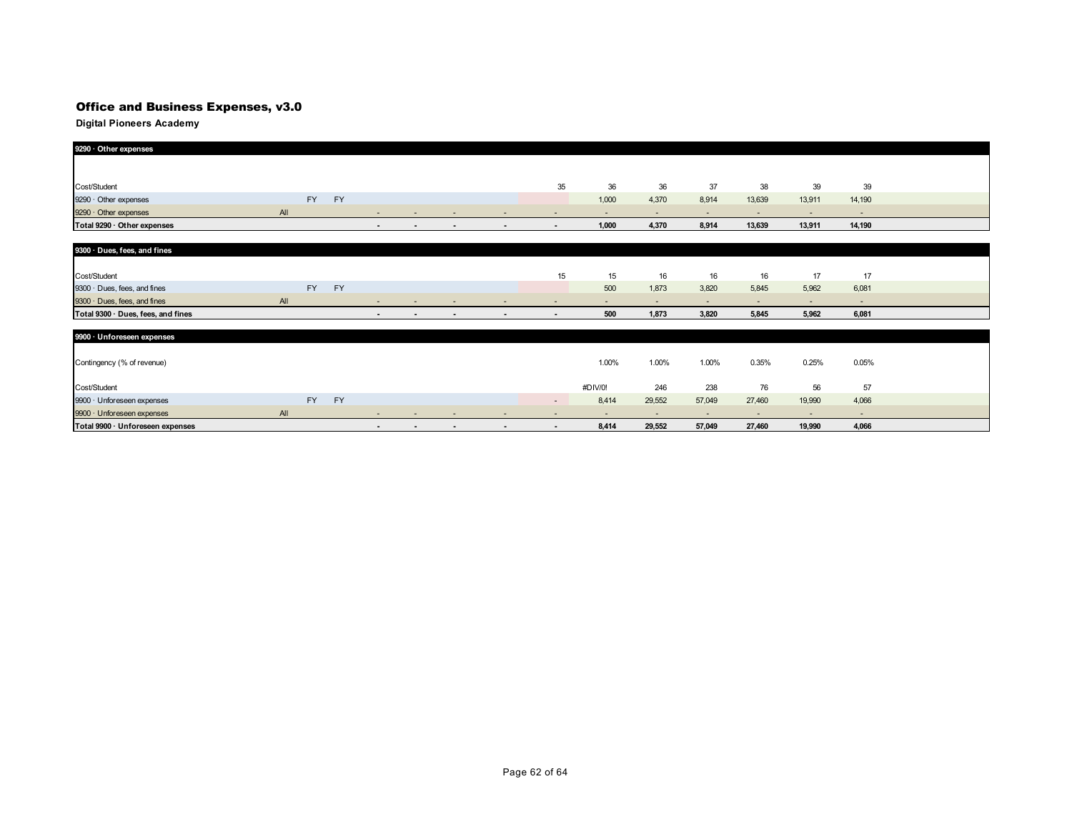| 9290 · Other expenses              |     |           |           |                |                          |                          |                          |                |         |        |        |        |        |                          |  |
|------------------------------------|-----|-----------|-----------|----------------|--------------------------|--------------------------|--------------------------|----------------|---------|--------|--------|--------|--------|--------------------------|--|
|                                    |     |           |           |                |                          |                          |                          |                |         |        |        |        |        |                          |  |
|                                    |     |           |           |                |                          |                          |                          |                |         |        |        |        |        |                          |  |
| Cost/Student                       |     |           |           |                |                          |                          |                          | 35             | 36      | 36     | 37     | 38     | 39     | 39                       |  |
| 9290 · Other expenses              |     | FY        | FY        |                |                          |                          |                          |                | 1,000   | 4,370  | 8,914  | 13,639 | 13,911 | 14,190                   |  |
| 9290 · Other expenses              | All |           |           |                |                          |                          |                          |                |         |        |        | ٠      | ٠      | $\overline{\phantom{a}}$ |  |
| Total 9290 · Other expenses        |     |           |           | $\sim$         | $\blacksquare$           | $\blacksquare$           | $\sim$                   | $\sim$         | 1,000   | 4,370  | 8,914  | 13,639 | 13,911 | 14,190                   |  |
|                                    |     |           |           |                |                          |                          |                          |                |         |        |        |        |        |                          |  |
| 9300 · Dues, fees, and fines       |     |           |           |                |                          |                          |                          |                |         |        |        |        |        |                          |  |
|                                    |     |           |           |                |                          |                          |                          |                |         |        |        |        |        |                          |  |
| Cost/Student                       |     |           |           |                |                          |                          |                          | 15             | 15      | 16     | 16     | 16     | 17     | 17                       |  |
| 9300 · Dues, fees, and fines       |     | <b>FY</b> | <b>FY</b> |                |                          |                          |                          |                | 500     | 1,873  | 3,820  | 5,845  | 5,962  | 6,081                    |  |
| 9300 · Dues, fees, and fines       | All |           |           | $\sim$         | $\sim$                   | $\overline{\phantom{a}}$ | $\overline{\phantom{a}}$ | $\sim$         | ٠       | ٠      | ۰.     | $\sim$ | $\sim$ | $\sim$                   |  |
| Total 9300 · Dues, fees, and fines |     |           |           |                |                          |                          |                          |                | 500     | 1,873  | 3,820  | 5,845  | 5,962  | 6,081                    |  |
|                                    |     |           |           |                |                          |                          |                          |                |         |        |        |        |        |                          |  |
| 9900 · Unforeseen expenses         |     |           |           |                |                          |                          |                          |                |         |        |        |        |        |                          |  |
|                                    |     |           |           |                |                          |                          |                          |                |         |        |        |        |        |                          |  |
| Contingency (% of revenue)         |     |           |           |                |                          |                          |                          |                | 1.00%   | 1.00%  | 1.00%  | 0.35%  | 0.25%  | 0.05%                    |  |
|                                    |     |           |           |                |                          |                          |                          |                |         |        |        |        |        |                          |  |
| Cost/Student                       |     |           |           |                |                          |                          |                          |                | #DIV/0! | 246    | 238    | 76     | 56     | 57                       |  |
| 9900 · Unforeseen expenses         |     | <b>FY</b> | FY        |                |                          |                          |                          | $\sim$         | 8,414   | 29,552 | 57,049 | 27,460 | 19,990 | 4,066                    |  |
| 9900 · Unforeseen expenses         | All |           |           | $\sim$         | $\sim$                   |                          |                          | ٠              | $\sim$  | $\sim$ | $\sim$ | $\sim$ | $\sim$ | $\sim$                   |  |
| Total 9900 · Unforeseen expenses   |     |           |           | $\blacksquare$ | $\overline{\phantom{a}}$ | $\blacksquare$           | $\blacksquare$           | $\blacksquare$ | 8,414   | 29,552 | 57,049 | 27,460 | 19,990 | 4,066                    |  |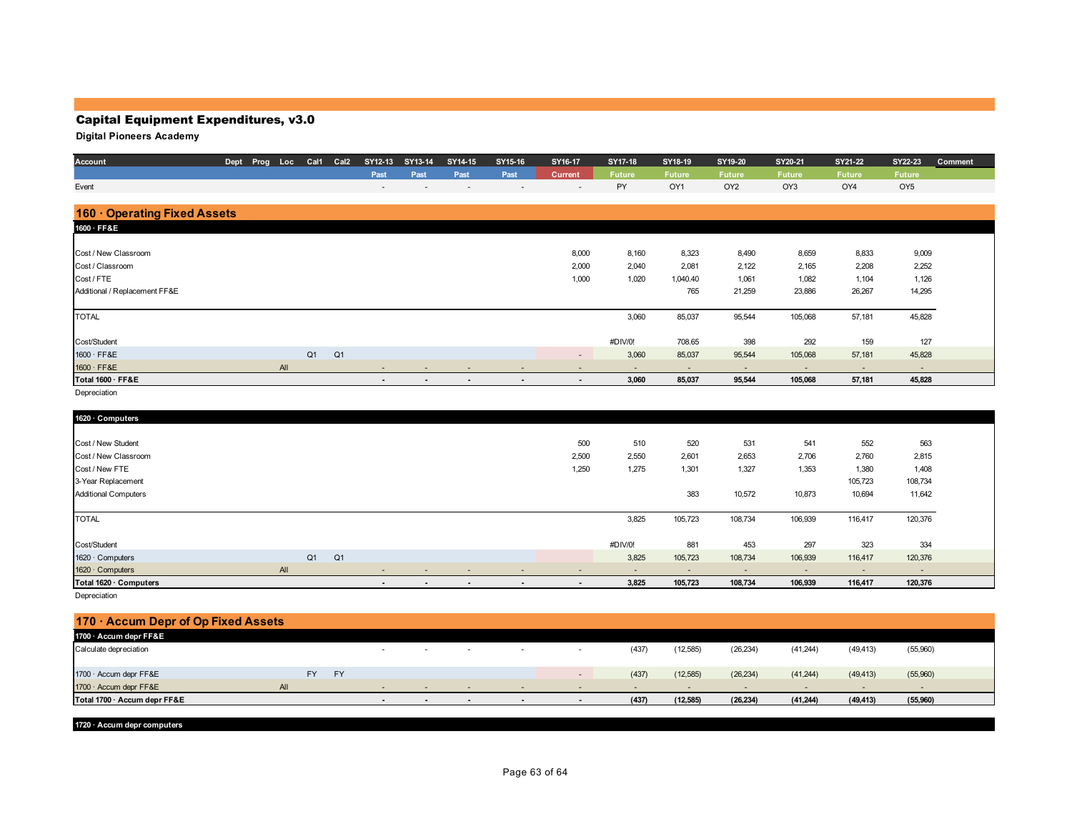## Capital Equipment Expenditures, v3.0

## **Digital Pioneers Academy**

| Account                       | Dept Prog Loc |     |    | Cal1 Cal2      | SY12-13                  | SY13-14 | SY14-15 | SY15-16                  | SY16-17                  | SY17-18 | SY18-19       | SY19-20                  | SY20-21 | SY21-22       | SY22-23                  | Comment |
|-------------------------------|---------------|-----|----|----------------|--------------------------|---------|---------|--------------------------|--------------------------|---------|---------------|--------------------------|---------|---------------|--------------------------|---------|
|                               |               |     |    |                | Past                     | Past    | Past    | Past                     | Current                  | Future  | <b>Future</b> | <b>Future</b>            | Future  | <b>Future</b> | <b>Future</b>            |         |
| Event                         |               |     |    |                | $\overline{\phantom{a}}$ |         |         | $\overline{\phantom{a}}$ | $\overline{\phantom{a}}$ | PY      | OY1           | OY <sub>2</sub>          | OY3     | OY4           | OY <sub>5</sub>          |         |
|                               |               |     |    |                |                          |         |         |                          |                          |         |               |                          |         |               |                          |         |
| 160 Operating Fixed Assets    |               |     |    |                |                          |         |         |                          |                          |         |               |                          |         |               |                          |         |
| 1600 · FF&E                   |               |     |    |                |                          |         |         |                          |                          |         |               |                          |         |               |                          |         |
|                               |               |     |    |                |                          |         |         |                          |                          |         |               |                          |         |               |                          |         |
| Cost / New Classroom          |               |     |    |                |                          |         |         |                          | 8,000                    | 8,160   | 8,323         | 8,490                    | 8,659   | 8,833         | 9,009                    |         |
| Cost / Classroom              |               |     |    |                |                          |         |         |                          | 2,000                    | 2,040   | 2,081         | 2,122                    | 2,165   | 2,208         | 2,252                    |         |
| Cost / FTE                    |               |     |    |                |                          |         |         |                          | 1,000                    | 1,020   | 1,040.40      | 1,061                    | 1,082   | 1,104         | 1,126                    |         |
| Additional / Replacement FF&E |               |     |    |                |                          |         |         |                          |                          |         | 765           | 21,259                   | 23,886  | 26,267        | 14,295                   |         |
|                               |               |     |    |                |                          |         |         |                          |                          |         |               |                          |         |               |                          |         |
| <b>TOTAL</b>                  |               |     |    |                |                          |         |         |                          |                          | 3,060   | 85,037        | 95,544                   | 105,068 | 57,181        | 45,828                   |         |
|                               |               |     |    |                |                          |         |         |                          |                          |         |               |                          |         |               |                          |         |
| Cost/Student                  |               |     |    |                |                          |         |         |                          |                          | #DIV/0! | 708.65        | 398                      | 292     | 159           | 127                      |         |
| 1600 · FF&E                   |               |     | Q1 | Q <sub>1</sub> |                          |         |         |                          |                          | 3,060   | 85,037        | 95,544                   | 105,068 | 57,181        | 45,828                   |         |
| 1600 · FF&E                   |               | All |    |                | $\overline{\phantom{a}}$ |         |         |                          |                          |         | ٠             | $\overline{\phantom{a}}$ |         | ٠             | $\overline{\phantom{a}}$ |         |
| Total 1600 · FF&E             |               |     |    |                | $\sim$                   | $\sim$  | $\sim$  | $\sim$                   | $\sim$                   | 3,060   | 85,037        | 95,544                   | 105,068 | 57,181        | 45,828                   |         |
| Depreciation                  |               |     |    |                |                          |         |         |                          |                          |         |               |                          |         |               |                          |         |
|                               |               |     |    |                |                          |         |         |                          |                          |         |               |                          |         |               |                          |         |
| 1620 · Computers              |               |     |    |                |                          |         |         |                          |                          |         |               |                          |         |               |                          |         |
|                               |               |     |    |                |                          |         |         |                          |                          |         |               |                          |         |               |                          |         |
| Cost / New Student            |               |     |    |                |                          |         |         |                          | 500                      | 510     | 520           | 531                      | 541     | 552           | 563                      |         |
| Cost / New Classroom          |               |     |    |                |                          |         |         |                          | 2,500                    | 2,550   | 2,601         | 2,653                    | 2,706   | 2,760         | 2,815                    |         |
| Cost / New FTE                |               |     |    |                |                          |         |         |                          | 1,250                    | 1,275   | 1,301         | 1,327                    | 1,353   | 1,380         | 1,408                    |         |
| 3-Year Replacement            |               |     |    |                |                          |         |         |                          |                          |         |               |                          |         | 105,723       | 108,734                  |         |
| <b>Additional Computers</b>   |               |     |    |                |                          |         |         |                          |                          |         | 383           | 10,572                   | 10,873  | 10,694        | 11,642                   |         |
|                               |               |     |    |                |                          |         |         |                          |                          |         |               |                          |         |               |                          |         |
| <b>TOTAL</b>                  |               |     |    |                |                          |         |         |                          |                          | 3,825   | 105,723       | 108,734                  | 106,939 | 116,417       | 120,376                  |         |
|                               |               |     |    |                |                          |         |         |                          |                          |         |               |                          |         |               |                          |         |
| Cost/Student                  |               |     |    |                |                          |         |         |                          |                          | #DIV/0! | 881           | 453                      | 297     | 323           | 334                      |         |
| 1620 · Computers              |               |     | Q1 | Q <sub>1</sub> |                          |         |         |                          |                          | 3,825   | 105,723       | 108,734                  | 106,939 | 116,417       | 120,376                  |         |
| 1620 · Computers              |               | AII |    |                | ٠                        |         |         |                          |                          |         | ٠             | ٠                        | $\sim$  | ٠             | $\overline{\phantom{a}}$ |         |

**Total 1620 · Computers - - - - - 3,825 105,723 108,734 106,939 116,417 120,376**

Depreciation

| $170 \cdot$ Accum Depr of Op Fixed Assets |     |           |           |                |        |                          |                          |        |        |           |                |           |           |          |  |
|-------------------------------------------|-----|-----------|-----------|----------------|--------|--------------------------|--------------------------|--------|--------|-----------|----------------|-----------|-----------|----------|--|
| 1700 · Accum depr FF&E                    |     |           |           |                |        |                          |                          |        |        |           |                |           |           |          |  |
| Calculate depreciation                    |     |           |           | $\sim$         | . .    | . .                      | . .                      |        | (437)  | (12, 585) | (26, 234)      | (41, 244) | (49, 413) | (55,960) |  |
| 1700 · Accum depr FF&E                    |     | <b>FY</b> | <b>FY</b> |                |        |                          |                          | $\sim$ | (437)  | (12, 585) | (26, 234)      | (41,244)  | (49, 413) | (55,960) |  |
| 1700 · Accum depr FF&E                    | AII |           |           | $\sim$         | $\sim$ | $\overline{\phantom{a}}$ | $\sim$                   | $\sim$ | $\sim$ |           | $\overline{a}$ | $\sim$    | $\sim$    | $\sim$   |  |
| Total 1700 · Accum depr FF&E              |     |           |           | $\blacksquare$ | $\sim$ | $\overline{\phantom{a}}$ | $\overline{\phantom{a}}$ |        | (437)  | (12, 585) | (26, 234)      | (41, 244) | (49, 413) | (55,960) |  |
|                                           |     |           |           |                |        |                          |                          |        |        |           |                |           |           |          |  |

**1720 · Accum depr computers**